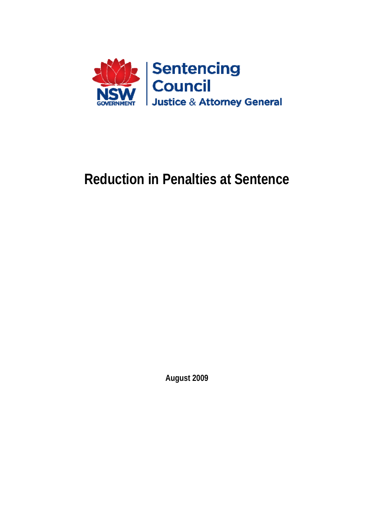

# **Reduction in Penalties at Sentence**

**August 2009**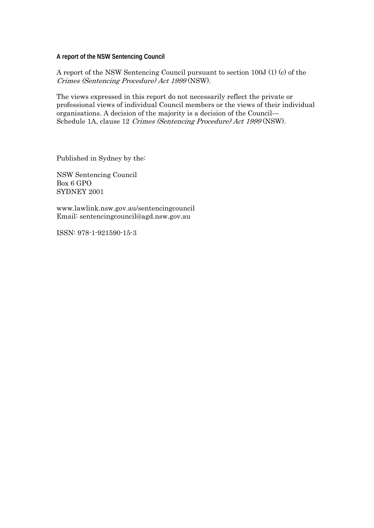**A report of the NSW Sentencing Council** 

A report of the NSW Sentencing Council pursuant to section 100J (1) (c) of the Crimes (Sentencing Procedure) Act 1999 (NSW).

The views expressed in this report do not necessarily reflect the private or professional views of individual Council members or the views of their individual organisations. A decision of the majority is a decision of the Council— Schedule 1A, clause 12 Crimes (Sentencing Procedure) Act 1999 (NSW).

Published in Sydney by the:

NSW Sentencing Council Box 6 GPO SYDNEY 2001

www.lawlink.nsw.gov.au/sentencingcouncil Email: sentencingcouncil@agd.nsw.gov.au

ISSN: 978-1-921590-15-3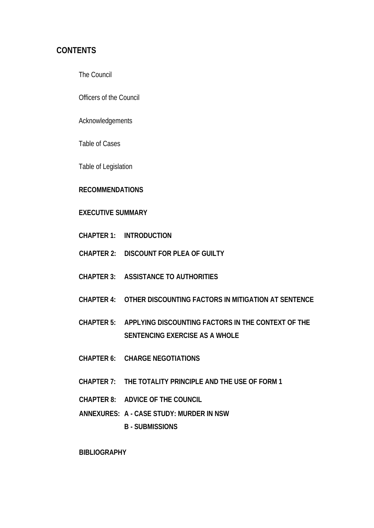### **CONTENTS**

The Council

Officers of the Council

Acknowledgements

Table of Cases

Table of Legislation

#### **RECOMMENDATIONS**

#### **EXECUTIVE SUMMARY**

- **CHAPTER 1: INTRODUCTION**
- **CHAPTER 2: DISCOUNT FOR PLEA OF GUILTY**
- **CHAPTER 3: ASSISTANCE TO AUTHORITIES**
- **CHAPTER 4: OTHER DISCOUNTING FACTORS IN MITIGATION AT SENTENCE**
- **CHAPTER 5: APPLYING DISCOUNTING FACTORS IN THE CONTEXT OF THE SENTENCING EXERCISE AS A WHOLE**
- **CHAPTER 6: CHARGE NEGOTIATIONS**
- **CHAPTER 7: THE TOTALITY PRINCIPLE AND THE USE OF FORM 1**
- **CHAPTER 8: ADVICE OF THE COUNCIL**
- **ANNEXURES: A CASE STUDY: MURDER IN NSW** 
	- **B SUBMISSIONS**

**BIBLIOGRAPHY**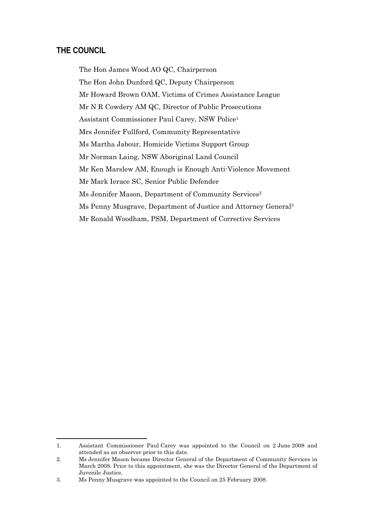#### **THE COUNCIL**

1

The Hon James Wood AO QC, Chairperson The Hon John Dunford QC, Deputy Chairperson Mr Howard Brown OAM, Victims of Crimes Assistance League Mr N R Cowdery AM QC, Director of Public Prosecutions Assistant Commissioner Paul Carey, NSW Police1 Mrs Jennifer Fullford, Community Representative Ms Martha Jabour, Homicide Victims Support Group Mr Norman Laing, NSW Aboriginal Land Council Mr Ken Marslew AM, Enough is Enough Anti-Violence Movement Mr Mark Ierace SC, Senior Public Defender Ms Jennifer Mason, Department of Community Services<sup>2</sup> Ms Penny Musgrave, Department of Justice and Attorney General3 Mr Ronald Woodham, PSM, Department of Corrective Services

<sup>1.</sup> Assistant Commissioner Paul Carey was appointed to the Council on 2 June 2008 and attended as an observer prior to this date.

<sup>2.</sup> Ms Jennifer Mason became Director General of the Department of Community Services in March 2008. Prior to this appointment, she was the Director General of the Department of Juvenile Justice.

<sup>3.</sup> Ms Penny Musgrave was appointed to the Council on 25 February 2008.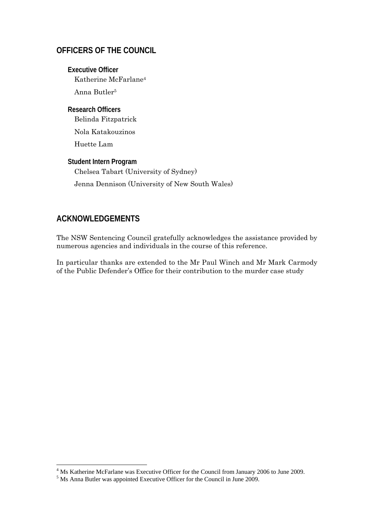### **OFFICERS OF THE COUNCIL**

**Executive Officer**  Katherine McFarlane4 Anna Butler5

**Research Officers**  Belinda Fitzpatrick

Nola Katakouzinos

Huette Lam

**Student Intern Program**  Chelsea Tabart (University of Sydney) Jenna Dennison (University of New South Wales)

### **ACKNOWLEDGEMENTS**

The NSW Sentencing Council gratefully acknowledges the assistance provided by numerous agencies and individuals in the course of this reference.

In particular thanks are extended to the Mr Paul Winch and Mr Mark Carmody of the Public Defender's Office for their contribution to the murder case study

<sup>&</sup>lt;sup>4</sup> Ms Katherine McFarlane was Executive Officer for the Council from January 2006 to June 2009.

 $5$  Ms Anna Butler was appointed Executive Officer for the Council in June 2009.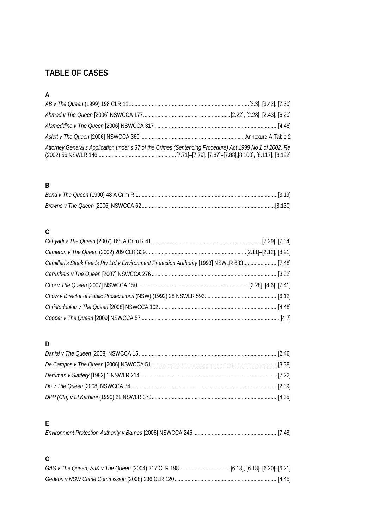# **TABLE OF CASES**

# **A**

| Attorney General's Application under s 37 of the Crimes (Sentencing Procedure) Act 1999 No 1 of 2002, Re |  |
|----------------------------------------------------------------------------------------------------------|--|

### **B**

# **C**

| Camilleri's Stock Feeds Pty Ltd v Environment Protection Authority [1993] NSWLR 683[7.48] |  |
|-------------------------------------------------------------------------------------------|--|
|                                                                                           |  |
|                                                                                           |  |
|                                                                                           |  |
|                                                                                           |  |
|                                                                                           |  |

# **D**

### **E**

|--|

# **G**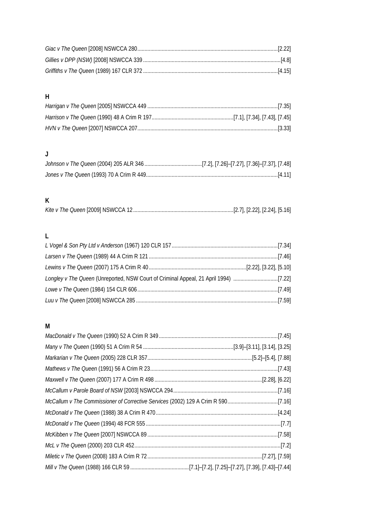# **H**

# **J**

# **K**

# **L**

| Longley v The Queen (Unreported, NSW Court of Criminal Appeal, 21 April 1994) [7.22] |  |
|--------------------------------------------------------------------------------------|--|
|                                                                                      |  |
|                                                                                      |  |

# **M**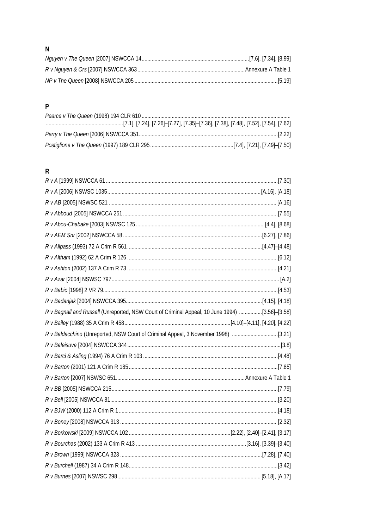# $\overline{\mathsf{N}}$

### $\overline{P}$

# $\overline{R}$

| R v Bagnall and Russell (Unreported, NSW Court of Criminal Appeal, 10 June 1994) [3.56]-[3.58] |  |
|------------------------------------------------------------------------------------------------|--|
|                                                                                                |  |
| R v Baldacchino (Unreported, NSW Court of Criminal Appeal, 3 November 1998) [3.21]             |  |
|                                                                                                |  |
|                                                                                                |  |
|                                                                                                |  |
|                                                                                                |  |
|                                                                                                |  |
|                                                                                                |  |
|                                                                                                |  |
|                                                                                                |  |
|                                                                                                |  |
|                                                                                                |  |
|                                                                                                |  |
|                                                                                                |  |
|                                                                                                |  |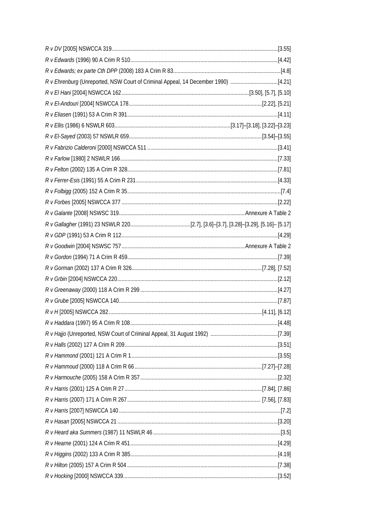| R v Ehrenburg (Unreported, NSW Court of Criminal Appeal, 14 December 1990) [4.21] |  |
|-----------------------------------------------------------------------------------|--|
|                                                                                   |  |
|                                                                                   |  |
|                                                                                   |  |
|                                                                                   |  |
|                                                                                   |  |
|                                                                                   |  |
|                                                                                   |  |
|                                                                                   |  |
|                                                                                   |  |
|                                                                                   |  |
|                                                                                   |  |
|                                                                                   |  |
|                                                                                   |  |
|                                                                                   |  |
|                                                                                   |  |
|                                                                                   |  |
|                                                                                   |  |
|                                                                                   |  |
|                                                                                   |  |
|                                                                                   |  |
|                                                                                   |  |
|                                                                                   |  |
|                                                                                   |  |
|                                                                                   |  |
|                                                                                   |  |
|                                                                                   |  |
|                                                                                   |  |
|                                                                                   |  |
|                                                                                   |  |
|                                                                                   |  |
|                                                                                   |  |
|                                                                                   |  |
|                                                                                   |  |
|                                                                                   |  |
|                                                                                   |  |
|                                                                                   |  |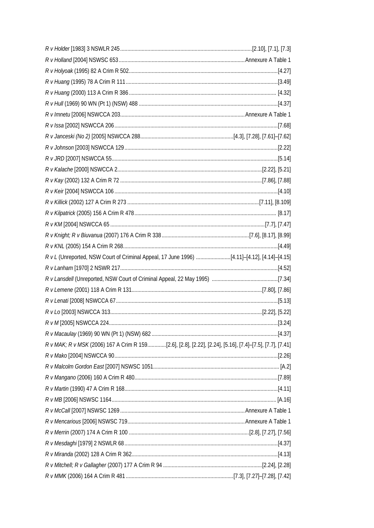| $R$ v L (Unreported, NSW Court of Criminal Appeal, 17 June 1996) [4.11]-[4.12], [4.14]-[4.15]            |  |
|----------------------------------------------------------------------------------------------------------|--|
|                                                                                                          |  |
|                                                                                                          |  |
|                                                                                                          |  |
|                                                                                                          |  |
|                                                                                                          |  |
|                                                                                                          |  |
|                                                                                                          |  |
| R v MAK; R v MSK (2006) 167 A Crim R 159[2.6], [2.8], [2.22], [2.24], [5.16], [7.4]-[7.5], [7.7], [7.41] |  |
|                                                                                                          |  |
|                                                                                                          |  |
|                                                                                                          |  |
|                                                                                                          |  |
|                                                                                                          |  |
|                                                                                                          |  |
|                                                                                                          |  |
|                                                                                                          |  |
|                                                                                                          |  |
|                                                                                                          |  |
|                                                                                                          |  |
|                                                                                                          |  |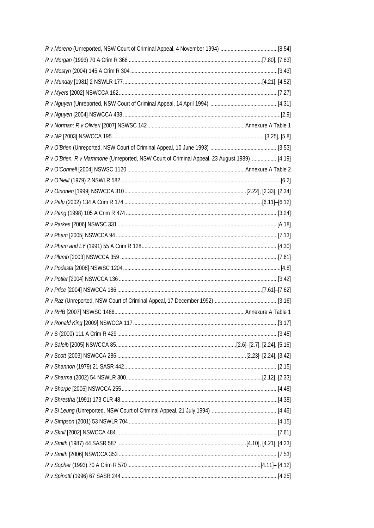| R v O'Brien, R v Mammone (Unreported, NSW Court of Criminal Appeal, 23 August 1989) [4.19] |  |
|--------------------------------------------------------------------------------------------|--|
|                                                                                            |  |
|                                                                                            |  |
|                                                                                            |  |
|                                                                                            |  |
|                                                                                            |  |
|                                                                                            |  |
|                                                                                            |  |
|                                                                                            |  |
|                                                                                            |  |
|                                                                                            |  |
|                                                                                            |  |
|                                                                                            |  |
|                                                                                            |  |
|                                                                                            |  |
|                                                                                            |  |
|                                                                                            |  |
|                                                                                            |  |
|                                                                                            |  |
|                                                                                            |  |
|                                                                                            |  |
|                                                                                            |  |
|                                                                                            |  |
|                                                                                            |  |
|                                                                                            |  |
|                                                                                            |  |
|                                                                                            |  |
|                                                                                            |  |
|                                                                                            |  |
|                                                                                            |  |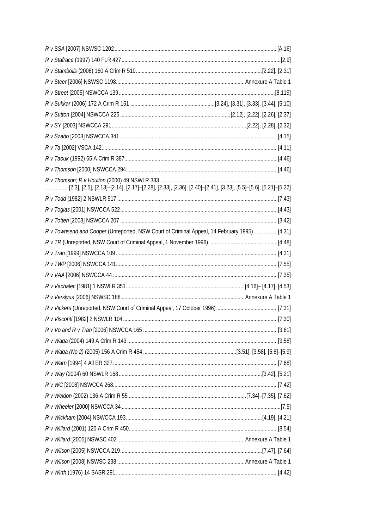| [2.3], [2.5], [2.13]-[2.14], [2.17]-[2.28], [2.33], [2.36], [2.40]-[2.41], [3.23], [5.5]-[5.6], [5.21]-[5.22] |  |
|---------------------------------------------------------------------------------------------------------------|--|
|                                                                                                               |  |
|                                                                                                               |  |
|                                                                                                               |  |
| R v Townsend and Cooper (Unreported, NSW Court of Criminal Appeal, 14 February 1995) [4.31]                   |  |
|                                                                                                               |  |
|                                                                                                               |  |
|                                                                                                               |  |
|                                                                                                               |  |
|                                                                                                               |  |
|                                                                                                               |  |
|                                                                                                               |  |
|                                                                                                               |  |
|                                                                                                               |  |
|                                                                                                               |  |
|                                                                                                               |  |
|                                                                                                               |  |
|                                                                                                               |  |
|                                                                                                               |  |
|                                                                                                               |  |
|                                                                                                               |  |
|                                                                                                               |  |
|                                                                                                               |  |
|                                                                                                               |  |
|                                                                                                               |  |
|                                                                                                               |  |
|                                                                                                               |  |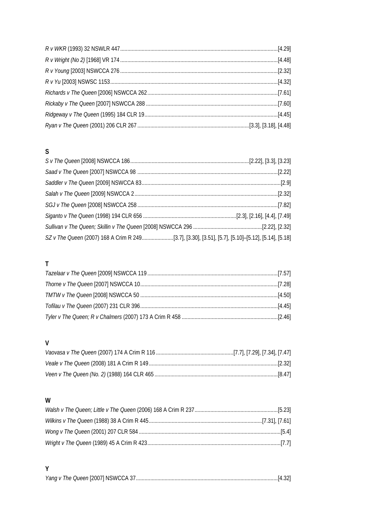# $\mathsf{S}$

| SZ v The Queen (2007) 168 A Crim R 249[3.7], [3.30], [3.51], [5.7], [5.10]-[5.12], [5.14], [5.18] |  |
|---------------------------------------------------------------------------------------------------|--|

# $\mathsf{T}$

# $\mathsf{V}$

# $\mathsf{W}$

# $\mathsf{Y}$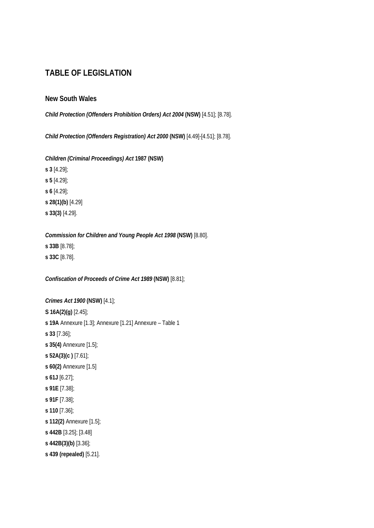### **TABLE OF LEGISLATION**

#### **New South Wales**

*Child Protection (Offenders Prohibition Orders) Act 2004* **(NSW)** [4.51]; [8.78].

*Child Protection (Offenders Registration) Act 2000* **(NSW)** [4.49]-[4.51]; [8.78].

*Children (Criminal Proceedings) Act* **1987 (NSW)**

**s 3** [4.29]; **s 5** [4.29]; **s 6** [4.29]; **s 28(1)(b)** [4.29] **s 33(3)** [4.29].

*Commission for Children and Young People Act 1998* **(NSW)** [8.80]. **s 33B** [8.78]; **s 33C** [8.78].

*Confiscation of Proceeds of Crime Act 1989* **(NSW)** [8.81];

```
Crimes Act 1900 (NSW) [4.1]; 
S 16A(2)(g) [2.45];
s 19A Annexure [1.3]; Annexure [1.21] Annexure – Table 1
s 33 [7.36]; 
s 35(4) Annexure [1.5]; 
s 52A(3)(c ) [7.61]; 
s 60(2) Annexure [1.5] 
s 61J [6.27];
s 91E [7.38]; 
s 91F [7.38]; 
s 110 [7.36]; 
s 112(2) Annexure [1.5];
s 442B [3.25]; [3.48]
s 442B(3)(b) [3.36]; 
s 439 (repealed) [5.21].
```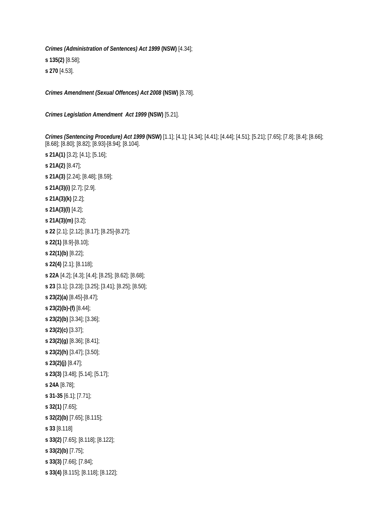*Crimes (Administration of Sentences) Act 1999* **(NSW)** [4.34]; **s 135(2)** [8.58]; **s 270** [4.53].

*Crimes Amendment (Sexual Offences) Act 2008* **(NSW)** [8.78].

*Crimes Legislation Amendment Act 1999* **(NSW)** [5.21].

*Crimes (Sentencing Procedure) Act 1999* **(NSW)** [1.1]; [4.1]; [4.34]; [4.41]; [4.44]; [4.51]; [5.21]; [7.65]; [7.8]; [8.4]; [8.66]; [8.68]; [8.80]; [8.82]; [8.93]-[8.94]; [8.104].

**s 21A(1)** [3.2]; [4.1]; [5.16]; **s 21A(2)** [8.47]; **s 21A(3)** [2.24]; [8.48]; [8.59]; **s 21A(3)(i)** [2.7]; [2.9]. **s 21A(3)(k)** [2.2]; **s 21A(3)(l)** [4.2]; **s 21A(3)(m)** [3.2]; **s 22** [2.1]; [2.12]; [8.17]; [8.25]-[8.27]; **s 22(1)** [8.9]-[8.10]; **s 22(1)(b)** [8.22]; **s 22(4)** [2.1]; [8.118]; **s 22A** [4.2]; [4.3]; [4.4]; [8.25]; [8.62]; [8.68]; **s 23** [3.1]; [3.23]; [3.25]; [3.41]; [8.25]; [8.50]; **s 23(2)(a)** [8.45]-[8.47]; **s 23(2)(b)-(f)** [8.44]; **s 23(2)(b)** [3.34]; [3.36]; **s 23(2)(c)** [3.37]; **s 23(2)(g)** [8.36]; [8.41]; **s 23(2)(h)** [3.47]; [3.50]; **s 23(2)(j)** [8.47]; **s 23(3)** [3.48]; [5.14]; [5.17]; **s 24A** [8.78]; **s 31-35** [6.1]; [7.71]; **s 32(1)** [7.65]; **s 32(2)(b)** [7.65]; [8.115]; **s 33** [8.118] **s 33(2)** [7.65]; [8.118]; [8.122]; **s 33(2)(b)** [7.75]; **s 33(3)** [7.66]; [7.84]; **s 33(4)** [8.115]; [8.118]; [8.122];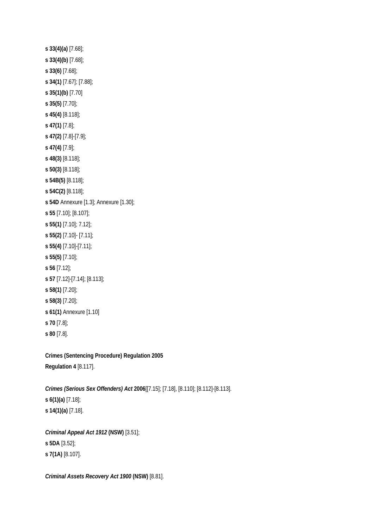**s 33(4)(a)** [7.68]; **s 33(4)(b)** [7.68]; **s 33(6)** [7.68]; **s 34(1)** [7.67]; [7.88]; **s 35(1)(b)** [7.70] **s 35(5)** [7.70]; **s 45(4)** [8.118]; **s 47(1)** [7.8]; **s 47(2)** [7.8]-[7.9]; **s 47(4)** [7.9]; **s 48(3)** [8.118]; **s 50(3)** [8.118]; **s 54B(5)** [8.118]; **s 54C(2)** [8.118]; **s 54D** Annexure [1.3]; Annexure [1.30]; **s 55** [7.10]; [8.107]; **s 55(1)** [7.10]; 7.12]; **s 55(2)** [7.10]- [7.11]; **s 55(4)** [7.10]-[7.11]; **s 55(5)** [7.10]; **s 56** [7.12]; **s 57** [7.12]-[7.14]; [8.113]; **s 58(1)** [7.20]; **s 58(3)** [7.20]; **s 61(1)** Annexure [1.10] **s 70** [7.8]; **s 80** [7.8].

**Crimes (Sentencing Procedure) Regulation 2005 Regulation 4** [8.117].

*Crimes (Serious Sex Offenders) Act* **2006**[[7.15]; [7.18], [8.110]; [8.112]-[8.113]. **s 6(1)(a)** [7.18]; **s 14(1)(a)** [7.18].

*Criminal Appeal Act 1912* **(NSW)** [3.51]; **s 5DA** [3.52]; **s 7(1A)** [8.107].

*Criminal Assets Recovery Act 1900* **(NSW)** [8.81].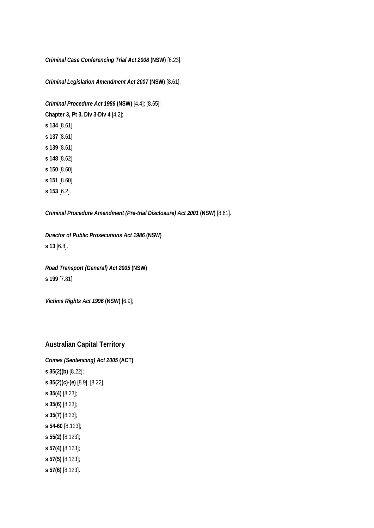*Criminal Case Conferencing Trial Act 2008* **(NSW)** [6.23].

*Criminal Legislation Amendment Act 2007* **(NSW)** [8.61].

*Criminal Procedure Act 1986* **(NSW)** [4.4]; [8.65];

**Chapter 3, Pt 3, Div 3-Div 4** [4.2];

- **s 134** [8.61];
- **s 137** [8.61];
- **s 139** [8.61];
- **s 148** [8.62];
- **s 150** [8.60];
- **s 151** [8.60];
- **s 153** [6.2].

*Criminal Procedure Amendment (Pre-trial Disclosure) Act 2001* **(NSW)** [8.61].

*Director of Public Prosecutions Act 1986* **(NSW) s 13** [6.8].

*Road Transport (General) Act 2005* **(NSW) s 199** [7.81].

*Victims Rights Act 1996* **(NSW)** [6.9];

#### **Australian Capital Territory**

*Crimes (Sentencing) Act 2005* **(ACT) s 35(2)(b)** [8.22]; **s 35(2)(c)-(e)** [8.9]; [8.22]. **s 35(4)** [8.23]; **s 35(6)** [8.23]; **s 35(7)** [8.23]; **s 54-60** [8.123]; **s 55(2)** [8.123]; **s 57(4)** [8.123]; **s 57(5)** [8.123]; **s 57(6)** [8.123].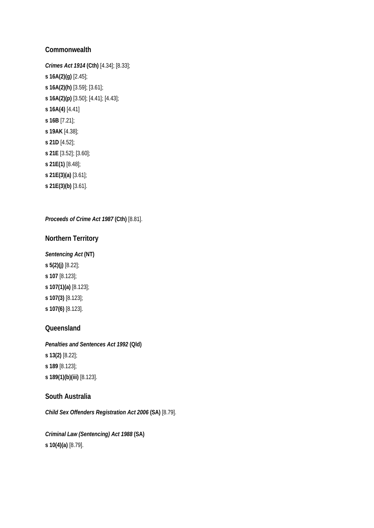#### **Commonwealth**

*Crimes Act 1914* **(Cth)** [4.34]; [8.33]; **s 16A(2)(g)** [2.45]; **s 16A(2)(h)** [3.59]; [3.61]; **s 16A(2)(p)** [3.50]; [4.41]; [4.43]; **s 16A(4)** [4.41] **s 16B** [7.21]; **s 19AK** [4.38]; **s 21D** [4.52]; **s 21E** [3.52]; [3.60]; **s 21E(1)** [8.48]; **s 21E(3)(a)** [3.61];

**s 21E(3)(b)** [3.61].

#### *Proceeds of Crime Act 1987* **(Cth)** [8.81].

#### **Northern Territory**

#### *Sentencing Act* **(NT)**

**s 5(2)(j)** [8.22]; **s 107** [8.123]; **s 107(1)(a)** [8.123]; **s 107(3)** [8.123]; **s 107(6)** [8.123].

#### **Queensland**

### *Penalties and Sentences Act 1992* **(Qld)**

- **s 13(2)** [8.22];
- **s 189** [8.123];
- **s 189(1)(b)(iii)** [8.123].

#### **South Australia**

*Child Sex Offenders Registration Act 2006* **(SA)** [8.79].

*Criminal Law (Sentencing) Act 1988* **(SA) s 10(4)(a)** [8.79].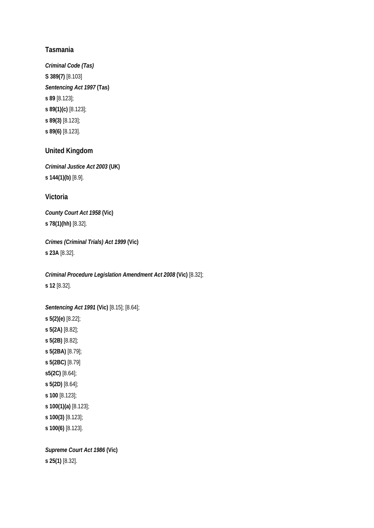#### **Tasmania**

*Criminal Code (Tas)*  **S 389(7)** [8.103] *Sentencing Act 1997* **(Tas) s 89** [8.123]; **s 89(1)(c)** [8.123]; **s 89(3)** [8.123]; **s 89(6)** [8.123].

#### **United Kingdom**

*Criminal Justice Act 2003* **(UK) s 144(1)(b)** [8.9].

#### **Victoria**

*County Court Act 1958* **(Vic) s 78(1)(hh)** [8.32].

*Crimes (Criminal Trials) Act 1999* **(Vic) s 23A** [8.32].

*Criminal Procedure Legislation Amendment Act 2008* **(Vic)** [8.32]; **s 12** [8.32].

*Sentencing Act 1991* **(Vic)** [8.15]; [8.64]; **s 5(2)(e)** [8.22]; **s 5(2A)** [8.82]; **s 5(2B)** [8.82]; **s 5(2BA)** [8.79]; **s 5(2BC)** [8.79] **s5(2C)** [8.64]; **s 5(2D)** [8.64]; **s 100** [8.123]; **s 100(1)(a)** [8.123]; **s 100(3)** [8.123]; **s 100(6)** [8.123].

*Supreme Court Act 1986* **(Vic) s 25(1)** [8.32].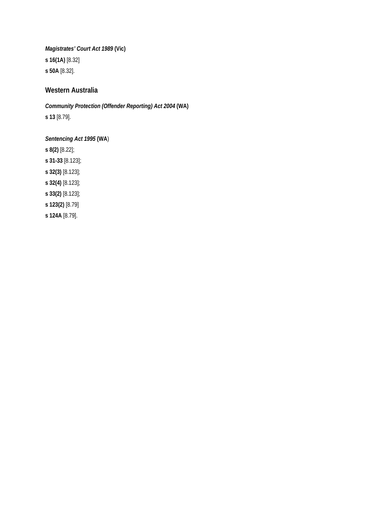*Magistrates' Court Act 1989* **(Vic) s 16(1A)** [8.32] **s 50A** [8.32].

#### **Western Australia**

*Community Protection (Offender Reporting) Act 2004* **(WA) s 13** [8.79].

*Sentencing Act 1995* **(WA**) **s 8(2)** [8.22]; **s 31-33** [8.123]; **s 32(3)** [8.123]; **s 32(4)** [8.123]; **s 33(2)** [8.123]; **s 123(2)** [8.79] **s 124A** [8.79].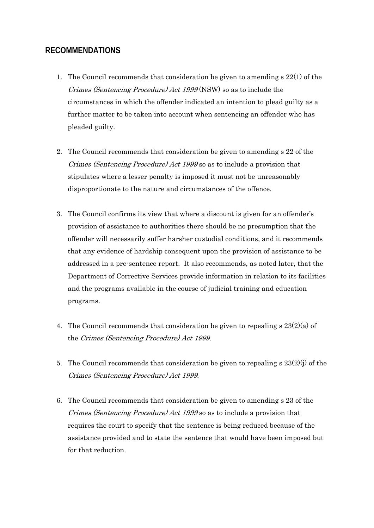### **RECOMMENDATIONS**

- 1. The Council recommends that consideration be given to amending s 22(1) of the Crimes (Sentencing Procedure) Act 1999 (NSW) so as to include the circumstances in which the offender indicated an intention to plead guilty as a further matter to be taken into account when sentencing an offender who has pleaded guilty.
- 2. The Council recommends that consideration be given to amending s 22 of the Crimes (Sentencing Procedure) Act 1999 so as to include a provision that stipulates where a lesser penalty is imposed it must not be unreasonably disproportionate to the nature and circumstances of the offence.
- 3. The Council confirms its view that where a discount is given for an offender's provision of assistance to authorities there should be no presumption that the offender will necessarily suffer harsher custodial conditions, and it recommends that any evidence of hardship consequent upon the provision of assistance to be addressed in a pre-sentence report. It also recommends, as noted later, that the Department of Corrective Services provide information in relation to its facilities and the programs available in the course of judicial training and education programs.
- 4. The Council recommends that consideration be given to repealing  $s 23(2)(a)$  of the Crimes (Sentencing Procedure) Act 1999.
- 5. The Council recommends that consideration be given to repealing s 23(2)(j) of the Crimes (Sentencing Procedure) Act 1999.
- 6. The Council recommends that consideration be given to amending s 23 of the Crimes (Sentencing Procedure) Act 1999 so as to include a provision that requires the court to specify that the sentence is being reduced because of the assistance provided and to state the sentence that would have been imposed but for that reduction.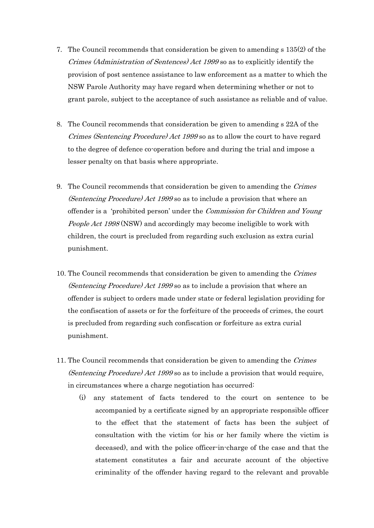- 7. The Council recommends that consideration be given to amending s 135(2) of the Crimes (Administration of Sentences) Act 1999 so as to explicitly identify the provision of post sentence assistance to law enforcement as a matter to which the NSW Parole Authority may have regard when determining whether or not to grant parole, subject to the acceptance of such assistance as reliable and of value.
- 8. The Council recommends that consideration be given to amending s 22A of the Crimes (Sentencing Procedure) Act 1999 so as to allow the court to have regard to the degree of defence co-operation before and during the trial and impose a lesser penalty on that basis where appropriate.
- 9. The Council recommends that consideration be given to amending the Crimes (Sentencing Procedure) Act 1999 so as to include a provision that where an offender is a 'prohibited person' under the Commission for Children and Young People Act 1998 (NSW) and accordingly may become ineligible to work with children, the court is precluded from regarding such exclusion as extra curial punishment.
- 10. The Council recommends that consideration be given to amending the *Crimes* (Sentencing Procedure) Act 1999 so as to include a provision that where an offender is subject to orders made under state or federal legislation providing for the confiscation of assets or for the forfeiture of the proceeds of crimes, the court is precluded from regarding such confiscation or forfeiture as extra curial punishment.
- 11. The Council recommends that consideration be given to amending the *Crimes* (Sentencing Procedure) Act 1999 so as to include a provision that would require, in circumstances where a charge negotiation has occurred:
	- (i) any statement of facts tendered to the court on sentence to be accompanied by a certificate signed by an appropriate responsible officer to the effect that the statement of facts has been the subject of consultation with the victim (or his or her family where the victim is deceased), and with the police officer-in-charge of the case and that the statement constitutes a fair and accurate account of the objective criminality of the offender having regard to the relevant and provable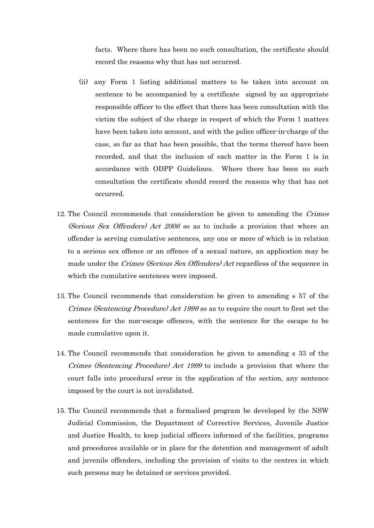facts. Where there has been no such consultation, the certificate should record the reasons why that has not occurred.

- (ii) any Form 1 listing additional matters to be taken into account on sentence to be accompanied by a certificate signed by an appropriate responsible officer to the effect that there has been consultation with the victim the subject of the charge in respect of which the Form 1 matters have been taken into account, and with the police officer-in-charge of the case, so far as that has been possible, that the terms thereof have been recorded, and that the inclusion of each matter in the Form 1 is in accordance with ODPP Guidelines. Where there has been no such consultation the certificate should record the reasons why that has not occurred.
- 12. The Council recommends that consideration be given to amending the Crimes (Serious Sex Offenders) Act 2006 so as to include a provision that where an offender is serving cumulative sentences, any one or more of which is in relation to a serious sex offence or an offence of a sexual nature, an application may be made under the Crimes (Serious Sex Offenders) Act regardless of the sequence in which the cumulative sentences were imposed.
- 13. The Council recommends that consideration be given to amending s 57 of the Crimes (Sentencing Procedure) Act 1999 so as to require the court to first set the sentences for the non-escape offences, with the sentence for the escape to be made cumulative upon it.
- 14. The Council recommends that consideration be given to amending s 33 of the Crimes (Sentencing Procedure) Act 1999 to include a provision that where the court falls into procedural error in the application of the section, any sentence imposed by the court is not invalidated.
- 15. The Council recommends that a formalised program be developed by the NSW Judicial Commission, the Department of Corrective Services, Juvenile Justice and Justice Health, to keep judicial officers informed of the facilities, programs and procedures available or in place for the detention and management of adult and juvenile offenders, including the provision of visits to the centres in which such persons may be detained or services provided.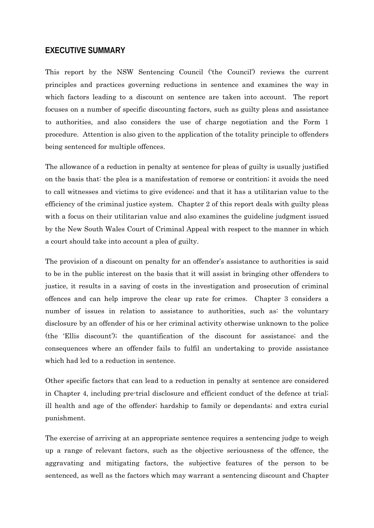#### **EXECUTIVE SUMMARY**

This report by the NSW Sentencing Council ('the Council') reviews the current principles and practices governing reductions in sentence and examines the way in which factors leading to a discount on sentence are taken into account. The report focuses on a number of specific discounting factors, such as guilty pleas and assistance to authorities, and also considers the use of charge negotiation and the Form 1 procedure. Attention is also given to the application of the totality principle to offenders being sentenced for multiple offences.

The allowance of a reduction in penalty at sentence for pleas of guilty is usually justified on the basis that: the plea is a manifestation of remorse or contrition; it avoids the need to call witnesses and victims to give evidence; and that it has a utilitarian value to the efficiency of the criminal justice system. Chapter 2 of this report deals with guilty pleas with a focus on their utilitarian value and also examines the guideline judgment issued by the New South Wales Court of Criminal Appeal with respect to the manner in which a court should take into account a plea of guilty.

The provision of a discount on penalty for an offender's assistance to authorities is said to be in the public interest on the basis that it will assist in bringing other offenders to justice, it results in a saving of costs in the investigation and prosecution of criminal offences and can help improve the clear up rate for crimes. Chapter 3 considers a number of issues in relation to assistance to authorities, such as: the voluntary disclosure by an offender of his or her criminal activity otherwise unknown to the police (the 'Ellis discount'); the quantification of the discount for assistance; and the consequences where an offender fails to fulfil an undertaking to provide assistance which had led to a reduction in sentence.

Other specific factors that can lead to a reduction in penalty at sentence are considered in Chapter 4, including pre-trial disclosure and efficient conduct of the defence at trial; ill health and age of the offender; hardship to family or dependants; and extra curial punishment.

The exercise of arriving at an appropriate sentence requires a sentencing judge to weigh up a range of relevant factors, such as the objective seriousness of the offence, the aggravating and mitigating factors, the subjective features of the person to be sentenced, as well as the factors which may warrant a sentencing discount and Chapter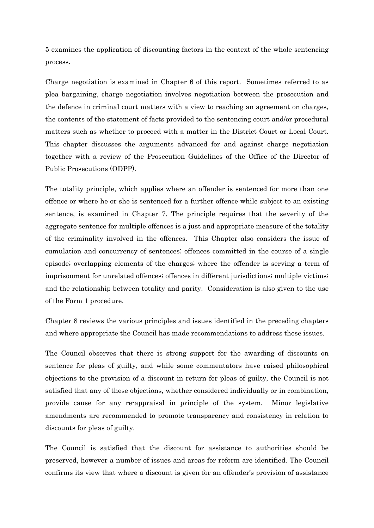5 examines the application of discounting factors in the context of the whole sentencing process.

Charge negotiation is examined in Chapter 6 of this report. Sometimes referred to as plea bargaining, charge negotiation involves negotiation between the prosecution and the defence in criminal court matters with a view to reaching an agreement on charges, the contents of the statement of facts provided to the sentencing court and/or procedural matters such as whether to proceed with a matter in the District Court or Local Court. This chapter discusses the arguments advanced for and against charge negotiation together with a review of the Prosecution Guidelines of the Office of the Director of Public Prosecutions (ODPP).

The totality principle, which applies where an offender is sentenced for more than one offence or where he or she is sentenced for a further offence while subject to an existing sentence, is examined in Chapter 7. The principle requires that the severity of the aggregate sentence for multiple offences is a just and appropriate measure of the totality of the criminality involved in the offences. This Chapter also considers the issue of cumulation and concurrency of sentences; offences committed in the course of a single episode; overlapping elements of the charges; where the offender is serving a term of imprisonment for unrelated offences; offences in different jurisdictions; multiple victims; and the relationship between totality and parity. Consideration is also given to the use of the Form 1 procedure.

Chapter 8 reviews the various principles and issues identified in the preceding chapters and where appropriate the Council has made recommendations to address those issues.

The Council observes that there is strong support for the awarding of discounts on sentence for pleas of guilty, and while some commentators have raised philosophical objections to the provision of a discount in return for pleas of guilty, the Council is not satisfied that any of these objections, whether considered individually or in combination, provide cause for any re-appraisal in principle of the system. Minor legislative amendments are recommended to promote transparency and consistency in relation to discounts for pleas of guilty.

The Council is satisfied that the discount for assistance to authorities should be preserved, however a number of issues and areas for reform are identified. The Council confirms its view that where a discount is given for an offender's provision of assistance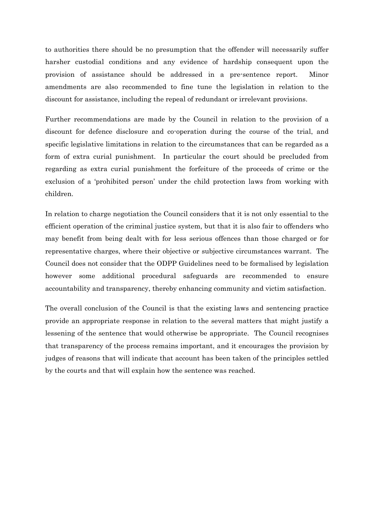to authorities there should be no presumption that the offender will necessarily suffer harsher custodial conditions and any evidence of hardship consequent upon the provision of assistance should be addressed in a pre-sentence report. Minor amendments are also recommended to fine tune the legislation in relation to the discount for assistance, including the repeal of redundant or irrelevant provisions.

Further recommendations are made by the Council in relation to the provision of a discount for defence disclosure and co-operation during the course of the trial, and specific legislative limitations in relation to the circumstances that can be regarded as a form of extra curial punishment. In particular the court should be precluded from regarding as extra curial punishment the forfeiture of the proceeds of crime or the exclusion of a 'prohibited person' under the child protection laws from working with children.

In relation to charge negotiation the Council considers that it is not only essential to the efficient operation of the criminal justice system, but that it is also fair to offenders who may benefit from being dealt with for less serious offences than those charged or for representative charges, where their objective or subjective circumstances warrant. The Council does not consider that the ODPP Guidelines need to be formalised by legislation however some additional procedural safeguards are recommended to ensure accountability and transparency, thereby enhancing community and victim satisfaction.

The overall conclusion of the Council is that the existing laws and sentencing practice provide an appropriate response in relation to the several matters that might justify a lessening of the sentence that would otherwise be appropriate. The Council recognises that transparency of the process remains important, and it encourages the provision by judges of reasons that will indicate that account has been taken of the principles settled by the courts and that will explain how the sentence was reached.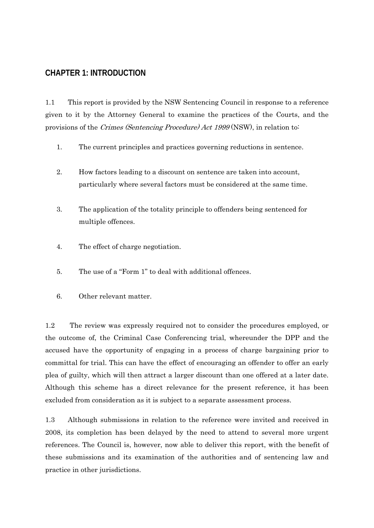### **CHAPTER 1: INTRODUCTION**

1.1 This report is provided by the NSW Sentencing Council in response to a reference given to it by the Attorney General to examine the practices of the Courts, and the provisions of the Crimes (Sentencing Procedure) Act 1999 (NSW), in relation to:

- 1. The current principles and practices governing reductions in sentence.
- 2. How factors leading to a discount on sentence are taken into account, particularly where several factors must be considered at the same time.
- 3. The application of the totality principle to offenders being sentenced for multiple offences.
- 4. The effect of charge negotiation.
- 5. The use of a "Form 1" to deal with additional offences.
- 6. Other relevant matter.

1.2 The review was expressly required not to consider the procedures employed, or the outcome of, the Criminal Case Conferencing trial, whereunder the DPP and the accused have the opportunity of engaging in a process of charge bargaining prior to committal for trial. This can have the effect of encouraging an offender to offer an early plea of guilty, which will then attract a larger discount than one offered at a later date. Although this scheme has a direct relevance for the present reference, it has been excluded from consideration as it is subject to a separate assessment process.

1.3 Although submissions in relation to the reference were invited and received in 2008, its completion has been delayed by the need to attend to several more urgent references. The Council is, however, now able to deliver this report, with the benefit of these submissions and its examination of the authorities and of sentencing law and practice in other jurisdictions.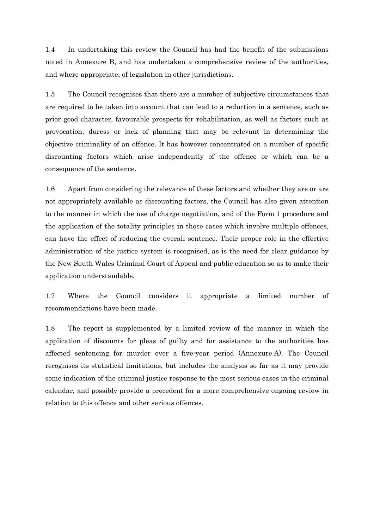1.4 In undertaking this review the Council has had the benefit of the submissions noted in Annexure B, and has undertaken a comprehensive review of the authorities, and where appropriate, of legislation in other jurisdictions.

1.5 The Council recognises that there are a number of subjective circumstances that are required to be taken into account that can lead to a reduction in a sentence, such as prior good character, favourable prospects for rehabilitation, as well as factors such as provocation, duress or lack of planning that may be relevant in determining the objective criminality of an offence. It has however concentrated on a number of specific discounting factors which arise independently of the offence or which can be a consequence of the sentence.

1.6 Apart from considering the relevance of these factors and whether they are or are not appropriately available as discounting factors, the Council has also given attention to the manner in which the use of charge negotiation, and of the Form 1 procedure and the application of the totality principles in those cases which involve multiple offences, can have the effect of reducing the overall sentence. Their proper role in the effective administration of the justice system is recognised, as is the need for clear guidance by the New South Wales Criminal Court of Appeal and public education so as to make their application understandable.

1.7 Where the Council considers it appropriate a limited number of recommendations have been made.

1.8 The report is supplemented by a limited review of the manner in which the application of discounts for pleas of guilty and for assistance to the authorities has affected sentencing for murder over a five-year period (Annexure A). The Council recognises its statistical limitations, but includes the analysis so far as it may provide some indication of the criminal justice response to the most serious cases in the criminal calendar, and possibly provide a precedent for a more comprehensive ongoing review in relation to this offence and other serious offences.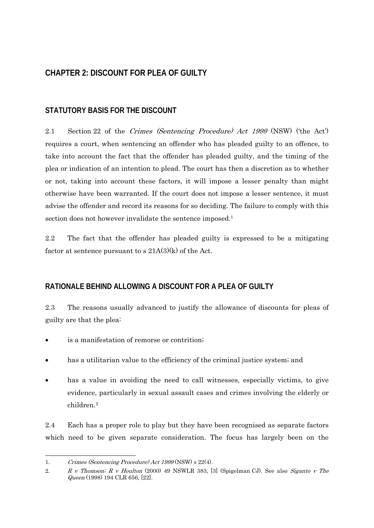### **CHAPTER 2: DISCOUNT FOR PLEA OF GUILTY**

#### **STATUTORY BASIS FOR THE DISCOUNT**

2.1 Section 22 of the Crimes (Sentencing Procedure) Act 1999 (NSW) ('the Act') requires a court, when sentencing an offender who has pleaded guilty to an offence, to take into account the fact that the offender has pleaded guilty, and the timing of the plea or indication of an intention to plead. The court has then a discretion as to whether or not, taking into account these factors, it will impose a lesser penalty than might otherwise have been warranted. If the court does not impose a lesser sentence, it must advise the offender and record its reasons for so deciding. The failure to comply with this section does not however invalidate the sentence imposed.<sup>1</sup>

2.2 The fact that the offender has pleaded guilty is expressed to be a mitigating factor at sentence pursuant to s  $21A(3)(k)$  of the Act.

### **RATIONALE BEHIND ALLOWING A DISCOUNT FOR A PLEA OF GUILTY**

2.3 The reasons usually advanced to justify the allowance of discounts for pleas of guilty are that the plea:

- is a manifestation of remorse or contrition;
- has a utilitarian value to the efficiency of the criminal justice system; and
- has a value in avoiding the need to call witnesses, especially victims, to give evidence, particularly in sexual assault cases and crimes involving the elderly or children.2

2.4 Each has a proper role to play but they have been recognised as separate factors which need to be given separate consideration. The focus has largely been on the

 $\overline{a}$ 

<sup>1.</sup> Crimes (Sentencing Procedure) Act 1999 (NSW) s 22(4).

<sup>2.</sup> R v Thomson; R v Houlton (2000) 49 NSWLR 383, [3] (Spigelman CJ). See also Siganto v The Queen (1998) 194 CLR 656, [22].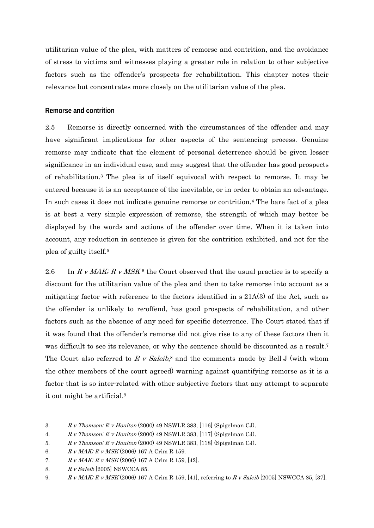utilitarian value of the plea, with matters of remorse and contrition, and the avoidance of stress to victims and witnesses playing a greater role in relation to other subjective factors such as the offender's prospects for rehabilitation. This chapter notes their relevance but concentrates more closely on the utilitarian value of the plea.

#### **Remorse and contrition**

2.5 Remorse is directly concerned with the circumstances of the offender and may have significant implications for other aspects of the sentencing process. Genuine remorse may indicate that the element of personal deterrence should be given lesser significance in an individual case, and may suggest that the offender has good prospects of rehabilitation.3 The plea is of itself equivocal with respect to remorse. It may be entered because it is an acceptance of the inevitable, or in order to obtain an advantage. In such cases it does not indicate genuine remorse or contrition.4 The bare fact of a plea is at best a very simple expression of remorse, the strength of which may better be displayed by the words and actions of the offender over time. When it is taken into account, any reduction in sentence is given for the contrition exhibited, and not for the plea of guilty itself.5

2.6 In R v MAK; R v MSK<sup>6</sup> the Court observed that the usual practice is to specify a discount for the utilitarian value of the plea and then to take remorse into account as a mitigating factor with reference to the factors identified in s 21A(3) of the Act, such as the offender is unlikely to re-offend, has good prospects of rehabilitation, and other factors such as the absence of any need for specific deterrence. The Court stated that if it was found that the offender's remorse did not give rise to any of these factors then it was difficult to see its relevance, or why the sentence should be discounted as a result.<sup>7</sup> The Court also referred to R v Saleib,<sup>8</sup> and the comments made by Bell J (with whom the other members of the court agreed) warning against quantifying remorse as it is a factor that is so inter-related with other subjective factors that any attempt to separate it out might be artificial.9

<sup>1</sup> 3. R v Thomson; R v Houlton (2000) 49 NSWLR 383, [116] (Spigelman CJ).

<sup>4.</sup> R v Thomson; R v Houlton (2000) 49 NSWLR 383, [117] (Spigelman CJ).

<sup>5.</sup> R v Thomson; R v Houlton (2000) 49 NSWLR 383, [118] (Spigelman CJ).

<sup>6.</sup> R v MAK; R v MSK (2006) 167 A Crim R 159.

<sup>7.</sup> R v MAK; R v MSK (2006) 167 A Crim R 159, [42].

<sup>8.</sup> R v Saleib [2005] NSWCCA 85.

<sup>9.</sup> R v MAK; R v MSK (2006) 167 A Crim R 159, [41], referring to R v Saleib [2005] NSWCCA 85, [37].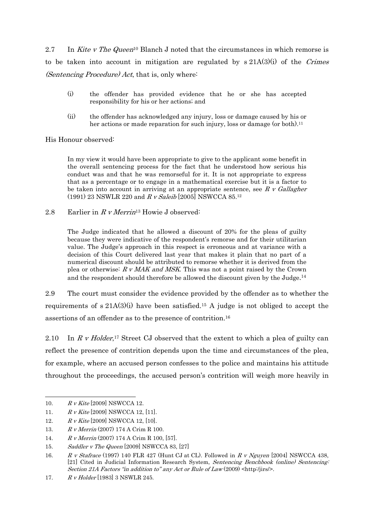2.7 In Kite v The Queen<sup>10</sup> Blanch J noted that the circumstances in which remorse is to be taken into account in mitigation are regulated by  $s\ 21A(3)(i)$  of the Crimes (Sentencing Procedure) Act, that is, only where:

- (i) the offender has provided evidence that he or she has accepted responsibility for his or her actions; and
- (ii) the offender has acknowledged any injury, loss or damage caused by his or her actions or made reparation for such injury, loss or damage (or both).<sup>11</sup>

His Honour observed:

In my view it would have been appropriate to give to the applicant some benefit in the overall sentencing process for the fact that he understood how serious his conduct was and that he was remorseful for it. It is not appropriate to express that as a percentage or to engage in a mathematical exercise but it is a factor to be taken into account in arriving at an appropriate sentence, see  $R$  v Gallagher (1991) 23 NSWLR 220 and R v Saleib [2005] NSWCCA 85.12

2.8 Earlier in  $R \, v$  Merrin<sup>13</sup> Howie J observed:

The Judge indicated that he allowed a discount of 20% for the pleas of guilty because they were indicative of the respondent's remorse and for their utilitarian value. The Judge's approach in this respect is erroneous and at variance with a decision of this Court delivered last year that makes it plain that no part of a numerical discount should be attributed to remorse whether it is derived from the plea or otherwise:  $R \text{ } v$  MAK and MSK. This was not a point raised by the Crown and the respondent should therefore be allowed the discount given by the Judge.14

2.9 The court must consider the evidence provided by the offender as to whether the requirements of s 21A(3)(i) have been satisfied.<sup>15</sup> A judge is not obliged to accept the assertions of an offender as to the presence of contrition.16

2.10 In R v Holder,<sup>17</sup> Street CJ observed that the extent to which a plea of guilty can reflect the presence of contrition depends upon the time and circumstances of the plea, for example, where an accused person confesses to the police and maintains his attitude throughout the proceedings, the accused person's contrition will weigh more heavily in

 $\overline{a}$ 

<sup>10.</sup> R v Kite [2009] NSWCCA 12.

<sup>11.</sup>  $R \, v \, Kite$  [2009] NSWCCA 12, [11].

<sup>12.</sup> R v Kite [2009] NSWCCA 12, [10].

<sup>13.</sup> R v Merrin (2007) 174 A Crim R 100.

<sup>14.</sup> R v Merrin (2007) 174 A Crim R 100, [57].

<sup>15.</sup> Saddler v The Queen [2009] NSWCCA 83, [27]

<sup>16.</sup> R v Stafrace (1997) 140 FLR 427 (Hunt CJ at CL). Followed in R v Nguyen [2004] NSWCCA 438, [21] Cited in Judicial Information Research System, Sentencing Benchbook (online) Sentencing: Section 21A Factors "in addition to" any Act or Rule of Law  $(2009)$  <http:/jirs/>.

<sup>17.</sup> R v Holder [1983] 3 NSWLR 245.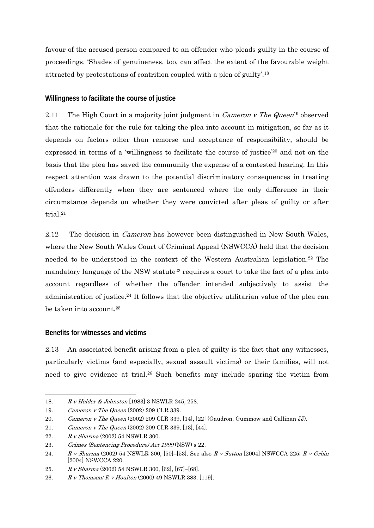favour of the accused person compared to an offender who pleads guilty in the course of proceedings. 'Shades of genuineness, too, can affect the extent of the favourable weight attracted by protestations of contrition coupled with a plea of guilty'.18

#### **Willingness to facilitate the course of justice**

2.11 The High Court in a majority joint judgment in *Cameron v The Queen*<sup>19</sup> observed that the rationale for the rule for taking the plea into account in mitigation, so far as it depends on factors other than remorse and acceptance of responsibility, should be expressed in terms of a 'willingness to facilitate the course of justice'20 and not on the basis that the plea has saved the community the expense of a contested hearing. In this respect attention was drawn to the potential discriminatory consequences in treating offenders differently when they are sentenced where the only difference in their circumstance depends on whether they were convicted after pleas of guilty or after trial.21

2.12 The decision in *Cameron* has however been distinguished in New South Wales, where the New South Wales Court of Criminal Appeal (NSWCCA) held that the decision needed to be understood in the context of the Western Australian legislation.22 The mandatory language of the NSW statute<sup>23</sup> requires a court to take the fact of a plea into account regardless of whether the offender intended subjectively to assist the administration of justice.24 It follows that the objective utilitarian value of the plea can be taken into account.25

#### **Benefits for witnesses and victims**

2.13 An associated benefit arising from a plea of guilty is the fact that any witnesses, particularly victims (and especially, sexual assault victims) or their families, will not need to give evidence at trial.26 Such benefits may include sparing the victim from

 $\overline{a}$ 18. R v Holder & Johnston [1983] 3 NSWLR 245, 258.

<sup>19.</sup> Cameron v The Queen (2002) 209 CLR 339.

<sup>20.</sup> Cameron v The Queen (2002) 209 CLR 339, [14], [22] (Gaudron, Gummow and Callinan JJ).

<sup>21.</sup> Cameron v The Queen (2002) 209 CLR 339, [13], [44].

<sup>22.</sup> R v Sharma (2002) 54 NSWLR 300.

<sup>23.</sup> Crimes (Sentencing Procedure) Act 1999 (NSW) s 22.

<sup>24.</sup> R v Sharma (2002) 54 NSWLR 300, [50]-[53]. See also R v Sutton [2004] NSWCCA 225; R v Grbin [2004] NSWCCA 220.

<sup>25.</sup> R v Sharma (2002) 54 NSWLR 300, [62], [67]–[68].

<sup>26.</sup> R v Thomson; R v Houlton (2000) 49 NSWLR 383, [119].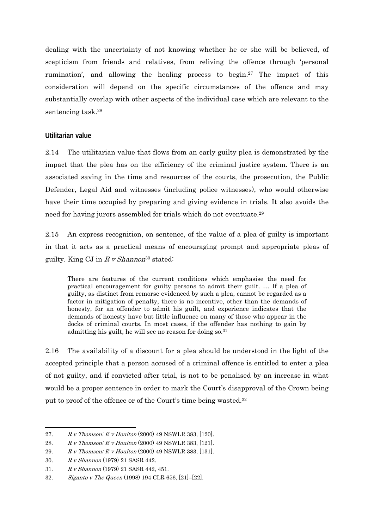dealing with the uncertainty of not knowing whether he or she will be believed, of scepticism from friends and relatives, from reliving the offence through 'personal rumination', and allowing the healing process to begin.27 The impact of this consideration will depend on the specific circumstances of the offence and may substantially overlap with other aspects of the individual case which are relevant to the sentencing task.28

#### **Utilitarian value**

2.14 The utilitarian value that flows from an early guilty plea is demonstrated by the impact that the plea has on the efficiency of the criminal justice system. There is an associated saving in the time and resources of the courts, the prosecution, the Public Defender, Legal Aid and witnesses (including police witnesses), who would otherwise have their time occupied by preparing and giving evidence in trials. It also avoids the need for having jurors assembled for trials which do not eventuate.29

2.15 An express recognition, on sentence, of the value of a plea of guilty is important in that it acts as a practical means of encouraging prompt and appropriate pleas of guilty. King CJ in  $R$  v Shannon<sup>30</sup> stated:

There are features of the current conditions which emphasise the need for practical encouragement for guilty persons to admit their guilt. … If a plea of guilty, as distinct from remorse evidenced by such a plea, cannot be regarded as a factor in mitigation of penalty, there is no incentive, other than the demands of honesty, for an offender to admit his guilt, and experience indicates that the demands of honesty have but little influence on many of those who appear in the docks of criminal courts. In most cases, if the offender has nothing to gain by admitting his guilt, he will see no reason for doing so.31

2.16 The availability of a discount for a plea should be understood in the light of the accepted principle that a person accused of a criminal offence is entitled to enter a plea of not guilty, and if convicted after trial, is not to be penalised by an increase in what would be a proper sentence in order to mark the Court's disapproval of the Crown being put to proof of the offence or of the Court's time being wasted.<sup>32</sup>

<sup>-</sup>27.  $R \, \textit{v}$  Thomson;  $R \, \textit{v}$  Houlton (2000) 49 NSWLR 383, [120].

<sup>28.</sup> R v Thomson; R v Houlton (2000) 49 NSWLR 383, [121].

<sup>29.</sup> R v Thomson; R v Houlton (2000) 49 NSWLR 383, [131].

<sup>30.</sup> R v Shannon (1979) 21 SASR 442.

<sup>31.</sup> R v Shannon (1979) 21 SASR 442, 451.

<sup>32.</sup> Siganto v The Queen (1998) 194 CLR 656, [21]–[22].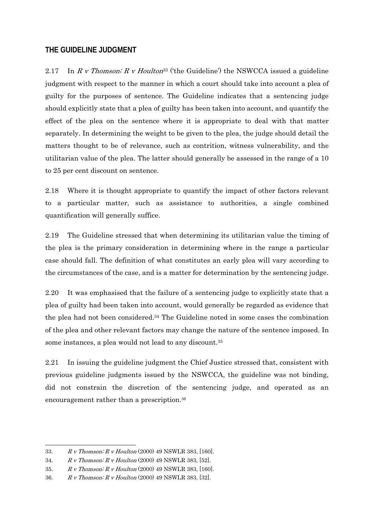#### **THE GUIDELINE JUDGMENT**

2.17 In R v Thomson; R v Houlton<sup>33</sup> ('the Guideline') the NSWCCA issued a guideline judgment with respect to the manner in which a court should take into account a plea of guilty for the purposes of sentence. The Guideline indicates that a sentencing judge should explicitly state that a plea of guilty has been taken into account, and quantify the effect of the plea on the sentence where it is appropriate to deal with that matter separately. In determining the weight to be given to the plea, the judge should detail the matters thought to be of relevance, such as contrition, witness vulnerability, and the utilitarian value of the plea. The latter should generally be assessed in the range of a 10 to 25 per cent discount on sentence.

2.18 Where it is thought appropriate to quantify the impact of other factors relevant to a particular matter, such as assistance to authorities, a single combined quantification will generally suffice.

2.19 The Guideline stressed that when determining its utilitarian value the timing of the plea is the primary consideration in determining where in the range a particular case should fall. The definition of what constitutes an early plea will vary according to the circumstances of the case, and is a matter for determination by the sentencing judge.

2.20 It was emphasised that the failure of a sentencing judge to explicitly state that a plea of guilty had been taken into account, would generally be regarded as evidence that the plea had not been considered.34 The Guideline noted in some cases the combination of the plea and other relevant factors may change the nature of the sentence imposed. In some instances, a plea would not lead to any discount.35

2.21 In issuing the guideline judgment the Chief Justice stressed that, consistent with previous guideline judgments issued by the NSWCCA, the guideline was not binding, did not constrain the discretion of the sentencing judge, and operated as an encouragement rather than a prescription.36

-

<sup>33.</sup> R v Thomson; R v Houlton (2000) 49 NSWLR 383, [160].

<sup>34.</sup> R v Thomson; R v Houlton (2000) 49 NSWLR 383, [52].

<sup>35.</sup> R v Thomson; R v Houlton (2000) 49 NSWLR 383, [160].

<sup>36.</sup> R v Thomson; R v Houlton (2000) 49 NSWLR 383, [32].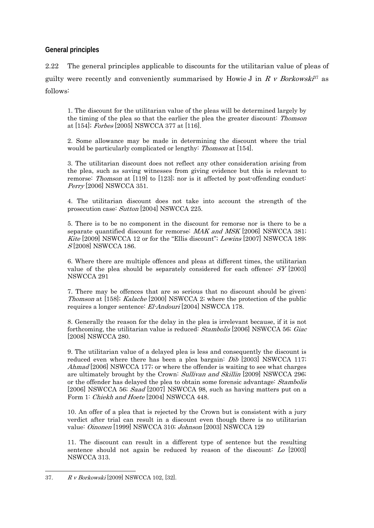#### **General principles**

2.22 The general principles applicable to discounts for the utilitarian value of pleas of guilty were recently and conveniently summarised by Howie J in R v Borkowski<sup>37</sup> as follows:

1. The discount for the utilitarian value of the pleas will be determined largely by the timing of the plea so that the earlier the plea the greater discount: Thomson at [154]; Forbes [2005] NSWCCA 377 at [116].

2. Some allowance may be made in determining the discount where the trial would be particularly complicated or lengthy: *Thomson* at [154].

3. The utilitarian discount does not reflect any other consideration arising from the plea, such as saving witnesses from giving evidence but this is relevant to remorse: Thomson at [119] to [123]; nor is it affected by post-offending conduct: Perry [2006] NSWCCA 351.

4. The utilitarian discount does not take into account the strength of the prosecution case: Sutton [2004] NSWCCA 225.

5. There is to be no component in the discount for remorse nor is there to be a separate quantified discount for remorse: MAK and MSK [2006] NSWCCA 381; Kite [2009] NSWCCA 12 or for the "Ellis discount"; Lewins [2007] NSWCCA 189; S [2008] NSWCCA 186.

6. Where there are multiple offences and pleas at different times, the utilitarian value of the plea should be separately considered for each offence: SY [2003] NSWCCA 291

7. There may be offences that are so serious that no discount should be given: Thomson at [158]; Kalache [2000] NSWCCA 2; where the protection of the public requires a longer sentence: El-Andouri [2004] NSWCCA 178.

8. Generally the reason for the delay in the plea is irrelevant because, if it is not forthcoming, the utilitarian value is reduced: Stambolis [2006] NSWCCA 56; Giac [2008] NSWCCA 280.

9. The utilitarian value of a delayed plea is less and consequently the discount is reduced even where there has been a plea bargain: Dib [2003] NSWCCA 117; Ahmad [2006] NSWCCA 177; or where the offender is waiting to see what charges are ultimately brought by the Crown: *Sullivan and Skillin* [2009] NSWCCA 296; or the offender has delayed the plea to obtain some forensic advantage: Stambolis [2006] NSWCCA 56; Saad [2007] NSWCCA 98, such as having matters put on a Form 1: *Chiekh and Hoete* [2004] NSWCCA 448.

10. An offer of a plea that is rejected by the Crown but is consistent with a jury verdict after trial can result in a discount even though there is no utilitarian value: Oinonen [1999] NSWCCA 310; Johnson [2003] NSWCCA 129

11. The discount can result in a different type of sentence but the resulting sentence should not again be reduced by reason of the discount: Lo [2003] NSWCCA 313.

 $\overline{a}$ 37. R v Borkowski [2009] NSWCCA 102, [32].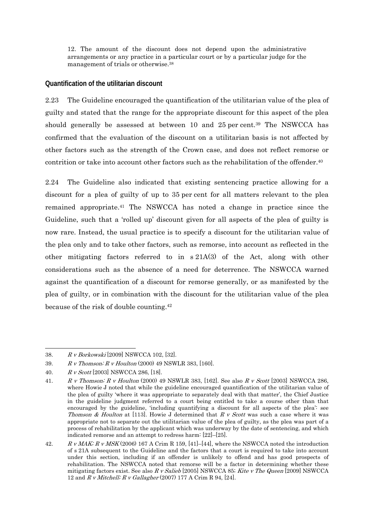12. The amount of the discount does not depend upon the administrative arrangements or any practice in a particular court or by a particular judge for the management of trials or otherwise.38

#### **Quantification of the utilitarian discount**

2.23 The Guideline encouraged the quantification of the utilitarian value of the plea of guilty and stated that the range for the appropriate discount for this aspect of the plea should generally be assessed at between 10 and 25 per cent.<sup>39</sup> The NSWCCA has confirmed that the evaluation of the discount on a utilitarian basis is not affected by other factors such as the strength of the Crown case, and does not reflect remorse or contrition or take into account other factors such as the rehabilitation of the offender.40

2.24 The Guideline also indicated that existing sentencing practice allowing for a discount for a plea of guilty of up to 35 per cent for all matters relevant to the plea remained appropriate.41 The NSWCCA has noted a change in practice since the Guideline, such that a 'rolled up' discount given for all aspects of the plea of guilty is now rare. Instead, the usual practice is to specify a discount for the utilitarian value of the plea only and to take other factors, such as remorse, into account as reflected in the other mitigating factors referred to in s 21A(3) of the Act, along with other considerations such as the absence of a need for deterrence. The NSWCCA warned against the quantification of a discount for remorse generally, or as manifested by the plea of guilty, or in combination with the discount for the utilitarian value of the plea because of the risk of double counting.42

<sup>38.</sup> R v Borkowski [2009] NSWCCA 102, [32].

<sup>39.</sup> R v Thomson; R v Houlton (2000) 49 NSWLR 383, [160].

<sup>40.</sup> R v Scott [2003] NSWCCA 286, [18].

<sup>41.</sup> R v Thomson; R v Houlton (2000) 49 NSWLR 383, [162]. See also R v Scott [2003] NSWCCA 286, where Howie J noted that while the guideline encouraged quantification of the utilitarian value of the plea of guilty 'where it was appropriate to separately deal with that matter', the Chief Justice in the guideline judgment referred to a court being entitled to take a course other than that encouraged by the guideline, 'including quantifying a discount for all aspects of the plea': see Thomson & Houlton at [113]. Howie J determined that  $R$  v Scott was such a case where it was appropriate not to separate out the utilitarian value of the plea of guilty, as the plea was part of a process of rehabilitation by the applicant which was underway by the date of sentencing, and which indicated remorse and an attempt to redress harm: [22]–[25].

<sup>42.</sup> R v MAK;  $R$  v MSK (2006) 167 A Crim R 159, [41]-[44], where the NSWCCA noted the introduction of s 21A subsequent to the Guideline and the factors that a court is required to take into account under this section, including if an offender is unlikely to offend and has good prospects of rehabilitation. The NSWCCA noted that remorse will be a factor in determining whether these mitigating factors exist. See also R v Salieb [2005] NSWCCA 85; Kite v The Queen [2009] NSWCCA 12 and R v Mitchell; R v Gallagher (2007) 177 A Crim R 94, [24].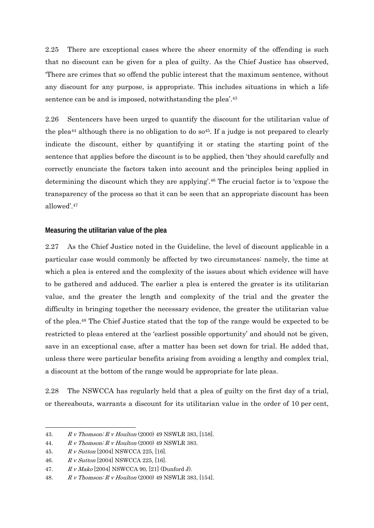2.25 There are exceptional cases where the sheer enormity of the offending is such that no discount can be given for a plea of guilty. As the Chief Justice has observed, 'There are crimes that so offend the public interest that the maximum sentence, without any discount for any purpose, is appropriate. This includes situations in which a life sentence can be and is imposed, notwithstanding the plea'.<sup>43</sup>

2.26 Sentencers have been urged to quantify the discount for the utilitarian value of the plea<sup>44</sup> although there is no obligation to do so<sup>45</sup>. If a judge is not prepared to clearly indicate the discount, either by quantifying it or stating the starting point of the sentence that applies before the discount is to be applied, then 'they should carefully and correctly enunciate the factors taken into account and the principles being applied in determining the discount which they are applying'.46 The crucial factor is to 'expose the transparency of the process so that it can be seen that an appropriate discount has been allowed'.47

#### **Measuring the utilitarian value of the plea**

2.27 As the Chief Justice noted in the Guideline, the level of discount applicable in a particular case would commonly be affected by two circumstances: namely, the time at which a plea is entered and the complexity of the issues about which evidence will have to be gathered and adduced. The earlier a plea is entered the greater is its utilitarian value, and the greater the length and complexity of the trial and the greater the difficulty in bringing together the necessary evidence, the greater the utilitarian value of the plea.48 The Chief Justice stated that the top of the range would be expected to be restricted to pleas entered at the 'earliest possible opportunity' and should not be given, save in an exceptional case, after a matter has been set down for trial. He added that, unless there were particular benefits arising from avoiding a lengthy and complex trial, a discount at the bottom of the range would be appropriate for late pleas.

2.28 The NSWCCA has regularly held that a plea of guilty on the first day of a trial, or thereabouts, warrants a discount for its utilitarian value in the order of 10 per cent,

<sup>-</sup>43. R v Thomson; R v Houlton (2000) 49 NSWLR 383, [158].

<sup>44.</sup>  $R \, v$  Thomson;  $R \, v$  Houlton (2000) 49 NSWLR 383.

<sup>45.</sup> R v Sutton [2004] NSWCCA 225, [16].

<sup>46.</sup> R v Sutton [2004] NSWCCA 225, [16].

<sup>47.</sup> R v Mako [2004] NSWCCA 90, [21] (Dunford J).

<sup>48.</sup> R v Thomson; R v Houlton (2000) 49 NSWLR 383, [154].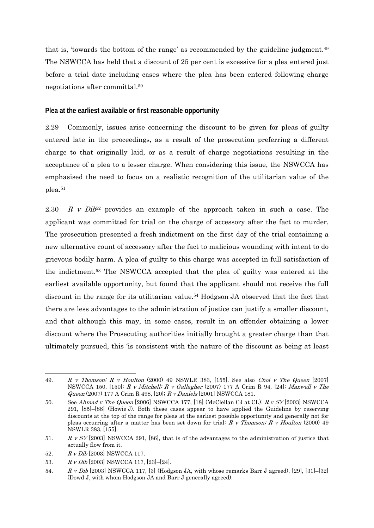that is, 'towards the bottom of the range' as recommended by the guideline judgment.49 The NSWCCA has held that a discount of 25 per cent is excessive for a plea entered just before a trial date including cases where the plea has been entered following charge negotiations after committal.50

#### **Plea at the earliest available or first reasonable opportunity**

2.29 Commonly, issues arise concerning the discount to be given for pleas of guilty entered late in the proceedings, as a result of the prosecution preferring a different charge to that originally laid, or as a result of charge negotiations resulting in the acceptance of a plea to a lesser charge. When considering this issue, the NSWCCA has emphasised the need to focus on a realistic recognition of the utilitarian value of the plea.51

2.30 R v Dib<sup>52</sup> provides an example of the approach taken in such a case. The applicant was committed for trial on the charge of accessory after the fact to murder. The prosecution presented a fresh indictment on the first day of the trial containing a new alternative count of accessory after the fact to malicious wounding with intent to do grievous bodily harm. A plea of guilty to this charge was accepted in full satisfaction of the indictment.53 The NSWCCA accepted that the plea of guilty was entered at the earliest available opportunity, but found that the applicant should not receive the full discount in the range for its utilitarian value.<sup>54</sup> Hodgson JA observed that the fact that there are less advantages to the administration of justice can justify a smaller discount, and that although this may, in some cases, result in an offender obtaining a lower discount where the Prosecuting authorities initially brought a greater charge than that ultimately pursued, this 'is consistent with the nature of the discount as being at least

1

<sup>49.</sup> R v Thomson; R v Houlton (2000) 49 NSWLR 383, [155]. See also Choi v The Queen [2007] NSWCCA 150, [150]; R v Mitchell; R v Gallagher (2007) 177 A Crim R 94, [24]; Maxwell v The Queen (2007) 177 A Crim R 498, [20]; R v Daniels [2001] NSWCCA 181.

<sup>50.</sup> See Ahmad v The Queen [2006] NSWCCA 177, [18] (McClellan CJ at CL);  $R \nu SY$  [2003] NSWCCA 291, [85]–[88] (Howie J). Both these cases appear to have applied the Guideline by reserving discounts at the top of the range for pleas at the earliest possible opportunity and generally not for pleas occurring after a matter has been set down for trial: R v Thomson; R v Houlton (2000) 49 NSWLR 383, [155].

<sup>51.</sup> R v SY [2003] NSWCCA 291, [86], that is of the advantages to the administration of justice that actually flow from it.

<sup>52.</sup> R v Dib [2003] NSWCCA 117.

<sup>53.</sup> R v Dib [2003] NSWCCA 117, [23]–[24].

<sup>54.</sup> R v Dib [2003] NSWCCA 117, [3] (Hodgson JA, with whose remarks Barr J agreed), [29], [31]–[32] (Dowd J, with whom Hodgson JA and Barr J generally agreed).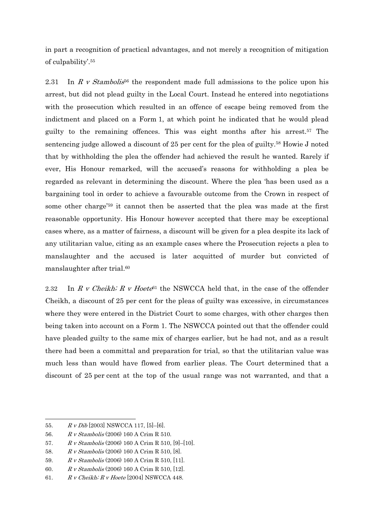in part a recognition of practical advantages, and not merely a recognition of mitigation of culpability'.55

2.31 In R v Stambolis<sup>56</sup> the respondent made full admissions to the police upon his arrest, but did not plead guilty in the Local Court. Instead he entered into negotiations with the prosecution which resulted in an offence of escape being removed from the indictment and placed on a Form 1, at which point he indicated that he would plead guilty to the remaining offences. This was eight months after his arrest.57 The sentencing judge allowed a discount of 25 per cent for the plea of guilty.58 Howie J noted that by withholding the plea the offender had achieved the result he wanted. Rarely if ever, His Honour remarked, will the accused's reasons for withholding a plea be regarded as relevant in determining the discount. Where the plea 'has been used as a bargaining tool in order to achieve a favourable outcome from the Crown in respect of some other charge'59 it cannot then be asserted that the plea was made at the first reasonable opportunity. His Honour however accepted that there may be exceptional cases where, as a matter of fairness, a discount will be given for a plea despite its lack of any utilitarian value, citing as an example cases where the Prosecution rejects a plea to manslaughter and the accused is later acquitted of murder but convicted of manslaughter after trial.60

2.32 In R v Cheikh; R v Hoete<sup>61</sup> the NSWCCA held that, in the case of the offender Cheikh, a discount of 25 per cent for the pleas of guilty was excessive, in circumstances where they were entered in the District Court to some charges, with other charges then being taken into account on a Form 1. The NSWCCA pointed out that the offender could have pleaded guilty to the same mix of charges earlier, but he had not, and as a result there had been a committal and preparation for trial, so that the utilitarian value was much less than would have flowed from earlier pleas. The Court determined that a discount of 25 per cent at the top of the usual range was not warranted, and that a

1

<sup>55.</sup>  $R \, v \, Dib$  [2003] NSWCCA 117, [5]-[6].

<sup>56.</sup> R v Stambolis (2006) 160 A Crim R 510.

<sup>57.</sup> R v Stambolis (2006) 160 A Crim R 510, [9]–[10].

<sup>58.</sup> R v Stambolis (2006) 160 A Crim R 510, [8].

<sup>59.</sup> R v Stambolis (2006) 160 A Crim R 510, [11].

<sup>60.</sup> R v Stambolis (2006) 160 A Crim R 510, [12].

<sup>61.</sup>  $R \, v$  Cheikh;  $R \, v$  Hoete [2004] NSWCCA 448.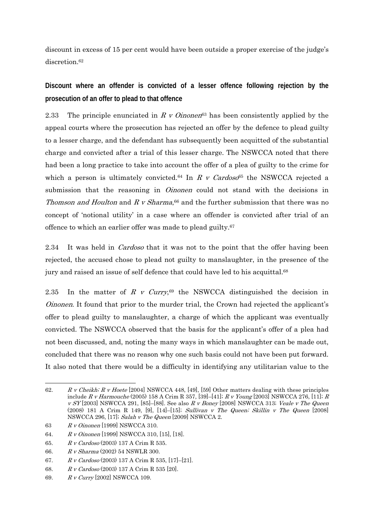discount in excess of 15 per cent would have been outside a proper exercise of the judge's discretion<sup>62</sup>

**Discount where an offender is convicted of a lesser offence following rejection by the prosecution of an offer to plead to that offence** 

2.33 The principle enunciated in R v Oinonen<sup>63</sup> has been consistently applied by the appeal courts where the prosecution has rejected an offer by the defence to plead guilty to a lesser charge, and the defendant has subsequently been acquitted of the substantial charge and convicted after a trial of this lesser charge. The NSWCCA noted that there had been a long practice to take into account the offer of a plea of guilty to the crime for which a person is ultimately convicted.<sup>64</sup> In R v Cardoso<sup>65</sup> the NSWCCA rejected a submission that the reasoning in *Oinonen* could not stand with the decisions in Thomson and Houlton and R v Sharma,<sup>66</sup> and the further submission that there was no concept of 'notional utility' in a case where an offender is convicted after trial of an offence to which an earlier offer was made to plead guilty.67

2.34 It was held in *Cardoso* that it was not to the point that the offer having been rejected, the accused chose to plead not guilty to manslaughter, in the presence of the jury and raised an issue of self defence that could have led to his acquittal.<sup>68</sup>

2.35 In the matter of R v Curry,<sup>69</sup> the NSWCCA distinguished the decision in Oinonen. It found that prior to the murder trial, the Crown had rejected the applicant's offer to plead guilty to manslaughter, a charge of which the applicant was eventually convicted. The NSWCCA observed that the basis for the applicant's offer of a plea had not been discussed, and, noting the many ways in which manslaughter can be made out, concluded that there was no reason why one such basis could not have been put forward. It also noted that there would be a difficulty in identifying any utilitarian value to the

<sup>-</sup>62. R v Cheikh; R v Hoete [2004] NSWCCA 448, [49], [59] Other matters dealing with these principles include R v Harmouche (2005) 158 A Crim R 357, [39]-[41]; R v Young [2003] NSWCCA 276, [11]; R  $v$  SY [2003] NSWCCA 291, [85]–[88]. See also R v Boney [2008] NSWCCA 313; Veale v The Queen (2008) 181 A Crim R 149, [9], [14]–[15]; Sullivan v The Queen; Skillin v The Queen [2008] NSWCCA 296, [17]; Salah v The Queen [2009] NSWCCA 2.

<sup>63</sup> R v Oinonen [1999] NSWCCA 310.

<sup>64.</sup> R v Oinonen [1999] NSWCCA 310, [15], [18].

<sup>65.</sup> R v Cardoso (2003) 137 A Crim R 535.

<sup>66.</sup> R v Sharma (2002) 54 NSWLR 300.

<sup>67.</sup> R v Cardoso (2003) 137 A Crim R 535, [17]–[21].

<sup>68.</sup> R v Cardoso (2003) 137 A Crim R 535 [20].

<sup>69.</sup> R v Curry [2002] NSWCCA 109.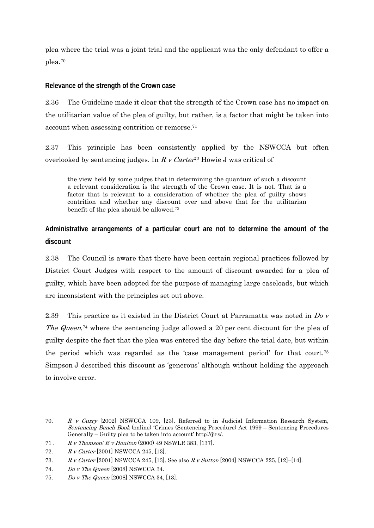plea where the trial was a joint trial and the applicant was the only defendant to offer a plea.70

### **Relevance of the strength of the Crown case**

2.36 The Guideline made it clear that the strength of the Crown case has no impact on the utilitarian value of the plea of guilty, but rather, is a factor that might be taken into account when assessing contrition or remorse.71

2.37 This principle has been consistently applied by the NSWCCA but often overlooked by sentencing judges. In  $R \, v$  Carter<sup>72</sup> Howie J was critical of

the view held by some judges that in determining the quantum of such a discount a relevant consideration is the strength of the Crown case. It is not. That is a factor that is relevant to a consideration of whether the plea of guilty shows contrition and whether any discount over and above that for the utilitarian benefit of the plea should be allowed.73

# **Administrative arrangements of a particular court are not to determine the amount of the discount**

2.38 The Council is aware that there have been certain regional practices followed by District Court Judges with respect to the amount of discount awarded for a plea of guilty, which have been adopted for the purpose of managing large caseloads, but which are inconsistent with the principles set out above.

2.39 This practice as it existed in the District Court at Parramatta was noted in  $DoV$ The Queen,<sup>74</sup> where the sentencing judge allowed a 20 per cent discount for the plea of guilty despite the fact that the plea was entered the day before the trial date, but within the period which was regarded as the 'case management period' for that court.75 Simpson J described this discount as 'generous' although without holding the approach to involve error.

 $\overline{a}$ 70. R v Curry [2002] NSWCCA 109, [23]. Referred to in Judicial Information Research System, Sentencing Bench Book (online) 'Crimes (Sentencing Procedure) Act 1999 – Sentencing Procedures Generally – Guilty plea to be taken into account' http://jirs/.

<sup>71 .</sup> R v Thomson; R v Houlton (2000) 49 NSWLR 383, [137].

<sup>72.</sup> R v Carter [2001] NSWCCA 245, [13].

<sup>73.</sup> R v Carter [2001] NSWCCA 245, [13]. See also R v Sutton [2004] NSWCCA 225, [12]–[14].

<sup>74.</sup> Do v The Queen [2008] NSWCCA 34.

<sup>75.</sup> Do v The Queen [2008] NSWCCA 34, [13].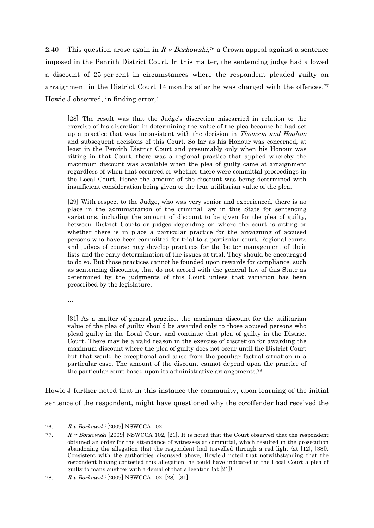2.40 This question arose again in R v Borkowski,<sup>76</sup> a Crown appeal against a sentence imposed in the Penrith District Court. In this matter, the sentencing judge had allowed a discount of 25 per cent in circumstances where the respondent pleaded guilty on arraignment in the District Court 14 months after he was charged with the offences.<sup>77</sup> Howie J observed, in finding error,:

[28] The result was that the Judge's discretion miscarried in relation to the exercise of his discretion in determining the value of the plea because he had set up a practice that was inconsistent with the decision in Thomson and Houlton and subsequent decisions of this Court. So far as his Honour was concerned, at least in the Penrith District Court and presumably only when his Honour was sitting in that Court, there was a regional practice that applied whereby the maximum discount was available when the plea of guilty came at arraignment regardless of when that occurred or whether there were committal proceedings in the Local Court. Hence the amount of the discount was being determined with insufficient consideration being given to the true utilitarian value of the plea.

[29] With respect to the Judge, who was very senior and experienced, there is no place in the administration of the criminal law in this State for sentencing variations, including the amount of discount to be given for the plea of guilty, between District Courts or judges depending on where the court is sitting or whether there is in place a particular practice for the arraigning of accused persons who have been committed for trial to a particular court. Regional courts and judges of course may develop practices for the better management of their lists and the early determination of the issues at trial. They should be encouraged to do so. But those practices cannot be founded upon rewards for compliance, such as sentencing discounts, that do not accord with the general law of this State as determined by the judgments of this Court unless that variation has been prescribed by the legislature.

…

 $\overline{a}$ 

[31] As a matter of general practice, the maximum discount for the utilitarian value of the plea of guilty should be awarded only to those accused persons who plead guilty in the Local Court and continue that plea of guilty in the District Court. There may be a valid reason in the exercise of discretion for awarding the maximum discount where the plea of guilty does not occur until the District Court but that would be exceptional and arise from the peculiar factual situation in a particular case. The amount of the discount cannot depend upon the practice of the particular court based upon its administrative arrangements.78

Howie J further noted that in this instance the community, upon learning of the initial sentence of the respondent, might have questioned why the co-offender had received the

<sup>76.</sup> R v Borkowski [2009] NSWCCA 102.

<sup>77.</sup> R v Borkowski [2009] NSWCCA 102, [21]. It is noted that the Court observed that the respondent obtained an order for the attendance of witnesses at committal, which resulted in the prosecution abandoning the allegation that the respondent had travelled through a red light (at [12], [38]). Consistent with the authorities discussed above, Howie J noted that notwithstanding that the respondent having contested this allegation, he could have indicated in the Local Court a plea of guilty to manslaughter with a denial of that allegation (at [21]).

<sup>78.</sup> R v Borkowski [2009] NSWCCA 102, [28]–[31].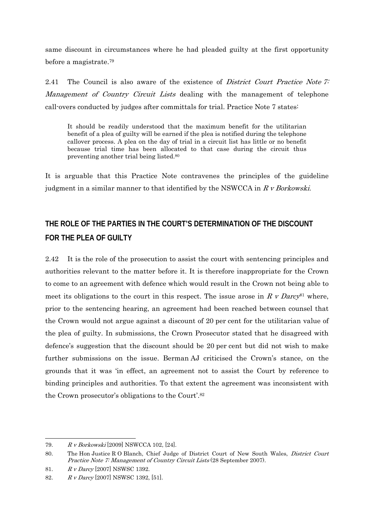same discount in circumstances where he had pleaded guilty at the first opportunity before a magistrate.79

2.41 The Council is also aware of the existence of *District Court Practice Note 7:* Management of Country Circuit Lists dealing with the management of telephone call-overs conducted by judges after committals for trial. Practice Note 7 states:

It should be readily understood that the maximum benefit for the utilitarian benefit of a plea of guilty will be earned if the plea is notified during the telephone callover process. A plea on the day of trial in a circuit list has little or no benefit because trial time has been allocated to that case during the circuit thus preventing another trial being listed.80

It is arguable that this Practice Note contravenes the principles of the guideline judgment in a similar manner to that identified by the NSWCCA in  $R \nu$  Borkowski.

# **THE ROLE OF THE PARTIES IN THE COURT'S DETERMINATION OF THE DISCOUNT FOR THE PLEA OF GUILTY**

2.42 It is the role of the prosecution to assist the court with sentencing principles and authorities relevant to the matter before it. It is therefore inappropriate for the Crown to come to an agreement with defence which would result in the Crown not being able to meet its obligations to the court in this respect. The issue arose in R v Darcy<sup>81</sup> where, prior to the sentencing hearing, an agreement had been reached between counsel that the Crown would not argue against a discount of 20 per cent for the utilitarian value of the plea of guilty. In submissions, the Crown Prosecutor stated that he disagreed with defence's suggestion that the discount should be 20 per cent but did not wish to make further submissions on the issue. Berman AJ criticised the Crown's stance, on the grounds that it was 'in effect, an agreement not to assist the Court by reference to binding principles and authorities. To that extent the agreement was inconsistent with the Crown prosecutor's obligations to the Court'.82

<sup>79.</sup> R v Borkowski [2009] NSWCCA 102, [24].

<sup>80.</sup> The Hon Justice R O Blanch, Chief Judge of District Court of New South Wales, *District Court* Practice Note 7: Management of Country Circuit Lists (28 September 2007).

<sup>81.</sup> R v Darcy [2007] NSWSC 1392.

<sup>82.</sup> R v Darcy [2007] NSWSC 1392, [51].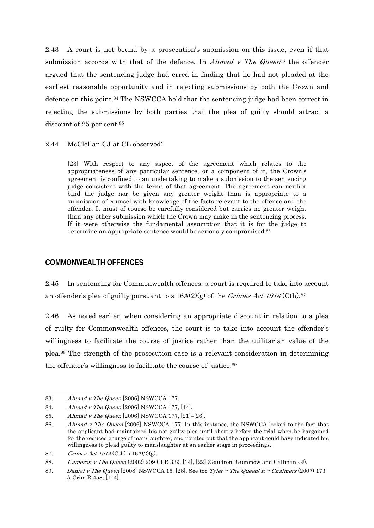2.43 A court is not bound by a prosecution's submission on this issue, even if that submission accords with that of the defence. In *Ahmad v The Queen*<sup>83</sup> the offender argued that the sentencing judge had erred in finding that he had not pleaded at the earliest reasonable opportunity and in rejecting submissions by both the Crown and defence on this point.84 The NSWCCA held that the sentencing judge had been correct in rejecting the submissions by both parties that the plea of guilty should attract a discount of 25 per cent.<sup>85</sup>

2.44 McClellan CJ at CL observed:

[23] With respect to any aspect of the agreement which relates to the appropriateness of any particular sentence, or a component of it, the Crown's agreement is confined to an undertaking to make a submission to the sentencing judge consistent with the terms of that agreement. The agreement can neither bind the judge nor be given any greater weight than is appropriate to a submission of counsel with knowledge of the facts relevant to the offence and the offender. It must of course be carefully considered but carries no greater weight than any other submission which the Crown may make in the sentencing process. If it were otherwise the fundamental assumption that it is for the judge to determine an appropriate sentence would be seriously compromised.<sup>86</sup>

### **COMMONWEALTH OFFENCES**

2.45 In sentencing for Commonwealth offences, a court is required to take into account an offender's plea of guilty pursuant to s  $16A(2)(g)$  of the Crimes Act 1914 (Cth).<sup>87</sup>

2.46 As noted earlier, when considering an appropriate discount in relation to a plea of guilty for Commonwealth offences, the court is to take into account the offender's willingness to facilitate the course of justice rather than the utilitarian value of the plea.88 The strength of the prosecution case is a relevant consideration in determining the offender's willingness to facilitate the course of justice.89

<sup>83.</sup> Ahmad v The Queen [2006] NSWCCA 177.

<sup>84.</sup> Ahmad v The Queen [2006] NSWCCA 177, [14].

<sup>85.</sup> Ahmad v The Queen [2006] NSWCCA 177, [21]–[26].

<sup>86.</sup> Ahmad v The Queen [2006] NSWCCA 177. In this instance, the NSWCCA looked to the fact that the applicant had maintained his not guilty plea until shortly before the trial when he bargained for the reduced charge of manslaughter, and pointed out that the applicant could have indicated his willingness to plead guilty to manslaughter at an earlier stage in proceedings.

<sup>87.</sup> Crimes Act  $1914$  (Cth) s  $16A(2)(g)$ .

<sup>88.</sup> Cameron v The Queen (2002) 209 CLR 339, [14], [22] (Gaudron, Gummow and Callinan JJ).

<sup>89.</sup> Danial v The Queen [2008] NSWCCA 15, [28]. See too Tyler v The Queen; R v Chalmers (2007) 173 A Crim R 458, [114].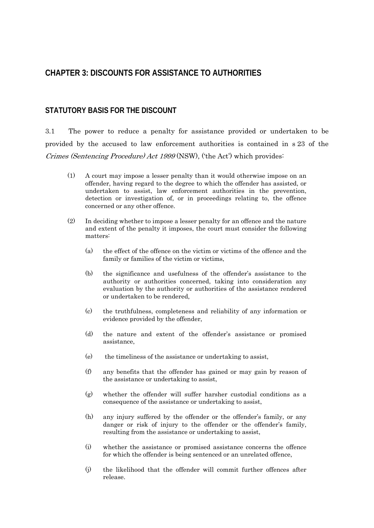# **CHAPTER 3: DISCOUNTS FOR ASSISTANCE TO AUTHORITIES**

#### **STATUTORY BASIS FOR THE DISCOUNT**

3.1 The power to reduce a penalty for assistance provided or undertaken to be provided by the accused to law enforcement authorities is contained in s 23 of the Crimes (Sentencing Procedure) Act 1999 (NSW), ('the Act') which provides:

- (1) A court may impose a lesser penalty than it would otherwise impose on an offender, having regard to the degree to which the offender has assisted, or undertaken to assist, law enforcement authorities in the prevention, detection or investigation of, or in proceedings relating to, the offence concerned or any other offence.
- (2) In deciding whether to impose a lesser penalty for an offence and the nature and extent of the penalty it imposes, the court must consider the following matters:
	- (a) the effect of the offence on the victim or victims of the offence and the family or families of the victim or victims,
	- (b) the significance and usefulness of the offender's assistance to the authority or authorities concerned, taking into consideration any evaluation by the authority or authorities of the assistance rendered or undertaken to be rendered,
	- (c) the truthfulness, completeness and reliability of any information or evidence provided by the offender,
	- (d) the nature and extent of the offender's assistance or promised assistance,
	- (e) the timeliness of the assistance or undertaking to assist,
	- (f) any benefits that the offender has gained or may gain by reason of the assistance or undertaking to assist,
	- (g) whether the offender will suffer harsher custodial conditions as a consequence of the assistance or undertaking to assist,
	- (h) any injury suffered by the offender or the offender's family, or any danger or risk of injury to the offender or the offender's family, resulting from the assistance or undertaking to assist,
	- (i) whether the assistance or promised assistance concerns the offence for which the offender is being sentenced or an unrelated offence,
	- (j) the likelihood that the offender will commit further offences after release.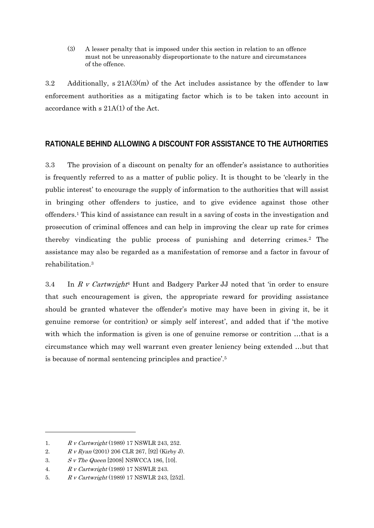(3) A lesser penalty that is imposed under this section in relation to an offence must not be unreasonably disproportionate to the nature and circumstances of the offence.

3.2 Additionally, s 21A(3)(m) of the Act includes assistance by the offender to law enforcement authorities as a mitigating factor which is to be taken into account in accordance with s 21A(1) of the Act.

# **RATIONALE BEHIND ALLOWING A DISCOUNT FOR ASSISTANCE TO THE AUTHORITIES**

3.3 The provision of a discount on penalty for an offender's assistance to authorities is frequently referred to as a matter of public policy. It is thought to be 'clearly in the public interest' to encourage the supply of information to the authorities that will assist in bringing other offenders to justice, and to give evidence against those other offenders.1 This kind of assistance can result in a saving of costs in the investigation and prosecution of criminal offences and can help in improving the clear up rate for crimes thereby vindicating the public process of punishing and deterring crimes.2 The assistance may also be regarded as a manifestation of remorse and a factor in favour of rehabilitation.3

3.4 In R v Cartwright<sup>4</sup> Hunt and Badgery Parker JJ noted that 'in order to ensure that such encouragement is given, the appropriate reward for providing assistance should be granted whatever the offender's motive may have been in giving it, be it genuine remorse (or contrition) or simply self interest', and added that if 'the motive with which the information is given is one of genuine remorse or contrition ...that is a circumstance which may well warrant even greater leniency being extended …but that is because of normal sentencing principles and practice'.5

1

<sup>1.</sup> R v Cartwright (1989) 17 NSWLR 243, 252.

<sup>2.</sup> R v Ryan (2001) 206 CLR 267, [92] (Kirby J).

<sup>3.</sup> S v The Queen [2008] NSWCCA 186, [10].

<sup>4.</sup> R v Cartwright (1989) 17 NSWLR 243.

<sup>5.</sup> R v Cartwright (1989) 17 NSWLR 243, [252].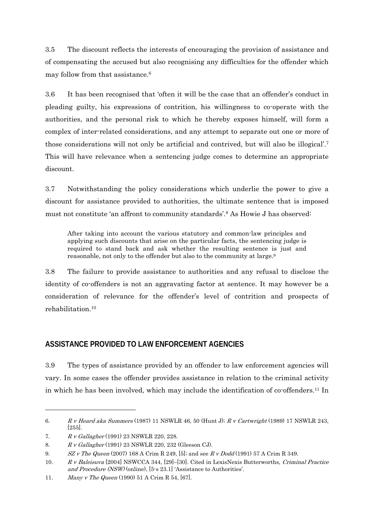3.5 The discount reflects the interests of encouraging the provision of assistance and of compensating the accused but also recognising any difficulties for the offender which may follow from that assistance.6

3.6 It has been recognised that 'often it will be the case that an offender's conduct in pleading guilty, his expressions of contrition, his willingness to co-operate with the authorities, and the personal risk to which he thereby exposes himself, will form a complex of inter-related considerations, and any attempt to separate out one or more of those considerations will not only be artificial and contrived, but will also be illogical'.7 This will have relevance when a sentencing judge comes to determine an appropriate discount.

3.7 Notwithstanding the policy considerations which underlie the power to give a discount for assistance provided to authorities, the ultimate sentence that is imposed must not constitute 'an affront to community standards'.8 As Howie J has observed:

After taking into account the various statutory and common-law principles and applying such discounts that arise on the particular facts, the sentencing judge is required to stand back and ask whether the resulting sentence is just and reasonable, not only to the offender but also to the community at large.9

3.8 The failure to provide assistance to authorities and any refusal to disclose the identity of co-offenders is not an aggravating factor at sentence. It may however be a consideration of relevance for the offender's level of contrition and prospects of rehabilitation<sup>10</sup>

# **ASSISTANCE PROVIDED TO LAW ENFORCEMENT AGENCIES**

3.9 The types of assistance provided by an offender to law enforcement agencies will vary. In some cases the offender provides assistance in relation to the criminal activity in which he has been involved, which may include the identification of co-offenders.11 In

<sup>6.</sup> R v Heard aka Summers (1987) 11 NSWLR 46, 50 (Hunt J); R v Cartwright (1989) 17 NSWLR 243, [255].

<sup>7.</sup> R v Gallagher (1991) 23 NSWLR 220, 228.

<sup>8.</sup> R v Gallagher (1991) 23 NSWLR 220, 232 (Gleeson CJ).

<sup>9.</sup> SZ v The Queen (2007) 168 A Crim R 249, [5]; and see R v Dodd (1991) 57 A Crim R 349.

<sup>10.</sup> R v Baleisuva [2004] NSWCCA 344, [29]–[30]. Cited in LexisNexis Butterworths, Criminal Practice and Procedure (NSW) (online), [5-s 23.1] 'Assistance to Authorities'.

<sup>11.</sup> Many v The Queen (1990) 51 A Crim R 54, [67].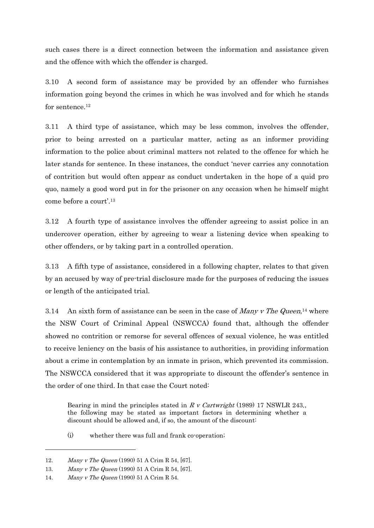such cases there is a direct connection between the information and assistance given and the offence with which the offender is charged.

3.10 A second form of assistance may be provided by an offender who furnishes information going beyond the crimes in which he was involved and for which he stands for sentence.<sup>12</sup>

3.11 A third type of assistance, which may be less common, involves the offender, prior to being arrested on a particular matter, acting as an informer providing information to the police about criminal matters not related to the offence for which he later stands for sentence. In these instances, the conduct 'never carries any connotation of contrition but would often appear as conduct undertaken in the hope of a quid pro quo, namely a good word put in for the prisoner on any occasion when he himself might come before a court'.13

3.12 A fourth type of assistance involves the offender agreeing to assist police in an undercover operation, either by agreeing to wear a listening device when speaking to other offenders, or by taking part in a controlled operation.

3.13 A fifth type of assistance, considered in a following chapter, relates to that given by an accused by way of pre-trial disclosure made for the purposes of reducing the issues or length of the anticipated trial.

3.14 An sixth form of assistance can be seen in the case of *Many v The Queen*,<sup>14</sup> where the NSW Court of Criminal Appeal (NSWCCA) found that, although the offender showed no contrition or remorse for several offences of sexual violence, he was entitled to receive leniency on the basis of his assistance to authorities, in providing information about a crime in contemplation by an inmate in prison, which prevented its commission. The NSWCCA considered that it was appropriate to discount the offender's sentence in the order of one third. In that case the Court noted:

Bearing in mind the principles stated in R v Cartwright (1989) 17 NSWLR 243, the following may be stated as important factors in determining whether a discount should be allowed and, if so, the amount of the discount:

(i) whether there was full and frank co-operation;

<sup>12.</sup> Many v The Queen (1990) 51 A Crim R 54, [67].

<sup>13.</sup> Many v The Queen (1990) 51 A Crim R 54, [67].

<sup>14.</sup> Many v The Queen (1990) 51 A Crim R 54.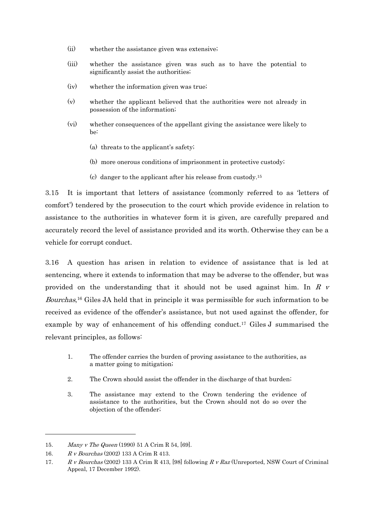- (ii) whether the assistance given was extensive;
- (iii) whether the assistance given was such as to have the potential to significantly assist the authorities;
- (iv) whether the information given was true;
- (v) whether the applicant believed that the authorities were not already in possession of the information;
- (vi) whether consequences of the appellant giving the assistance were likely to be:
	- (a) threats to the applicant's safety;
	- (b) more onerous conditions of imprisonment in protective custody;
	- (c) danger to the applicant after his release from custody.15

3.15 It is important that letters of assistance (commonly referred to as 'letters of comfort') tendered by the prosecution to the court which provide evidence in relation to assistance to the authorities in whatever form it is given, are carefully prepared and accurately record the level of assistance provided and its worth. Otherwise they can be a vehicle for corrupt conduct.

3.16 A question has arisen in relation to evidence of assistance that is led at sentencing, where it extends to information that may be adverse to the offender, but was provided on the understanding that it should not be used against him. In  $R$  v Bourchas,16 Giles JA held that in principle it was permissible for such information to be received as evidence of the offender's assistance, but not used against the offender, for example by way of enhancement of his offending conduct.17 Giles J summarised the relevant principles, as follows:

- 1. The offender carries the burden of proving assistance to the authorities, as a matter going to mitigation;
- 2. The Crown should assist the offender in the discharge of that burden;
- 3. The assistance may extend to the Crown tendering the evidence of assistance to the authorities, but the Crown should not do so over the objection of the offender;

1

<sup>15.</sup> Many v The Queen (1990) 51 A Crim R 54, [69].

<sup>16.</sup> R v Bourchas (2002) 133 A Crim R 413.

<sup>17.</sup> R v Bourchas (2002) 133 A Crim R 413, [98] following R v Raz (Unreported, NSW Court of Criminal Appeal, 17 December 1992).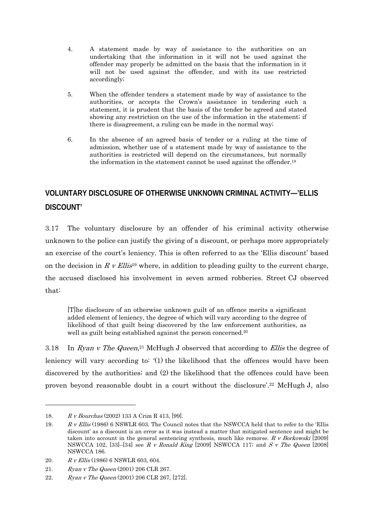- 4. A statement made by way of assistance to the authorities on an undertaking that the information in it will not be used against the offender may properly be admitted on the basis that the information in it will not be used against the offender, and with its use restricted accordingly;
- 5. When the offender tenders a statement made by way of assistance to the authorities, or accepts the Crown's assistance in tendering such a statement, it is prudent that the basis of the tender be agreed and stated showing any restriction on the use of the information in the statement; if there is disagreement, a ruling can be made in the normal way;
- 6. In the absence of an agreed basis of tender or a ruling at the time of admission, whether use of a statement made by way of assistance to the authorities is restricted will depend on the circumstances, but normally the information in the statement cannot be used against the offender.18

# **VOLUNTARY DISCLOSURE OF OTHERWISE UNKNOWN CRIMINAL ACTIVITY—'ELLIS DISCOUNT'**

3.17 The voluntary disclosure by an offender of his criminal activity otherwise unknown to the police can justify the giving of a discount, or perhaps more appropriately an exercise of the court's leniency. This is often referred to as the 'Ellis discount' based on the decision in R v Ellis<sup>19</sup> where, in addition to pleading guilty to the current charge, the accused disclosed his involvement in seven armed robberies. Street CJ observed that:

[T]he disclosure of an otherwise unknown guilt of an offence merits a significant added element of leniency, the degree of which will vary according to the degree of likelihood of that guilt being discovered by the law enforcement authorities, as well as guilt being established against the person concerned.20

3.18 In Ryan v The Queen,<sup>21</sup> McHugh J observed that according to *Ellis* the degree of leniency will vary according to: '(1) the likelihood that the offences would have been discovered by the authorities; and (2) the likelihood that the offences could have been proven beyond reasonable doubt in a court without the disclosure'.22 McHugh J, also

<sup>18.</sup> R v Bourchas (2002) 133 A Crim R 413, [99].

<sup>19.</sup> R v Ellis (1986) 6 NSWLR 603. The Council notes that the NSWCCA held that to refer to the 'Ellis discount' as a discount is an error as it was instead a matter that mitigated sentence and might be taken into account in the general sentencing synthesis, much like remorse.  $R \, v$  Borkowski [2009] NSWCCA 102, [33]–[34] see R v Ronald King [2009] NSWCCA 117; and S v The Queen [2008] NSWCCA 186.

<sup>20.</sup> R v Ellis (1986) 6 NSWLR 603, 604.

<sup>21.</sup> Ryan v The Queen (2001) 206 CLR 267.

<sup>22.</sup> Ryan v The Queen (2001) 206 CLR 267, [272].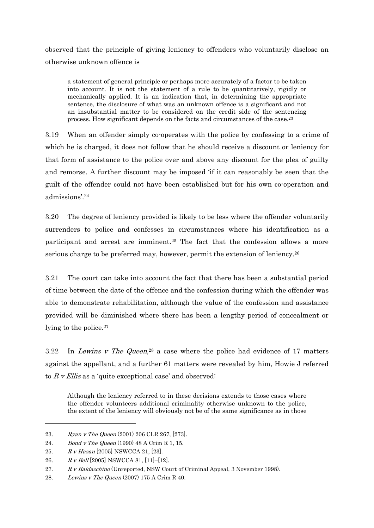observed that the principle of giving leniency to offenders who voluntarily disclose an otherwise unknown offence is

a statement of general principle or perhaps more accurately of a factor to be taken into account. It is not the statement of a rule to be quantitatively, rigidly or mechanically applied. It is an indication that, in determining the appropriate sentence, the disclosure of what was an unknown offence is a significant and not an insubstantial matter to be considered on the credit side of the sentencing process. How significant depends on the facts and circumstances of the case.23

3.19 When an offender simply co-operates with the police by confessing to a crime of which he is charged, it does not follow that he should receive a discount or leniency for that form of assistance to the police over and above any discount for the plea of guilty and remorse. A further discount may be imposed 'if it can reasonably be seen that the guilt of the offender could not have been established but for his own co-operation and admissions'.24

3.20 The degree of leniency provided is likely to be less where the offender voluntarily surrenders to police and confesses in circumstances where his identification as a participant and arrest are imminent.25 The fact that the confession allows a more serious charge to be preferred may, however, permit the extension of leniency.26

3.21 The court can take into account the fact that there has been a substantial period of time between the date of the offence and the confession during which the offender was able to demonstrate rehabilitation, although the value of the confession and assistance provided will be diminished where there has been a lengthy period of concealment or lying to the police.<sup>27</sup>

3.22 In Lewins v The Queen,<sup>28</sup> a case where the police had evidence of 17 matters against the appellant, and a further 61 matters were revealed by him, Howie J referred to  $R$  v Ellis as a 'quite exceptional case' and observed:

Although the leniency referred to in these decisions extends to those cases where the offender volunteers additional criminality otherwise unknown to the police, the extent of the leniency will obviously not be of the same significance as in those

<sup>23.</sup> Ryan v The Queen (2001) 206 CLR 267, [273].

<sup>24.</sup> Bond v The Queen (1990) 48 A Crim R 1, 15.

<sup>25.</sup> R v Hasan [2005] NSWCCA 21, [23].

<sup>26.</sup>  $R \, v \, Bell [2005]$  NSWCCA 81, [11]-[12].

<sup>27.</sup> R v Baldacchino (Unreported, NSW Court of Criminal Appeal, 3 November 1998).

<sup>28.</sup> Lewins v The Queen (2007) 175 A Crim R 40.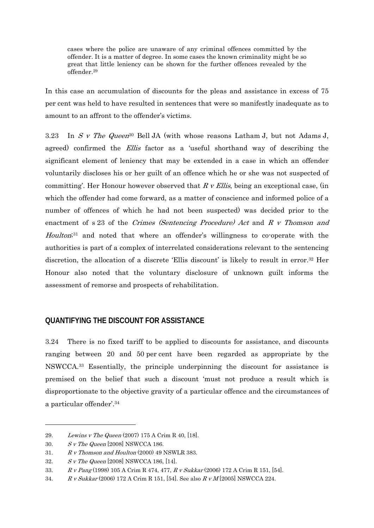cases where the police are unaware of any criminal offences committed by the offender. It is a matter of degree. In some cases the known criminality might be so great that little leniency can be shown for the further offences revealed by the offender.29

In this case an accumulation of discounts for the pleas and assistance in excess of 75 per cent was held to have resulted in sentences that were so manifestly inadequate as to amount to an affront to the offender's victims.

3.23 In S v The Queen<sup>30</sup> Bell JA (with whose reasons Latham J, but not Adams J, agreed) confirmed the *Ellis* factor as a 'useful shorthand way of describing the significant element of leniency that may be extended in a case in which an offender voluntarily discloses his or her guilt of an offence which he or she was not suspected of committing'. Her Honour however observed that  $R \nu$  Ellis, being an exceptional case, (in which the offender had come forward, as a matter of conscience and informed police of a number of offences of which he had not been suspected) was decided prior to the enactment of s 23 of the Crimes (Sentencing Procedure) Act and R v Thomson and Houlton<sup>;31</sup> and noted that where an offender's willingness to co-operate with the authorities is part of a complex of interrelated considerations relevant to the sentencing discretion, the allocation of a discrete 'Ellis discount' is likely to result in error.32 Her Honour also noted that the voluntary disclosure of unknown guilt informs the assessment of remorse and prospects of rehabilitation.

# **QUANTIFYING THE DISCOUNT FOR ASSISTANCE**

3.24 There is no fixed tariff to be applied to discounts for assistance, and discounts ranging between 20 and 50 per cent have been regarded as appropriate by the NSWCCA.33 Essentially, the principle underpinning the discount for assistance is premised on the belief that such a discount 'must not produce a result which is disproportionate to the objective gravity of a particular offence and the circumstances of a particular offender'.34

<sup>29.</sup> Lewins v The Queen (2007) 175 A Crim R 40, [18].

<sup>30.</sup> S v The Queen [2008] NSWCCA 186.

<sup>31.</sup>  $R \, \textit{v}$  Thomson and Houlton (2000) 49 NSWLR 383.

<sup>32.</sup>  $S \, v$  The Queen [2008] NSWCCA 186, [14].

<sup>33.</sup> R v Pang (1998) 105 A Crim R 474, 477, R v Sukkar (2006) 172 A Crim R 151, [54].

<sup>34.</sup> R v Sukkar (2006) 172 A Crim R 151, [54]. See also R v M [2005] NSWCCA 224.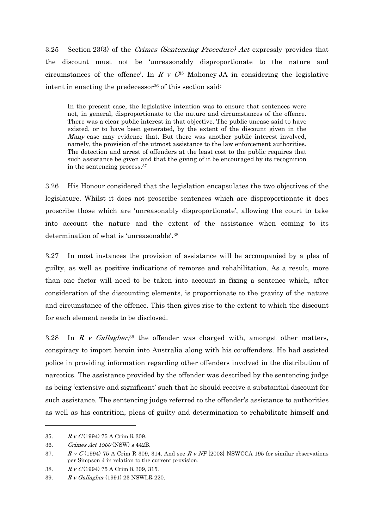3.25 Section 23(3) of the Crimes (Sentencing Procedure) Act expressly provides that the discount must not be 'unreasonably disproportionate to the nature and circumstances of the offence'. In R v  $C^{35}$  Mahoney JA in considering the legislative intent in enacting the predecessor<sup>36</sup> of this section said:

In the present case, the legislative intention was to ensure that sentences were not, in general, disproportionate to the nature and circumstances of the offence. There was a clear public interest in that objective. The public unease said to have existed, or to have been generated, by the extent of the discount given in the Many case may evidence that. But there was another public interest involved, namely, the provision of the utmost assistance to the law enforcement authorities. The detection and arrest of offenders at the least cost to the public requires that such assistance be given and that the giving of it be encouraged by its recognition in the sentencing process.37

3.26 His Honour considered that the legislation encapsulates the two objectives of the legislature. Whilst it does not proscribe sentences which are disproportionate it does proscribe those which are 'unreasonably disproportionate', allowing the court to take into account the nature and the extent of the assistance when coming to its determination of what is 'unreasonable'.38

3.27 In most instances the provision of assistance will be accompanied by a plea of guilty, as well as positive indications of remorse and rehabilitation. As a result, more than one factor will need to be taken into account in fixing a sentence which, after consideration of the discounting elements, is proportionate to the gravity of the nature and circumstance of the offence. This then gives rise to the extent to which the discount for each element needs to be disclosed.

3.28 In R v Gallagher,<sup>39</sup> the offender was charged with, amongst other matters, conspiracy to import heroin into Australia along with his co-offenders. He had assisted police in providing information regarding other offenders involved in the distribution of narcotics. The assistance provided by the offender was described by the sentencing judge as being 'extensive and significant' such that he should receive a substantial discount for such assistance. The sentencing judge referred to the offender's assistance to authorities as well as his contrition, pleas of guilty and determination to rehabilitate himself and

<sup>35.</sup> R v C (1994) 75 A Crim R 309.

<sup>36.</sup> Crimes Act 1900 (NSW) s 442B.

<sup>37.</sup> R v C (1994) 75 A Crim R 309, 314. And see R v NP [2003] NSWCCA 195 for similar observations per Simpson J in relation to the current provision.

<sup>38.</sup> R v C (1994) 75 A Crim R 309, 315.

<sup>39.</sup> R v Gallagher (1991) 23 NSWLR 220.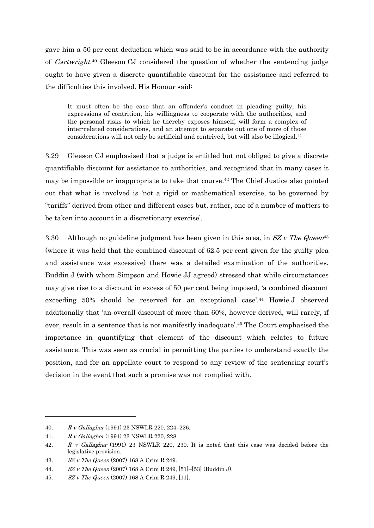gave him a 50 per cent deduction which was said to be in accordance with the authority of Cartwright.40 Gleeson CJ considered the question of whether the sentencing judge ought to have given a discrete quantifiable discount for the assistance and referred to the difficulties this involved. His Honour said:

It must often be the case that an offender's conduct in pleading guilty, his expressions of contrition, his willingness to cooperate with the authorities, and the personal risks to which he thereby exposes himself, will form a complex of inter-related considerations, and an attempt to separate out one of more of those considerations will not only be artificial and contrived, but will also be illogical.41

3.29 Gleeson CJ emphasised that a judge is entitled but not obliged to give a discrete quantifiable discount for assistance to authorities, and recognised that in many cases it may be impossible or inappropriate to take that course.42 The Chief Justice also pointed out that what is involved is 'not a rigid or mathematical exercise, to be governed by "tariffs" derived from other and different cases but, rather, one of a number of matters to be taken into account in a discretionary exercise'.

3.30 Although no guideline judgment has been given in this area, in  $SZ$  v The Queen<sup>43</sup> (where it was held that the combined discount of 62.5 per cent given for the guilty plea and assistance was excessive) there was a detailed examination of the authorities. Buddin J (with whom Simpson and Howie JJ agreed) stressed that while circumstances may give rise to a discount in excess of 50 per cent being imposed, 'a combined discount exceeding 50% should be reserved for an exceptional case'.44 Howie J observed additionally that 'an overall discount of more than 60%, however derived, will rarely, if ever, result in a sentence that is not manifestly inadequate'.45 The Court emphasised the importance in quantifying that element of the discount which relates to future assistance. This was seen as crucial in permitting the parties to understand exactly the position, and for an appellate court to respond to any review of the sentencing court's decision in the event that such a promise was not complied with.

<sup>40.</sup> R v Gallagher (1991) 23 NSWLR 220, 224–226.

<sup>41.</sup> R v Gallagher (1991) 23 NSWLR 220, 228.

<sup>42.</sup> R v Gallagher (1991) 23 NSWLR 220, 230. It is noted that this case was decided before the legislative provision.

<sup>43.</sup> SZ v The Queen (2007) 168 A Crim R 249.

<sup>44.</sup> SZ v The Queen (2007) 168 A Crim R 249, [51]–[53] (Buddin J).

<sup>45.</sup> SZ v The Queen (2007) 168 A Crim R 249, [11].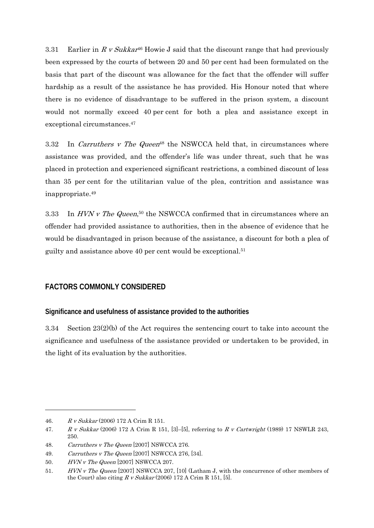3.31 Earlier in R v Sukkar<sup>46</sup> Howie J said that the discount range that had previously been expressed by the courts of between 20 and 50 per cent had been formulated on the basis that part of the discount was allowance for the fact that the offender will suffer hardship as a result of the assistance he has provided. His Honour noted that where there is no evidence of disadvantage to be suffered in the prison system, a discount would not normally exceed 40 per cent for both a plea and assistance except in exceptional circumstances.47

3.32 In Carruthers v The Queen<sup>48</sup> the NSWCCA held that, in circumstances where assistance was provided, and the offender's life was under threat, such that he was placed in protection and experienced significant restrictions, a combined discount of less than 35 per cent for the utilitarian value of the plea, contrition and assistance was inappropriate.49

3.33 In HVN v The Queen,<sup>50</sup> the NSWCCA confirmed that in circumstances where an offender had provided assistance to authorities, then in the absence of evidence that he would be disadvantaged in prison because of the assistance, a discount for both a plea of guilty and assistance above 40 per cent would be exceptional.51

# **FACTORS COMMONLY CONSIDERED**

#### **Significance and usefulness of assistance provided to the authorities**

3.34 Section 23(2)(b) of the Act requires the sentencing court to take into account the significance and usefulness of the assistance provided or undertaken to be provided, in the light of its evaluation by the authorities.

<sup>46.</sup> R v Sukkar (2006) 172 A Crim R 151.

<sup>47.</sup> R v Sukkar (2006) 172 A Crim R 151, [3]-[5], referring to R v Cartwright (1989) 17 NSWLR 243, 250.

<sup>48.</sup> Carruthers v The Queen [2007] NSWCCA 276.

<sup>49.</sup> *Carruthers v The Queen* [2007] NSWCCA 276, [34].

<sup>50.</sup> HVN v The Queen [2007] NSWCCA 207.

<sup>51.</sup> HVN v The Queen [2007] NSWCCA 207, [10] (Latham J, with the concurrence of other members of the Court) also citing  $R v Sukkar$  (2006) 172 A Crim R 151, [5].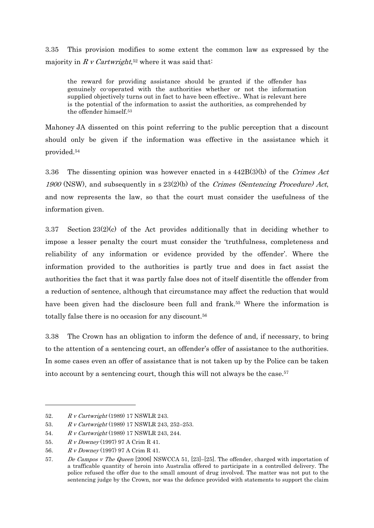3.35 This provision modifies to some extent the common law as expressed by the majority in R v Cartwright,<sup>52</sup> where it was said that:

the reward for providing assistance should be granted if the offender has genuinely co-operated with the authorities whether or not the information supplied objectively turns out in fact to have been effective.. What is relevant here is the potential of the information to assist the authorities, as comprehended by the offender himself.53

Mahoney JA dissented on this point referring to the public perception that a discount should only be given if the information was effective in the assistance which it provided.54

3.36 The dissenting opinion was however enacted in s 442B(3)(b) of the Crimes Act 1900 (NSW), and subsequently in s  $23(2)(b)$  of the *Crimes (Sentencing Procedure) Act*, and now represents the law, so that the court must consider the usefulness of the information given.

3.37 Section 23(2)(c) of the Act provides additionally that in deciding whether to impose a lesser penalty the court must consider the 'truthfulness, completeness and reliability of any information or evidence provided by the offender'. Where the information provided to the authorities is partly true and does in fact assist the authorities the fact that it was partly false does not of itself disentitle the offender from a reduction of sentence, although that circumstance may affect the reduction that would have been given had the disclosure been full and frank.<sup>55</sup> Where the information is totally false there is no occasion for any discount.56

3.38 The Crown has an obligation to inform the defence of and, if necessary, to bring to the attention of a sentencing court, an offender's offer of assistance to the authorities. In some cases even an offer of assistance that is not taken up by the Police can be taken into account by a sentencing court, though this will not always be the case.<sup>57</sup>

<sup>52.</sup> R v Cartwright (1989) 17 NSWLR 243.

<sup>53.</sup> R v Cartwright (1989) 17 NSWLR 243, 252–253.

<sup>54.</sup> R v Cartwright (1989) 17 NSWLR 243, 244.

<sup>55.</sup> R v Downey (1997) 97 A Crim R 41.

<sup>56.</sup> R v Downey (1997) 97 A Crim R 41.

<sup>57.</sup> De Campos v The Queen [2006] NSWCCA 51, [23]–[25]. The offender, charged with importation of a trafficable quantity of heroin into Australia offered to participate in a controlled delivery. The police refused the offer due to the small amount of drug involved. The matter was not put to the sentencing judge by the Crown, nor was the defence provided with statements to support the claim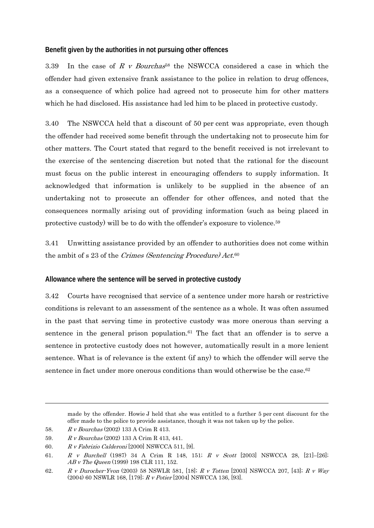#### **Benefit given by the authorities in not pursuing other offences**

3.39 In the case of R v Bourchas<sup>58</sup> the NSWCCA considered a case in which the offender had given extensive frank assistance to the police in relation to drug offences, as a consequence of which police had agreed not to prosecute him for other matters which he had disclosed. His assistance had led him to be placed in protective custody.

3.40 The NSWCCA held that a discount of 50 per cent was appropriate, even though the offender had received some benefit through the undertaking not to prosecute him for other matters. The Court stated that regard to the benefit received is not irrelevant to the exercise of the sentencing discretion but noted that the rational for the discount must focus on the public interest in encouraging offenders to supply information. It acknowledged that information is unlikely to be supplied in the absence of an undertaking not to prosecute an offender for other offences, and noted that the consequences normally arising out of providing information (such as being placed in protective custody) will be to do with the offender's exposure to violence.59

3.41 Unwitting assistance provided by an offender to authorities does not come within the ambit of s 23 of the Crimes (Sentencing Procedure) Act.<sup>60</sup>

#### **Allowance where the sentence will be served in protective custody**

3.42 Courts have recognised that service of a sentence under more harsh or restrictive conditions is relevant to an assessment of the sentence as a whole. It was often assumed in the past that serving time in protective custody was more onerous than serving a sentence in the general prison population. $61$  The fact that an offender is to serve a sentence in protective custody does not however, automatically result in a more lenient sentence. What is of relevance is the extent (if any) to which the offender will serve the sentence in fact under more onerous conditions than would otherwise be the case.<sup>62</sup>

made by the offender. Howie J held that she was entitled to a further 5 per cent discount for the offer made to the police to provide assistance, though it was not taken up by the police.

<sup>58.</sup> R v Bourchas (2002) 133 A Crim R 413.

<sup>59.</sup> R v Bourchas (2002) 133 A Crim R 413, 441.

<sup>60.</sup>  $R \, v \, Fabrizio\, Calderoni\, [2000]$  NSWCCA 511, [9].

<sup>61.</sup> R v Burchell (1987) 34 A Crim R 148, 151; R v Scott [2003] NSWCCA 28, [21]–[26]; AB v The Queen (1999) 198 CLR 111, 152.

<sup>62.</sup> R v Durocher-Yvon (2003) 58 NSWLR 581, [18]; R v Totten [2003] NSWCCA 207, [43]; R v Way (2004) 60 NSWLR 168, [179]; R v Potier [2004] NSWCCA 136, [93].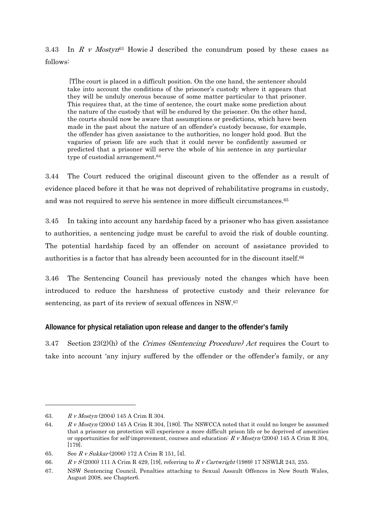3.43 In R v Mostyn<sup>63</sup> Howie J described the conundrum posed by these cases as follows:

 [T]he court is placed in a difficult position. On the one hand, the sentencer should take into account the conditions of the prisoner's custody where it appears that they will be unduly onerous because of some matter particular to that prisoner. This requires that, at the time of sentence, the court make some prediction about the nature of the custody that will be endured by the prisoner. On the other hand, the courts should now be aware that assumptions or predictions, which have been made in the past about the nature of an offender's custody because, for example, the offender has given assistance to the authorities, no longer hold good. But the vagaries of prison life are such that it could never be confidently assumed or predicted that a prisoner will serve the whole of his sentence in any particular type of custodial arrangement.64

3.44 The Court reduced the original discount given to the offender as a result of evidence placed before it that he was not deprived of rehabilitative programs in custody, and was not required to serve his sentence in more difficult circumstances.65

3.45 In taking into account any hardship faced by a prisoner who has given assistance to authorities, a sentencing judge must be careful to avoid the risk of double counting. The potential hardship faced by an offender on account of assistance provided to authorities is a factor that has already been accounted for in the discount itself.66

3.46 The Sentencing Council has previously noted the changes which have been introduced to reduce the harshness of protective custody and their relevance for sentencing, as part of its review of sexual offences in NSW.67

### **Allowance for physical retaliation upon release and danger to the offender's family**

3.47 Section  $23(2)(h)$  of the *Crimes (Sentencing Procedure) Act* requires the Court to take into account 'any injury suffered by the offender or the offender's family, or any

<sup>63.</sup> R v Mostyn (2004) 145 A Crim R 304.

<sup>64.</sup> R v Mostyn (2004) 145 A Crim R 304, [180]. The NSWCCA noted that it could no longer be assumed that a prisoner on protection will experience a more difficult prison life or be deprived of amenities or opportunities for self-improvement, courses and education:  $R \text{ } v \text{ } Mostyn \text{ } (2004) \text{ } 145 \text{ A Crim R } 304$ , [179].

<sup>65.</sup> See R v Sukkar (2006) 172 A Crim R 151, [4].

<sup>66.</sup> R v S (2000) 111 A Crim R 429, [19], referring to R v Cartwright (1989) 17 NSWLR 243, 255.

<sup>67.</sup> NSW Sentencing Council, Penalties attaching to Sexual Assault Offences in New South Wales, August 2008, see Chapter6.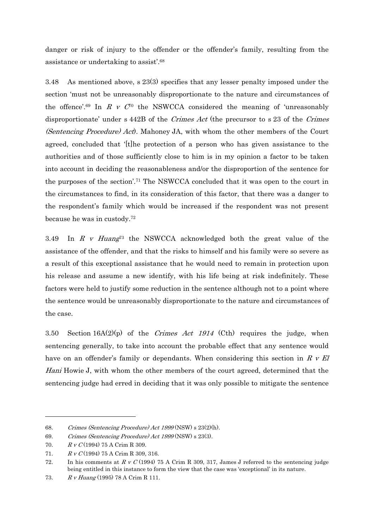danger or risk of injury to the offender or the offender's family, resulting from the assistance or undertaking to assist'.68

3.48 As mentioned above, s 23(3) specifies that any lesser penalty imposed under the section 'must not be unreasonably disproportionate to the nature and circumstances of the offence'.<sup>69</sup> In R v  $C^{r_0}$  the NSWCCA considered the meaning of 'unreasonably disproportionate' under s 442B of the Crimes Act (the precursor to s 23 of the Crimes (Sentencing Procedure) Act). Mahoney JA, with whom the other members of the Court agreed, concluded that '[t]he protection of a person who has given assistance to the authorities and of those sufficiently close to him is in my opinion a factor to be taken into account in deciding the reasonableness and/or the disproportion of the sentence for the purposes of the section'.71 The NSWCCA concluded that it was open to the court in the circumstances to find, in its consideration of this factor, that there was a danger to the respondent's family which would be increased if the respondent was not present because he was in custody.72

3.49 In R v Huang<sup>73</sup> the NSWCCA acknowledged both the great value of the assistance of the offender, and that the risks to himself and his family were so severe as a result of this exceptional assistance that he would need to remain in protection upon his release and assume a new identify, with his life being at risk indefinitely. These factors were held to justify some reduction in the sentence although not to a point where the sentence would be unreasonably disproportionate to the nature and circumstances of the case.

3.50 Section  $16A(2)(p)$  of the *Crimes Act 1914* (Cth) requires the judge, when sentencing generally, to take into account the probable effect that any sentence would have on an offender's family or dependants. When considering this section in  $R$  v El Hani Howie J, with whom the other members of the court agreed, determined that the sentencing judge had erred in deciding that it was only possible to mitigate the sentence

<sup>68.</sup> Crimes (Sentencing Procedure) Act 1999 (NSW) s 23(2)(h).

<sup>69.</sup> Crimes (Sentencing Procedure) Act 1999 (NSW) s 23(3).

<sup>70.</sup> R v C(1994) 75 A Crim R 309.

<sup>71.</sup> R v C(1994) 75 A Crim R 309, 316.

<sup>72.</sup> In his comments at  $R \vee C$  (1994) 75 A Crim R 309, 317, James J referred to the sentencing judge being entitled in this instance to form the view that the case was 'exceptional' in its nature.

<sup>73.</sup> R v Huang (1995) 78 A Crim R 111.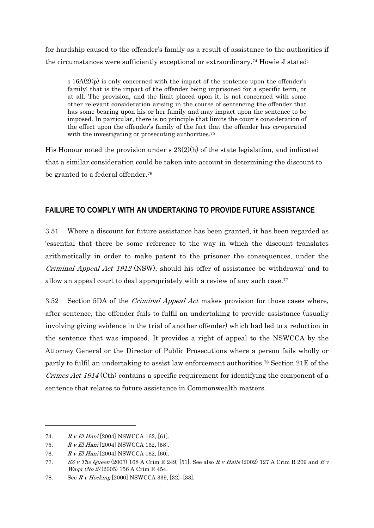for hardship caused to the offender's family as a result of assistance to the authorities if the circumstances were sufficiently exceptional or extraordinary.74 Howie J stated:

s  $16A(2)(p)$  is only concerned with the impact of the sentence upon the offender's family; that is the impact of the offender being imprisoned for a specific term, or at all. The provision, and the limit placed upon it, is not concerned with some other relevant consideration arising in the course of sentencing the offender that has some bearing upon his or her family and may impact upon the sentence to be imposed. In particular, there is no principle that limits the court's consideration of the effect upon the offender's family of the fact that the offender has co-operated with the investigating or prosecuting authorities.<sup>75</sup>

His Honour noted the provision under  $s$  23(2)(h) of the state legislation, and indicated that a similar consideration could be taken into account in determining the discount to be granted to a federal offender.<sup>76</sup>

# **FAILURE TO COMPLY WITH AN UNDERTAKING TO PROVIDE FUTURE ASSISTANCE**

3.51 Where a discount for future assistance has been granted, it has been regarded as 'essential that there be some reference to the way in which the discount translates arithmetically in order to make patent to the prisoner the consequences, under the Criminal Appeal Act 1912 (NSW), should his offer of assistance be withdrawn' and to allow an appeal court to deal appropriately with a review of any such case.<sup>77</sup>

3.52 Section 5DA of the Criminal Appeal Act makes provision for those cases where, after sentence, the offender fails to fulfil an undertaking to provide assistance (usually involving giving evidence in the trial of another offender) which had led to a reduction in the sentence that was imposed. It provides a right of appeal to the NSWCCA by the Attorney General or the Director of Public Prosecutions where a person fails wholly or partly to fulfil an undertaking to assist law enforcement authorities.78 Section 21E of the Crimes Act 1914 (Cth) contains a specific requirement for identifying the component of a sentence that relates to future assistance in Commonwealth matters.

<sup>74.</sup> R v El Hani [2004] NSWCCA 162, [61].

<sup>75.</sup> R v El Hani [2004] NSWCCA 162, [58].

<sup>76.</sup> R v El Hani [2004] NSWCCA 162, [60].

<sup>77.</sup> SZ v The Queen (2007) 168 A Crim R 249, [51]. See also R v Halls (2002) 127 A Crim R 209 and R v Waqa (No 2) (2005) 156 A Crim R 454.

<sup>78.</sup> See R v Hocking [2000] NSWCCA 339, [32]–[33].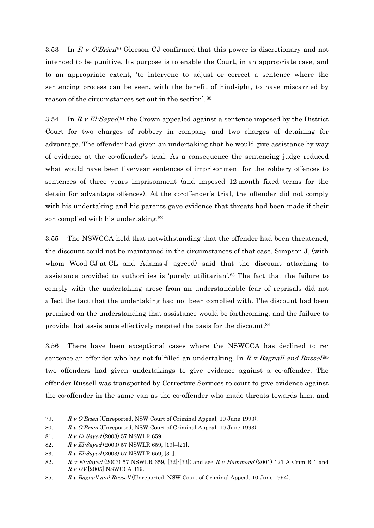3.53 In R v O'Brien79 Gleeson CJ confirmed that this power is discretionary and not intended to be punitive. Its purpose is to enable the Court, in an appropriate case, and to an appropriate extent, 'to intervene to adjust or correct a sentence where the sentencing process can be seen, with the benefit of hindsight, to have miscarried by reason of the circumstances set out in the section'. 80

3.54 In R v El-Sayed,<sup>81</sup> the Crown appealed against a sentence imposed by the District Court for two charges of robbery in company and two charges of detaining for advantage. The offender had given an undertaking that he would give assistance by way of evidence at the co-offender's trial. As a consequence the sentencing judge reduced what would have been five-year sentences of imprisonment for the robbery offences to sentences of three years imprisonment (and imposed 12 month fixed terms for the detain for advantage offences). At the co-offender's trial, the offender did not comply with his undertaking and his parents gave evidence that threats had been made if their son complied with his undertaking.82

3.55 The NSWCCA held that notwithstanding that the offender had been threatened, the discount could not be maintained in the circumstances of that case. Simpson J, (with whom Wood CJ at CL and Adams J agreed) said that the discount attaching to assistance provided to authorities is 'purely utilitarian'.83 The fact that the failure to comply with the undertaking arose from an understandable fear of reprisals did not affect the fact that the undertaking had not been complied with. The discount had been premised on the understanding that assistance would be forthcoming, and the failure to provide that assistance effectively negated the basis for the discount.84

3.56 There have been exceptional cases where the NSWCCA has declined to resentence an offender who has not fulfilled an undertaking. In R v Bagnall and Russell<sup>85</sup> two offenders had given undertakings to give evidence against a co-offender. The offender Russell was transported by Corrective Services to court to give evidence against the co-offender in the same van as the co-offender who made threats towards him, and

<sup>79.</sup> R v O'Brien (Unreported, NSW Court of Criminal Appeal, 10 June 1993).

<sup>80.</sup> R v O'Brien (Unreported, NSW Court of Criminal Appeal, 10 June 1993).

<sup>81.</sup> R v El-Sayed (2003) 57 NSWLR 659.

<sup>82.</sup>  $R \, v \, El \, Sayed (2003) \, 57 \, NSW LR \, 659, [19]–[21].$ 

<sup>83.</sup>  $R \, v \, EI\text{-}Saved (2003) \, 57 \, NSWLR \, 659, \, [31].$ 

<sup>82.</sup> R v El-Sayed (2003) 57 NSWLR 659, [32]-[33]; and see R v Hammond (2001) 121 A Crim R 1 and  $R v DV$ [2005] NSWCCA 319.

<sup>85.</sup> R v Bagnall and Russell (Unreported, NSW Court of Criminal Appeal, 10 June 1994).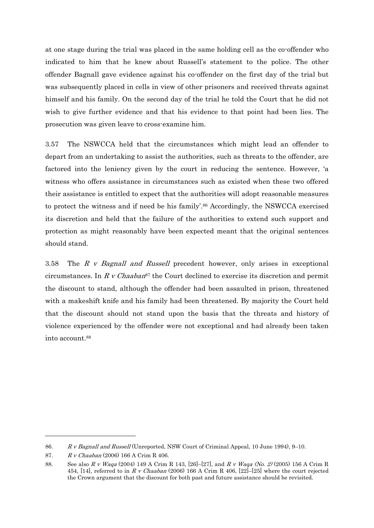at one stage during the trial was placed in the same holding cell as the co-offender who indicated to him that he knew about Russell's statement to the police. The other offender Bagnall gave evidence against his co-offender on the first day of the trial but was subsequently placed in cells in view of other prisoners and received threats against himself and his family. On the second day of the trial he told the Court that he did not wish to give further evidence and that his evidence to that point had been lies. The prosecution was given leave to cross-examine him.

3.57 The NSWCCA held that the circumstances which might lead an offender to depart from an undertaking to assist the authorities, such as threats to the offender, are factored into the leniency given by the court in reducing the sentence. However, 'a witness who offers assistance in circumstances such as existed when these two offered their assistance is entitled to expect that the authorities will adopt reasonable measures to protect the witness and if need be his family'.<sup>86</sup> Accordingly, the NSWCCA exercised its discretion and held that the failure of the authorities to extend such support and protection as might reasonably have been expected meant that the original sentences should stand.

3.58 The R v Bagnall and Russell precedent however, only arises in exceptional circumstances. In R v Chaaban<sup>87</sup> the Court declined to exercise its discretion and permit the discount to stand, although the offender had been assaulted in prison, threatened with a makeshift knife and his family had been threatened. By majority the Court held that the discount should not stand upon the basis that the threats and history of violence experienced by the offender were not exceptional and had already been taken into account.88

1

<sup>86.</sup> R v Bagnall and Russell (Unreported, NSW Court of Criminal Appeal, 10 June 1994), 9–10.

<sup>87.</sup> R v Chaaban (2006) 166 A Crim R 406.

<sup>88.</sup> See also R v Waqa (2004) 149 A Crim R 143, [26]-[27], and R v Waqa (No. 2) (2005) 156 A Crim R 454, [14], referred to in R v Chaaban (2006) 166 A Crim R 406, [22]–[25] where the court rejected the Crown argument that the discount for both past and future assistance should be revisited.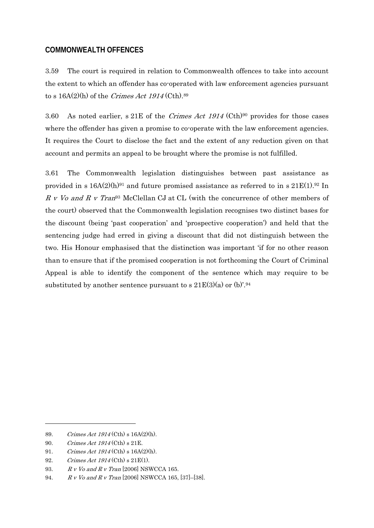### **COMMONWEALTH OFFENCES**

3.59 The court is required in relation to Commonwealth offences to take into account the extent to which an offender has co-operated with law enforcement agencies pursuant to s  $16A(2)(h)$  of the Crimes Act  $1914$  (Cth).89

3.60 As noted earlier, s 21E of the *Crimes Act 1914* (Cth)<sup>90</sup> provides for those cases where the offender has given a promise to co-operate with the law enforcement agencies. It requires the Court to disclose the fact and the extent of any reduction given on that account and permits an appeal to be brought where the promise is not fulfilled.

3.61 The Commonwealth legislation distinguishes between past assistance as provided in s  $16A(2)(h)^{91}$  and future promised assistance as referred to in s  $21E(1).^{92}$  In  $R V$  v  $V$ o and  $R V$  Tran<sup>93</sup> McClellan CJ at CL (with the concurrence of other members of the court) observed that the Commonwealth legislation recognises two distinct bases for the discount (being 'past cooperation' and 'prospective cooperation') and held that the sentencing judge had erred in giving a discount that did not distinguish between the two. His Honour emphasised that the distinction was important 'if for no other reason than to ensure that if the promised cooperation is not forthcoming the Court of Criminal Appeal is able to identify the component of the sentence which may require to be substituted by another sentence pursuant to s  $21E(3)(a)$  or (b)'.<sup>94</sup>

<sup>89.</sup> Crimes Act 1914 (Cth) s 16A(2)(h).

<sup>90.</sup> Crimes Act 1914 (Cth) s 21E.

<sup>91.</sup> Crimes Act 1914 (Cth) s 16A(2)(h).

<sup>92.</sup> Crimes Act 1914 (Cth) s 21E(1).

<sup>93.</sup> R v Vo and R v Tran [2006] NSWCCA 165.

<sup>94.</sup> R v Vo and R v Tran [2006] NSWCCA 165, [37]–[38].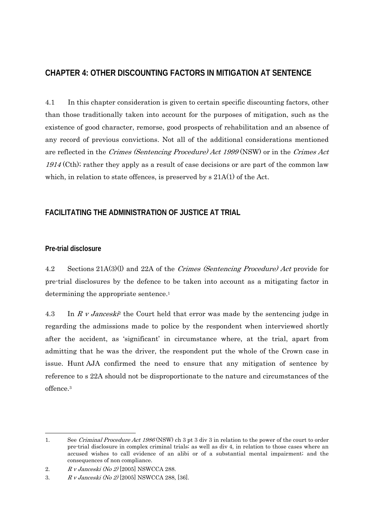# **CHAPTER 4: OTHER DISCOUNTING FACTORS IN MITIGATION AT SENTENCE**

4.1 In this chapter consideration is given to certain specific discounting factors, other than those traditionally taken into account for the purposes of mitigation, such as the existence of good character, remorse, good prospects of rehabilitation and an absence of any record of previous convictions. Not all of the additional considerations mentioned are reflected in the Crimes (Sentencing Procedure) Act 1999 (NSW) or in the Crimes Act 1914 (Cth); rather they apply as a result of case decisions or are part of the common law which, in relation to state offences, is preserved by s  $21A(1)$  of the Act.

# **FACILITATING THE ADMINISTRATION OF JUSTICE AT TRIAL**

### **Pre-trial disclosure**

-

4.2 Sections 21A(3)(l) and 22A of the Crimes (Sentencing Procedure) Act provide for pre-trial disclosures by the defence to be taken into account as a mitigating factor in determining the appropriate sentence.<sup>1</sup>

4.3 In R v Jancesk<sup> $\dot{P}$ </sup> the Court held that error was made by the sentencing judge in regarding the admissions made to police by the respondent when interviewed shortly after the accident, as 'significant' in circumstance where, at the trial, apart from admitting that he was the driver, the respondent put the whole of the Crown case in issue. Hunt AJA confirmed the need to ensure that any mitigation of sentence by reference to s 22A should not be disproportionate to the nature and circumstances of the offence.3

<sup>1.</sup> See Criminal Procedure Act 1986 (NSW) ch 3 pt 3 div 3 in relation to the power of the court to order pre-trial disclosure in complex criminal trials; as well as div 4, in relation to those cases where an accused wishes to call evidence of an alibi or of a substantial mental impairment; and the consequences of non compliance.

<sup>2.</sup> R v Janceski (No 2) [2005] NSWCCA 288.

<sup>3.</sup> R v Janceski (No 2) [2005] NSWCCA 288, [36].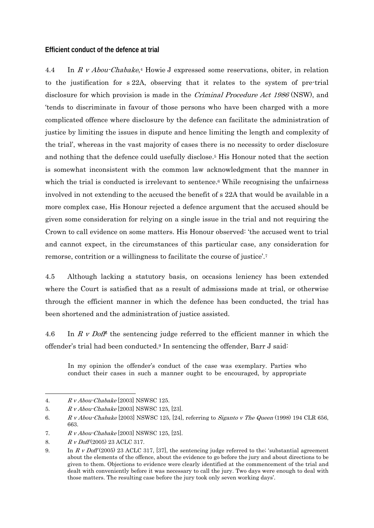#### **Efficient conduct of the defence at trial**

4.4 In R v Abou-Chabake,4 Howie J expressed some reservations, obiter, in relation to the justification for s 22A, observing that it relates to the system of pre-trial disclosure for which provision is made in the *Criminal Procedure Act 1986* (NSW), and 'tends to discriminate in favour of those persons who have been charged with a more complicated offence where disclosure by the defence can facilitate the administration of justice by limiting the issues in dispute and hence limiting the length and complexity of the trial', whereas in the vast majority of cases there is no necessity to order disclosure and nothing that the defence could usefully disclose.5 His Honour noted that the section is somewhat inconsistent with the common law acknowledgment that the manner in which the trial is conducted is irrelevant to sentence.<sup>6</sup> While recognising the unfairness involved in not extending to the accused the benefit of s 22A that would be available in a more complex case, His Honour rejected a defence argument that the accused should be given some consideration for relying on a single issue in the trial and not requiring the Crown to call evidence on some matters. His Honour observed: 'the accused went to trial and cannot expect, in the circumstances of this particular case, any consideration for remorse, contrition or a willingness to facilitate the course of justice'.7

4.5 Although lacking a statutory basis, on occasions leniency has been extended where the Court is satisfied that as a result of admissions made at trial, or otherwise through the efficient manner in which the defence has been conducted, the trial has been shortened and the administration of justice assisted.

4.6 In R v Doff<sup>8</sup> the sentencing judge referred to the efficient manner in which the offender's trial had been conducted.9 In sentencing the offender, Barr J said:

In my opinion the offender's conduct of the case was exemplary. Parties who conduct their cases in such a manner ought to be encouraged, by appropriate

<sup>-</sup>4. R v Abou-Chabake [2003] NSWSC 125.

<sup>5.</sup> R v Abou-Chabake [2003] NSWSC 125, [23].

<sup>6.</sup> R v Abou-Chabake [2003] NSWSC 125, [24], referring to *Siganto v The Queen* (1998) 194 CLR 656, 663.

<sup>7.</sup> R v Abou-Chabake [2003] NSWSC 125, [25].

<sup>8.</sup> R v Doff (2005) 23 ACLC 317.

<sup>9.</sup> In R v Doff (2005) 23 ACLC 317, [37], the sentencing judge referred to the substantial agreement about the elements of the offence, about the evidence to go before the jury and about directions to be given to them. Objections to evidence were clearly identified at the commencement of the trial and dealt with conveniently before it was necessary to call the jury. Two days were enough to deal with those matters. The resulting case before the jury took only seven working days'.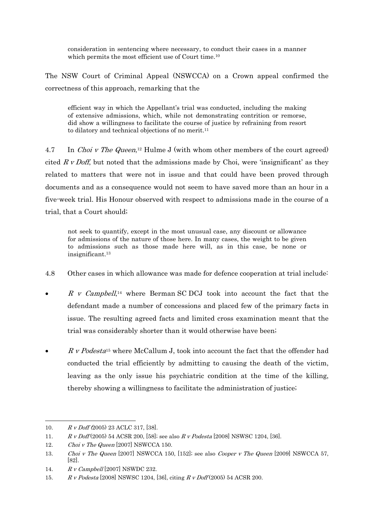consideration in sentencing where necessary, to conduct their cases in a manner which permits the most efficient use of Court time.10

The NSW Court of Criminal Appeal (NSWCCA) on a Crown appeal confirmed the correctness of this approach, remarking that the

efficient way in which the Appellant's trial was conducted, including the making of extensive admissions, which, while not demonstrating contrition or remorse, did show a willingness to facilitate the course of justice by refraining from resort to dilatory and technical objections of no merit.11

4.7 In Choi v The Queen,<sup>12</sup> Hulme J (with whom other members of the court agreed) cited  $R v$  *Doff*, but noted that the admissions made by Choi, were 'insignificant' as they related to matters that were not in issue and that could have been proved through documents and as a consequence would not seem to have saved more than an hour in a five-week trial. His Honour observed with respect to admissions made in the course of a trial, that a Court should;

not seek to quantify, except in the most unusual case, any discount or allowance for admissions of the nature of those here. In many cases, the weight to be given to admissions such as those made here will, as in this case, be none or insignificant.13

- 4.8 Other cases in which allowance was made for defence cooperation at trial include:
- R v Campbell,<sup>14</sup> where Berman SC DCJ took into account the fact that the defendant made a number of concessions and placed few of the primary facts in issue. The resulting agreed facts and limited cross examination meant that the trial was considerably shorter than it would otherwise have been;
- R v Podesta<sup>15</sup> where McCallum J, took into account the fact that the offender had conducted the trial efficiently by admitting to causing the death of the victim, leaving as the only issue his psychiatric condition at the time of the killing, thereby showing a willingness to facilitate the administration of justice;

1

<sup>10.</sup>  $R \, v \, \text{Doff} (2005) \, 23 \, \text{ACLC} \, 317, \, [38]$ .

<sup>11.</sup> R v Doff (2005) 54 ACSR 200, [58]; see also R v Podesta [2008] NSWSC 1204, [36].

<sup>12.</sup> Choi v The Queen [2007] NSWCCA 150.

<sup>13.</sup> Choi v The Queen [2007] NSWCCA 150, [152]; see also Cooper v The Queen [2009] NSWCCA 57, [82].

<sup>14.</sup> R v Campbell [2007] NSWDC 232.

<sup>15.</sup> R v Podesta [2008] NSWSC 1204, [36], citing R v Doff (2005) 54 ACSR 200.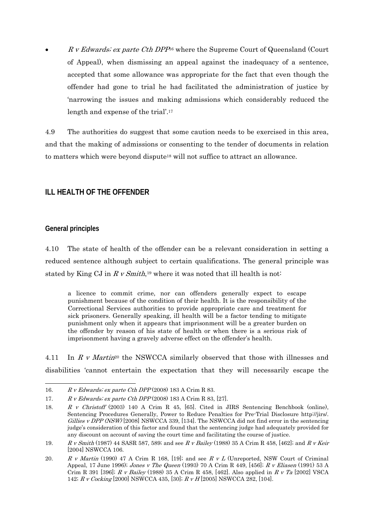$R$  v Edwards; ex parte Cth DPP<sup>6</sup> where the Supreme Court of Queensland (Court of Appeal), when dismissing an appeal against the inadequacy of a sentence, accepted that some allowance was appropriate for the fact that even though the offender had gone to trial he had facilitated the administration of justice by 'narrowing the issues and making admissions which considerably reduced the length and expense of the trial'.17

4.9 The authorities do suggest that some caution needs to be exercised in this area, and that the making of admissions or consenting to the tender of documents in relation to matters which were beyond dispute18 will not suffice to attract an allowance.

### **ILL HEALTH OF THE OFFENDER**

### **General principles**

 $\overline{a}$ 

4.10 The state of health of the offender can be a relevant consideration in setting a reduced sentence although subject to certain qualifications. The general principle was stated by King CJ in  $R v Smith$ ,<sup>19</sup> where it was noted that ill health is not

a licence to commit crime, nor can offenders generally expect to escape punishment because of the condition of their health. It is the responsibility of the Correctional Services authorities to provide appropriate care and treatment for sick prisoners. Generally speaking, ill health will be a factor tending to mitigate punishment only when it appears that imprisonment will be a greater burden on the offender by reason of his state of health or when there is a serious risk of imprisonment having a gravely adverse effect on the offender's health.

4.11 In  $R$  v Martin<sup>20</sup> the NSWCCA similarly observed that those with illnesses and disabilities 'cannot entertain the expectation that they will necessarily escape the

<sup>16.</sup> R v Edwards; ex parte Cth DPP (2008) 183 A Crim R 83.

<sup>17.</sup> R v Edwards; ex parte Cth DPP (2008) 183 A Crim R 83, [27].

<sup>18.</sup> R v Christoff (2003) 140 A Crim R 45, [65]. Cited in JIRS Sentencing Benchbook (online), Sentencing Procedures Generally, Power to Reduce Penalties for Pre-Trial Disclosure http://jirs/. Gillies v DPP (NSW) [2008] NSWCCA 339, [134]. The NSWCCA did not find error in the sentencing judge's consideration of this factor and found that the sentencing judge had adequately provided for any discount on account of saving the court time and facilitating the course of justice.

<sup>19.</sup> R v Smith (1987) 44 SASR 587, 589; and see R v Bailey (1988) 35 A Crim R 458, [462]; and R v Keir [2004] NSWCCA 106.

<sup>20.</sup> R v Martin (1990) 47 A Crim R 168, [19]; and see R v L (Unreported, NSW Court of Criminal Appeal, 17 June 1996); Jones v The Queen (1993) 70 A Crim R 449, [456]; R v Eliasen (1991) 53 A Crim R 391 [396];  $R$  v Bailey (1988) 35 A Crim R 458, [462]. Also applied in  $R$  v Ta [2002] VSCA 142; R v Cocking [2000] NSWCCA 435, [30]; R v H [2005] NSWCCA 282, [104].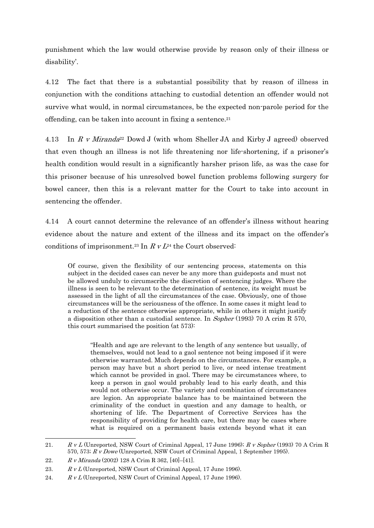punishment which the law would otherwise provide by reason only of their illness or disability'.

4.12 The fact that there is a substantial possibility that by reason of illness in conjunction with the conditions attaching to custodial detention an offender would not survive what would, in normal circumstances, be the expected non-parole period for the offending, can be taken into account in fixing a sentence.21

4.13 In R v Miranda<sup>22</sup> Dowd J (with whom Sheller JA and Kirby J agreed) observed that even though an illness is not life threatening nor life-shortening, if a prisoner's health condition would result in a significantly harsher prison life, as was the case for this prisoner because of his unresolved bowel function problems following surgery for bowel cancer, then this is a relevant matter for the Court to take into account in sentencing the offender.

4.14 A court cannot determine the relevance of an offender's illness without hearing evidence about the nature and extent of the illness and its impact on the offender's conditions of imprisonment.<sup>23</sup> In  $R$  v  $L^{24}$  the Court observed:

Of course, given the flexibility of our sentencing process, statements on this subject in the decided cases can never be any more than guideposts and must not be allowed unduly to circumscribe the discretion of sentencing judges. Where the illness is seen to be relevant to the determination of sentence, its weight must be assessed in the light of all the circumstances of the case. Obviously, one of those circumstances will be the seriousness of the offence. In some cases it might lead to a reduction of the sentence otherwise appropriate, while in others it might justify a disposition other than a custodial sentence. In Sopher (1993) 70 A crim R 570, this court summarised the position (at 573):

"Health and age are relevant to the length of any sentence but usually, of themselves, would not lead to a gaol sentence not being imposed if it were otherwise warranted. Much depends on the circumstances. For example, a person may have but a short period to live, or need intense treatment which cannot be provided in gaol. There may be circumstances where, to keep a person in gaol would probably lead to his early death, and this would not otherwise occur. The variety and combination of circumstances are legion. An appropriate balance has to be maintained between the criminality of the conduct in question and any damage to health, or shortening of life. The Department of Corrective Services has the responsibility of providing for health care, but there may be cases where what is required on a permanent basis extends beyond what it can

<sup>21.</sup> R v L (Unreported, NSW Court of Criminal Appeal, 17 June 1996); R v Sopher (1993) 70 A Crim R 570, 573; R v Dowe (Unreported, NSW Court of Criminal Appeal, 1 September 1995).

<sup>22.</sup> R v Miranda (2002) 128 A Crim R 362, [40]–[41].

<sup>23.</sup>  $R v L$  (Unreported, NSW Court of Criminal Appeal, 17 June 1996).

<sup>24.</sup>  $R v L$  (Unreported, NSW Court of Criminal Appeal, 17 June 1996).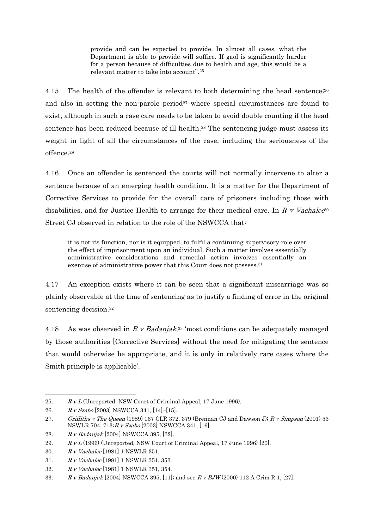provide and can be expected to provide. In almost all cases, what the Department is able to provide will suffice. If gaol is significantly harder for a person because of difficulties due to health and age, this would be a relevant matter to take into account".25

4.15 The health of the offender is relevant to both determining the head sentence;<sup>26</sup> and also in setting the non-parole period<sup>27</sup> where special circumstances are found to exist, although in such a case care needs to be taken to avoid double counting if the head sentence has been reduced because of ill health.28 The sentencing judge must assess its weight in light of all the circumstances of the case, including the seriousness of the offence.29

4.16 Once an offender is sentenced the courts will not normally intervene to alter a sentence because of an emerging health condition. It is a matter for the Department of Corrective Services to provide for the overall care of prisoners including those with disabilities, and for Justice Health to arrange for their medical care. In R v Vachalec<sup>30</sup> Street CJ observed in relation to the role of the NSWCCA that:

it is not its function, nor is it equipped, to fulfil a continuing supervisory role over the effect of imprisonment upon an individual. Such a matter involves essentially administrative considerations and remedial action involves essentially an exercise of administrative power that this Court does not possess.<sup>31</sup>

4.17 An exception exists where it can be seen that a significant miscarriage was so plainly observable at the time of sentencing as to justify a finding of error in the original sentencing decision.32

4.18 As was observed in R v Badanjak,<sup>33</sup> 'most conditions can be adequately managed by those authorities [Corrective Services] without the need for mitigating the sentence that would otherwise be appropriate, and it is only in relatively rare cases where the Smith principle is applicable'.

<sup>25.</sup> R v L (Unreported, NSW Court of Criminal Appeal, 17 June 1996).

<sup>26.</sup> R v Szabo [2003] NSWCCA 341, [14]–[15].

<sup>27.</sup> Griffiths v The Queen (1989) 167 CLR 372, 379 (Brennan CJ and Dawson J);  $R$  v Simpson (2001) 53 NSWLR 704, 713;R v Szabo [2003] NSWCCA 341, [16].

<sup>28.</sup> R v Badanjak [2004] NSWCCA 395, [32].

<sup>29.</sup>  $R v L (1996)$  (Unreported, NSW Court of Criminal Appeal, 17 June 1996) [20].

<sup>30.</sup> R v Vachalec [1981] 1 NSWLR 351.

<sup>31.</sup> R v Vachalec [1981] 1 NSWLR 351, 353.

<sup>32.</sup> R v Vachalec [1981] 1 NSWLR 351, 354.

<sup>33.</sup> R v Badanjak [2004] NSWCCA 395, [11]; and see R v BJW (2000) 112 A Crim R 1, [27].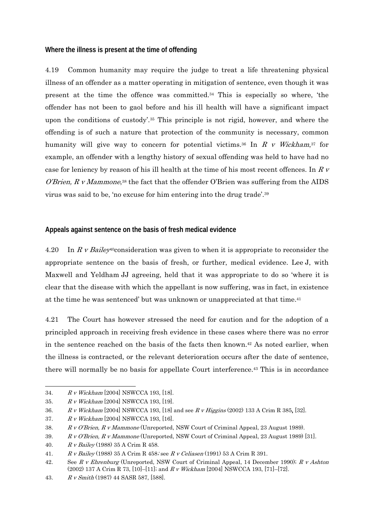#### **Where the illness is present at the time of offending**

4.19 Common humanity may require the judge to treat a life threatening physical illness of an offender as a matter operating in mitigation of sentence, even though it was present at the time the offence was committed.34 This is especially so where, 'the offender has not been to gaol before and his ill health will have a significant impact upon the conditions of custody'.35 This principle is not rigid, however, and where the offending is of such a nature that protection of the community is necessary, common humanity will give way to concern for potential victims.<sup>36</sup> In  $R$  v Wickham,<sup>37</sup> for example, an offender with a lengthy history of sexual offending was held to have had no case for leniency by reason of his ill health at the time of his most recent offences. In R v *O'Brien, R v Mammone*,<sup>38</sup> the fact that the offender O'Brien was suffering from the AIDS virus was said to be, 'no excuse for him entering into the drug trade'.39

### **Appeals against sentence on the basis of fresh medical evidence**

4.20 In R v Bailey<sup>40</sup>consideration was given to when it is appropriate to reconsider the appropriate sentence on the basis of fresh, or further, medical evidence. Lee J, with Maxwell and Yeldham JJ agreeing, held that it was appropriate to do so 'where it is clear that the disease with which the appellant is now suffering, was in fact, in existence at the time he was sentenced' but was unknown or unappreciated at that time.41

4.21 The Court has however stressed the need for caution and for the adoption of a principled approach in receiving fresh evidence in these cases where there was no error in the sentence reached on the basis of the facts then known.42 As noted earlier, when the illness is contracted, or the relevant deterioration occurs after the date of sentence, there will normally be no basis for appellate Court interference.43 This is in accordance

<sup>34.</sup> R v Wickham [2004] NSWCCA 193, [18].

<sup>35.</sup> R v Wickham [2004] NSWCCA 193, [19].

<sup>36.</sup> R v Wickham [2004] NSWCCA 193, [18] and see R v Higgins (2002) 133 A Crim R 385, [32].

<sup>37.</sup> R v Wickham [2004] NSWCCA 193, [16].

<sup>38.</sup> R v O'Brien, R v Mammone (Unreported, NSW Court of Criminal Appeal, 23 August 1989).

<sup>39.</sup> R v O'Brien, R v Mammone (Unreported, NSW Court of Criminal Appeal, 23 August 1989) [31].

<sup>40.</sup> R v Bailey (1988) 35 A Crim R 458.

<sup>41.</sup> R v Bailey (1988) 35 A Crim R 458; see R v Celiasen (1991) 53 A Crim R 391.

<sup>42.</sup> See R v Ehrenburg (Unreported, NSW Court of Criminal Appeal, 14 December 1990); R v Ashton (2002) 137 A Crim R 73, [10]–[11]; and R v Wickham [2004] NSWCCA 193, [71]–[72].

<sup>43.</sup> R v Smith (1987) 44 SASR 587, [588].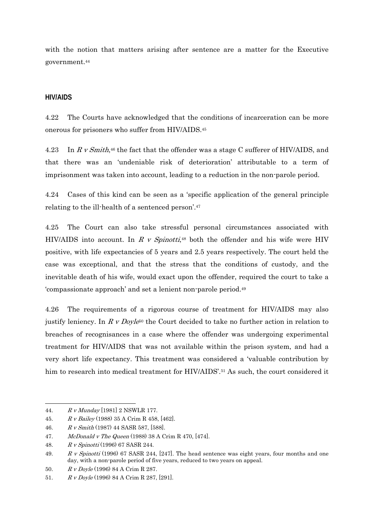with the notion that matters arising after sentence are a matter for the Executive government.44

#### **HIV/AIDS**

4.22 The Courts have acknowledged that the conditions of incarceration can be more onerous for prisoners who suffer from HIV/AIDS.45

4.23 In R v Smith,<sup>46</sup> the fact that the offender was a stage C sufferer of HIV/AIDS, and that there was an 'undeniable risk of deterioration' attributable to a term of imprisonment was taken into account, leading to a reduction in the non-parole period.

4.24 Cases of this kind can be seen as a 'specific application of the general principle relating to the ill-health of a sentenced person'.47

4.25 The Court can also take stressful personal circumstances associated with HIV/AIDS into account. In R v Spinotti,<sup>48</sup> both the offender and his wife were HIV positive, with life expectancies of 5 years and 2.5 years respectively. The court held the case was exceptional, and that the stress that the conditions of custody, and the inevitable death of his wife, would exact upon the offender, required the court to take a 'compassionate approach' and set a lenient non-parole period.49

4.26 The requirements of a rigorous course of treatment for HIV/AIDS may also justify leniency. In R v Doyle<sup>50</sup> the Court decided to take no further action in relation to breaches of recognisances in a case where the offender was undergoing experimental treatment for HIV/AIDS that was not available within the prison system, and had a very short life expectancy. This treatment was considered a 'valuable contribution by him to research into medical treatment for HIV/AIDS'.<sup>51</sup> As such, the court considered it

<sup>44.</sup> R v Munday [1981] 2 NSWLR 177.

<sup>45.</sup> R v Bailey (1988) 35 A Crim R 458, [462].

<sup>46.</sup> R v Smith (1987) 44 SASR 587, [588].

<sup>47.</sup> McDonald v The Queen (1988) 38 A Crim R 470, [474].

<sup>48.</sup> R v Spinotti (1996) 67 SASR 244.

<sup>49.</sup> R v Spinotti (1996) 67 SASR 244, [247]. The head sentence was eight years, four months and one day, with a non-parole period of five years, reduced to two years on appeal.

<sup>50.</sup> R v Doyle (1996) 84 A Crim R 287.

<sup>51.</sup> R v Doyle (1996) 84 A Crim R 287, [291].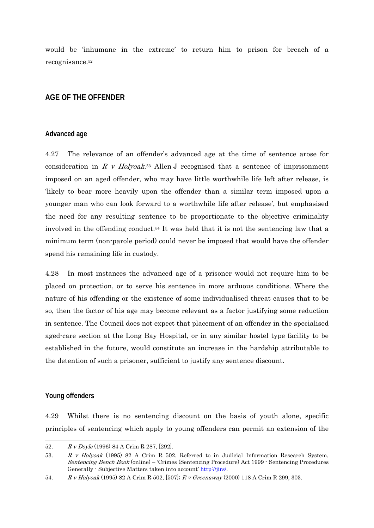would be 'inhumane in the extreme' to return him to prison for breach of a recognisance.52

## **AGE OF THE OFFENDER**

#### **Advanced age**

4.27 The relevance of an offender's advanced age at the time of sentence arose for consideration in R v Holyoak.<sup>53</sup> Allen J recognised that a sentence of imprisonment imposed on an aged offender, who may have little worthwhile life left after release, is 'likely to bear more heavily upon the offender than a similar term imposed upon a younger man who can look forward to a worthwhile life after release', but emphasised the need for any resulting sentence to be proportionate to the objective criminality involved in the offending conduct.54 It was held that it is not the sentencing law that a minimum term (non-parole period) could never be imposed that would have the offender spend his remaining life in custody.

4.28 In most instances the advanced age of a prisoner would not require him to be placed on protection, or to serve his sentence in more arduous conditions. Where the nature of his offending or the existence of some individualised threat causes that to be so, then the factor of his age may become relevant as a factor justifying some reduction in sentence. The Council does not expect that placement of an offender in the specialised aged-care section at the Long Bay Hospital, or in any similar hostel type facility to be established in the future, would constitute an increase in the hardship attributable to the detention of such a prisoner, sufficient to justify any sentence discount.

#### **Young offenders**

-

4.29 Whilst there is no sentencing discount on the basis of youth alone, specific principles of sentencing which apply to young offenders can permit an extension of the

<sup>52.</sup> R v Doyle (1996) 84 A Crim R 287, [292].

<sup>53.</sup> R v Holyoak (1995) 82 A Crim R 502. Referred to in Judicial Information Research System, Sentencing Bench Book (online) – 'Crimes (Sentencing Procedure) Act 1999 - Sentencing Procedures Generally - Subjective Matters taken into account' http://jirs/.

<sup>54.</sup> R v Holyoak (1995) 82 A Crim R 502, [507]; R v Greenaway (2000) 118 A Crim R 299, 303.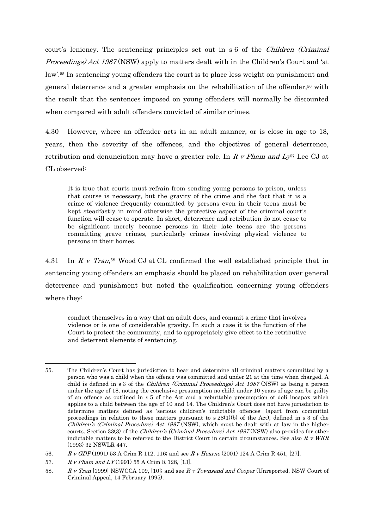court's leniency. The sentencing principles set out in s 6 of the *Children (Criminal*) Proceedings) Act 1987 (NSW) apply to matters dealt with in the Children's Court and 'at law'.55 In sentencing young offenders the court is to place less weight on punishment and general deterrence and a greater emphasis on the rehabilitation of the offender,56 with the result that the sentences imposed on young offenders will normally be discounted when compared with adult offenders convicted of similar crimes.

4.30 However, where an offender acts in an adult manner, or is close in age to 18, years, then the severity of the offences, and the objectives of general deterrence, retribution and denunciation may have a greater role. In R v Pham and  $L_{\rm V}^{57}$  Lee CJ at CL observed:

It is true that courts must refrain from sending young persons to prison, unless that course is necessary, but the gravity of the crime and the fact that it is a crime of violence frequently committed by persons even in their teens must be kept steadfastly in mind otherwise the protective aspect of the criminal court's function will cease to operate. In short, deterrence and retribution do not cease to be significant merely because persons in their late teens are the persons committing grave crimes, particularly crimes involving physical violence to persons in their homes.

4.31 In R v Tran,<sup>58</sup> Wood CJ at CL confirmed the well established principle that in sentencing young offenders an emphasis should be placed on rehabilitation over general deterrence and punishment but noted the qualification concerning young offenders where they:

conduct themselves in a way that an adult does, and commit a crime that involves violence or is one of considerable gravity. In such a case it is the function of the Court to protect the community, and to appropriately give effect to the retributive and deterrent elements of sentencing.

<sup>55.</sup> The Children's Court has jurisdiction to hear and determine all criminal matters committed by a person who was a child when the offence was committed and under 21 at the time when charged. A child is defined in s 3 of the *Children (Criminal Proceedings) Act 1987* (NSW) as being a person under the age of 18, noting the conclusive presumption no child under 10 years of age can be guilty of an offence as outlined in s 5 of the Act and a rebuttable presumption of doli incapax which applies to a child between the age of 10 and 14. The Children's Court does not have jurisdiction to determine matters defined as 'serious children's indictable offences' (apart from committal proceedings in relation to these matters pursuant to  $s 28(1)(b)$  of the Act), defined in s 3 of the Children's (Criminal Procedure) Act 1987 (NSW), which must be dealt with at law in the higher courts. Section 33(3) of the *Children's (Criminal Procedure) Act 1987* (NSW) also provides for other indictable matters to be referred to the District Court in certain circumstances. See also  $R V W K R$ (1993) 32 NSWLR 447.

<sup>56.</sup> R v GDP (1991) 53 A Crim R 112, 116; and see R v Hearne (2001) 124 A Crim R 451, [27].

<sup>57.</sup>  $R \, v \, Pham$  and  $LY$  (1991) 55 A Crim R 128, [13].

<sup>58.</sup> R v Tran [1999] NSWCCA 109, [10]; and see R v Townsend and Cooper (Unreported, NSW Court of Criminal Appeal, 14 February 1995).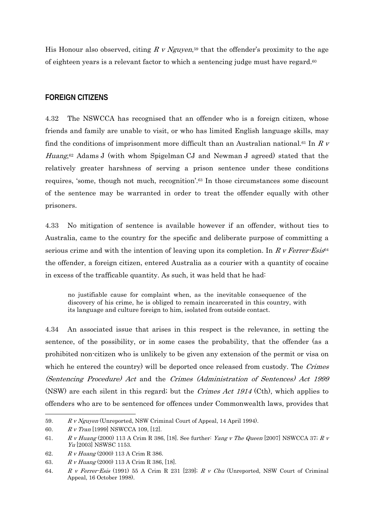His Honour also observed, citing R v Nguyen,<sup>59</sup> that the offender's proximity to the age of eighteen years is a relevant factor to which a sentencing judge must have regard.60

#### **FOREIGN CITIZENS**

4.32 The NSWCCA has recognised that an offender who is a foreign citizen, whose friends and family are unable to visit, or who has limited English language skills, may find the conditions of imprisonment more difficult than an Australian national.<sup>61</sup> In R v *Huang*<sup>62</sup> Adams J (with whom Spigelman CJ and Newman J agreed) stated that the relatively greater harshness of serving a prison sentence under these conditions requires, 'some, though not much, recognition'.63 In those circumstances some discount of the sentence may be warranted in order to treat the offender equally with other prisoners.

4.33 No mitigation of sentence is available however if an offender, without ties to Australia, came to the country for the specific and deliberate purpose of committing a serious crime and with the intention of leaving upon its completion. In R v Ferrer-Esis<sup>64</sup> the offender, a foreign citizen, entered Australia as a courier with a quantity of cocaine in excess of the trafficable quantity. As such, it was held that he had:

no justifiable cause for complaint when, as the inevitable consequence of the discovery of his crime, he is obliged to remain incarcerated in this country, with its language and culture foreign to him, isolated from outside contact.

4.34 An associated issue that arises in this respect is the relevance, in setting the sentence, of the possibility, or in some cases the probability, that the offender (as a prohibited non-citizen who is unlikely to be given any extension of the permit or visa on which he entered the country) will be deported once released from custody. The Crimes (Sentencing Procedure) Act and the Crimes (Administration of Sentences) Act 1999 (NSW) are each silent in this regard; but the Crimes Act 1914 (Cth), which applies to offenders who are to be sentenced for offences under Commonwealth laws, provides that

<sup>59.</sup> R v Nguyen (Unreported, NSW Criminal Court of Appeal, 14 April 1994).

<sup>60.</sup> R v Tran [1999] NSWCCA 109, [12].

<sup>61.</sup> R v Huang (2000) 113 A Crim R 386, [18]. See further: Yang v The Queen [2007] NSWCCA 37; R v Yu [2003] NSWSC 1153.

<sup>62.</sup> R v Huang (2000) 113 A Crim R 386.

<sup>63.</sup> R v Huang (2000) 113 A Crim R 386, [18].

<sup>64.</sup> R v Ferrer-Esis (1991) 55 A Crim R 231 [239]; R v Chu (Unreported, NSW Court of Criminal Appeal, 16 October 1998).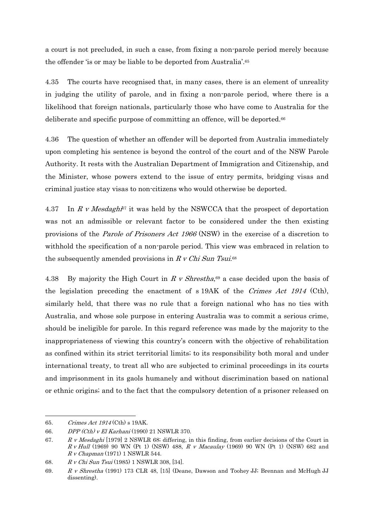a court is not precluded, in such a case, from fixing a non-parole period merely because the offender 'is or may be liable to be deported from Australia'.65

4.35 The courts have recognised that, in many cases, there is an element of unreality in judging the utility of parole, and in fixing a non-parole period, where there is a likelihood that foreign nationals, particularly those who have come to Australia for the deliberate and specific purpose of committing an offence, will be deported.66

4.36 The question of whether an offender will be deported from Australia immediately upon completing his sentence is beyond the control of the court and of the NSW Parole Authority. It rests with the Australian Department of Immigration and Citizenship, and the Minister, whose powers extend to the issue of entry permits, bridging visas and criminal justice stay visas to non-citizens who would otherwise be deported.

4.37 In R v Mesdaghi<sup>87</sup> it was held by the NSWCCA that the prospect of deportation was not an admissible or relevant factor to be considered under the then existing provisions of the Parole of Prisoners Act 1966 (NSW) in the exercise of a discretion to withhold the specification of a non-parole period. This view was embraced in relation to the subsequently amended provisions in R v Chi Sun Tsui.<sup>68</sup>

4.38 By majority the High Court in R v Shrestha,<sup>69</sup> a case decided upon the basis of the legislation preceding the enactment of s 19AK of the Crimes Act 1914 (Cth), similarly held, that there was no rule that a foreign national who has no ties with Australia, and whose sole purpose in entering Australia was to commit a serious crime, should be ineligible for parole. In this regard reference was made by the majority to the inappropriateness of viewing this country's concern with the objective of rehabilitation as confined within its strict territorial limits; to its responsibility both moral and under international treaty, to treat all who are subjected to criminal proceedings in its courts and imprisonment in its gaols humanely and without discrimination based on national or ethnic origins; and to the fact that the compulsory detention of a prisoner released on

 $\overline{a}$ 65. Crimes Act 1914 (Cth) s 19AK.

<sup>66.</sup> DPP (Cth) v El Karhani (1990) 21 NSWLR 370.

<sup>67.</sup> R v Mesdaghi [1979] 2 NSWLR 68; differing, in this finding, from earlier decisions of the Court in  $R v$  Hull (1969) 90 WN (Pt 1) (NSW) 488,  $R v$  Macaulay (1969) 90 WN (Pt 1) (NSW) 682 and R v Chapman (1971) 1 NSWLR 544.

<sup>68.</sup> R v Chi Sun Tsui (1985) 1 NSWLR 308, [34].

<sup>69.</sup> R v Shrestha (1991) 173 CLR 48, [15] (Deane, Dawson and Toohey JJ; Brennan and McHugh JJ dissenting).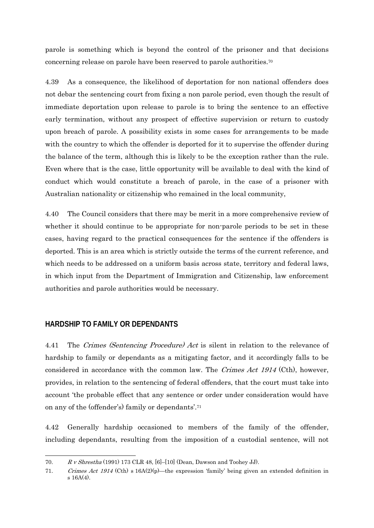parole is something which is beyond the control of the prisoner and that decisions concerning release on parole have been reserved to parole authorities.70

4.39 As a consequence, the likelihood of deportation for non national offenders does not debar the sentencing court from fixing a non parole period, even though the result of immediate deportation upon release to parole is to bring the sentence to an effective early termination, without any prospect of effective supervision or return to custody upon breach of parole. A possibility exists in some cases for arrangements to be made with the country to which the offender is deported for it to supervise the offender during the balance of the term, although this is likely to be the exception rather than the rule. Even where that is the case, little opportunity will be available to deal with the kind of conduct which would constitute a breach of parole, in the case of a prisoner with Australian nationality or citizenship who remained in the local community,

4.40 The Council considers that there may be merit in a more comprehensive review of whether it should continue to be appropriate for non-parole periods to be set in these cases, having regard to the practical consequences for the sentence if the offenders is deported. This is an area which is strictly outside the terms of the current reference, and which needs to be addressed on a uniform basis across state, territory and federal laws, in which input from the Department of Immigration and Citizenship, law enforcement authorities and parole authorities would be necessary.

#### **HARDSHIP TO FAMILY OR DEPENDANTS**

 $\overline{a}$ 

4.41 The Crimes (Sentencing Procedure) Act is silent in relation to the relevance of hardship to family or dependants as a mitigating factor, and it accordingly falls to be considered in accordance with the common law. The Crimes Act 1914 (Cth), however, provides, in relation to the sentencing of federal offenders, that the court must take into account 'the probable effect that any sentence or order under consideration would have on any of the (offender's) family or dependants'.71

4.42 Generally hardship occasioned to members of the family of the offender, including dependants, resulting from the imposition of a custodial sentence, will not

<sup>70.</sup>  $R \text{ v Shrestha}$  (1991) 173 CLR 48, [6]-[10] (Dean, Dawson and Toohey JJ).

<sup>71.</sup> Crimes Act 1914 (Cth) s 16A(2)(p)—the expression 'family' being given an extended definition in s 16A(4).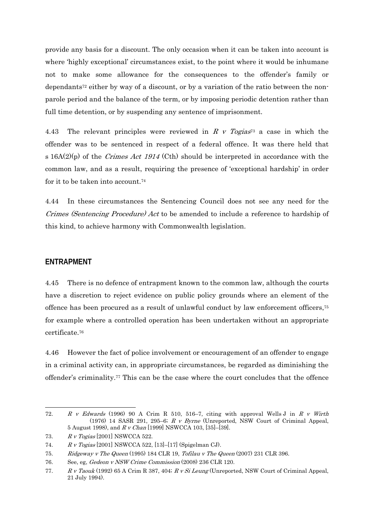provide any basis for a discount. The only occasion when it can be taken into account is where 'highly exceptional' circumstances exist, to the point where it would be inhumane not to make some allowance for the consequences to the offender's family or dependants72 either by way of a discount, or by a variation of the ratio between the nonparole period and the balance of the term, or by imposing periodic detention rather than full time detention, or by suspending any sentence of imprisonment.

4.43 The relevant principles were reviewed in R v Togias<sup>73</sup> a case in which the offender was to be sentenced in respect of a federal offence. It was there held that s  $16A(2)(p)$  of the *Crimes Act 1914* (Cth) should be interpreted in accordance with the common law, and as a result, requiring the presence of 'exceptional hardship' in order for it to be taken into account.74

4.44 In these circumstances the Sentencing Council does not see any need for the Crimes (Sentencing Procedure) Act to be amended to include a reference to hardship of this kind, to achieve harmony with Commonwealth legislation.

#### **ENTRAPMENT**

 $\overline{a}$ 

4.45 There is no defence of entrapment known to the common law, although the courts have a discretion to reject evidence on public policy grounds where an element of the offence has been procured as a result of unlawful conduct by law enforcement officers,75 for example where a controlled operation has been undertaken without an appropriate certificate.76

4.46 However the fact of police involvement or encouragement of an offender to engage in a criminal activity can, in appropriate circumstances, be regarded as diminishing the offender's criminality.77 This can be the case where the court concludes that the offence

<sup>72.</sup> R v Edwards (1996) 90 A Crim R 510, 516–7, citing with approval Wells J in R v Wirth (1976) 14 SASR 291, 295–6; R v Byrne (Unreported, NSW Court of Criminal Appeal, 5 August 1998), and R v Chan [1999] NSWCCA 103, [35]–[39].

<sup>73.</sup> R v Togias [2001] NSWCCA 522.

<sup>74.</sup> R v Togias [2001] NSWCCA 522, [13]–[17] (Spigelman CJ).

<sup>75.</sup> Ridgeway v The Queen (1995) 184 CLR 19, Tofilau v The Queen (2007) 231 CLR 396.

<sup>76.</sup> See, eg, Gedeon v NSW Crime Commission (2008) 236 CLR 120.

<sup>77.</sup> R v Taouk (1992) 65 A Crim R 387, 404; R v Si Leung (Unreported, NSW Court of Criminal Appeal, 21 July 1994).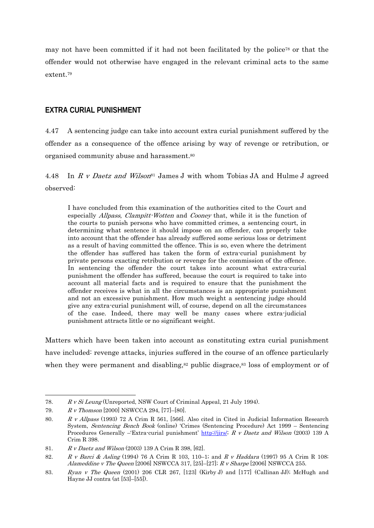may not have been committed if it had not been facilitated by the police<sup>78</sup> or that the offender would not otherwise have engaged in the relevant criminal acts to the same extent.79

#### **EXTRA CURIAL PUNISHMENT**

4.47 A sentencing judge can take into account extra curial punishment suffered by the offender as a consequence of the offence arising by way of revenge or retribution, or organised community abuse and harassment.80

4.48 In R v Daetz and Wilson<sup>81</sup> James J with whom Tobias JA and Hulme J agreed observed:

I have concluded from this examination of the authorities cited to the Court and especially Allpass, Clampitt-Wotten and Cooney that, while it is the function of the courts to punish persons who have committed crimes, a sentencing court, in determining what sentence it should impose on an offender, can properly take into account that the offender has already suffered some serious loss or detriment as a result of having committed the offence. This is so, even where the detriment the offender has suffered has taken the form of extra-curial punishment by private persons exacting retribution or revenge for the commission of the offence. In sentencing the offender the court takes into account what extra-curial punishment the offender has suffered, because the court is required to take into account all material facts and is required to ensure that the punishment the offender receives is what in all the circumstances is an appropriate punishment and not an excessive punishment. How much weight a sentencing judge should give any extra-curial punishment will, of course, depend on all the circumstances of the case. Indeed, there may well be many cases where extra-judicial punishment attracts little or no significant weight.

Matters which have been taken into account as constituting extra curial punishment have included: revenge attacks, injuries suffered in the course of an offence particularly when they were permanent and disabling, $82$  public disgrace, $83$  loss of employment or of

<sup>78.</sup> R v Si Leung (Unreported, NSW Court of Criminal Appeal, 21 July 1994).

<sup>79.</sup> R v Thomson [2000] NSWCCA 294, [77]–[80].

<sup>80.</sup> R v Allpass (1993) 72 A Crim R 561, [566]. Also cited in Cited in Judicial Information Research System, Sentencing Bench Book (online) 'Crimes (Sentencing Procedure) Act 1999 – Sentencing Procedures Generally –'Extra-curial punishment' http://jirs/; R v Daetz and Wilson (2003) 139 A Crim R 398.

<sup>81.</sup> R v Daetz and Wilson (2003) 139 A Crim R 398, [62].

<sup>82.</sup> R v Barci & Asling (1994) 76 A Crim R 103, 110–1; and R v Haddara (1997) 95 A Crim R 108; Alameddine v The Queen [2006] NSWCCA 317, [25]–[27]; R v Sharpe [2006] NSWCCA 255.

<sup>83.</sup> Ryan v The Queen (2001) 206 CLR 267, [123] (Kirby J) and [177] (Callinan JJ); McHugh and Hayne JJ contra (at [53]–[55]).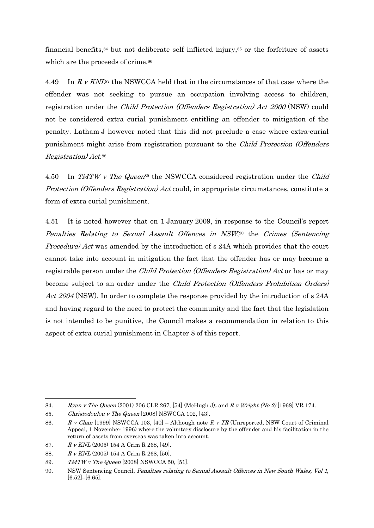financial benefits, $84$  but not deliberate self inflicted injury, $85$  or the forfeiture of assets which are the proceeds of crime.<sup>86</sup>

4.49 In R v KNL<sup>87</sup> the NSWCCA held that in the circumstances of that case where the offender was not seeking to pursue an occupation involving access to children, registration under the Child Protection (Offenders Registration) Act 2000 (NSW) could not be considered extra curial punishment entitling an offender to mitigation of the penalty. Latham J however noted that this did not preclude a case where extra-curial punishment might arise from registration pursuant to the Child Protection (Offenders Registration) Act.88

4.50 In TMTW v The Queen<sup>89</sup> the NSWCCA considered registration under the Child Protection (Offenders Registration) Act could, in appropriate circumstances, constitute a form of extra curial punishment.

4.51 It is noted however that on 1 January 2009, in response to the Council's report Penalties Relating to Sexual Assault Offences in NSW,90 the Crimes (Sentencing Procedure) Act was amended by the introduction of s 24A which provides that the court cannot take into account in mitigation the fact that the offender has or may become a registrable person under the *Child Protection (Offenders Registration) Act* or has or may become subject to an order under the Child Protection (Offenders Prohibition Orders) Act 2004 (NSW). In order to complete the response provided by the introduction of s 24A and having regard to the need to protect the community and the fact that the legislation is not intended to be punitive, the Council makes a recommendation in relation to this aspect of extra curial punishment in Chapter 8 of this report.

<sup>84.</sup> Ryan v The Queen (2001) 206 CLR 267, [54] (McHugh J); and R v Wright (No 2) [1968] VR 174.

<sup>85.</sup> Christodoulou v The Queen [2008] NSWCCA 102, [43].

<sup>86.</sup> R v Chan [1999] NSWCCA 103, [40] – Although note R v TR (Unreported, NSW Court of Criminal Appeal, 1 November 1996) where the voluntary disclosure by the offender and his facilitation in the return of assets from overseas was taken into account.

<sup>87.</sup> R v KNL (2005) 154 A Crim R 268, [49].

<sup>88.</sup> R v KNL (2005) 154 A Crim R 268, [50].

<sup>89.</sup> TMTW v The Queen [2008] NSWCCA 50, [51].

<sup>90.</sup> NSW Sentencing Council, Penalties relating to Sexual Assault Offences in New South Wales, Vol 1, [6.52]–[6.65].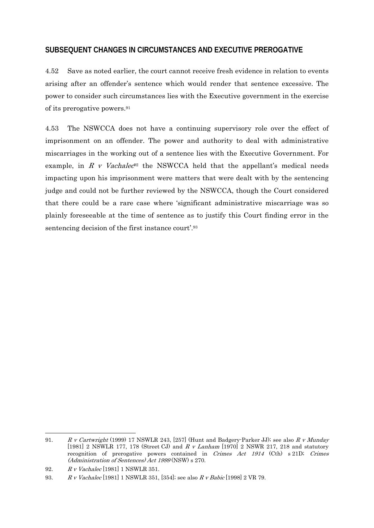## **SUBSEQUENT CHANGES IN CIRCUMSTANCES AND EXECUTIVE PREROGATIVE**

4.52 Save as noted earlier, the court cannot receive fresh evidence in relation to events arising after an offender's sentence which would render that sentence excessive. The power to consider such circumstances lies with the Executive government in the exercise of its prerogative powers.91

4.53 The NSWCCA does not have a continuing supervisory role over the effect of imprisonment on an offender. The power and authority to deal with administrative miscarriages in the working out of a sentence lies with the Executive Government. For example, in R v Vachalec<sup>92</sup> the NSWCCA held that the appellant's medical needs impacting upon his imprisonment were matters that were dealt with by the sentencing judge and could not be further reviewed by the NSWCCA, though the Court considered that there could be a rare case where 'significant administrative miscarriage was so plainly foreseeable at the time of sentence as to justify this Court finding error in the sentencing decision of the first instance court'.93

<sup>91.</sup> R v Cartwright (1999) 17 NSWLR 243, [257] (Hunt and Badgery-Parker JJ); see also R v Munday [1981] 2 NSWLR 177, 178 (Street CJ) and R v Lanham [1970] 2 NSWR 217, 218 and statutory recognition of prerogative powers contained in Crimes Act 1914 (Cth) s 21D; Crimes (Administration of Sentences) Act 1999 (NSW) s 270.

<sup>92.</sup> R v Vachalec [1981] 1 NSWLR 351.

<sup>93.</sup> R v Vachalec [1981] 1 NSWLR 351, [354]; see also R v Babic [1998] 2 VR 79.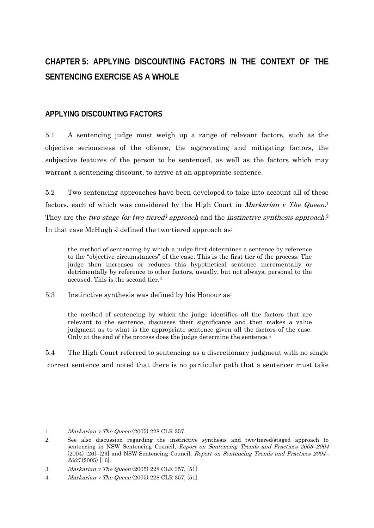# **CHAPTER 5: APPLYING DISCOUNTING FACTORS IN THE CONTEXT OF THE SENTENCING EXERCISE AS A WHOLE**

## **APPLYING DISCOUNTING FACTORS**

5.1 A sentencing judge must weigh up a range of relevant factors, such as the objective seriousness of the offence, the aggravating and mitigating factors, the subjective features of the person to be sentenced, as well as the factors which may warrant a sentencing discount, to arrive at an appropriate sentence.

5.2 Two sentencing approaches have been developed to take into account all of these factors, each of which was considered by the High Court in *Markarian v The Queen*.<sup>1</sup> They are the *two-stage (or two tiered) approach* and the *instinctive synthesis approach*.<sup>2</sup> In that case McHugh J defined the two-tiered approach as:

the method of sentencing by which a judge first determines a sentence by reference to the "objective circumstances" of the case. This is the first tier of the process. The judge then increases or reduces this hypothetical sentence incrementally or detrimentally by reference to other factors, usually, but not always, personal to the accused. This is the second tier.3

5.3 Instinctive synthesis was defined by his Honour as:

the method of sentencing by which the judge identifies all the factors that are relevant to the sentence, discusses their significance and then makes a value judgment as to what is the appropriate sentence given all the factors of the case. Only at the end of the process does the judge determine the sentence.<sup>4</sup>

5.4 The High Court referred to sentencing as a discretionary judgment with no single correct sentence and noted that there is no particular path that a sentencer must take

<sup>1.</sup> Markarian v The Queen (2005) 228 CLR 357.

<sup>2.</sup> See also discussion regarding the instinctive synthesis and two-tiered/staged approach to sentencing in NSW Sentencing Council, Report on Sentencing Trends and Practices 2003–2004 (2004) [26]–[29] and NSW Sentencing Council, Report on Sentencing Trends and Practices 2004–  $2005(2005)$  [16].

<sup>3.</sup> Markarian v The Queen (2005) 228 CLR 357, [51].

<sup>4.</sup> Markarian v The Queen (2005) 228 CLR 357, [51].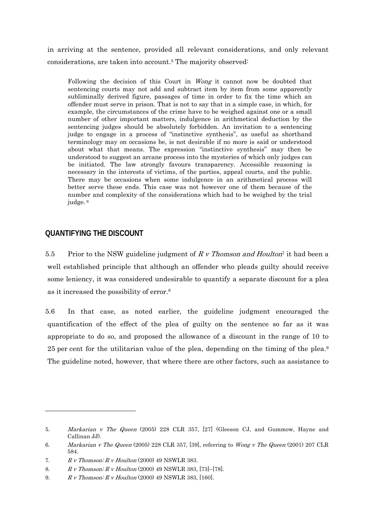in arriving at the sentence, provided all relevant considerations, and only relevant considerations, are taken into account.5 The majority observed:

Following the decision of this Court in Wong it cannot now be doubted that sentencing courts may not add and subtract item by item from some apparently subliminally derived figure, passages of time in order to fix the time which an offender must serve in prison. That is not to say that in a simple case, in which, for example, the circumstances of the crime have to be weighed against one or a small number of other important matters, indulgence in arithmetical deduction by the sentencing judges should be absolutely forbidden. An invitation to a sentencing judge to engage in a process of "instinctive synthesis", as useful as shorthand terminology may on occasions be, is not desirable if no more is said or understood about what that means. The expression "instinctive synthesis" may then be understood to suggest an arcane process into the mysteries of which only judges can be initiated. The law strongly favours transparency. Accessible reasoning is necessary in the interests of victims, of the parties, appeal courts, and the public. There may be occasions when some indulgence in an arithmetical process will better serve these ends. This case was not however one of them because of the number and complexity of the considerations which had to be weighed by the trial judge. 6

## **QUANTIFYING THE DISCOUNT**

 $\overline{a}$ 

5.5 Prior to the NSW guideline judgment of  $R \, \nu$  Thomson and Houlton<sup> $\tau$ </sup> it had been a well established principle that although an offender who pleads guilty should receive some leniency, it was considered undesirable to quantify a separate discount for a plea as it increased the possibility of error.8

5.6 In that case, as noted earlier, the guideline judgment encouraged the quantification of the effect of the plea of guilty on the sentence so far as it was appropriate to do so, and proposed the allowance of a discount in the range of 10 to 25 per cent for the utilitarian value of the plea, depending on the timing of the plea.9 The guideline noted, however, that where there are other factors, such as assistance to

<sup>5.</sup> Markarian v The Queen (2005) 228 CLR 357, [27] (Gleeson CJ, and Gummow, Hayne and Callinan JJ).

<sup>6.</sup> Markarian v The Queen (2005) 228 CLR 357, [39], referring to Wong v The Queen (2001) 207 CLR 584.

<sup>7.</sup>  $R \, \textit{v}$  Thomson;  $R \, \textit{v}$  Houlton (2000) 49 NSWLR 383.

<sup>8.</sup> R v Thomson; R v Houlton (2000) 49 NSWLR 383, [73]–[78].

<sup>9.</sup> R v Thomson; R v Houlton (2000) 49 NSWLR 383, [160].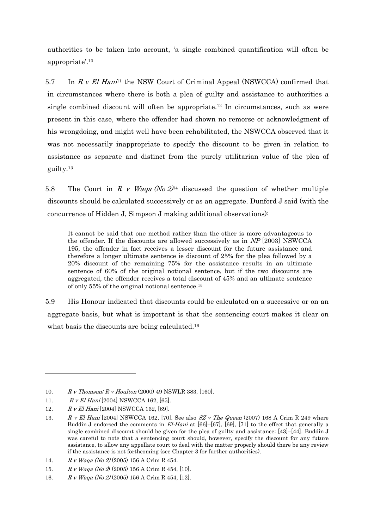authorities to be taken into account, 'a single combined quantification will often be appropriate'.10

5.7 In  $R$  v El Hani<sup>11</sup> the NSW Court of Criminal Appeal (NSWCCA) confirmed that in circumstances where there is both a plea of guilty and assistance to authorities a single combined discount will often be appropriate.12 In circumstances, such as were present in this case, where the offender had shown no remorse or acknowledgment of his wrongdoing, and might well have been rehabilitated, the NSWCCA observed that it was not necessarily inappropriate to specify the discount to be given in relation to assistance as separate and distinct from the purely utilitarian value of the plea of guilty.13

5.8 The Court in R v Waga (No  $2^{14}$  discussed the question of whether multiple discounts should be calculated successively or as an aggregate. Dunford J said (with the concurrence of Hidden J, Simpson J making additional observations):

It cannot be said that one method rather than the other is more advantageous to the offender. If the discounts are allowed successively as in NP [2003] NSWCCA 195, the offender in fact receives a lesser discount for the future assistance and therefore a longer ultimate sentence ie discount of 25% for the plea followed by a 20% discount of the remaining 75% for the assistance results in an ultimate sentence of 60% of the original notional sentence, but if the two discounts are aggregated, the offender receives a total discount of 45% and an ultimate sentence of only 55% of the original notional sentence.15

5.9 His Honour indicated that discounts could be calculated on a successive or on an aggregate basis, but what is important is that the sentencing court makes it clear on what basis the discounts are being calculated.<sup>16</sup>

<sup>10.</sup> R v Thomson; R v Houlton (2000) 49 NSWLR 383, [160].

<sup>11.</sup> R v El Hani [2004] NSWCCA 162, [65].

<sup>12.</sup> R v El Hani [2004] NSWCCA 162, [69].

<sup>13.</sup> R v El Hani [2004] NSWCCA 162, [70]. See also  $SZ$  v The Queen (2007) 168 A Crim R 249 where Buddin J endorsed the comments in  $El-Hani$  at [66]–[67], [69], [71] to the effect that generally a single combined discount should be given for the plea of guilty and assistance: [43]–[44]. Buddin J was careful to note that a sentencing court should, however, specify the discount for any future assistance, to allow any appellate court to deal with the matter properly should there be any review if the assistance is not forthcoming (see Chapter 3 for further authorities).

<sup>14.</sup>  $R \, v \, W$ aqa (No 2) (2005) 156 A Crim R 454.

<sup>15.</sup> R v Waqa (No 2) (2005) 156 A Crim R 454, [10].

<sup>16.</sup> R v Waqa (No 2) (2005) 156 A Crim R 454, [12].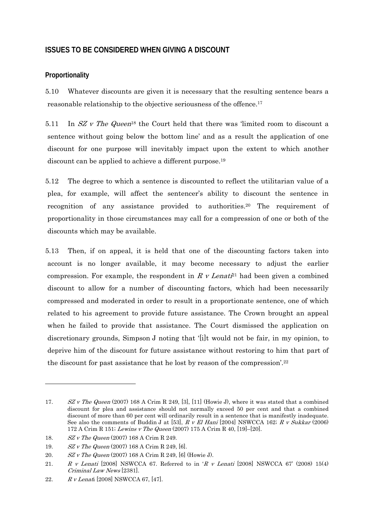## **ISSUES TO BE CONSIDERED WHEN GIVING A DISCOUNT**

## **Proportionality**

5.10 Whatever discounts are given it is necessary that the resulting sentence bears a reasonable relationship to the objective seriousness of the offence.17

5.11 In  $SZ$  v The Queen<sup>18</sup> the Court held that there was 'limited room to discount a sentence without going below the bottom line' and as a result the application of one discount for one purpose will inevitably impact upon the extent to which another discount can be applied to achieve a different purpose.<sup>19</sup>

5.12 The degree to which a sentence is discounted to reflect the utilitarian value of a plea, for example, will affect the sentencer's ability to discount the sentence in recognition of any assistance provided to authorities.20 The requirement of proportionality in those circumstances may call for a compression of one or both of the discounts which may be available.

5.13 Then, if on appeal, it is held that one of the discounting factors taken into account is no longer available, it may become necessary to adjust the earlier compression. For example, the respondent in R v Lenati<sup>21</sup> had been given a combined discount to allow for a number of discounting factors, which had been necessarily compressed and moderated in order to result in a proportionate sentence, one of which related to his agreement to provide future assistance. The Crown brought an appeal when he failed to provide that assistance. The Court dismissed the application on discretionary grounds, Simpson J noting that '[i]t would not be fair, in my opinion, to deprive him of the discount for future assistance without restoring to him that part of the discount for past assistance that he lost by reason of the compression'.22

<sup>17.</sup> SZ v The Queen (2007) 168 A Crim R 249, [3], [11] (Howie J), where it was stated that a combined discount for plea and assistance should not normally exceed 50 per cent and that a combined discount of more than 60 per cent will ordinarily result in a sentence that is manifestly inadequate. See also the comments of Buddin J at [53],  $R$  v El Hani [2004] NSWCCA 162;  $R$  v Sukkar (2006) 172 A Crim R 151; Lewins v The Queen (2007) 175 A Crim R 40, [19]–[20].

<sup>18.</sup> SZ v The Queen (2007) 168 A Crim R 249.

<sup>19.</sup> SZ v The Queen (2007) 168 A Crim R 249, [6].

<sup>20.</sup> SZ v The Queen (2007) 168 A Crim R 249, [6] (Howie J).

<sup>21.</sup> R v Lenati [2008] NSWCCA 67. Referred to in 'R v Lenati [2008] NSWCCA 67' (2008) 15(4) Criminal Law News [2381].

<sup>22.</sup> R v Lenati [2008] NSWCCA 67, [47].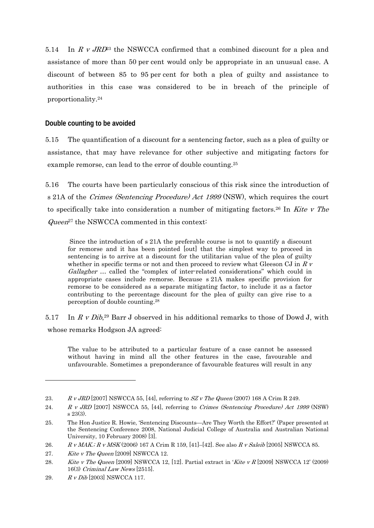5.14 In  $R \, v \, J R D^2$  the NSWCCA confirmed that a combined discount for a plea and assistance of more than 50 per cent would only be appropriate in an unusual case. A discount of between 85 to 95 per cent for both a plea of guilty and assistance to authorities in this case was considered to be in breach of the principle of proportionality.24

## **Double counting to be avoided**

5.15 The quantification of a discount for a sentencing factor, such as a plea of guilty or assistance, that may have relevance for other subjective and mitigating factors for example remorse, can lead to the error of double counting.25

5.16 The courts have been particularly conscious of this risk since the introduction of s 21A of the *Crimes (Sentencing Procedure) Act 1999* (NSW), which requires the court to specifically take into consideration a number of mitigating factors.<sup>26</sup> In Kite v The  $Queen<sup>27</sup>$  the NSWCCA commented in this context:

 Since the introduction of s 21A the preferable course is not to quantify a discount for remorse and it has been pointed [out] that the simplest way to proceed in sentencing is to arrive at a discount for the utilitarian value of the plea of guilty whether in specific terms or not and then proceed to review what Gleeson CJ in  $R$   $v$ Gallagher ... called the "complex of inter-related considerations" which could in appropriate cases include remorse. Because s 21A makes specific provision for remorse to be considered as a separate mitigating factor, to include it as a factor contributing to the percentage discount for the plea of guilty can give rise to a perception of double counting.28

5.17 In R v Dib,<sup>29</sup> Barr J observed in his additional remarks to those of Dowd J, with whose remarks Hodgson JA agreed:

The value to be attributed to a particular feature of a case cannot be assessed without having in mind all the other features in the case, favourable and unfavourable. Sometimes a preponderance of favourable features will result in any

29. R v Dib [2003] NSWCCA 117.

<sup>23.</sup> R v JRD [2007] NSWCCA 55, [44], referring to  $SZ$  v The Queen (2007) 168 A Crim R 249.

<sup>24.</sup> R v JRD [2007] NSWCCA 55, [44], referring to Crimes (Sentencing Procedure) Act 1999 (NSW) s 23(3).

<sup>25.</sup> The Hon Justice R. Howie, 'Sentencing Discounts—Are They Worth the Effort?' (Paper presented at the Sentencing Conference 2008, National Judicial College of Australia and Australian National University, 10 February 2008) [3].

<sup>26.</sup> R v MAK.; R v MSK (2006) 167 A Crim R 159, [41]-[42]. See also R v Saleib [2005] NSWCCA 85.

<sup>27.</sup> Kite v The Queen [2009] NSWCCA 12.

<sup>28.</sup> Kite v The Queen [2009] NSWCCA 12, [12]. Partial extract in 'Kite v R [2009] NSWCCA 12' (2009) 16(3) Criminal Law News [2515].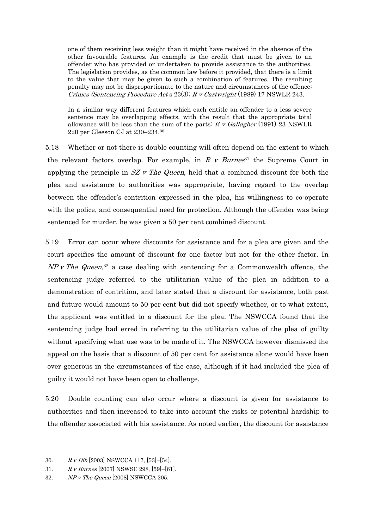one of them receiving less weight than it might have received in the absence of the other favourable features. An example is the credit that must be given to an offender who has provided or undertaken to provide assistance to the authorities. The legislation provides, as the common law before it provided, that there is a limit to the value that may be given to such a combination of features. The resulting penalty may not be disproportionate to the nature and circumstances of the offence: Crimes (Sentencing Procedure Act s 23(3); R v Cartwright (1989) 17 NSWLR 243.

In a similar way different features which each entitle an offender to a less severe sentence may be overlapping effects, with the result that the appropriate total allowance will be less than the sum of the parts:  $R$  v Gallagher (1991) 23 NSWLR 220 per Gleeson CJ at 230–234.30

5.18 Whether or not there is double counting will often depend on the extent to which the relevant factors overlap. For example, in R v Burnes<sup>31</sup> the Supreme Court in applying the principle in  $SZ$  v The Queen, held that a combined discount for both the plea and assistance to authorities was appropriate, having regard to the overlap between the offender's contrition expressed in the plea, his willingness to co-operate with the police, and consequential need for protection. Although the offender was being sentenced for murder, he was given a 50 per cent combined discount.

5.19 Error can occur where discounts for assistance and for a plea are given and the court specifies the amount of discount for one factor but not for the other factor. In  $NP$  v The Queen,<sup>32</sup> a case dealing with sentencing for a Commonwealth offence, the sentencing judge referred to the utilitarian value of the plea in addition to a demonstration of contrition, and later stated that a discount for assistance, both past and future would amount to 50 per cent but did not specify whether, or to what extent, the applicant was entitled to a discount for the plea. The NSWCCA found that the sentencing judge had erred in referring to the utilitarian value of the plea of guilty without specifying what use was to be made of it. The NSWCCA however dismissed the appeal on the basis that a discount of 50 per cent for assistance alone would have been over generous in the circumstances of the case, although if it had included the plea of guilty it would not have been open to challenge.

5.20 Double counting can also occur where a discount is given for assistance to authorities and then increased to take into account the risks or potential hardship to the offender associated with his assistance. As noted earlier, the discount for assistance

<sup>30.</sup>  $R \, v \, Dib$  [2003] NSWCCA 117, [53]-[54].

<sup>31.</sup> R v Burnes [2007] NSWSC 298, [59]–[61].

<sup>32.</sup> NP v The Queen [2008] NSWCCA 205.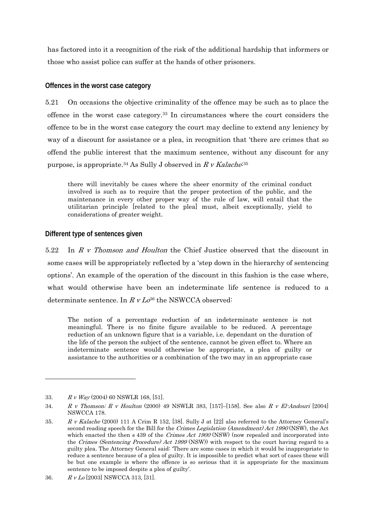has factored into it a recognition of the risk of the additional hardship that informers or those who assist police can suffer at the hands of other prisoners.

## **Offences in the worst case category**

5.21 On occasions the objective criminality of the offence may be such as to place the offence in the worst case category.33 In circumstances where the court considers the offence to be in the worst case category the court may decline to extend any leniency by way of a discount for assistance or a plea, in recognition that 'there are crimes that so offend the public interest that the maximum sentence, without any discount for any purpose, is appropriate.<sup>34</sup> As Sully J observed in R v Kalache<sup>:35</sup>

there will inevitably be cases where the sheer enormity of the criminal conduct involved is such as to require that the proper protection of the public, and the maintenance in every other proper way of the rule of law, will entail that the utilitarian principle [related to the plea] must, albeit exceptionally, yield to considerations of greater weight.

## **Different type of sentences given**

5.22 In R v Thomson and Houlton the Chief Justice observed that the discount in some cases will be appropriately reflected by a 'step down in the hierarchy of sentencing options'. An example of the operation of the discount in this fashion is the case where, what would otherwise have been an indeterminate life sentence is reduced to a determinate sentence. In  $R v L \phi^{36}$  the NSWCCA observed:

The notion of a percentage reduction of an indeterminate sentence is not meaningful. There is no finite figure available to be reduced. A percentage reduction of an unknown figure that is a variable, i.e. dependant on the duration of the life of the person the subject of the sentence, cannot be given effect to. Where an indeterminate sentence would otherwise be appropriate, a plea of guilty or assistance to the authorities or a combination of the two may in an appropriate case

<sup>33.</sup>  $R \, v \, Way (2004) \, 60 \, NSWLR \, 168, \, [51].$ 

<sup>34.</sup> R v Thomson; R v Houlton (2000) 49 NSWLR 383, [157]–[158]. See also R v El-Andouri [2004] NSWCCA 178.

<sup>35.</sup> R v Kalache (2000) 111 A Crim R 152, [38]. Sully J at [22] also referred to the Attorney General's second reading speech for the Bill for the Crimes Legislation (Amendment) Act 1990 (NSW), the Act which enacted the then s 439 of the Crimes Act 1900 (NSW) (now repealed and incorporated into the Crimes (Sentencing Procedure) Act 1999 (NSW)) with respect to the court having regard to a guilty plea. The Attorney General said: 'There are some cases in which it would be inappropriate to reduce a sentence because of a plea of guilty. It is impossible to predict what sort of cases these will be but one example is where the offence is so serious that it is appropriate for the maximum sentence to be imposed despite a plea of guilty'.

<sup>36.</sup> R v Lo [2003] NSWCCA 313, [31].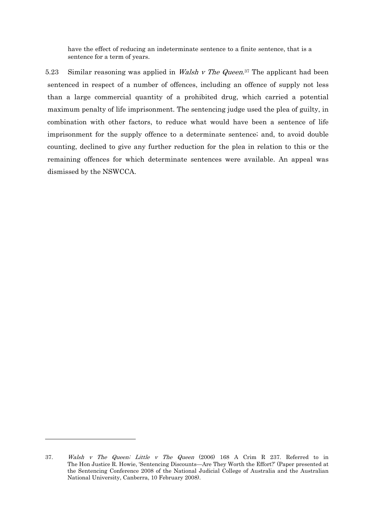have the effect of reducing an indeterminate sentence to a finite sentence, that is a sentence for a term of years.

5.23 Similar reasoning was applied in *Walsh v The Queen*.<sup>37</sup> The applicant had been sentenced in respect of a number of offences, including an offence of supply not less than a large commercial quantity of a prohibited drug, which carried a potential maximum penalty of life imprisonment. The sentencing judge used the plea of guilty, in combination with other factors, to reduce what would have been a sentence of life imprisonment for the supply offence to a determinate sentence; and, to avoid double counting, declined to give any further reduction for the plea in relation to this or the remaining offences for which determinate sentences were available. An appeal was dismissed by the NSWCCA.

<sup>37.</sup> Walsh v The Queen; Little v The Queen (2006) 168 A Crim R 237. Referred to in The Hon Justice R. Howie, 'Sentencing Discounts—Are They Worth the Effort?' (Paper presented at the Sentencing Conference 2008 of the National Judicial College of Australia and the Australian National University, Canberra, 10 February 2008).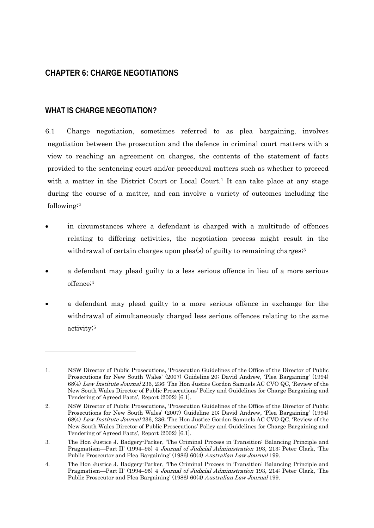# **CHAPTER 6: CHARGE NEGOTIATIONS**

## **WHAT IS CHARGE NEGOTIATION?**

-

6.1 Charge negotiation, sometimes referred to as plea bargaining, involves negotiation between the prosecution and the defence in criminal court matters with a view to reaching an agreement on charges, the contents of the statement of facts provided to the sentencing court and/or procedural matters such as whether to proceed with a matter in the District Court or Local Court.<sup>1</sup> It can take place at any stage during the course of a matter, and can involve a variety of outcomes including the following:2

- in circumstances where a defendant is charged with a multitude of offences relating to differing activities, the negotiation process might result in the withdrawal of certain charges upon plea(s) of guilty to remaining charges;<sup>3</sup>
- a defendant may plead guilty to a less serious offence in lieu of a more serious offence;4
- a defendant may plead guilty to a more serious offence in exchange for the withdrawal of simultaneously charged less serious offences relating to the same activity;5

<sup>1.</sup> NSW Director of Public Prosecutions, 'Prosecution Guidelines of the Office of the Director of Public Prosecutions for New South Wales' (2007) Guideline 20; David Andrew, 'Plea Bargaining' (1994) 68(4) Law Institute Journal 236, 236; The Hon Justice Gordon Samuels AC CVO QC, 'Review of the New South Wales Director of Public Prosecutions' Policy and Guidelines for Charge Bargaining and Tendering of Agreed Facts', Report (2002) [6.1].

<sup>2.</sup> NSW Director of Public Prosecutions, 'Prosecution Guidelines of the Office of the Director of Public Prosecutions for New South Wales' (2007) Guideline 20; David Andrew, 'Plea Bargaining' (1994) 68(4) Law Institute Journal 236, 236; The Hon Justice Gordon Samuels AC CVO QC, 'Review of the New South Wales Director of Public Prosecutions' Policy and Guidelines for Charge Bargaining and Tendering of Agreed Facts', Report (2002) [6.1].

<sup>3.</sup> The Hon Justice J. Badgery-Parker, 'The Criminal Process in Transition: Balancing Principle and Pragmatism—Part II' (1994–95) 4 Journal of Judicial Administration 193, 213; Peter Clark, 'The Public Prosecutor and Plea Bargaining' (1986) 60(4) Australian Law Journal 199.

<sup>4.</sup> The Hon Justice J. Badgery-Parker, 'The Criminal Process in Transition: Balancing Principle and Pragmatism—Part II' (1994–95) 4 Journal of Judicial Administration 193, 214; Peter Clark, 'The Public Prosecutor and Plea Bargaining' (1986) 60(4) Australian Law Journal 199.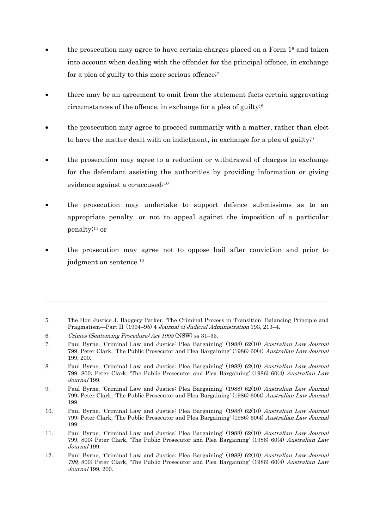- the prosecution may agree to have certain charges placed on a Form 16 and taken into account when dealing with the offender for the principal offence, in exchange for a plea of guilty to this more serious offence;<sup>7</sup>
- there may be an agreement to omit from the statement facts certain aggravating circumstances of the offence, in exchange for a plea of guilty;8
- the prosecution may agree to proceed summarily with a matter, rather than elect to have the matter dealt with on indictment, in exchange for a plea of guilty;<sup>9</sup>
- the prosecution may agree to a reduction or withdrawal of charges in exchange for the defendant assisting the authorities by providing information or giving evidence against a co-accused;10
- the prosecution may undertake to support defence submissions as to an appropriate penalty, or not to appeal against the imposition of a particular penalty;11 or
- the prosecution may agree not to oppose bail after conviction and prior to judgment on sentence.<sup>12</sup>

<sup>5.</sup> The Hon Justice J. Badgery-Parker, 'The Criminal Process in Transition: Balancing Principle and Pragmatism—Part II' (1994–95) 4 Journal of Judicial Administration 193, 213–4.

<sup>6.</sup> Crimes (Sentencing Procedure) Act 1999 (NSW) ss 31–35.

<sup>7.</sup> Paul Byrne, 'Criminal Law and Justice: Plea Bargaining' (1988) 62(10) Australian Law Journal 799; Peter Clark, 'The Public Prosecutor and Plea Bargaining' (1986) 60(4) Australian Law Journal 199, 200.

<sup>8.</sup> Paul Byrne, 'Criminal Law and Justice: Plea Bargaining' (1988) 62(10) Australian Law Journal 799, 800; Peter Clark, 'The Public Prosecutor and Plea Bargaining' (1986) 60(4) Australian Law Journal 199.

<sup>9.</sup> Paul Byrne, 'Criminal Law and Justice: Plea Bargaining' (1988) 62(10) Australian Law Journal 799; Peter Clark, 'The Public Prosecutor and Plea Bargaining' (1986) 60(4) Australian Law Journal 199.

<sup>10.</sup> Paul Byrne, 'Criminal Law and Justice: Plea Bargaining' (1988) 62(10) Australian Law Journal 799; Peter Clark, 'The Public Prosecutor and Plea Bargaining' (1986) 60(4) Australian Law Journal 199.

<sup>11.</sup> Paul Byrne, 'Criminal Law and Justice: Plea Bargaining' (1988) 62(10) Australian Law Journal 799, 800; Peter Clark, 'The Public Prosecutor and Plea Bargaining' (1986) 60(4) Australian Law Journal 199.

<sup>12.</sup> Paul Byrne, 'Criminal Law and Justice: Plea Bargaining' (1988) 62(10) Australian Law Journal 799, 800; Peter Clark, 'The Public Prosecutor and Plea Bargaining' (1986) 60(4) Australian Law Journal 199, 200.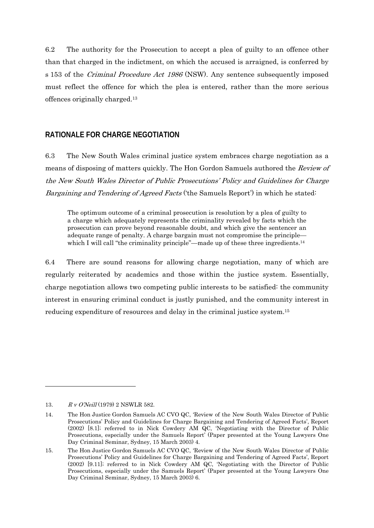6.2 The authority for the Prosecution to accept a plea of guilty to an offence other than that charged in the indictment, on which the accused is arraigned, is conferred by s 153 of the Criminal Procedure Act 1986 (NSW). Any sentence subsequently imposed must reflect the offence for which the plea is entered, rather than the more serious offences originally charged.13

## **RATIONALE FOR CHARGE NEGOTIATION**

6.3 The New South Wales criminal justice system embraces charge negotiation as a means of disposing of matters quickly. The Hon Gordon Samuels authored the Review of the New South Wales Director of Public Prosecutions' Policy and Guidelines for Charge Bargaining and Tendering of Agreed Facts ('the Samuels Report') in which he stated:

The optimum outcome of a criminal prosecution is resolution by a plea of guilty to a charge which adequately represents the criminality revealed by facts which the prosecution can prove beyond reasonable doubt, and which give the sentencer an adequate range of penalty. A charge bargain must not compromise the principle which I will call "the criminality principle"—made up of these three ingredients.<sup>14</sup>

6.4 There are sound reasons for allowing charge negotiation, many of which are regularly reiterated by academics and those within the justice system. Essentially, charge negotiation allows two competing public interests to be satisfied: the community interest in ensuring criminal conduct is justly punished, and the community interest in reducing expenditure of resources and delay in the criminal justice system.15

<sup>13.</sup> R v O'Neill (1979) 2 NSWLR 582.

<sup>14.</sup> The Hon Justice Gordon Samuels AC CVO QC, 'Review of the New South Wales Director of Public Prosecutions' Policy and Guidelines for Charge Bargaining and Tendering of Agreed Facts', Report (2002) [8.1]; referred to in Nick Cowdery AM QC, 'Negotiating with the Director of Public Prosecutions, especially under the Samuels Report' (Paper presented at the Young Lawyers One Day Criminal Seminar, Sydney, 15 March 2003) 4.

<sup>15.</sup> The Hon Justice Gordon Samuels AC CVO QC, 'Review of the New South Wales Director of Public Prosecutions' Policy and Guidelines for Charge Bargaining and Tendering of Agreed Facts', Report (2002) [9.11]; referred to in Nick Cowdery AM QC, 'Negotiating with the Director of Public Prosecutions, especially under the Samuels Report' (Paper presented at the Young Lawyers One Day Criminal Seminar, Sydney, 15 March 2003) 6.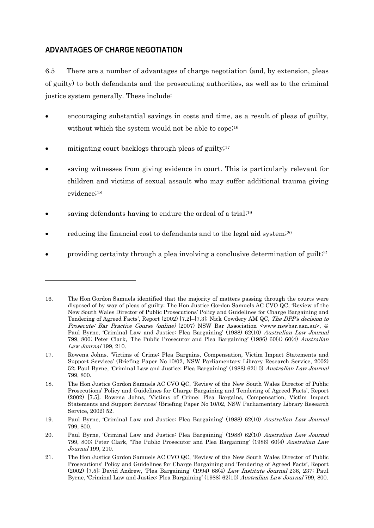# **ADVANTAGES OF CHARGE NEGOTIATION**

1

6.5 There are a number of advantages of charge negotiation (and, by extension, pleas of guilty) to both defendants and the prosecuting authorities, as well as to the criminal justice system generally. These include:

- encouraging substantial savings in costs and time, as a result of pleas of guilty, without which the system would not be able to cope<sup>;16</sup>
- mitigating court backlogs through pleas of guilty; $17$
- saving witnesses from giving evidence in court. This is particularly relevant for children and victims of sexual assault who may suffer additional trauma giving evidence;18
- saving defendants having to endure the ordeal of a trial;<sup>19</sup>
- reducing the financial cost to defendants and to the legal aid system;<sup>20</sup>
- providing certainty through a plea involving a conclusive determination of guilt;<sup>21</sup>

<sup>16.</sup> The Hon Gordon Samuels identified that the majority of matters passing through the courts were disposed of by way of pleas of guilty: The Hon Justice Gordon Samuels AC CVO QC, 'Review of the New South Wales Director of Public Prosecutions' Policy and Guidelines for Charge Bargaining and Tendering of Agreed Facts', Report (2002) [7.2]–[7.3]; Nick Cowdery AM QC, The DPP's decision to Prosecute: Bar Practice Course (online) (2007) NSW Bar Association <www.nswbar.asn.au>, 4; Paul Byrne, 'Criminal Law and Justice: Plea Bargaining' (1988) 62(10) Australian Law Journal 799, 800; Peter Clark, 'The Public Prosecutor and Plea Bargaining' (1986) 60(4) 60(4) Australian Law Journal 199, 210.

<sup>17.</sup> Rowena Johns, 'Victims of Crime: Plea Bargains, Compensation, Victim Impact Statements and Support Services' (Briefing Paper No 10/02, NSW Parliamentary Library Research Service, 2002) 52; Paul Byrne, 'Criminal Law and Justice: Plea Bargaining' (1988) 62(10) Australian Law Journal 799, 800.

<sup>18.</sup> The Hon Justice Gordon Samuels AC CVO QC, 'Review of the New South Wales Director of Public Prosecutions' Policy and Guidelines for Charge Bargaining and Tendering of Agreed Facts', Report (2002) [7.5]; Rowena Johns, 'Victims of Crime: Plea Bargains, Compensation, Victim Impact Statements and Support Services' (Briefing Paper No 10/02, NSW Parliamentary Library Research Service, 2002) 52.

<sup>19.</sup> Paul Byrne, 'Criminal Law and Justice: Plea Bargaining' (1988) 62(10) Australian Law Journal 799, 800.

<sup>20.</sup> Paul Byrne, 'Criminal Law and Justice: Plea Bargaining' (1988) 62(10) Australian Law Journal 799, 800; Peter Clark, 'The Public Prosecutor and Plea Bargaining' (1986) 60(4) Australian Law Journal 199, 210.

<sup>21.</sup> The Hon Justice Gordon Samuels AC CVO QC, 'Review of the New South Wales Director of Public Prosecutions' Policy and Guidelines for Charge Bargaining and Tendering of Agreed Facts', Report (2002) [7.5]; David Andrew, 'Plea Bargaining' (1994) 68(4) Law Institute Journal 236, 237; Paul Byrne, 'Criminal Law and Justice: Plea Bargaining' (1988) 62(10) Australian Law Journal 799, 800.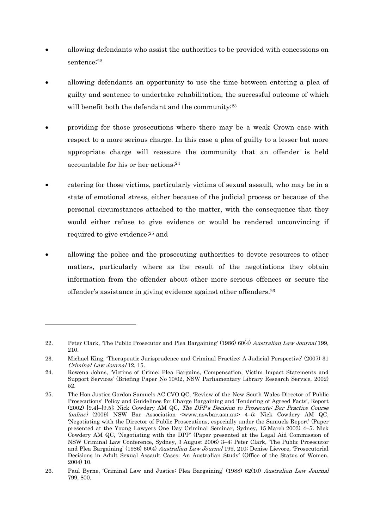- allowing defendants who assist the authorities to be provided with concessions on sentence;<sup>22</sup>
- allowing defendants an opportunity to use the time between entering a plea of guilty and sentence to undertake rehabilitation, the successful outcome of which will benefit both the defendant and the community;<sup>23</sup>
- providing for those prosecutions where there may be a weak Crown case with respect to a more serious charge. In this case a plea of guilty to a lesser but more appropriate charge will reassure the community that an offender is held accountable for his or her actions;<sup>24</sup>
- catering for those victims, particularly victims of sexual assault, who may be in a state of emotional stress, either because of the judicial process or because of the personal circumstances attached to the matter, with the consequence that they would either refuse to give evidence or would be rendered unconvincing if required to give evidence;25 and
- allowing the police and the prosecuting authorities to devote resources to other matters, particularly where as the result of the negotiations they obtain information from the offender about other more serious offences or secure the offender's assistance in giving evidence against other offenders.26

<sup>22.</sup> Peter Clark, 'The Public Prosecutor and Plea Bargaining' (1986) 60(4) Australian Law Journal 199, 210.

<sup>23.</sup> Michael King, 'Therapeutic Jurisprudence and Criminal Practice: A Judicial Perspective' (2007) 31 Criminal Law Journal 12, 15.

<sup>24.</sup> Rowena Johns, 'Victims of Crime: Plea Bargains, Compensation, Victim Impact Statements and Support Services' (Briefing Paper No 10/02, NSW Parliamentary Library Research Service, 2002) 52.

<sup>25.</sup> The Hon Justice Gordon Samuels AC CVO QC, 'Review of the New South Wales Director of Public Prosecutions' Policy and Guidelines for Charge Bargaining and Tendering of Agreed Facts', Report (2002) [9.4]–[9.5]; Nick Cowdery AM QC, The DPP's Decision to Prosecute: Bar Practice Course (online) (2009) NSW Bar Association <www.nswbar.asn.au> 4–5; Nick Cowdery AM QC, 'Negotiating with the Director of Public Prosecutions, especially under the Samuels Report' (Paper presented at the Young Lawyers One Day Criminal Seminar, Sydney, 15 March 2003) 4–5; Nick Cowdery AM QC, 'Negotiating with the DPP' (Paper presented at the Legal Aid Commission of NSW Criminal Law Conference, Sydney, 3 August 2006) 3–4; Peter Clark, 'The Public Prosecutor and Plea Bargaining' (1986) 60(4) Australian Law Journal 199, 210; Denise Lievore, 'Prosecutorial Decisions in Adult Sexual Assault Cases: An Australian Study' (Office of the Status of Women, 2004) 10.

<sup>26.</sup> Paul Byrne, 'Criminal Law and Justice: Plea Bargaining' (1988) 62(10) Australian Law Journal 799, 800.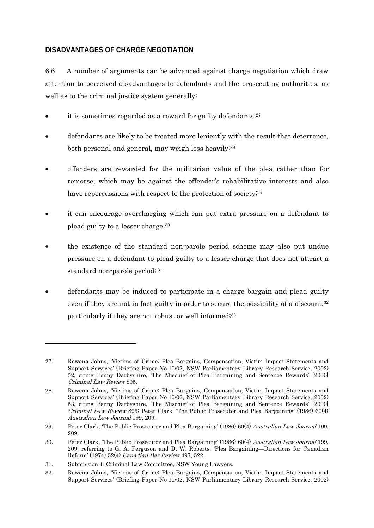# **DISADVANTAGES OF CHARGE NEGOTIATION**

6.6 A number of arguments can be advanced against charge negotiation which draw attention to perceived disadvantages to defendants and the prosecuting authorities, as well as to the criminal justice system generally:

- it is sometimes regarded as a reward for guilty defendants; $27$
- defendants are likely to be treated more leniently with the result that deterrence, both personal and general, may weigh less heavily;28
- offenders are rewarded for the utilitarian value of the plea rather than for remorse, which may be against the offender's rehabilitative interests and also have repercussions with respect to the protection of society;<sup>29</sup>
- it can encourage overcharging which can put extra pressure on a defendant to plead guilty to a lesser charge;30
- the existence of the standard non-parole period scheme may also put undue pressure on a defendant to plead guilty to a lesser charge that does not attract a standard non-parole period; 31
- defendants may be induced to participate in a charge bargain and plead guilty even if they are not in fact guilty in order to secure the possibility of a discount,<sup>32</sup> particularly if they are not robust or well informed;<sup>33</sup>

<sup>27.</sup> Rowena Johns, 'Victims of Crime: Plea Bargains, Compensation, Victim Impact Statements and Support Services' (Briefing Paper No 10/02, NSW Parliamentary Library Research Service, 2002) 52, citing Penny Darbyshire, 'The Mischief of Plea Bargaining and Sentence Rewards' [2000] Criminal Law Review 895.

<sup>28.</sup> Rowena Johns, 'Victims of Crime: Plea Bargains, Compensation, Victim Impact Statements and Support Services' (Briefing Paper No 10/02, NSW Parliamentary Library Research Service, 2002) 53, citing Penny Darbyshire, 'The Mischief of Plea Bargaining and Sentence Rewards' [2000] Criminal Law Review 895; Peter Clark, 'The Public Prosecutor and Plea Bargaining' (1986) 60(4) Australian Law Journal 199, 209.

<sup>29.</sup> Peter Clark, 'The Public Prosecutor and Plea Bargaining' (1986) 60(4) Australian Law Journal 199, 209.

<sup>30.</sup> Peter Clark, 'The Public Prosecutor and Plea Bargaining' (1986) 60(4) Australian Law Journal 199, 209, referring to G. A. Ferguson and D. W. Roberts, 'Plea Bargaining—Directions for Canadian Reform' (1974) 52(4) Canadian Bar Review 497, 522.

<sup>31.</sup> Submission 1: Criminal Law Committee, NSW Young Lawyers.

<sup>32.</sup> Rowena Johns, 'Victims of Crime: Plea Bargains, Compensation, Victim Impact Statements and Support Services' (Briefing Paper No 10/02, NSW Parliamentary Library Research Service, 2002)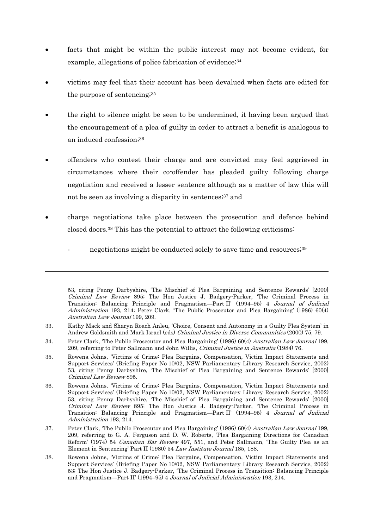- facts that might be within the public interest may not become evident, for example, allegations of police fabrication of evidence;<sup>34</sup>
- victims may feel that their account has been devalued when facts are edited for the purpose of sentencing;35
- the right to silence might be seen to be undermined, it having been argued that the encouragement of a plea of guilty in order to attract a benefit is analogous to an induced confession;36
- offenders who contest their charge and are convicted may feel aggrieved in circumstances where their co-offender has pleaded guilty following charge negotiation and received a lesser sentence although as a matter of law this will not be seen as involving a disparity in sentences;<sup>37</sup> and
- charge negotiations take place between the prosecution and defence behind closed doors.38 This has the potential to attract the following criticisms:
	- negotiations might be conducted solely to save time and resources;<sup>39</sup>

<sup>53,</sup> citing Penny Darbyshire, 'The Mischief of Plea Bargaining and Sentence Rewards' [2000] Criminal Law Review 895; The Hon Justice J. Badgery-Parker, 'The Criminal Process in Transition: Balancing Principle and Pragmatism—Part II' (1994–95) 4 Journal of Judicial Administration 193, 214; Peter Clark, 'The Public Prosecutor and Plea Bargaining' (1986) 60(4) Australian Law Journal 199, 209.

<sup>33.</sup> Kathy Mack and Sharyn Roach Anleu, 'Choice, Consent and Autonomy in a Guilty Plea System' in Andrew Goldsmith and Mark Israel (eds) Criminal Justice in Diverse Communities (2000) 75, 79.

<sup>34.</sup> Peter Clark, 'The Public Prosecutor and Plea Bargaining' (1986) 60(4) Australian Law Journal 199, 209, referring to Peter Sallmann and John Willis, Criminal Justice in Australia (1984) 76.

<sup>35.</sup> Rowena Johns, 'Victims of Crime: Plea Bargains, Compensation, Victim Impact Statements and Support Services' (Briefing Paper No 10/02, NSW Parliamentary Library Research Service, 2002) 53, citing Penny Darbyshire, 'The Mischief of Plea Bargaining and Sentence Rewards' [2000] Criminal Law Review 895.

<sup>36.</sup> Rowena Johns, 'Victims of Crime: Plea Bargains, Compensation, Victim Impact Statements and Support Services' (Briefing Paper No 10/02, NSW Parliamentary Library Research Service, 2002) 53, citing Penny Darbyshire, 'The Mischief of Plea Bargaining and Sentence Rewards' [2000] Criminal Law Review 895; The Hon Justice J. Badgery-Parker, 'The Criminal Process in Transition: Balancing Principle and Pragmatism—Part II' (1994–95) 4 Journal of Judicial Administration 193, 214.

<sup>37.</sup> Peter Clark, 'The Public Prosecutor and Plea Bargaining' (1986) 60(4) Australian Law Journal 199, 209, referring to G. A. Ferguson and D. W. Roberts, 'Plea Bargaining Directions for Canadian Reform' (1974) 54 Canadian Bar Review 497, 551, and Peter Sallmann, 'The Guilty Plea as an Element in Sentencing' Part II (1980) 54 Law Institute Journal 185, 188.

<sup>38.</sup> Rowena Johns, 'Victims of Crime: Plea Bargains, Compensation, Victim Impact Statements and Support Services' (Briefing Paper No 10/02, NSW Parliamentary Library Research Service, 2002) 53; The Hon Justice J. Badgery-Parker, 'The Criminal Process in Transition: Balancing Principle and Pragmatism—Part II' (1994–95) 4 Journal of Judicial Administration 193, 214.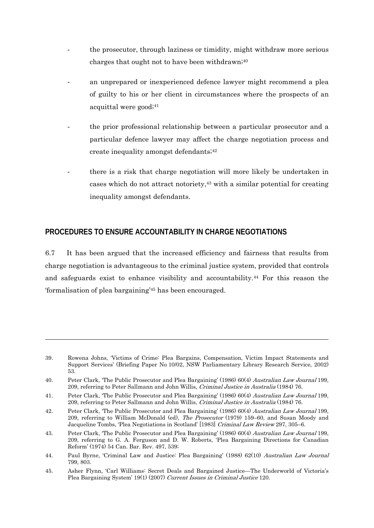- the prosecutor, through laziness or timidity, might withdraw more serious charges that ought not to have been withdrawn; $40$
- an unprepared or inexperienced defence lawyer might recommend a plea of guilty to his or her client in circumstances where the prospects of an acquittal were good;<sup>41</sup>
- the prior professional relationship between a particular prosecutor and a particular defence lawyer may affect the charge negotiation process and create inequality amongst defendants;42
- there is a risk that charge negotiation will more likely be undertaken in cases which do not attract notoriety,43 with a similar potential for creating inequality amongst defendants.

## **PROCEDURES TO ENSURE ACCOUNTABILITY IN CHARGE NEGOTIATIONS**

-

6.7 It has been argued that the increased efficiency and fairness that results from charge negotiation is advantageous to the criminal justice system, provided that controls and safeguards exist to enhance visibility and accountability.44 For this reason the 'formalisation of plea bargaining'45 has been encouraged.

<sup>39.</sup> Rowena Johns, 'Victims of Crime: Plea Bargains, Compensation, Victim Impact Statements and Support Services' (Briefing Paper No 10/02, NSW Parliamentary Library Research Service, 2002) 53.

<sup>40.</sup> Peter Clark, 'The Public Prosecutor and Plea Bargaining' (1986) 60(4) Australian Law Journal 199, 209, referring to Peter Sallmann and John Willis, Criminal Justice in Australia (1984) 76.

<sup>41.</sup> Peter Clark, 'The Public Prosecutor and Plea Bargaining' (1986) 60(4) Australian Law Journal 199, 209, referring to Peter Sallmann and John Willis, Criminal Justice in Australia (1984) 76.

<sup>42.</sup> Peter Clark, 'The Public Prosecutor and Plea Bargaining' (1986) 60(4) Australian Law Journal 199, 209, referring to William McDonald (ed), *The Prosecutor* (1979) 159–60, and Susan Moody and Jacqueline Tombs, 'Plea Negotiations in Scotland' [1983] Criminal Law Review 297, 305–6.

<sup>43.</sup> Peter Clark, 'The Public Prosecutor and Plea Bargaining' (1986) 60(4) Australian Law Journal 199, 209, referring to G. A. Ferguson and D. W. Roberts, 'Plea Bargaining Directions for Canadian Reform' (1974) 54 Can. Bar. Rev. 497, 539;

<sup>44.</sup> Paul Byrne, 'Criminal Law and Justice: Plea Bargaining' (1988) 62(10) Australian Law Journal 799, 803.

<sup>45.</sup> Asher Flynn, 'Carl Williams: Secret Deals and Bargained Justice—The Underworld of Victoria's Plea Bargaining System' 19(1) (2007) Current Issues in Criminal Justice 120.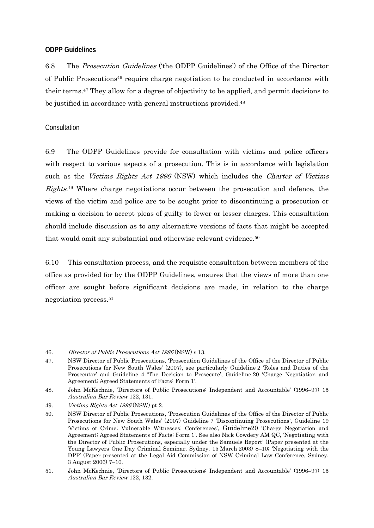#### **ODPP Guidelines**

6.8 The Prosecution Guidelines ('the ODPP Guidelines') of the Office of the Director of Public Prosecutions46 require charge negotiation to be conducted in accordance with their terms.47 They allow for a degree of objectivity to be applied, and permit decisions to be justified in accordance with general instructions provided.<sup>48</sup>

#### Consultation

-

6.9 The ODPP Guidelines provide for consultation with victims and police officers with respect to various aspects of a prosecution. This is in accordance with legislation such as the Victims Rights Act 1996 (NSW) which includes the Charter of Victims Rights.49 Where charge negotiations occur between the prosecution and defence, the views of the victim and police are to be sought prior to discontinuing a prosecution or making a decision to accept pleas of guilty to fewer or lesser charges. This consultation should include discussion as to any alternative versions of facts that might be accepted that would omit any substantial and otherwise relevant evidence.<sup>50</sup>

6.10 This consultation process, and the requisite consultation between members of the office as provided for by the ODPP Guidelines, ensures that the views of more than one officer are sought before significant decisions are made, in relation to the charge negotiation process.51

<sup>46.</sup> Director of Public Prosecutions Act 1986 (NSW) s 13.

<sup>47.</sup> NSW Director of Public Prosecutions, 'Prosecution Guidelines of the Office of the Director of Public Prosecutions for New South Wales' (2007), see particularly Guideline 2 'Roles and Duties of the Prosecutor' and Guideline 4 'The Decision to Prosecute', Guideline 20 'Charge Negotiation and Agreement; Agreed Statements of Facts; Form 1'.

<sup>48.</sup> John McKechnie, 'Directors of Public Prosecutions: Independent and Accountable' (1996–97) 15 Australian Bar Review 122, 131.

<sup>49.</sup> *Victims Rights Act 1996* (NSW) pt 2.

<sup>50.</sup> NSW Director of Public Prosecutions, 'Prosecution Guidelines of the Office of the Director of Public Prosecutions for New South Wales' (2007) Guideline 7 'Discontinuing Prosecutions', Guideline 19 'Victims of Crime; Vulnerable Witnesses; Conferences', Guideline20 'Charge Negotiation and Agreement; Agreed Statements of Facts; Form 1'. See also Nick Cowdery AM QC, 'Negotiating with the Director of Public Prosecutions, especially under the Samuels Report' (Paper presented at the Young Lawyers One Day Criminal Seminar, Sydney, 15 March 2003) 8–10; 'Negotiating with the DPP' (Paper presented at the Legal Aid Commission of NSW Criminal Law Conference, Sydney, 3 August 2006) 7–10.

<sup>51.</sup> John McKechnie, 'Directors of Public Prosecutions: Independent and Accountable' (1996–97) 15 Australian Bar Review 122, 132.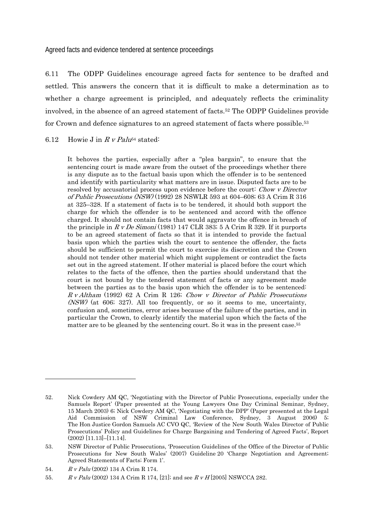Agreed facts and evidence tendered at sentence proceedings

6.11 The ODPP Guidelines encourage agreed facts for sentence to be drafted and settled. This answers the concern that it is difficult to make a determination as to whether a charge agreement is principled, and adequately reflects the criminality involved, in the absence of an agreed statement of facts.52 The ODPP Guidelines provide for Crown and defence signatures to an agreed statement of facts where possible.<sup>53</sup>

#### 6.12 Howie J in R v Palu<sup>54</sup> stated:

It behoves the parties, especially after a "plea bargain", to ensure that the sentencing court is made aware from the outset of the proceedings whether there is any dispute as to the factual basis upon which the offender is to be sentenced and identify with particularity what matters are in issue. Disputed facts are to be resolved by accusatorial process upon evidence before the court: Chow v Director of Public Prosecutions (NSW) (1992) 28 NSWLR 593 at 604–608; 63 A Crim R 316 at 325–328. If a statement of facts is to be tendered, it should both support the charge for which the offender is to be sentenced and accord with the offence charged. It should not contain facts that would aggravate the offence in breach of the principle in  $R \, v \, De \, Simoni (1981)$  147 CLR 383; 5 A Crim R 329. If it purports to be an agreed statement of facts so that it is intended to provide the factual basis upon which the parties wish the court to sentence the offender, the facts should be sufficient to permit the court to exercise its discretion and the Crown should not tender other material which might supplement or contradict the facts set out in the agreed statement. If other material is placed before the court which relates to the facts of the offence, then the parties should understand that the court is not bound by the tendered statement of facts or any agreement made between the parties as to the basis upon which the offender is to be sentenced: R v Altham (1992) 62 A Crim R 126; Chow v Director of Public Prosecutions  $(NSW)$  (at 606; 327). All too frequently, or so it seems to me, uncertainty, confusion and, sometimes, error arises because of the failure of the parties, and in particular the Crown, to clearly identify the material upon which the facts of the matter are to be gleaned by the sentencing court. So it was in the present case.55

<sup>52.</sup> Nick Cowdery AM QC, 'Negotiating with the Director of Public Prosecutions, especially under the Samuels Report' (Paper presented at the Young Lawyers One Day Criminal Seminar, Sydney, 15 March 2003) 6; Nick Cowdery AM QC, 'Negotiating with the DPP' (Paper presented at the Legal Aid Commission of NSW Criminal Law Conference, Sydney, 3 August 2006) 5; The Hon Justice Gordon Samuels AC CVO QC, 'Review of the New South Wales Director of Public Prosecutions' Policy and Guidelines for Charge Bargaining and Tendering of Agreed Facts', Report (2002) [11.13]–[11.14].

<sup>53.</sup> NSW Director of Public Prosecutions, 'Prosecution Guidelines of the Office of the Director of Public Prosecutions for New South Wales' (2007) Guideline 20 'Charge Negotiation and Agreement; Agreed Statements of Facts; Form 1'.

<sup>54.</sup> R v Palu (2002) 134 A Crim R 174.

<sup>55.</sup> R v Palu (2002) 134 A Crim R 174, [21]; and see R v H [2005] NSWCCA 282.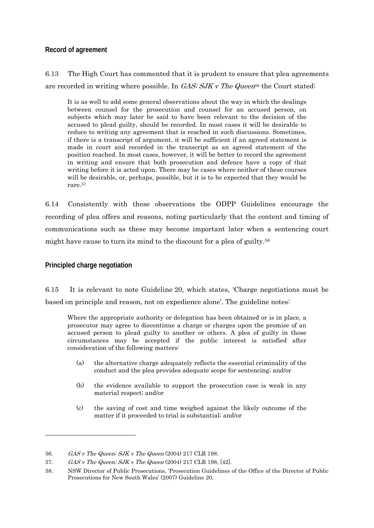#### **Record of agreement**

6.13 The High Court has commented that it is prudent to ensure that plea agreements are recorded in writing where possible. In  $GAS$ ;  $SJKV$  The Queen<sup>56</sup> the Court stated:

It is as well to add some general observations about the way in which the dealings between counsel for the prosecution and counsel for an accused person, on subjects which may later be said to have been relevant to the decision of the accused to plead guilty, should be recorded. In most cases it will be desirable to reduce to writing any agreement that is reached in such discussions. Sometimes, if there is a transcript of argument, it will be sufficient if an agreed statement is made in court and recorded in the transcript as an agreed statement of the position reached. In most cases, however, it will be better to record the agreement in writing and ensure that both prosecution and defence have a copy of that writing before it is acted upon. There may be cases where neither of these courses will be desirable, or, perhaps, possible, but it is to be expected that they would be rare.57

6.14 Consistently with these observations the ODPP Guidelines encourage the recording of plea offers and reasons, noting particularly that the content and timing of communications such as these may become important later when a sentencing court might have cause to turn its mind to the discount for a plea of guilty.<sup>58</sup>

## **Principled charge negotiation**

1

6.15 It is relevant to note Guideline 20, which states, 'Charge negotiations must be based on principle and reason, not on expedience alone'. The guideline notes:

Where the appropriate authority or delegation has been obtained or is in place, a prosecutor may agree to discontinue a charge or charges upon the promise of an accused person to plead guilty to another or others. A plea of guilty in those circumstances may be accepted if the public interest is satisfied after consideration of the following matters:

- (a) the alternative charge adequately reflects the essential criminality of the conduct and the plea provides adequate scope for sentencing; and/or
- (b) the evidence available to support the prosecution case is weak in any material respect; and/or
- (c) the saving of cost and time weighed against the likely outcome of the matter if it proceeded to trial is substantial; and/or

<sup>56.</sup> GAS v The Queen; SJK v The Queen (2004) 217 CLR 198.

<sup>57.</sup> GAS v The Queen; SJK v The Queen (2004) 217 CLR 198, [42].

<sup>58.</sup> NSW Director of Public Prosecutions, 'Prosecution Guidelines of the Office of the Director of Public Prosecutions for New South Wales' (2007) Guideline 20.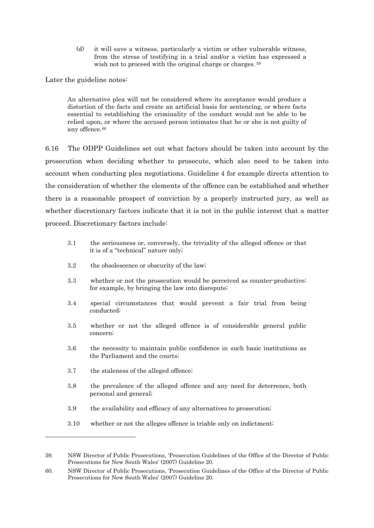(d) it will save a witness, particularly a victim or other vulnerable witness, from the stress of testifying in a trial and/or a victim has expressed a wish not to proceed with the original charge or charges.<sup>59</sup>

Later the guideline notes:

An alternative plea will not be considered where its acceptance would produce a distortion of the facts and create an artificial basis for sentencing, or where facts essential to establishing the criminality of the conduct would not be able to be relied upon, or where the accused person intimates that he or she is not guilty of any offence.<sup>60</sup>

6.16 The ODPP Guidelines set out what factors should be taken into account by the prosecution when deciding whether to prosecute, which also need to be taken into account when conducting plea negotiations. Guideline 4 for example directs attention to the consideration of whether the elements of the offence can be established and whether there is a reasonable prospect of conviction by a properly instructed jury, as well as whether discretionary factors indicate that it is not in the public interest that a matter proceed. Discretionary factors include:

- 3.1 the seriousness or, conversely, the triviality of the alleged offence or that it is of a "technical" nature only;
- 3.2 the obsolescence or obscurity of the law;
- 3.3 whether or not the prosecution would be perceived as counter-productive; for example, by bringing the law into disrepute;
- 3.4 special circumstances that would prevent a fair trial from being conducted;
- 3.5 whether or not the alleged offence is of considerable general public concern;
- 3.6 the necessity to maintain public confidence in such basic institutions as the Parliament and the courts;
- 3.7 the staleness of the alleged offence;

- 3.8 the prevalence of the alleged offence and any need for deterrence, both personal and general;
- 3.9 the availability and efficacy of any alternatives to prosecution;
- 3.10 whether or not the alleges offence is triable only on indictment;

<sup>59.</sup> NSW Director of Public Prosecutions, 'Prosecution Guidelines of the Office of the Director of Public Prosecutions for New South Wales' (2007) Guideline 20.

<sup>60.</sup> NSW Director of Public Prosecutions, 'Prosecution Guidelines of the Office of the Director of Public Prosecutions for New South Wales' (2007) Guideline 20.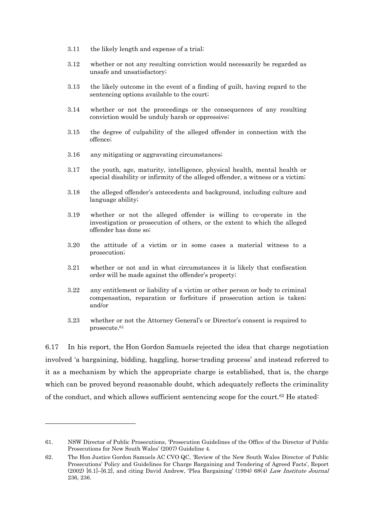- 3.11 the likely length and expense of a trial;
- 3.12 whether or not any resulting conviction would necessarily be regarded as unsafe and unsatisfactory;
- 3.13 the likely outcome in the event of a finding of guilt, having regard to the sentencing options available to the court;
- 3.14 whether or not the proceedings or the consequences of any resulting conviction would be unduly harsh or oppressive;
- 3.15 the degree of culpability of the alleged offender in connection with the offence;
- 3.16 any mitigating or aggravating circumstances;
- 3.17 the youth, age, maturity, intelligence, physical health, mental health or special disability or infirmity of the alleged offender, a witness or a victim;
- 3.18 the alleged offender's antecedents and background, including culture and language ability;
- 3.19 whether or not the alleged offender is willing to co-operate in the investigation or prosecution of others, or the extent to which the alleged offender has done so;
- 3.20 the attitude of a victim or in some cases a material witness to a prosecution;
- 3.21 whether or not and in what circumstances it is likely that confiscation order will be made against the offender's property;
- 3.22 any entitlement or liability of a victim or other person or body to criminal compensation, reparation or forfeiture if prosecution action is taken; and/or
- 3.23 whether or not the Attorney General's or Director's consent is required to prosecute.61

6.17 In his report, the Hon Gordon Samuels rejected the idea that charge negotiation involved 'a bargaining, bidding, haggling, horse-trading process' and instead referred to it as a mechanism by which the appropriate charge is established, that is, the charge which can be proved beyond reasonable doubt, which adequately reflects the criminality of the conduct, and which allows sufficient sentencing scope for the court.62 He stated:

<sup>61.</sup> NSW Director of Public Prosecutions, 'Prosecution Guidelines of the Office of the Director of Public Prosecutions for New South Wales' (2007) Guideline 4.

<sup>62.</sup> The Hon Justice Gordon Samuels AC CVO QC, 'Review of the New South Wales Director of Public Prosecutions' Policy and Guidelines for Charge Bargaining and Tendering of Agreed Facts', Report (2002) [6.1]–[6.2], and citing David Andrew, 'Plea Bargaining' (1994) 68(4) Law Institute Journal 236, 236.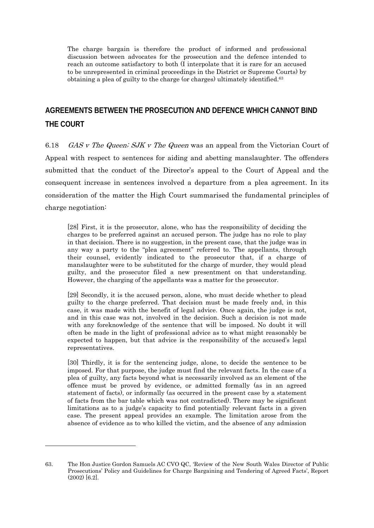The charge bargain is therefore the product of informed and professional discussion between advocates for the prosecution and the defence intended to reach an outcome satisfactory to both (I interpolate that it is rare for an accused to be unrepresented in criminal proceedings in the District or Supreme Courts) by obtaining a plea of guilty to the charge (or charges) ultimately identified.63

# **AGREEMENTS BETWEEN THE PROSECUTION AND DEFENCE WHICH CANNOT BIND THE COURT**

6.18 *GAS v The Queen; SJK v The Queen* was an appeal from the Victorian Court of Appeal with respect to sentences for aiding and abetting manslaughter. The offenders submitted that the conduct of the Director's appeal to the Court of Appeal and the consequent increase in sentences involved a departure from a plea agreement. In its consideration of the matter the High Court summarised the fundamental principles of charge negotiation:

[28] First, it is the prosecutor, alone, who has the responsibility of deciding the charges to be preferred against an accused person. The judge has no role to play in that decision. There is no suggestion, in the present case, that the judge was in any way a party to the "plea agreement" referred to. The appellants, through their counsel, evidently indicated to the prosecutor that, if a charge of manslaughter were to be substituted for the charge of murder, they would plead guilty, and the prosecutor filed a new presentment on that understanding. However, the charging of the appellants was a matter for the prosecutor.

[29] Secondly, it is the accused person, alone, who must decide whether to plead guilty to the charge preferred. That decision must be made freely and, in this case, it was made with the benefit of legal advice. Once again, the judge is not, and in this case was not, involved in the decision. Such a decision is not made with any foreknowledge of the sentence that will be imposed. No doubt it will often be made in the light of professional advice as to what might reasonably be expected to happen, but that advice is the responsibility of the accused's legal representatives.

[30] Thirdly, it is for the sentencing judge, alone, to decide the sentence to be imposed. For that purpose, the judge must find the relevant facts. In the case of a plea of guilty, any facts beyond what is necessarily involved as an element of the offence must be proved by evidence, or admitted formally (as in an agreed statement of facts), or informally (as occurred in the present case by a statement of facts from the bar table which was not contradicted). There may be significant limitations as to a judge's capacity to find potentially relevant facts in a given case. The present appeal provides an example. The limitation arose from the absence of evidence as to who killed the victim, and the absence of any admission

<sup>63.</sup> The Hon Justice Gordon Samuels AC CVO QC, 'Review of the New South Wales Director of Public Prosecutions' Policy and Guidelines for Charge Bargaining and Tendering of Agreed Facts', Report (2002) [6.2].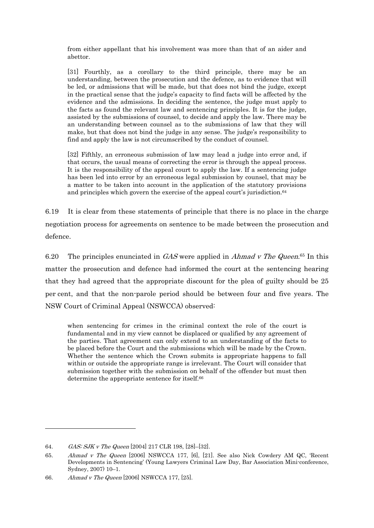from either appellant that his involvement was more than that of an aider and abettor.

[31] Fourthly, as a corollary to the third principle, there may be an understanding, between the prosecution and the defence, as to evidence that will be led, or admissions that will be made, but that does not bind the judge, except in the practical sense that the judge's capacity to find facts will be affected by the evidence and the admissions. In deciding the sentence, the judge must apply to the facts as found the relevant law and sentencing principles. It is for the judge, assisted by the submissions of counsel, to decide and apply the law. There may be an understanding between counsel as to the submissions of law that they will make, but that does not bind the judge in any sense. The judge's responsibility to find and apply the law is not circumscribed by the conduct of counsel.

[32] Fifthly, an erroneous submission of law may lead a judge into error and, if that occurs, the usual means of correcting the error is through the appeal process. It is the responsibility of the appeal court to apply the law. If a sentencing judge has been led into error by an erroneous legal submission by counsel, that may be a matter to be taken into account in the application of the statutory provisions and principles which govern the exercise of the appeal court's jurisdiction.64

6.19 It is clear from these statements of principle that there is no place in the charge negotiation process for agreements on sentence to be made between the prosecution and defence.

6.20 The principles enunciated in  $GAS$  were applied in *Ahmad v The Queen*.<sup>65</sup> In this matter the prosecution and defence had informed the court at the sentencing hearing that they had agreed that the appropriate discount for the plea of guilty should be 25 per cent, and that the non-parole period should be between four and five years. The NSW Court of Criminal Appeal (NSWCCA) observed:

when sentencing for crimes in the criminal context the role of the court is fundamental and in my view cannot be displaced or qualified by any agreement of the parties. That agreement can only extend to an understanding of the facts to be placed before the Court and the submissions which will be made by the Crown. Whether the sentence which the Crown submits is appropriate happens to fall within or outside the appropriate range is irrelevant. The Court will consider that submission together with the submission on behalf of the offender but must then determine the appropriate sentence for itself.66

<sup>64.</sup> GAS; SJK v The Queen [2004] 217 CLR 198, [28]–[32].

<sup>65.</sup> Ahmad v The Queen [2006] NSWCCA 177, [6], [21]. See also Nick Cowdery AM QC, 'Recent Developments in Sentencing' (Young Lawyers Criminal Law Day, Bar Association Mini-conference, Sydney, 2007) 10–1.

<sup>66.</sup> Ahmad v The Queen [2006] NSWCCA 177, [25].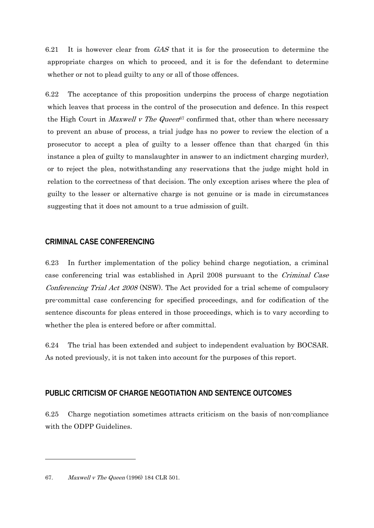6.21 It is however clear from GAS that it is for the prosecution to determine the appropriate charges on which to proceed, and it is for the defendant to determine whether or not to plead guilty to any or all of those offences.

6.22 The acceptance of this proposition underpins the process of charge negotiation which leaves that process in the control of the prosecution and defence. In this respect the High Court in *Maxwell v The Queen*<sup>67</sup> confirmed that, other than where necessary to prevent an abuse of process, a trial judge has no power to review the election of a prosecutor to accept a plea of guilty to a lesser offence than that charged (in this instance a plea of guilty to manslaughter in answer to an indictment charging murder), or to reject the plea, notwithstanding any reservations that the judge might hold in relation to the correctness of that decision. The only exception arises where the plea of guilty to the lesser or alternative charge is not genuine or is made in circumstances suggesting that it does not amount to a true admission of guilt.

#### **CRIMINAL CASE CONFERENCING**

6.23 In further implementation of the policy behind charge negotiation, a criminal case conferencing trial was established in April 2008 pursuant to the Criminal Case Conferencing Trial Act 2008 (NSW). The Act provided for a trial scheme of compulsory pre-committal case conferencing for specified proceedings, and for codification of the sentence discounts for pleas entered in those proceedings, which is to vary according to whether the plea is entered before or after committal.

6.24 The trial has been extended and subject to independent evaluation by BOCSAR. As noted previously, it is not taken into account for the purposes of this report.

#### **PUBLIC CRITICISM OF CHARGE NEGOTIATION AND SENTENCE OUTCOMES**

6.25 Charge negotiation sometimes attracts criticism on the basis of non-compliance with the ODPP Guidelines.

<sup>67.</sup> Maxwell v The Queen (1996) 184 CLR 501.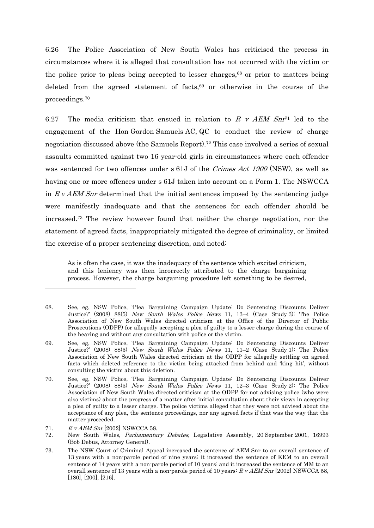6.26 The Police Association of New South Wales has criticised the process in circumstances where it is alleged that consultation has not occurred with the victim or the police prior to pleas being accepted to lesser charges, $68$  or prior to matters being deleted from the agreed statement of facts,<sup>69</sup> or otherwise in the course of the proceedings.70

6.27 The media criticism that ensued in relation to R v AEM Snr<sup>71</sup> led to the engagement of the Hon Gordon Samuels AC, QC to conduct the review of charge negotiation discussed above (the Samuels Report).72 This case involved a series of sexual assaults committed against two 16 year-old girls in circumstances where each offender was sentenced for two offences under s 61J of the Crimes Act 1900 (NSW), as well as having one or more offences under s 61J taken into account on a Form 1. The NSWCCA in  $R \nu AEM$  Snr determined that the initial sentences imposed by the sentencing judge were manifestly inadequate and that the sentences for each offender should be increased.73 The review however found that neither the charge negotiation, nor the statement of agreed facts, inappropriately mitigated the degree of criminality, or limited the exercise of a proper sentencing discretion, and noted:

As is often the case, it was the inadequacy of the sentence which excited criticism, and this leniency was then incorrectly attributed to the charge bargaining process. However, the charge bargaining procedure left something to be desired,

<sup>68.</sup> See, eg, NSW Police, 'Plea Bargaining Campaign Update: Do Sentencing Discounts Deliver Justice?' (2008) 88(5) New South Wales Police News 11, 13–4 (Case Study 3): The Police Association of New South Wales directed criticism at the Office of the Director of Public Prosecutions (ODPP) for allegedly accepting a plea of guilty to a lesser charge during the course of the hearing and without any consultation with police or the victim.

<sup>69.</sup> See, eg, NSW Police, 'Plea Bargaining Campaign Update: Do Sentencing Discounts Deliver Justice?' (2008) 88(5) New South Wales Police News 11, 11–2 (Case Study 1): The Police Association of New South Wales directed criticism at the ODPP for allegedly settling on agreed facts which deleted reference to the victim being attacked from behind and 'king hit', without consulting the victim about this deletion.

<sup>70.</sup> See, eg, NSW Police, 'Plea Bargaining Campaign Update: Do Sentencing Discounts Deliver Justice?' (2008) 88(5) New South Wales Police News 11, 12–3 (Case Study 2): The Police Association of New South Wales directed criticism at the ODPP for not advising police (who were also victims) about the progress of a matter after initial consultation about their views in accepting a plea of guilty to a lesser charge. The police victims alleged that they were not advised about the acceptance of any plea, the sentence proceedings, nor any agreed facts if that was the way that the matter proceeded.

<sup>71.</sup> R v AEM Snr [2002] NSWCCA 58.

<sup>72.</sup> New South Wales, Parliamentary Debates, Legislative Assembly, 20 September 2001, 16993 (Bob Debus, Attorney General).

<sup>73.</sup> The NSW Court of Criminal Appeal increased the sentence of AEM Snr to an overall sentence of 13 years with a non-parole period of nine years; it increased the sentence of KEM to an overall sentence of 14 years with a non-parole period of 10 years; and it increased the sentence of MM to an overall sentence of 13 years with a non-parole period of 10 years:  $R v AEM Snr$  [2002] NSWCCA 58, [180], [200], [216].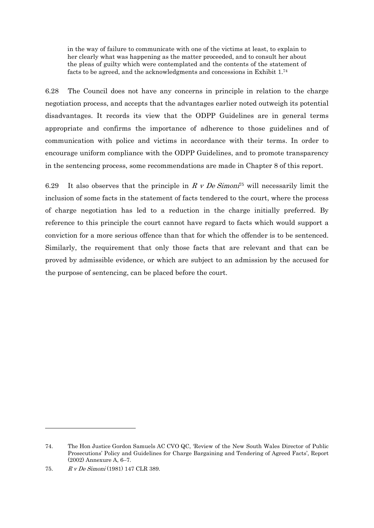in the way of failure to communicate with one of the victims at least, to explain to her clearly what was happening as the matter proceeded, and to consult her about the pleas of guilty which were contemplated and the contents of the statement of facts to be agreed, and the acknowledgments and concessions in Exhibit 1.74

6.28 The Council does not have any concerns in principle in relation to the charge negotiation process, and accepts that the advantages earlier noted outweigh its potential disadvantages. It records its view that the ODPP Guidelines are in general terms appropriate and confirms the importance of adherence to those guidelines and of communication with police and victims in accordance with their terms. In order to encourage uniform compliance with the ODPP Guidelines, and to promote transparency in the sentencing process, some recommendations are made in Chapter 8 of this report.

6.29 It also observes that the principle in R v De Simon<sup>75</sup> will necessarily limit the inclusion of some facts in the statement of facts tendered to the court, where the process of charge negotiation has led to a reduction in the charge initially preferred. By reference to this principle the court cannot have regard to facts which would support a conviction for a more serious offence than that for which the offender is to be sentenced. Similarly, the requirement that only those facts that are relevant and that can be proved by admissible evidence, or which are subject to an admission by the accused for the purpose of sentencing, can be placed before the court.

<sup>74.</sup> The Hon Justice Gordon Samuels AC CVO QC, 'Review of the New South Wales Director of Public Prosecutions' Policy and Guidelines for Charge Bargaining and Tendering of Agreed Facts', Report (2002) Annexure A, 6–7.

<sup>75.</sup> R v De Simoni (1981) 147 CLR 389.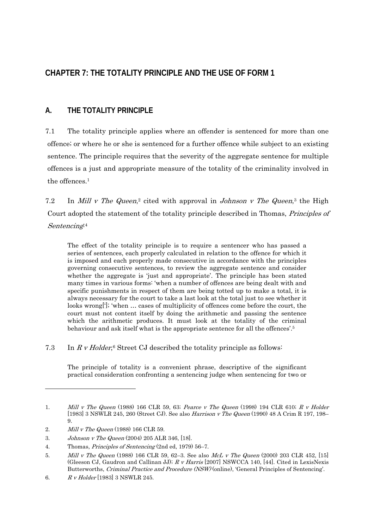# **CHAPTER 7: THE TOTALITY PRINCIPLE AND THE USE OF FORM 1**

## **A. THE TOTALITY PRINCIPLE**

7.1 The totality principle applies where an offender is sentenced for more than one offence; or where he or she is sentenced for a further offence while subject to an existing sentence. The principle requires that the severity of the aggregate sentence for multiple offences is a just and appropriate measure of the totality of the criminality involved in the offences.1

7.2 In Mill v The Queen,<sup>2</sup> cited with approval in Johnson v The Queen,<sup>3</sup> the High Court adopted the statement of the totality principle described in Thomas, Principles of Sentencing:4

The effect of the totality principle is to require a sentencer who has passed a series of sentences, each properly calculated in relation to the offence for which it is imposed and each properly made consecutive in accordance with the principles governing consecutive sentences, to review the aggregate sentence and consider whether the aggregate is 'just and appropriate'. The principle has been stated many times in various forms: 'when a number of offences are being dealt with and specific punishments in respect of them are being totted up to make a total, it is always necessary for the court to take a last look at the total just to see whether it looks wrong[']; 'when … cases of multiplicity of offences come before the court, the court must not content itself by doing the arithmetic and passing the sentence which the arithmetic produces. It must look at the totality of the criminal behaviour and ask itself what is the appropriate sentence for all the offences'.5

7.3 In R v Holder,<sup>6</sup> Street CJ described the totality principle as follows:

The principle of totality is a convenient phrase, descriptive of the significant practical consideration confronting a sentencing judge when sentencing for two or

<sup>1.</sup> Mill v The Queen (1988) 166 CLR 59, 63; Pearce v The Queen (1998) 194 CLR 610; R v Holder [1983] 3 NSWLR 245, 260 (Street CJ). See also Harrison v The Queen (1990) 48 A Crim R 197, 198– 9.

<sup>2.</sup> *Mill v The Queen* (1988) 166 CLR 59.

<sup>3.</sup> Johnson v The Queen (2004) 205 ALR 346, [18].

<sup>4.</sup> Thomas, Principles of Sentencing (2nd ed, 1979) 56–7.

<sup>5.</sup> Mill v The Queen (1988) 166 CLR 59, 62-3. See also McL v The Queen (2000) 203 CLR 452, [15] (Gleeson CJ, Gaudron and Callinan JJ);  $R \, v$  Harris [2007] NSWCCA 140, [44]. Cited in LexisNexis Butterworths, Criminal Practice and Procedure (NSW) (online), 'General Principles of Sentencing'.

<sup>6.</sup> R v Holder [1983] 3 NSWLR 245.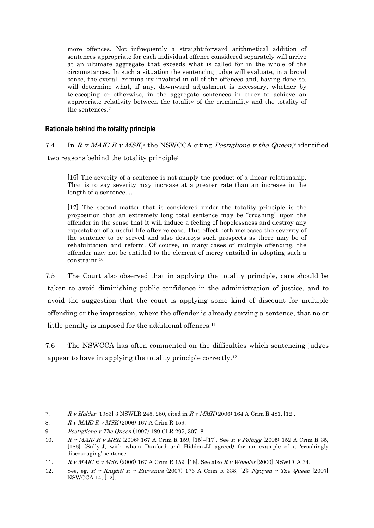more offences. Not infrequently a straight-forward arithmetical addition of sentences appropriate for each individual offence considered separately will arrive at an ultimate aggregate that exceeds what is called for in the whole of the circumstances. In such a situation the sentencing judge will evaluate, in a broad sense, the overall criminality involved in all of the offences and, having done so, will determine what, if any, downward adjustment is necessary, whether by telescoping or otherwise, in the aggregate sentences in order to achieve an appropriate relativity between the totality of the criminality and the totality of the sentences.7

### **Rationale behind the totality principle**

# 7.4 In R v MAK; R v MSK,<sup>8</sup> the NSWCCA citing *Postiglione v the Queen*,<sup>9</sup> identified two reasons behind the totality principle:

[16] The severity of a sentence is not simply the product of a linear relationship. That is to say severity may increase at a greater rate than an increase in the length of a sentence. …

[17] The second matter that is considered under the totality principle is the proposition that an extremely long total sentence may be "crushing" upon the offender in the sense that it will induce a feeling of hopelessness and destroy any expectation of a useful life after release. This effect both increases the severity of the sentence to be served and also destroys such prospects as there may be of rehabilitation and reform. Of course, in many cases of multiple offending, the offender may not be entitled to the element of mercy entailed in adopting such a constraint.10

7.5 The Court also observed that in applying the totality principle, care should be taken to avoid diminishing public confidence in the administration of justice, and to avoid the suggestion that the court is applying some kind of discount for multiple offending or the impression, where the offender is already serving a sentence, that no or little penalty is imposed for the additional offences.<sup>11</sup>

7.6 The NSWCCA has often commented on the difficulties which sentencing judges appear to have in applying the totality principle correctly.12

<sup>7.</sup> R v Holder [1983] 3 NSWLR 245, 260, cited in R v MMK (2006) 164 A Crim R 481, [12].

<sup>8.</sup> R v MAK; R v MSK (2006) 167 A Crim R 159.

<sup>9.</sup> Postiglione v The Queen (1997) 189 CLR 295, 307–8.

<sup>10.</sup> R v MAK; R v MSK (2006) 167 A Crim R 159, [15]–[17]. See R v Folbigg (2005) 152 A Crim R 35, [186] (Sully J, with whom Dunford and Hidden JJ agreed) for an example of a 'crushingly discouraging' sentence.

<sup>11.</sup> R v MAK; R v MSK (2006) 167 A Crim R 159, [18]. See also R v Wheeler [2000] NSWCCA 34.

<sup>12.</sup> See, eg, R v Knight; R v Biuvanua (2007) 176 A Crim R 338, [2]; Nguyen v The Queen  $[2007]$ NSWCCA 14, [12].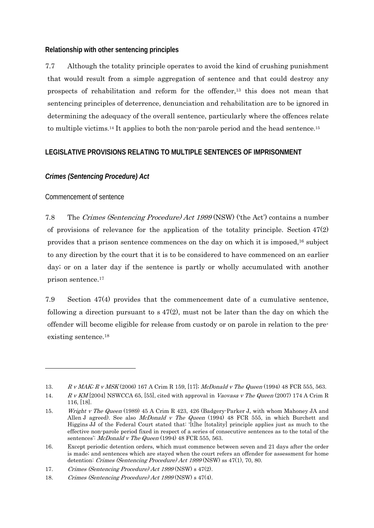### **Relationship with other sentencing principles**

7.7 Although the totality principle operates to avoid the kind of crushing punishment that would result from a simple aggregation of sentence and that could destroy any prospects of rehabilitation and reform for the offender,13 this does not mean that sentencing principles of deterrence, denunciation and rehabilitation are to be ignored in determining the adequacy of the overall sentence, particularly where the offences relate to multiple victims.14 It applies to both the non-parole period and the head sentence.15

### **LEGISLATIVE PROVISIONS RELATING TO MULTIPLE SENTENCES OF IMPRISONMENT**

## *Crimes (Sentencing Procedure) Act*

### Commencement of sentence

 $\overline{a}$ 

7.8 The Crimes (Sentencing Procedure) Act 1999 (NSW) ('the Act') contains a number of provisions of relevance for the application of the totality principle. Section 47(2) provides that a prison sentence commences on the day on which it is imposed,16 subject to any direction by the court that it is to be considered to have commenced on an earlier day; or on a later day if the sentence is partly or wholly accumulated with another prison sentence.17

7.9 Section 47(4) provides that the commencement date of a cumulative sentence, following a direction pursuant to  $s$  47(2), must not be later than the day on which the offender will become eligible for release from custody or on parole in relation to the preexisting sentence.18

<sup>13.</sup> R v MAK; R v MSK (2006) 167 A Crim R 159, [17]; McDonald v The Queen (1994) 48 FCR 555, 563.

<sup>14.</sup> R v KM [2004] NSWCCA 65, [55], cited with approval in Vaovasa v The Queen (2007) 174 A Crim R 116, [18].

<sup>15.</sup> Wright v The Queen (1989) 45 A Crim R 423, 426 (Badgery-Parker J, with whom Mahoney JA and Allen J agreed). See also *McDonald v The Queen* (1994) 48 FCR 555, in which Burchett and Higgins JJ of the Federal Court stated that: '[t]he [totality] principle applies just as much to the effective non-parole period fixed in respect of a series of consecutive sentences as to the total of the sentences': McDonald v The Queen (1994) 48 FCR 555, 563.

<sup>16.</sup> Except periodic detention orders, which must commence between seven and 21 days after the order is made; and sentences which are stayed when the court refers an offender for assessment for home detention: Crimes (Sentencing Procedure) Act 1999 (NSW) ss 47(1), 70, 80.

<sup>17.</sup> Crimes (Sentencing Procedure) Act 1999 (NSW) s 47(2).

<sup>18.</sup> Crimes (Sentencing Procedure) Act 1999 (NSW) s 47(4).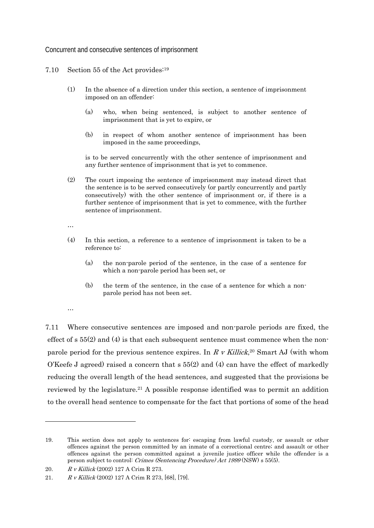Concurrent and consecutive sentences of imprisonment

- 7.10 Section 55 of the Act provides:19
	- (1) In the absence of a direction under this section, a sentence of imprisonment imposed on an offender:
		- (a) who, when being sentenced, is subject to another sentence of imprisonment that is yet to expire, or
		- (b) in respect of whom another sentence of imprisonment has been imposed in the same proceedings,

is to be served concurrently with the other sentence of imprisonment and any further sentence of imprisonment that is yet to commence.

(2) The court imposing the sentence of imprisonment may instead direct that the sentence is to be served consecutively (or partly concurrently and partly consecutively) with the other sentence of imprisonment or, if there is a further sentence of imprisonment that is yet to commence, with the further sentence of imprisonment.

…

- (4) In this section, a reference to a sentence of imprisonment is taken to be a reference to:
	- (a) the non-parole period of the sentence, in the case of a sentence for which a non-parole period has been set, or
	- (b) the term of the sentence, in the case of a sentence for which a nonparole period has not been set.
- …

 $\overline{a}$ 

7.11 Where consecutive sentences are imposed and non-parole periods are fixed, the effect of  $s$  55(2) and (4) is that each subsequent sentence must commence when the nonparole period for the previous sentence expires. In R v Killick,<sup>20</sup> Smart AJ (with whom O'Keefe J agreed) raised a concern that s 55(2) and (4) can have the effect of markedly reducing the overall length of the head sentences, and suggested that the provisions be reviewed by the legislature.21 A possible response identified was to permit an addition to the overall head sentence to compensate for the fact that portions of some of the head

<sup>19.</sup> This section does not apply to sentences for: escaping from lawful custody, or assault or other offences against the person committed by an inmate of a correctional centre; and assault or other offences against the person committed against a juvenile justice officer while the offender is a person subject to control: Crimes (Sentencing Procedure) Act 1999 (NSW) s 55(5).

<sup>20.</sup> R v Killick (2002) 127 A Crim R 273.

<sup>21.</sup> R v Killick (2002) 127 A Crim R 273, [68], [79].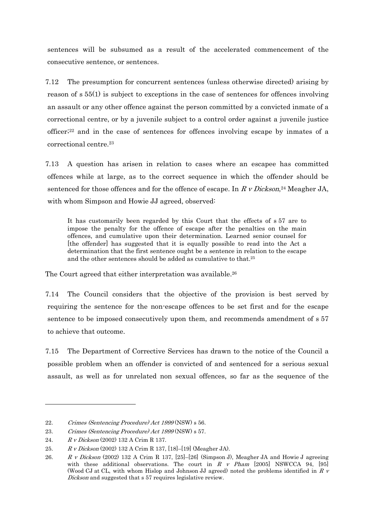sentences will be subsumed as a result of the accelerated commencement of the consecutive sentence, or sentences.

7.12 The presumption for concurrent sentences (unless otherwise directed) arising by reason of s 55(1) is subject to exceptions in the case of sentences for offences involving an assault or any other offence against the person committed by a convicted inmate of a correctional centre, or by a juvenile subject to a control order against a juvenile justice officer; $2<sup>2</sup>$  and in the case of sentences for offences involving escape by inmates of a correctional centre.23

7.13 A question has arisen in relation to cases where an escapee has committed offences while at large, as to the correct sequence in which the offender should be sentenced for those offences and for the offence of escape. In  $R \nu Dickson^{24}$  Meagher JA, with whom Simpson and Howie JJ agreed, observed:

It has customarily been regarded by this Court that the effects of s 57 are to impose the penalty for the offence of escape after the penalties on the main offences, and cumulative upon their determination. Learned senior counsel for [the offender] has suggested that it is equally possible to read into the Act a determination that the first sentence ought be a sentence in relation to the escape and the other sentences should be added as cumulative to that.25

The Court agreed that either interpretation was available.<sup>26</sup>

7.14 The Council considers that the objective of the provision is best served by requiring the sentence for the non-escape offences to be set first and for the escape sentence to be imposed consecutively upon them, and recommends amendment of s 57 to achieve that outcome.

7.15 The Department of Corrective Services has drawn to the notice of the Council a possible problem when an offender is convicted of and sentenced for a serious sexual assault, as well as for unrelated non sexual offences, so far as the sequence of the

<sup>22.</sup> Crimes (Sentencing Procedure) Act 1999 (NSW) s 56.

<sup>23.</sup> Crimes (Sentencing Procedure) Act 1999 (NSW) s 57.

<sup>24.</sup> R v Dickson (2002) 132 A Crim R 137.

<sup>25.</sup> R v Dickson (2002) 132 A Crim R 137, [18]–[19] (Meagher JA).

<sup>26.</sup> R v Dickson (2002) 132 A Crim R 137, [25]–[26] (Simpson J), Meagher JA and Howie J agreeing with these additional observations. The court in R v Pham [2005] NSWCCA  $94$ , [95] (Wood CJ at CL, with whom Hislop and Johnson JJ agreed) noted the problems identified in  $R<sub>V</sub>$ Dickson and suggested that s 57 requires legislative review.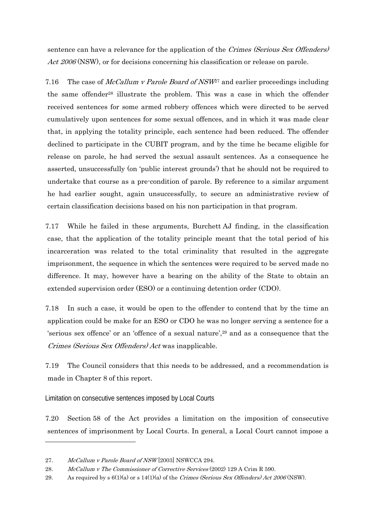sentence can have a relevance for the application of the Crimes (Serious Sex Offenders) Act 2006 (NSW), or for decisions concerning his classification or release on parole.

7.16 The case of *McCallum v Parole Board of NSW*<sup>27</sup> and earlier proceedings including the same offender<sup>28</sup> illustrate the problem. This was a case in which the offender received sentences for some armed robbery offences which were directed to be served cumulatively upon sentences for some sexual offences, and in which it was made clear that, in applying the totality principle, each sentence had been reduced. The offender declined to participate in the CUBIT program, and by the time he became eligible for release on parole, he had served the sexual assault sentences. As a consequence he asserted, unsuccessfully (on 'public interest grounds') that he should not be required to undertake that course as a pre-condition of parole. By reference to a similar argument he had earlier sought, again unsuccessfully, to secure an administrative review of certain classification decisions based on his non participation in that program.

7.17 While he failed in these arguments, Burchett AJ finding, in the classification case, that the application of the totality principle meant that the total period of his incarceration was related to the total criminality that resulted in the aggregate imprisonment, the sequence in which the sentences were required to be served made no difference. It may, however have a bearing on the ability of the State to obtain an extended supervision order (ESO) or a continuing detention order (CDO).

7.18 In such a case, it would be open to the offender to contend that by the time an application could be make for an ESO or CDO he was no longer serving a sentence for a 'serious sex offence' or an 'offence of a sexual nature',29 and as a consequence that the Crimes (Serious Sex Offenders) Act was inapplicable.

7.19 The Council considers that this needs to be addressed, and a recommendation is made in Chapter 8 of this report.

Limitation on consecutive sentences imposed by Local Courts

7.20 Section 58 of the Act provides a limitation on the imposition of consecutive sentences of imprisonment by Local Courts. In general, a Local Court cannot impose a

<sup>27.</sup> McCallum v Parole Board of NSW [2003] NSWCCA 294.

<sup>28.</sup> McCallum v The Commissioner of Corrective Services (2002) 129 A Crim R 590.

<sup>29.</sup> As required by  $s \ 6(1)(a)$  or  $s \ 14(1)(a)$  of the Crimes (Serious Sex Offenders) Act 2006 (NSW).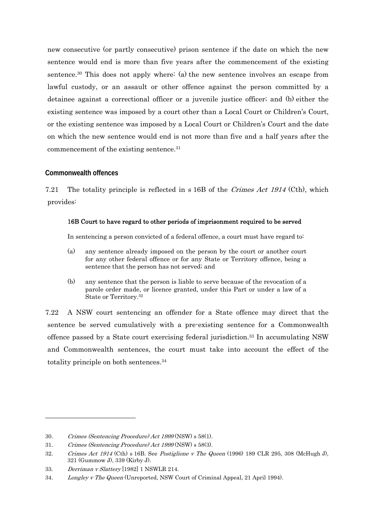new consecutive (or partly consecutive) prison sentence if the date on which the new sentence would end is more than five years after the commencement of the existing sentence.30 This does not apply where: (a) the new sentence involves an escape from lawful custody, or an assault or other offence against the person committed by a detainee against a correctional officer or a juvenile justice officer; and (b) either the existing sentence was imposed by a court other than a Local Court or Children's Court, or the existing sentence was imposed by a Local Court or Children's Court and the date on which the new sentence would end is not more than five and a half years after the commencement of the existing sentence.31

### **Commonwealth offences**

7.21 The totality principle is reflected in s 16B of the *Crimes Act 1914* (Cth), which provides:

#### 16B Court to have regard to other periods of imprisonment required to be served

In sentencing a person convicted of a federal offence, a court must have regard to:

- (a) any sentence already imposed on the person by the court or another court for any other federal offence or for any State or Territory offence, being a sentence that the person has not served; and
- (b) any sentence that the person is liable to serve because of the revocation of a parole order made, or licence granted, under this Part or under a law of a State or Territory.32

7.22 A NSW court sentencing an offender for a State offence may direct that the sentence be served cumulatively with a pre-existing sentence for a Commonwealth offence passed by a State court exercising federal jurisdiction.33 In accumulating NSW and Commonwealth sentences, the court must take into account the effect of the totality principle on both sentences.34

<sup>30.</sup> Crimes (Sentencing Procedure) Act 1999 (NSW) s 58(1).

<sup>31.</sup> Crimes (Sentencing Procedure) Act 1999 (NSW) s 58(3).

<sup>32.</sup> Crimes Act 1914 (Cth) s 16B. See Postiglione v The Queen (1996) 189 CLR 295, 308 (McHugh J), 321 (Gummow J), 339 (Kirby J).

<sup>33.</sup> Derriman v Slattery [1982] 1 NSWLR 214.

<sup>34.</sup> Longley v The Queen (Unreported, NSW Court of Criminal Appeal, 21 April 1994).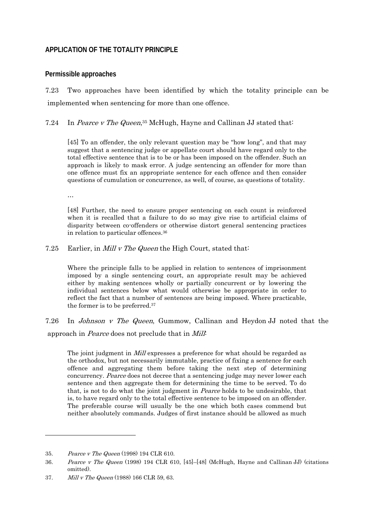### **APPLICATION OF THE TOTALITY PRINCIPLE**

#### **Permissible approaches**

7.23 Two approaches have been identified by which the totality principle can be implemented when sentencing for more than one offence.

7.24 In Pearce v The Queen,<sup>35</sup> McHugh, Hayne and Callinan JJ stated that:

[45] To an offender, the only relevant question may be "how long", and that may suggest that a sentencing judge or appellate court should have regard only to the total effective sentence that is to be or has been imposed on the offender. Such an approach is likely to mask error. A judge sentencing an offender for more than one offence must fix an appropriate sentence for each offence and then consider questions of cumulation or concurrence, as well, of course, as questions of totality.

…

[48] Further, the need to ensure proper sentencing on each count is reinforced when it is recalled that a failure to do so may give rise to artificial claims of disparity between co-offenders or otherwise distort general sentencing practices in relation to particular offences.36

7.25 Earlier, in *Mill v The Queen* the High Court, stated that:

Where the principle falls to be applied in relation to sentences of imprisonment imposed by a single sentencing court, an appropriate result may be achieved either by making sentences wholly or partially concurrent or by lowering the individual sentences below what would otherwise be appropriate in order to reflect the fact that a number of sentences are being imposed. Where practicable, the former is to be preferred.37

7.26 In Johnson v The Queen, Gummow, Callinan and Heydon JJ noted that the approach in Pearce does not preclude that in Mill:

The joint judgment in *Mill* expresses a preference for what should be regarded as the orthodox, but not necessarily immutable, practice of fixing a sentence for each offence and aggregating them before taking the next step of determining concurrency. Pearce does not decree that a sentencing judge may never lower each sentence and then aggregate them for determining the time to be served. To do that, is not to do what the joint judgment in Pearce holds to be undesirable, that is, to have regard only to the total effective sentence to be imposed on an offender. The preferable course will usually be the one which both cases commend but neither absolutely commands. Judges of first instance should be allowed as much

1

<sup>35.</sup> Pearce v The Queen (1998) 194 CLR 610.

<sup>36.</sup> Pearce v The Queen (1998) 194 CLR 610, [45]–[48] (McHugh, Hayne and Callinan JJ) (citations omitted).

<sup>37.</sup> Mill v The Queen (1988) 166 CLR 59, 63.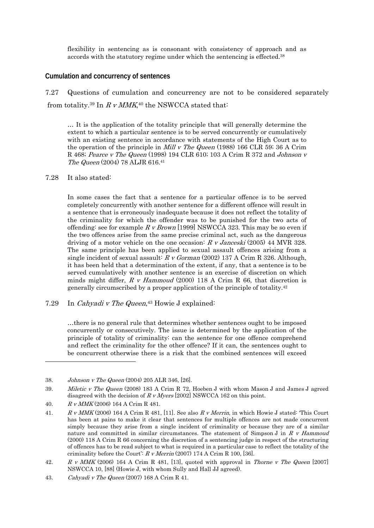flexibility in sentencing as is consonant with consistency of approach and as accords with the statutory regime under which the sentencing is effected.38

#### **Cumulation and concurrency of sentences**

7.27 Questions of cumulation and concurrency are not to be considered separately from totality.<sup>39</sup> In  $R \, v$  MMK,<sup>40</sup> the NSWCCA stated that:

… It is the application of the totality principle that will generally determine the extent to which a particular sentence is to be served concurrently or cumulatively with an existing sentence in accordance with statements of the High Court as to the operation of the principle in *Mill v The Queen* (1988) 166 CLR 59; 36 A Crim R 468; Pearce v The Queen (1998) 194 CLR 610; 103 A Crim R 372 and Johnson v The Queen (2004) 78 ALJR 616.41

#### 7.28 It also stated:

In some cases the fact that a sentence for a particular offence is to be served completely concurrently with another sentence for a different offence will result in a sentence that is erroneously inadequate because it does not reflect the totality of the criminality for which the offender was to be punished for the two acts of offending: see for example  $R \, v \, Brown$  [1999] NSWCCA 323. This may be so even if the two offences arise from the same precise criminal act, such as the dangerous driving of a motor vehicle on the one occasion:  $R \text{ } v \text{ } Janceski (2005)$  44 MVR 328. The same principle has been applied to sexual assault offences arising from a single incident of sexual assault:  $R \nu$  Gorman (2002) 137 A Crim R 326. Although, it has been held that a determination of the extent, if any, that a sentence is to be served cumulatively with another sentence is an exercise of discretion on which minds might differ,  $R$  v Hammoud (2000) 118 A Crim R 66, that discretion is generally circumscribed by a proper application of the principle of totality.42

7.29 In Cahyadi v The Queen, $43$  Howie J explained:

…there is no general rule that determines whether sentences ought to be imposed concurrently or consecutively. The issue is determined by the application of the principle of totality of criminality: can the sentence for one offence comprehend and reflect the criminality for the other offence? If it can, the sentences ought to be concurrent otherwise there is a risk that the combined sentences will exceed

<sup>38.</sup> Johnson v The Queen (2004) 205 ALR 346, [26].

<sup>39.</sup> Miletic v The Queen (2008) 183 A Crim R 72, Hoeben J with whom Mason J and James J agreed disagreed with the decision of  $R \, v \,Myers$  [2002] NSWCCA 162 on this point.

<sup>40.</sup> R v MMK (2006) 164 A Crim R 481.

<sup>41.</sup> R v MMK (2006) 164 A Crim R 481, [11]. See also R v Merrin, in which Howie J stated: 'This Court has been at pains to make it clear that sentences for multiple offences are not made concurrent simply because they arise from a single incident of criminality or because they are of a similar nature and committed in similar circumstances. The statement of Simpson J in  $R$  v Hammoud (2000) 118 A Crim R 66 concerning the discretion of a sentencing judge in respect of the structuring of offences has to be read subject to what is required in a particular case to reflect the totality of the criminality before the Court':  $R \, v$  Merrin (2007) 174 A Crim R 100, [36].

<sup>42.</sup> R v MMK (2006) 164 A Crim R 481, [13], quoted with approval in Thorne v The Queen [2007] NSWCCA 10, [88] (Howie J, with whom Sully and Hall JJ agreed).

<sup>43.</sup> Cahyadi v The Queen (2007) 168 A Crim R 41.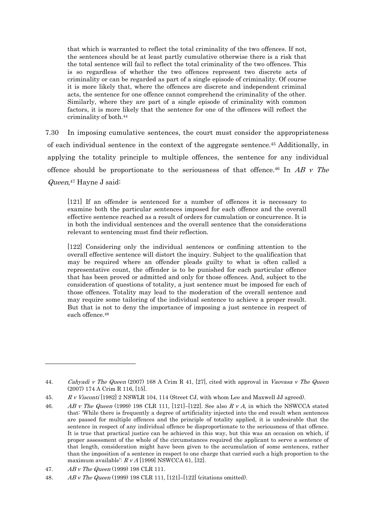that which is warranted to reflect the total criminality of the two offences. If not, the sentences should be at least partly cumulative otherwise there is a risk that the total sentence will fail to reflect the total criminality of the two offences. This is so regardless of whether the two offences represent two discrete acts of criminality or can be regarded as part of a single episode of criminality. Of course it is more likely that, where the offences are discrete and independent criminal acts, the sentence for one offence cannot comprehend the criminality of the other. Similarly, where they are part of a single episode of criminality with common factors, it is more likely that the sentence for one of the offences will reflect the criminality of both.44

7.30 In imposing cumulative sentences, the court must consider the appropriateness of each individual sentence in the context of the aggregate sentence.45 Additionally, in applying the totality principle to multiple offences, the sentence for any individual offence should be proportionate to the seriousness of that offence.<sup>46</sup> In  $AB$  v The Queen,47 Hayne J said:

[121] If an offender is sentenced for a number of offences it is necessary to examine both the particular sentences imposed for each offence and the overall effective sentence reached as a result of orders for cumulation or concurrence. It is in both the individual sentences and the overall sentence that the considerations relevant to sentencing must find their reflection.

[122] Considering only the individual sentences or confining attention to the overall effective sentence will distort the inquiry. Subject to the qualification that may be required where an offender pleads guilty to what is often called a representative count, the offender is to be punished for each particular offence that has been proved or admitted and only for those offences. And, subject to the consideration of questions of totality, a just sentence must be imposed for each of those offences. Totality may lead to the moderation of the overall sentence and may require some tailoring of the individual sentence to achieve a proper result. But that is not to deny the importance of imposing a just sentence in respect of each offence.48

<sup>44.</sup> Cahyadi v The Queen (2007) 168 A Crim R 41, [27], cited with approval in Vaovasa v The Queen (2007) 174 A Crim R 116, [15].

<sup>45.</sup> R v Visconti [1982] 2 NSWLR 104, 114 (Street CJ, with whom Lee and Maxwell JJ agreed).

<sup>46.</sup> AB v The Queen (1999) 198 CLR 111, [121]–[122]. See also R v A, in which the NSWCCA stated that: 'While there is frequently a degree of artificiality injected into the end result when sentences are passed for multiple offences and the principle of totality applied, it is undesirable that the sentence in respect of any individual offence be disproportionate to the seriousness of that offence. It is true that practical justice can be achieved in this way, but this was an occasion on which, if proper assessment of the whole of the circumstances required the applicant to serve a sentence of that length, consideration might have been given to the accumulation of some sentences, rather than the imposition of a sentence in respect to one charge that carried such a high proportion to the maximum available:  $R v A$  [1999] NSWCCA 61, [32].

<sup>47.</sup> AB v The Queen (1999) 198 CLR 111.

<sup>48.</sup> AB v The Queen (1999) 198 CLR 111, [121]–[122] (citations omitted).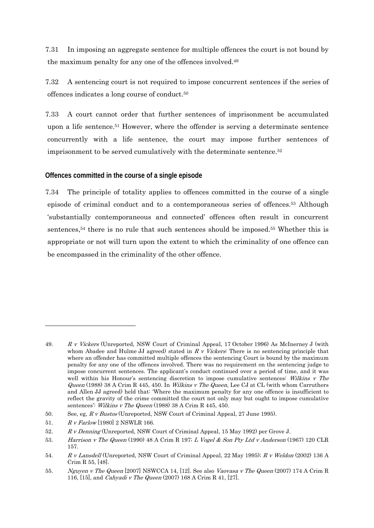7.31 In imposing an aggregate sentence for multiple offences the court is not bound by the maximum penalty for any one of the offences involved.49

7.32 A sentencing court is not required to impose concurrent sentences if the series of offences indicates a long course of conduct.50

7.33 A court cannot order that further sentences of imprisonment be accumulated upon a life sentence.51 However, where the offender is serving a determinate sentence concurrently with a life sentence, the court may impose further sentences of imprisonment to be served cumulatively with the determinate sentence.<sup>52</sup>

### **Offences committed in the course of a single episode**

7.34 The principle of totality applies to offences committed in the course of a single episode of criminal conduct and to a contemporaneous series of offences.53 Although 'substantially contemporaneous and connected' offences often result in concurrent sentences,<sup>54</sup> there is no rule that such sentences should be imposed.<sup>55</sup> Whether this is appropriate or not will turn upon the extent to which the criminality of one offence can be encompassed in the criminality of the other offence.

1

<sup>49.</sup> R v Vickers (Unreported, NSW Court of Criminal Appeal, 17 October 1996) As McInerney J (with whom Abadee and Hulme JJ agreed) stated in  $R \, v$  Vickers: There is no sentencing principle that where an offender has committed multiple offences the sentencing Court is bound by the maximum penalty for any one of the offences involved. There was no requirement on the sentencing judge to impose concurrent sentences. The applicant's conduct continued over a period of time, and it was well within his Honour's sentencing discretion to impose cumulative sentences: Wilkins v The Queen (1988) 38 A Crim R 445, 450. In Wilkins v The Queen, Lee CJ at CL (with whom Carruthers and Allen JJ agreed) held that: 'Where the maximum penalty for any one offence is insufficient to reflect the gravity of the crime committed the court not only may but ought to impose cumulative sentences': Wilkins v The Queen (1988) 38 A Crim R 445, 450.

<sup>50.</sup> See, eg, R v Bustos (Unreported, NSW Court of Criminal Appeal, 27 June 1995).

<sup>51.</sup> R v Farlow [1980] 2 NSWLR 166.

<sup>52.</sup> R v Denning (Unreported, NSW Court of Criminal Appeal, 15 May 1992) per Grove J.

<sup>53.</sup> Harrison v The Queen (1990) 48 A Crim R 197; L Vogel & Son Pty Ltd v Anderson (1967) 120 CLR 157.

<sup>54.</sup> R v Lansdell (Unreported, NSW Court of Criminal Appeal, 22 May 1995); R v Weldon (2002) 136 A Crim R 55, [48].

<sup>55.</sup> Nguyen v The Queen [2007] NSWCCA 14, [12]. See also Vaovasa v The Queen (2007) 174 A Crim R 116, [15], and Cahyadi v The Queen (2007) 168 A Crim R 41, [27].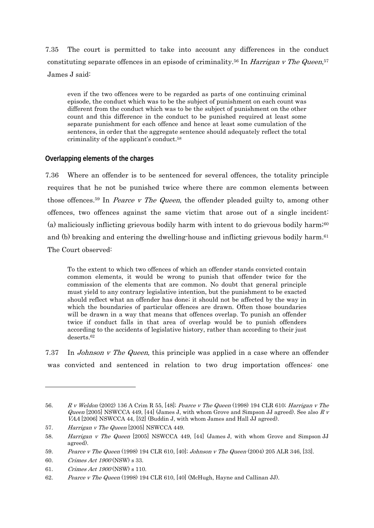7.35 The court is permitted to take into account any differences in the conduct constituting separate offences in an episode of criminality.<sup>56</sup> In *Harrigan v The Queen*,<sup>57</sup> James J said:

even if the two offences were to be regarded as parts of one continuing criminal episode, the conduct which was to be the subject of punishment on each count was different from the conduct which was to be the subject of punishment on the other count and this difference in the conduct to be punished required at least some separate punishment for each offence and hence at least some cumulation of the sentences, in order that the aggregate sentence should adequately reflect the total criminality of the applicant's conduct.58

### **Overlapping elements of the charges**

7.36 Where an offender is to be sentenced for several offences, the totality principle requires that he not be punished twice where there are common elements between those offences.<sup>59</sup> In *Pearce v The Queen*, the offender pleaded guilty to, among other offences, two offences against the same victim that arose out of a single incident: (a) maliciously inflicting grievous bodily harm with intent to do grievous bodily harm;<sup>60</sup> and (b) breaking and entering the dwelling-house and inflicting grievous bodily harm.<sup>61</sup> The Court observed:

To the extent to which two offences of which an offender stands convicted contain common elements, it would be wrong to punish that offender twice for the commission of the elements that are common. No doubt that general principle must yield to any contrary legislative intention, but the punishment to be exacted should reflect what an offender has done; it should not be affected by the way in which the boundaries of particular offences are drawn. Often those boundaries will be drawn in a way that means that offences overlap. To punish an offender twice if conduct falls in that area of overlap would be to punish offenders according to the accidents of legislative history, rather than according to their just deserts.62

7.37 In *Johnson v The Queen*, this principle was applied in a case where an offender was convicted and sentenced in relation to two drug importation offences: one

<sup>56.</sup> R v Weldon (2002) 136 A Crim R 55, [48]; Pearce v The Queen (1998) 194 CLR 610; Harrigan v The *Queen* [2005] NSWCCA 449, [44] (James J, with whom Grove and Simpson JJ agreed). See also R v VAA [2006] NSWCCA 44, [52] (Buddin J, with whom James and Hall JJ agreed).

<sup>57.</sup> Harrigan v The Queen [2005] NSWCCA 449.

<sup>58.</sup> Harrigan v The Queen [2005] NSWCCA 449, [44] (James J, with whom Grove and Simpson JJ agreed).

<sup>59.</sup> Pearce v The Queen (1998) 194 CLR 610, [40]; Johnson v The Queen (2004) 205 ALR 346, [33].

<sup>60.</sup> Crimes Act 1900 (NSW) s 33.

<sup>61.</sup> Crimes Act 1900 (NSW) s 110.

<sup>62.</sup> Pearce v The Queen (1998) 194 CLR 610, [40] (McHugh, Hayne and Callinan JJ).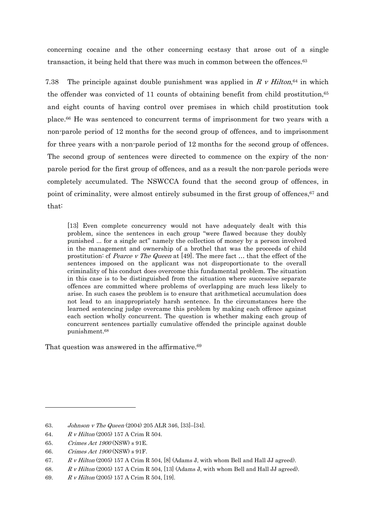concerning cocaine and the other concerning ecstasy that arose out of a single transaction, it being held that there was much in common between the offences.<sup>63</sup>

7.38 The principle against double punishment was applied in R v Hilton,<sup>64</sup> in which the offender was convicted of 11 counts of obtaining benefit from child prostitution.<sup>65</sup> and eight counts of having control over premises in which child prostitution took place.66 He was sentenced to concurrent terms of imprisonment for two years with a non-parole period of 12 months for the second group of offences, and to imprisonment for three years with a non-parole period of 12 months for the second group of offences. The second group of sentences were directed to commence on the expiry of the nonparole period for the first group of offences, and as a result the non-parole periods were completely accumulated. The NSWCCA found that the second group of offences, in point of criminality, were almost entirely subsumed in the first group of offences, <sup>67</sup> and that:

[13] Even complete concurrency would not have adequately dealt with this problem, since the sentences in each group "were flawed because they doubly punished ... for a single act" namely the collection of money by a person involved in the management and ownership of a brothel that was the proceeds of child prostitution: cf *Pearce v The Queen* at [49]. The mere fact  $\dots$  that the effect of the sentences imposed on the applicant was not disproportionate to the overall criminality of his conduct does overcome this fundamental problem. The situation in this case is to be distinguished from the situation where successive separate offences are committed where problems of overlapping are much less likely to arise. In such cases the problem is to ensure that arithmetical accumulation does not lead to an inappropriately harsh sentence. In the circumstances here the learned sentencing judge overcame this problem by making each offence against each section wholly concurrent. The question is whether making each group of concurrent sentences partially cumulative offended the principle against double punishment.68

That question was answered in the affirmative.<sup>69</sup>

<sup>63.</sup> Johnson v The Queen (2004) 205 ALR 346, [33]–[34].

<sup>64.</sup> R v Hilton (2005) 157 A Crim R 504.

<sup>65.</sup> Crimes Act 1900 (NSW) s 91E.

<sup>66.</sup> Crimes Act 1900 (NSW) s 91F.

<sup>67.</sup> R v Hilton (2005) 157 A Crim R 504, [8] (Adams J, with whom Bell and Hall JJ agreed).

<sup>68.</sup> R v Hilton (2005) 157 A Crim R 504, [13] (Adams J, with whom Bell and Hall JJ agreed).

<sup>69.</sup> R v Hilton (2005) 157 A Crim R 504, [19].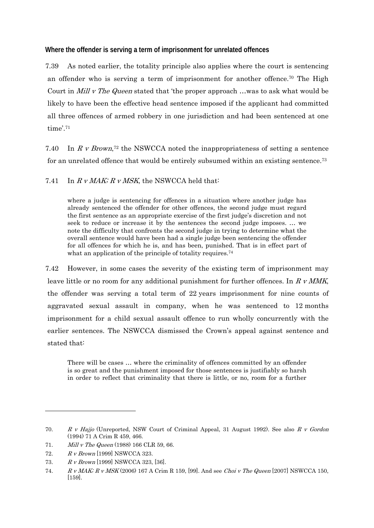**Where the offender is serving a term of imprisonment for unrelated offences** 

7.39 As noted earlier, the totality principle also applies where the court is sentencing an offender who is serving a term of imprisonment for another offence.70 The High Court in *Mill v The Queen* stated that 'the proper approach ... was to ask what would be likely to have been the effective head sentence imposed if the applicant had committed all three offences of armed robbery in one jurisdiction and had been sentenced at one time' $^{71}$ 

7.40 In R v Brown,<sup>72</sup> the NSWCCA noted the inappropriateness of setting a sentence for an unrelated offence that would be entirely subsumed within an existing sentence.73

7.41 In  $R \, v$  MAK;  $R \, v$  MSK, the NSWCCA held that:

where a judge is sentencing for offences in a situation where another judge has already sentenced the offender for other offences, the second judge must regard the first sentence as an appropriate exercise of the first judge's discretion and not seek to reduce or increase it by the sentences the second judge imposes. … we note the difficulty that confronts the second judge in trying to determine what the overall sentence would have been had a single judge been sentencing the offender for all offences for which he is, and has been, punished. That is in effect part of what an application of the principle of totality requires.<sup>74</sup>

7.42 However, in some cases the severity of the existing term of imprisonment may leave little or no room for any additional punishment for further offences. In  $R \nu$  MMK, the offender was serving a total term of 22 years imprisonment for nine counts of aggravated sexual assault in company, when he was sentenced to 12 months imprisonment for a child sexual assault offence to run wholly concurrently with the earlier sentences. The NSWCCA dismissed the Crown's appeal against sentence and stated that:

There will be cases … where the criminality of offences committed by an offender is so great and the punishment imposed for those sentences is justifiably so harsh in order to reflect that criminality that there is little, or no, room for a further

<sup>70.</sup> R v Hajjo (Unreported, NSW Court of Criminal Appeal, 31 August 1992). See also R v Gordon (1994) 71 A Crim R 459, 466.

<sup>71.</sup> Mill v The Queen (1988) 166 CLR 59, 66.

<sup>72.</sup> R v Brown [1999] NSWCCA 323.

<sup>73.</sup> R v Brown [1999] NSWCCA 323, [36].

<sup>74.</sup> R v MAK;  $R$  v MSK (2006) 167 A Crim R 159, [99]. And see Choi v The Queen [2007] NSWCCA 150, [159].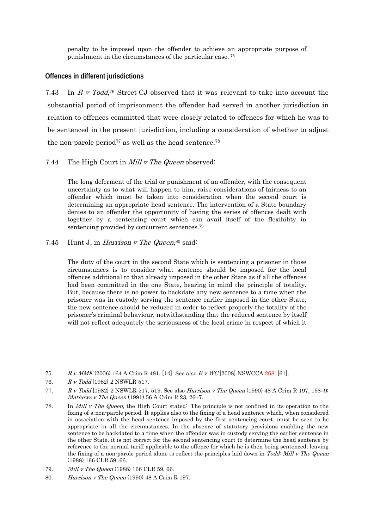penalty to be imposed upon the offender to achieve an appropriate purpose of punishment in the circumstances of the particular case. 75

#### **Offences in different jurisdictions**

7.43 In R v Todd,76 Street CJ observed that it was relevant to take into account the substantial period of imprisonment the offender had served in another jurisdiction in relation to offences committed that were closely related to offences for which he was to be sentenced in the present jurisdiction, including a consideration of whether to adjust the non-parole period<sup>77</sup> as well as the head sentence.<sup>78</sup>

#### 7.44 The High Court in *Mill v The Queen* observed:

The long deferment of the trial or punishment of an offender, with the consequent uncertainty as to what will happen to him, raise considerations of fairness to an offender which must be taken into consideration when the second court is determining an appropriate head sentence. The intervention of a State boundary denies to an offender the opportunity of having the series of offences dealt with together by a sentencing court which can avail itself of the flexibility in sentencing provided by concurrent sentences.79

7.45 Hunt J, in *Harrison v The Queen*,  $80$  said:

The duty of the court in the second State which is sentencing a prisoner in those circumstances is to consider what sentence should be imposed for the local offences additional to that already imposed in the other State as if all the offences had been committed in the one State, bearing in mind the principle of totality. But, because there is no power to backdate any new sentence to a time when the prisoner was in custody serving the sentence earlier imposed in the other State, the new sentence should be reduced in order to reflect properly the totality of the prisoner's criminal behaviour, notwithstanding that the reduced sentence by itself will not reflect adequately the seriousness of the local crime in respect of which it

 $\overline{a}$ 

79. *Mill v The Queen* (1988) 166 CLR 59, 66.

<sup>75.</sup> R v MMK (2006) 164 A Crim R 481, [14]. See also R v WC [2008] NSWCCA 268, [61].

<sup>76.</sup> R v Todd [1982] 2 NSWLR 517.

<sup>77.</sup> R v Todd [1982] 2 NSWLR 517, 519. See also *Harrison v The Queen* (1990) 48 A Crim R 197, 198–9; Mathews v The Queen (1991) 56 A Crim R  $23, 26-7$ .

<sup>78.</sup> In Mill v The Queen, the High Court stated: 'The principle is not confined in its operation to the fixing of a non-parole period. It applies also to the fixing of a head sentence which, when considered in association with the head sentence imposed by the first sentencing court, must be seen to be appropriate in all the circumstances. In the absence of statutory provisions enabling the new sentence to be backdated to a time when the offender was in custody serving the earlier sentence in the other State, it is not correct for the second sentencing court to determine the head sentence by reference to the normal tariff applicable to the offence for which he is then being sentenced, leaving the fixing of a non-parole period alone to reflect the principles laid down in Todd: Mill v The Queen (1988) 166 CLR 59, 66.

<sup>80.</sup> Harrison v The Queen (1990) 48 A Crim R 197.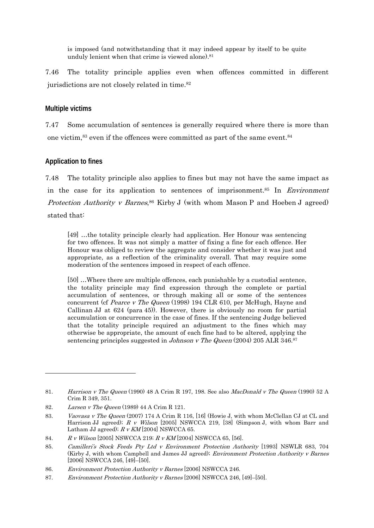is imposed (and notwithstanding that it may indeed appear by itself to be quite unduly lenient when that crime is viewed alone).<sup>81</sup>

7.46 The totality principle applies even when offences committed in different jurisdictions are not closely related in time.82

#### **Multiple victims**

7.47 Some accumulation of sentences is generally required where there is more than one victim,  $83$  even if the offences were committed as part of the same event.  $84$ 

### **Application to fines**

1

7.48 The totality principle also applies to fines but may not have the same impact as in the case for its application to sentences of imprisonment.<sup>85</sup> In *Environment Protection Authority v Barnes*,<sup>86</sup> Kirby J (with whom Mason P and Hoeben J agreed) stated that:

[49] …the totality principle clearly had application. Her Honour was sentencing for two offences. It was not simply a matter of fixing a fine for each offence. Her Honour was obliged to review the aggregate and consider whether it was just and appropriate, as a reflection of the criminality overall. That may require some moderation of the sentences imposed in respect of each offence.

[50] …Where there are multiple offences, each punishable by a custodial sentence, the totality principle may find expression through the complete or partial accumulation of sentences, or through making all or some of the sentences concurrent (cf Pearce v The Queen (1998) 194 CLR 610, per McHugh, Hayne and Callinan JJ at 624 (para 45)). However, there is obviously no room for partial accumulation or concurrence in the case of fines. If the sentencing Judge believed that the totality principle required an adjustment to the fines which may otherwise be appropriate, the amount of each fine had to be altered, applying the sentencing principles suggested in Johnson v The Queen (2004) 205 ALR 346.87

<sup>81.</sup> Harrison v The Queen (1990) 48 A Crim R 197, 198. See also MacDonald v The Queen (1990) 52 A Crim R 349, 351.

<sup>82.</sup> Larsen v The Queen (1989) 44 A Crim R 121.

<sup>83.</sup> *Vaovasa v The Queen* (2007) 174 A Crim R 116, [16] (Howie J, with whom McClellan CJ at CL and Harrison JJ agreed);  $R \, v$  Wilson [2005] NSWCCA 219, [38] (Simpson J, with whom Barr and Latham JJ agreed);  $R v KM$  [2004] NSWCCA 65.

<sup>84.</sup> R v Wilson [2005] NSWCCA 219; R v KM [2004] NSWCCA 65, [56].

<sup>85.</sup> Camilleri's Stock Feeds Pty Ltd v Environment Protection Authority [1993] NSWLR 683, 704 (Kirby J, with whom Campbell and James JJ agreed); Environment Protection Authority v Barnes [2006] NSWCCA 246, [49]–[50].

<sup>86.</sup> Environment Protection Authority v Barnes [2006] NSWCCA 246.

<sup>87.</sup> Environment Protection Authority v Barnes [2006] NSWCCA 246, [49]-[50].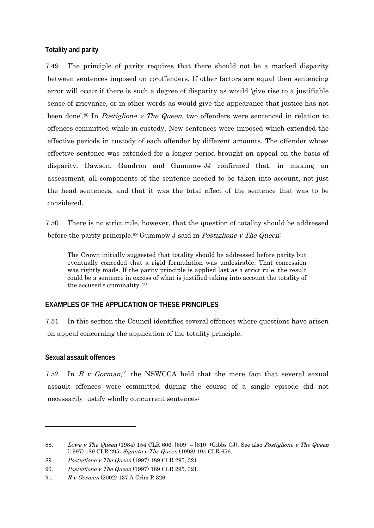## **Totality and parity**

7.49 The principle of parity requires that there should not be a marked disparity between sentences imposed on co-offenders. If other factors are equal then sentencing error will occur if there is such a degree of disparity as would 'give rise to a justifiable sense of grievance, or in other words as would give the appearance that justice has not been done'.<sup>88</sup> In *Postiglione v The Queen*, two offenders were sentenced in relation to offences committed while in custody. New sentences were imposed which extended the effective periods in custody of each offender by different amounts. The offender whose effective sentence was extended for a longer period brought an appeal on the basis of disparity. Dawson, Gaudron and Gummow JJ confirmed that, in making an assessment, all components of the sentence needed to be taken into account, not just the head sentences, and that it was the total effect of the sentence that was to be considered.

7.50 There is no strict rule, however, that the question of totality should be addressed before the parity principle.<sup>89</sup> Gummow J said in *Postiglione v The Queen*:

The Crown initially suggested that totality should be addressed before parity but eventually conceded that a rigid formulation was undesirable. That concession was rightly made. If the parity principle is applied last as a strict rule, the result could be a sentence in excess of what is justified taking into account the totality of the accused's criminality. 90

## **EXAMPLES OF THE APPLICATION OF THESE PRINCIPLES**

7.51 In this section the Council identifies several offences where questions have arisen on appeal concerning the application of the totality principle.

### **Sexual assault offences**

1

7.52 In  $R$  v Gorman,<sup>91</sup> the NSWCCA held that the mere fact that several sexual assault offences were committed during the course of a single episode did not necessarily justify wholly concurrent sentences:

<sup>88.</sup> Lowe v The Queen (1984) 154 CLR 606, [609] – [610] (Gibbs CJ). See also Postiglione v The Queen (1997) 189 CLR 295; Siganto v The Queen (1998) 194 CLR 656.

<sup>89.</sup> Postiglione v The Queen (1997) 189 CLR 295, 321.

<sup>90.</sup> Postiglione v The Queen (1997) 189 CLR 295, 321.

<sup>91.</sup> R v Gorman (2002) 137 A Crim R 326.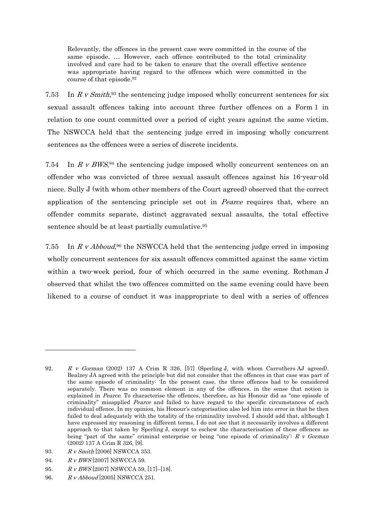Relevantly, the offences in the present case were committed in the course of the same episode. … However, each offence contributed to the total criminality involved and care had to be taken to ensure that the overall effective sentence was appropriate having regard to the offences which were committed in the course of that episode.92

7.53 In R v Smith,<sup>93</sup> the sentencing judge imposed wholly concurrent sentences for six sexual assault offences taking into account three further offences on a Form 1 in relation to one count committed over a period of eight years against the same victim. The NSWCCA held that the sentencing judge erred in imposing wholly concurrent sentences as the offences were a series of discrete incidents.

7.54 In R v BWS, 94 the sentencing judge imposed wholly concurrent sentences on an offender who was convicted of three sexual assault offences against his 16-year-old niece. Sully J (with whom other members of the Court agreed) observed that the correct application of the sentencing principle set out in Pearce requires that, where an offender commits separate, distinct aggravated sexual assaults, the total effective sentence should be at least partially cumulative.<sup>95</sup>

7.55 In R v Abboud,<sup>96</sup> the NSWCCA held that the sentencing judge erred in imposing wholly concurrent sentences for six assault offences committed against the same victim within a two-week period, four of which occurred in the same evening. Rothman J observed that whilst the two offences committed on the same evening could have been likened to a course of conduct it was inappropriate to deal with a series of offences

94. R v BWS [2007] NSWCCA 59.

<sup>92.</sup> R v Gorman (2002) 137 A Crim R 326, [57] (Sperling J, with whom Carruthers AJ agreed). Bealzey JA agreed with the principle but did not consider that the offences in that case was part of the same episode of criminality: 'In the present case, the three offences had to be considered separately. There was no common element in any of the offences, in the sense that notion is explained in *Pearce*. To characterise the offences, therefore, as his Honour did as "one episode of criminality" misapplied *Pearce* and failed to have regard to the specific circumstances of each individual offence. In my opinion, his Honour's categorisation also led him into error in that he then failed to deal adequately with the totality of the criminality involved. I should add that, although I have expressed my reasoning in different terms, I do not see that it necessarily involves a different approach to that taken by Sperling J, except to eschew the characterisation of these offences as being "part of the same" criminal enterprise or being "one episode of criminality": R v Gorman (2002) 137 A Crim R 326, [9].

<sup>93.</sup> R v Smith [2006] NSWCCA 353.

<sup>95.</sup> R v BWS [2007] NSWCCA 59, [17]-[18].

<sup>96.</sup> R v Abboud [2005] NSWCCA 251.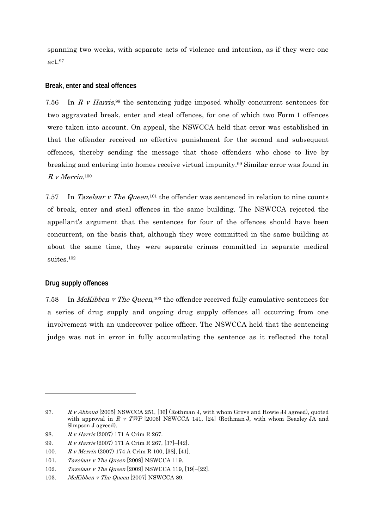spanning two weeks, with separate acts of violence and intention, as if they were one act.97

#### **Break, enter and steal offences**

7.56 In R v Harris,  $98$  the sentencing judge imposed wholly concurrent sentences for two aggravated break, enter and steal offences, for one of which two Form 1 offences were taken into account. On appeal, the NSWCCA held that error was established in that the offender received no effective punishment for the second and subsequent offences, thereby sending the message that those offenders who chose to live by breaking and entering into homes receive virtual impunity.99 Similar error was found in  $R v$  Merrin.<sup>100</sup>

7.57 In Tazelaar v The Queen,<sup>101</sup> the offender was sentenced in relation to nine counts of break, enter and steal offences in the same building. The NSWCCA rejected the appellant's argument that the sentences for four of the offences should have been concurrent, on the basis that, although they were committed in the same building at about the same time, they were separate crimes committed in separate medical suites.<sup>102</sup>

### **Drug supply offences**

-

7.58 In *McKibben v The Queen*,<sup>103</sup> the offender received fully cumulative sentences for a series of drug supply and ongoing drug supply offences all occurring from one involvement with an undercover police officer. The NSWCCA held that the sentencing judge was not in error in fully accumulating the sentence as it reflected the total

<sup>97.</sup> R v Abboud [2005] NSWCCA 251, [36] (Rothman J, with whom Grove and Howie JJ agreed), quoted with approval in R v TWP [2006] NSWCCA 141, [24] (Rothman J, with whom Beazley JA and Simpson J agreed).

<sup>98.</sup> R v Harris (2007) 171 A Crim R 267.

<sup>99.</sup> R v Harris (2007) 171 A Crim R 267, [37]–[42].

<sup>100.</sup> R v Merrin (2007) 174 A Crim R 100, [38], [41].

<sup>101.</sup> Tazelaar v The Queen [2009] NSWCCA 119.

<sup>102.</sup> Tazelaar v The Queen [2009] NSWCCA 119, [19]–[22].

<sup>103.</sup> McKibben v The Queen [2007] NSWCCA 89.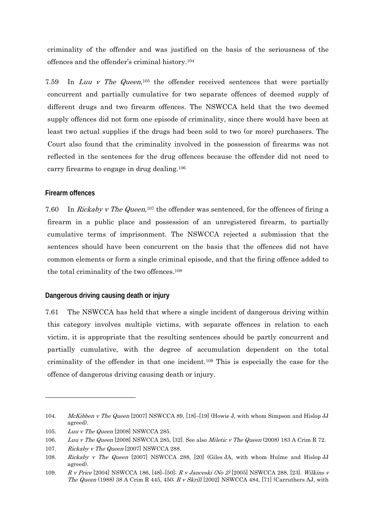criminality of the offender and was justified on the basis of the seriousness of the offences and the offender's criminal history.104

7.59 In Luu v The Queen,<sup>105</sup> the offender received sentences that were partially concurrent and partially cumulative for two separate offences of deemed supply of different drugs and two firearm offences. The NSWCCA held that the two deemed supply offences did not form one episode of criminality, since there would have been at least two actual supplies if the drugs had been sold to two (or more) purchasers. The Court also found that the criminality involved in the possession of firearms was not reflected in the sentences for the drug offences because the offender did not need to carry firearms to engage in drug dealing.106

### **Firearm offences**

-

7.60 In Rickaby v The Queen,<sup>107</sup> the offender was sentenced, for the offences of firing a firearm in a public place and possession of an unregistered firearm, to partially cumulative terms of imprisonment. The NSWCCA rejected a submission that the sentences should have been concurrent on the basis that the offences did not have common elements or form a single criminal episode, and that the firing offence added to the total criminality of the two offences.108

### **Dangerous driving causing death or injury**

7.61 The NSWCCA has held that where a single incident of dangerous driving within this category involves multiple victims, with separate offences in relation to each victim, it is appropriate that the resulting sentences should be partly concurrent and partially cumulative, with the degree of accumulation dependent on the total criminality of the offender in that one incident.109 This is especially the case for the offence of dangerous driving causing death or injury.

<sup>104.</sup> McKibben v The Queen [2007] NSWCCA 89, [18]-[19] (Howie J, with whom Simpson and Hislop JJ agreed).

<sup>105.</sup> Luu v The Queen [2008] NSWCCA 285.

<sup>106.</sup> Luu v The Queen [2008] NSWCCA 285, [32]. See also Miletic v The Queen (2008) 183 A Crim R 72.

<sup>107.</sup> Rickaby v The Queen [2007] NSWCCA 288.

<sup>108.</sup> Rickaby v The Queen [2007] NSWCCA 288, [20] (Giles JA, with whom Hulme and Hislop JJ agreed).

<sup>109.</sup> R v Price [2004] NSWCCA 186, [48]–[50]; R v Janceski (No 2) [2005] NSWCCA 288, [23]. Wilkins v The Queen (1988) 38 A Crim R 445, 450; R v Skrill [2002] NSWCCA 484, [71] (Carruthers AJ, with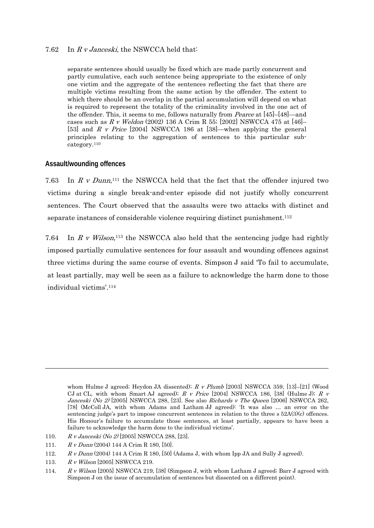#### 7.62 In R v Janceski, the NSWCCA held that:

separate sentences should usually be fixed which are made partly concurrent and partly cumulative, each such sentence being appropriate to the existence of only one victim and the aggregate of the sentences reflecting the fact that there are multiple victims resulting from the same action by the offender. The extent to which there should be an overlap in the partial accumulation will depend on what is required to represent the totality of the criminality involved in the one act of the offender. This, it seems to me, follows naturally from *Pearce* at [45]–[48]—and cases such as  $R$  v Weldon (2002) 136 A Crim R 55; [2002] NSWCCA 475 at [46]-[53] and R v Price [2004] NSWCCA 186 at [38]—when applying the general principles relating to the aggregation of sentences to this particular subcategory.110

#### **Assault/wounding offences**

7.63 In  $R \, v$  Dunn,<sup>111</sup> the NSWCCA held that the fact that the offender injured two victims during a single break-and-enter episode did not justify wholly concurrent sentences. The Court observed that the assaults were two attacks with distinct and separate instances of considerable violence requiring distinct punishment.112

7.64 In R v Wilson,<sup>113</sup> the NSWCCA also held that the sentencing judge had rightly imposed partially cumulative sentences for four assault and wounding offences against three victims during the same course of events. Simpson J said 'To fail to accumulate, at least partially, may well be seen as a failure to acknowledge the harm done to those individual victims'.114

whom Hulme J agreed; Heydon JA dissented); R v Plumb [2003] NSWCCA 359, [13]-[21] (Wood CJ at CL, with whom Smart AJ agreed);  $R \, v$  Price [2004] NSWCCA 186, [38] (Hulme J);  $R \, v$ Janceski (No 2) [2005] NSWCCA 288, [23]. See also Richards v The Queen [2006] NSWCCA 262, [78] (McColl JA, with whom Adams and Latham JJ agreed): 'It was also … an error on the sentencing judge's part to impose concurrent sentences in relation to the three s  $52A(3)(c)$  offences. His Honour's failure to accumulate those sentences, at least partially, appears to have been a failure to acknowledge the harm done to the individual victims'.

<sup>110.</sup> R v Janceski (No 2) [2005] NSWCCA 288, [23].

<sup>111.</sup> R v Dunn (2004) 144 A Crim R 180, [50].

<sup>112.</sup> R v Dunn (2004) 144 A Crim R 180, [50] (Adams J, with whom Ipp JA and Sully J agreed).

<sup>113.</sup> R v Wilson [2005] NSWCCA 219.

<sup>114.</sup> R v Wilson [2005] NSWCCA 219, [38] (Simpson J, with whom Latham J agreed; Barr J agreed with Simpson J on the issue of accumulation of sentences but dissented on a different point).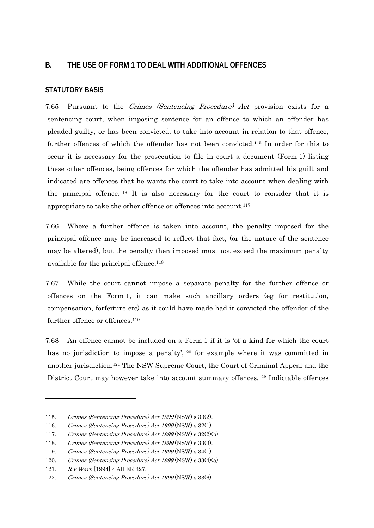## **B. THE USE OF FORM 1 TO DEAL WITH ADDITIONAL OFFENCES**

### **STATUTORY BASIS**

7.65 Pursuant to the Crimes (Sentencing Procedure) Act provision exists for a sentencing court, when imposing sentence for an offence to which an offender has pleaded guilty, or has been convicted, to take into account in relation to that offence, further offences of which the offender has not been convicted.115 In order for this to occur it is necessary for the prosecution to file in court a document (Form 1) listing these other offences, being offences for which the offender has admitted his guilt and indicated are offences that he wants the court to take into account when dealing with the principal offence.116 It is also necessary for the court to consider that it is appropriate to take the other offence or offences into account.117

7.66 Where a further offence is taken into account, the penalty imposed for the principal offence may be increased to reflect that fact, (or the nature of the sentence may be altered), but the penalty then imposed must not exceed the maximum penalty available for the principal offence.<sup>118</sup>

7.67 While the court cannot impose a separate penalty for the further offence or offences on the Form 1, it can make such ancillary orders (eg for restitution, compensation, forfeiture etc) as it could have made had it convicted the offender of the further offence or offences.<sup>119</sup>

7.68 An offence cannot be included on a Form 1 if it is 'of a kind for which the court has no jurisdiction to impose a penalty',<sup>120</sup> for example where it was committed in another jurisdiction.121 The NSW Supreme Court, the Court of Criminal Appeal and the District Court may however take into account summary offences.<sup>122</sup> Indictable offences

121. R v Warn [1994] 4 All ER 327.

<sup>115.</sup> Crimes (Sentencing Procedure) Act <sup>1999</sup> (NSW) s 33(2).

<sup>116.</sup> Crimes (Sentencing Procedure) Act <sup>1999</sup> (NSW) s 32(1).

<sup>117.</sup> Crimes (Sentencing Procedure) Act <sup>1999</sup> (NSW) s 32(2)(b).

<sup>118.</sup> Crimes (Sentencing Procedure) Act <sup>1999</sup> (NSW) s 33(3).

<sup>119.</sup> Crimes (Sentencing Procedure) Act <sup>1999</sup> (NSW) s 34(1).

<sup>120.</sup> Crimes (Sentencing Procedure) Act 1999 (NSW) s 33(4)(a).

<sup>122.</sup> Crimes (Sentencing Procedure) Act 1999 (NSW) s 33(6).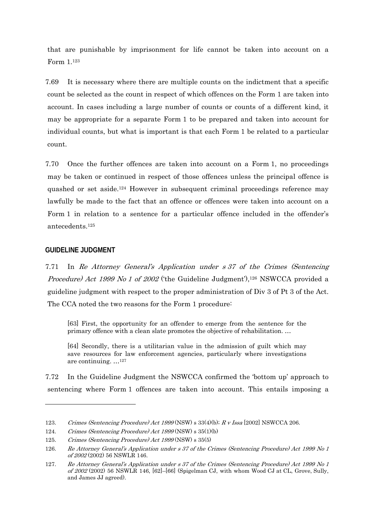that are punishable by imprisonment for life cannot be taken into account on a Form 1.123

7.69 It is necessary where there are multiple counts on the indictment that a specific count be selected as the count in respect of which offences on the Form 1 are taken into account. In cases including a large number of counts or counts of a different kind, it may be appropriate for a separate Form 1 to be prepared and taken into account for individual counts, but what is important is that each Form 1 be related to a particular count.

7.70 Once the further offences are taken into account on a Form 1, no proceedings may be taken or continued in respect of those offences unless the principal offence is quashed or set aside.124 However in subsequent criminal proceedings reference may lawfully be made to the fact that an offence or offences were taken into account on a Form 1 in relation to a sentence for a particular offence included in the offender's antecedents.125

#### **GUIDELINE JUDGMENT**

 $\overline{a}$ 

7.71 In Re Attorney General's Application under s 37 of the Crimes (Sentencing Procedure) Act 1999 No 1 of 2002 ('the Guideline Judgment'),<sup>126</sup> NSWCCA provided a guideline judgment with respect to the proper administration of Div 3 of Pt 3 of the Act. The CCA noted the two reasons for the Form 1 procedure:

[63] First, the opportunity for an offender to emerge from the sentence for the primary offence with a clean slate promotes the objective of rehabilitation. …

[64] Secondly, there is a utilitarian value in the admission of guilt which may save resources for law enforcement agencies, particularly where investigations are continuing. …127

7.72 In the Guideline Judgment the NSWCCA confirmed the 'bottom up' approach to sentencing where Form 1 offences are taken into account. This entails imposing a

<sup>123.</sup> Crimes (Sentencing Procedure) Act 1999 (NSW) s 33(4)(b); R v Issa [2002] NSWCCA 206.

<sup>124.</sup> Crimes (Sentencing Procedure) Act 1999 (NSW) s 35(1)(b)

<sup>125.</sup> Crimes (Sentencing Procedure) Act 1999 (NSW) s 35(5)

<sup>126.</sup> Re Attorney General's Application under s 37 of the Crimes (Sentencing Procedure) Act 1999 No 1 of 2002 (2002) 56 NSWLR 146.

<sup>127.</sup> Re Attorney General's Application under s 37 of the Crimes (Sentencing Procedure) Act 1999 No 1 of 2002 (2002) 56 NSWLR 146, [62]–[66] (Spigelman CJ, with whom Wood CJ at CL, Grove, Sully, and James JJ agreed).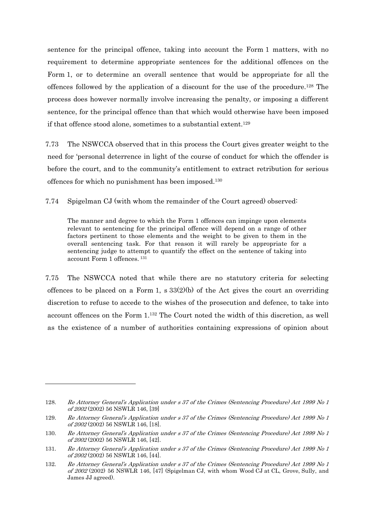sentence for the principal offence, taking into account the Form 1 matters, with no requirement to determine appropriate sentences for the additional offences on the Form 1, or to determine an overall sentence that would be appropriate for all the offences followed by the application of a discount for the use of the procedure.128 The process does however normally involve increasing the penalty, or imposing a different sentence, for the principal offence than that which would otherwise have been imposed if that offence stood alone, sometimes to a substantial extent.129

7.73 The NSWCCA observed that in this process the Court gives greater weight to the need for 'personal deterrence in light of the course of conduct for which the offender is before the court, and to the community's entitlement to extract retribution for serious offences for which no punishment has been imposed.130

7.74 Spigelman CJ (with whom the remainder of the Court agreed) observed:

The manner and degree to which the Form 1 offences can impinge upon elements relevant to sentencing for the principal offence will depend on a range of other factors pertinent to those elements and the weight to be given to them in the overall sentencing task. For that reason it will rarely be appropriate for a sentencing judge to attempt to quantify the effect on the sentence of taking into account Form 1 offences. 131

7.75 The NSWCCA noted that while there are no statutory criteria for selecting offences to be placed on a Form 1,  $\frac{s}{33(2)}$  of the Act gives the court an overriding discretion to refuse to accede to the wishes of the prosecution and defence, to take into account offences on the Form 1.132 The Court noted the width of this discretion, as well as the existence of a number of authorities containing expressions of opinion about

1

<sup>128.</sup> Re Attorney General's Application under s 37 of the Crimes (Sentencing Procedure) Act 1999 No 1 of 2002 (2002) 56 NSWLR 146, [39]

<sup>129.</sup> Re Attorney General's Application under s 37 of the Crimes (Sentencing Procedure) Act 1999 No 1 of 2002 (2002) 56 NSWLR 146, [18].

<sup>130.</sup> Re Attorney General's Application under s 37 of the Crimes (Sentencing Procedure) Act 1999 No 1 of 2002 (2002) 56 NSWLR 146, [42].

<sup>131.</sup> Re Attorney General's Application under s 37 of the Crimes (Sentencing Procedure) Act 1999 No 1 of 2002 (2002) 56 NSWLR 146, [44].

<sup>132.</sup> Re Attorney General's Application under s 37 of the Crimes (Sentencing Procedure) Act 1999 No 1 of 2002 (2002) 56 NSWLR 146, [47] (Spigelman CJ, with whom Wood CJ at CL, Grove, Sully, and James JJ agreed).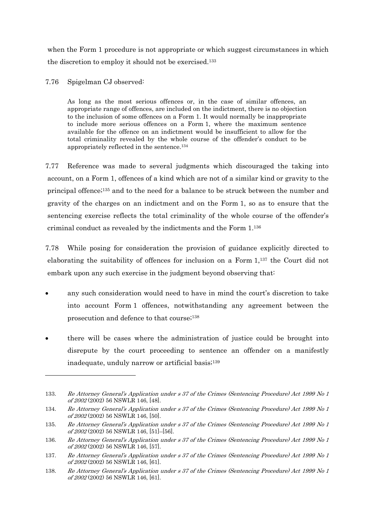when the Form 1 procedure is not appropriate or which suggest circumstances in which the discretion to employ it should not be exercised.133

7.76 Spigelman CJ observed:

1

As long as the most serious offences or, in the case of similar offences, an appropriate range of offences, are included on the indictment, there is no objection to the inclusion of some offences on a Form 1. It would normally be inappropriate to include more serious offences on a Form 1, where the maximum sentence available for the offence on an indictment would be insufficient to allow for the total criminality revealed by the whole course of the offender's conduct to be appropriately reflected in the sentence.134

7.77 Reference was made to several judgments which discouraged the taking into account, on a Form 1, offences of a kind which are not of a similar kind or gravity to the principal offence;135 and to the need for a balance to be struck between the number and gravity of the charges on an indictment and on the Form 1, so as to ensure that the sentencing exercise reflects the total criminality of the whole course of the offender's criminal conduct as revealed by the indictments and the Form 1.136

7.78 While posing for consideration the provision of guidance explicitly directed to elaborating the suitability of offences for inclusion on a Form 1,137 the Court did not embark upon any such exercise in the judgment beyond observing that:

- any such consideration would need to have in mind the court's discretion to take into account Form 1 offences, notwithstanding any agreement between the prosecution and defence to that course;138
- there will be cases where the administration of justice could be brought into disrepute by the court proceeding to sentence an offender on a manifestly inadequate, unduly narrow or artificial basis;<sup>139</sup>

<sup>133.</sup> Re Attorney General's Application under s 37 of the Crimes (Sentencing Procedure) Act 1999 No 1 of 2002 (2002) 56 NSWLR 146, [48].

<sup>134.</sup> Re Attorney General's Application under s 37 of the Crimes (Sentencing Procedure) Act 1999 No 1 of 2002 (2002) 56 NSWLR 146, [50].

<sup>135.</sup> Re Attorney General's Application under s 37 of the Crimes (Sentencing Procedure) Act 1999 No 1 of 2002 (2002) 56 NSWLR 146, [51]–[56].

<sup>136.</sup> Re Attorney General's Application under s 37 of the Crimes (Sentencing Procedure) Act 1999 No 1 of 2002 (2002) 56 NSWLR 146, [57].

<sup>137.</sup> Re Attorney General's Application under s 37 of the Crimes (Sentencing Procedure) Act 1999 No 1 of 2002 (2002) 56 NSWLR 146, [61].

<sup>138.</sup> Re Attorney General's Application under s 37 of the Crimes (Sentencing Procedure) Act 1999 No 1 of 2002 (2002) 56 NSWLR 146, [61].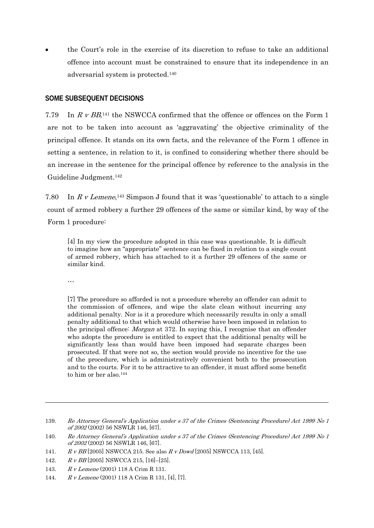the Court's role in the exercise of its discretion to refuse to take an additional offence into account must be constrained to ensure that its independence in an adversarial system is protected.140

### **SOME SUBSEQUENT DECISIONS**

7.79 In R v  $BB$ <sup>141</sup> the NSWCCA confirmed that the offence or offences on the Form 1 are not to be taken into account as 'aggravating' the objective criminality of the principal offence. It stands on its own facts, and the relevance of the Form 1 offence in setting a sentence, in relation to it, is confined to considering whether there should be an increase in the sentence for the principal offence by reference to the analysis in the Guideline Judgment.142

7.80 In R v Lemene,<sup>143</sup> Simpson J found that it was 'questionable' to attach to a single count of armed robbery a further 29 offences of the same or similar kind, by way of the Form 1 procedure:

[4] In my view the procedure adopted in this case was questionable. It is difficult to imagine how an "appropriate" sentence can be fixed in relation to a single count of armed robbery, which has attached to it a further 29 offences of the same or similar kind.

…

 $\overline{a}$ 

[7] The procedure so afforded is not a procedure whereby an offender can admit to the commission of offences, and wipe the slate clean without incurring any additional penalty. Nor is it a procedure which necessarily results in only a small penalty additional to that which would otherwise have been imposed in relation to the principal offence: Morgan at 372. In saying this, I recognise that an offender who adopts the procedure is entitled to expect that the additional penalty will be significantly less than would have been imposed had separate charges been prosecuted. If that were not so, the section would provide no incentive for the use of the procedure, which is administratively convenient both to the prosecution and to the courts. For it to be attractive to an offender, it must afford some benefit to him or her also.144

- 141. R v BB [2005] NSWCCA 215. See also R v Dowd [2005] NSWCCA 113, [45].
- 142. R v BB [2005] NSWCCA 215, [16]–[25].
- 143. R v Lemene (2001) 118 A Crim R 131.
- 144. R v Lemene (2001) 118 A Crim R 131, [4], [7].

<sup>139.</sup> Re Attorney General's Application under s 37 of the Crimes (Sentencing Procedure) Act 1999 No 1 of 2002 (2002) 56 NSWLR 146, [67].

<sup>140.</sup> Re Attorney General's Application under s 37 of the Crimes (Sentencing Procedure) Act 1999 No 1 of 2002 (2002) 56 NSWLR 146, [67].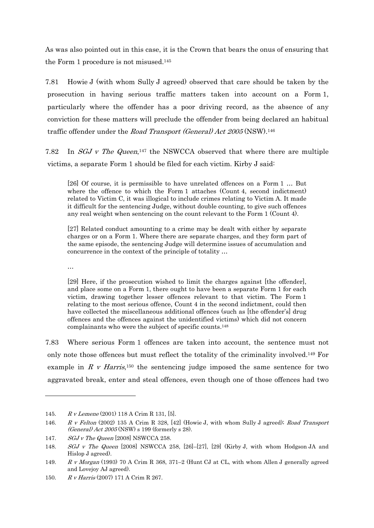As was also pointed out in this case, it is the Crown that bears the onus of ensuring that the Form 1 procedure is not misused.145

7.81 Howie J (with whom Sully J agreed) observed that care should be taken by the prosecution in having serious traffic matters taken into account on a Form 1, particularly where the offender has a poor driving record, as the absence of any conviction for these matters will preclude the offender from being declared an habitual traffic offender under the Road Transport (General) Act 2005 (NSW).<sup>146</sup>

7.82 In  $SGJ$  v The Queen,<sup>147</sup> the NSWCCA observed that where there are multiple victims, a separate Form 1 should be filed for each victim. Kirby J said:

[26] Of course, it is permissible to have unrelated offences on a Form 1 … But where the offence to which the Form 1 attaches (Count 4, second indictment) related to Victim C, it was illogical to include crimes relating to Victim A. It made it difficult for the sentencing Judge, without double counting, to give such offences any real weight when sentencing on the count relevant to the Form 1 (Count 4).

[27] Related conduct amounting to a crime may be dealt with either by separate charges or on a Form 1. Where there are separate charges, and they form part of the same episode, the sentencing Judge will determine issues of accumulation and concurrence in the context of the principle of totality …

…

-

[29] Here, if the prosecution wished to limit the charges against [the offender], and place some on a Form 1, there ought to have been a separate Form 1 for each victim, drawing together lesser offences relevant to that victim. The Form 1 relating to the most serious offence, Count 4 in the second indictment, could then have collected the miscellaneous additional offences (such as [the offender's] drug offences and the offences against the unidentified victims) which did not concern complainants who were the subject of specific counts.148

7.83 Where serious Form 1 offences are taken into account, the sentence must not only note those offences but must reflect the totality of the criminality involved.149 For example in R v Harris,<sup>150</sup> the sentencing judge imposed the same sentence for two aggravated break, enter and steal offences, even though one of those offences had two

<sup>145.</sup> R v Lemene (2001) 118 A Crim R 131, [5].

<sup>146.</sup> R v Felton (2002) 135 A Crim R 328, [42] (Howie J, with whom Sully J agreed); Road Transport (General) Act 2005 (NSW) s 199 (formerly s 28).

<sup>147.</sup> SGJ v The Queen [2008] NSWCCA 258.

<sup>148.</sup> SGJ v The Queen [2008] NSWCCA 258, [26]–[27], [29] (Kirby J, with whom Hodgson JA and Hislop J agreed).

<sup>149.</sup> R v Morgan (1993) 70 A Crim R 368, 371–2 (Hunt CJ at CL, with whom Allen J generally agreed and Lovejoy AJ agreed).

<sup>150.</sup> R v Harris (2007) 171 A Crim R 267.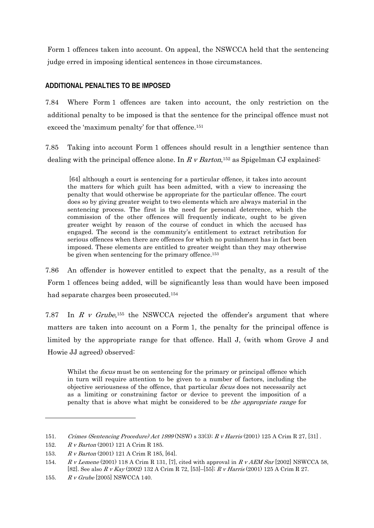Form 1 offences taken into account. On appeal, the NSWCCA held that the sentencing judge erred in imposing identical sentences in those circumstances.

## **ADDITIONAL PENALTIES TO BE IMPOSED**

7.84 Where Form 1 offences are taken into account, the only restriction on the additional penalty to be imposed is that the sentence for the principal offence must not exceed the 'maximum penalty' for that offence.<sup>151</sup>

7.85 Taking into account Form 1 offences should result in a lengthier sentence than dealing with the principal offence alone. In R v Barton,<sup>152</sup> as Spigelman CJ explained:

 [64] although a court is sentencing for a particular offence, it takes into account the matters for which guilt has been admitted, with a view to increasing the penalty that would otherwise be appropriate for the particular offence. The court does so by giving greater weight to two elements which are always material in the sentencing process. The first is the need for personal deterrence, which the commission of the other offences will frequently indicate, ought to be given greater weight by reason of the course of conduct in which the accused has engaged. The second is the community's entitlement to extract retribution for serious offences when there are offences for which no punishment has in fact been imposed. These elements are entitled to greater weight than they may otherwise be given when sentencing for the primary offence.153

7.86 An offender is however entitled to expect that the penalty, as a result of the Form 1 offences being added, will be significantly less than would have been imposed had separate charges been prosecuted.154

7.87 In R v Grube,<sup>155</sup> the NSWCCA rejected the offender's argument that where matters are taken into account on a Form 1, the penalty for the principal offence is limited by the appropriate range for that offence. Hall J, (with whom Grove J and Howie JJ agreed) observed:

Whilst the *focus* must be on sentencing for the primary or principal offence which in turn will require attention to be given to a number of factors, including the objective seriousness of the offence, that particular focus does not necessarily act as a limiting or constraining factor or device to prevent the imposition of a penalty that is above what might be considered to be the appropriate range for

<sup>151.</sup> Crimes (Sentencing Procedure) Act 1999 (NSW) s 33(3); R v Harris (2001) 125 A Crim R 27, [31] .

<sup>152.</sup> R v Barton (2001) 121 A Crim R 185.

<sup>153.</sup> R v Barton (2001) 121 A Crim R 185, [64].

<sup>154.</sup> R v Lemene (2001) 118 A Crim R 131, [7], cited with approval in R v AEM Snr [2002] NSWCCA 58, [82]. See also R v Kay (2002) 132 A Crim R 72, [53]–[55]; R v Harris (2001) 125 A Crim R 27.

<sup>155.</sup> R v Grube [2005] NSWCCA 140.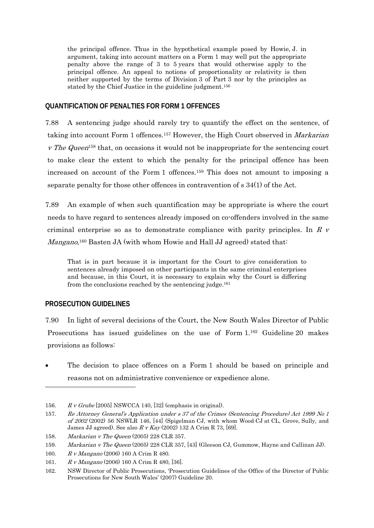the principal offence. Thus in the hypothetical example posed by Howie, J. in argument, taking into account matters on a Form 1 may well put the appropriate penalty above the range of 3 to 5 years that would otherwise apply to the principal offence. An appeal to notions of proportionality or relativity is then neither supported by the terms of Division 3 of Part 3 nor by the principles as stated by the Chief Justice in the guideline judgment.156

### **QUANTIFICATION OF PENALTIES FOR FORM 1 OFFENCES**

7.88 A sentencing judge should rarely try to quantify the effect on the sentence, of taking into account Form 1 offences.<sup>157</sup> However, the High Court observed in *Markarian* v The Queen<sup>158</sup> that, on occasions it would not be inappropriate for the sentencing court to make clear the extent to which the penalty for the principal offence has been increased on account of the Form 1 offences.159 This does not amount to imposing a separate penalty for those other offences in contravention of s 34(1) of the Act.

7.89 An example of when such quantification may be appropriate is where the court needs to have regard to sentences already imposed on co-offenders involved in the same criminal enterprise so as to demonstrate compliance with parity principles. In  $R_V$ Mangano,<sup>160</sup> Basten JA (with whom Howie and Hall JJ agreed) stated that:

That is in part because it is important for the Court to give consideration to sentences already imposed on other participants in the same criminal enterprises and because, in this Court, it is necessary to explain why the Court is differing from the conclusions reached by the sentencing judge.<sup>161</sup>

### **PROSECUTION GUIDELINES**

-

7.90 In light of several decisions of the Court, the New South Wales Director of Public Prosecutions has issued guidelines on the use of Form 1.162 Guideline 20 makes provisions as follows:

 The decision to place offences on a Form 1 should be based on principle and reasons not on administrative convenience or expedience alone.

<sup>156.</sup>  $R \, v \, Grube$  [2005] NSWCCA 140, [32] (emphasis in original).

<sup>157.</sup> Re Attorney General's Application under s 37 of the Crimes (Sentencing Procedure) Act 1999 No 1 of 2002 (2002) 56 NSWLR 146, [44] (Spigelman CJ, with whom Wood CJ at CL, Grove, Sully, and James JJ agreed). See also  $R \, v$  Kay (2002) 132 A Crim R 73, [69].

<sup>158.</sup> Markarian v The Queen (2005) 228 CLR 357.

<sup>159.</sup> Markarian v The Queen (2005) 228 CLR 357, [43] (Gleeson CJ, Gummow, Hayne and Callinan JJ).

<sup>160.</sup> R v Mangano (2006) 160 A Crim R 480.

<sup>161.</sup> R v Mangano (2006) 160 A Crim R 480, [36].

<sup>162.</sup> NSW Director of Public Prosecutions, 'Prosecution Guidelines of the Office of the Director of Public Prosecutions for New South Wales' (2007) Guideline 20.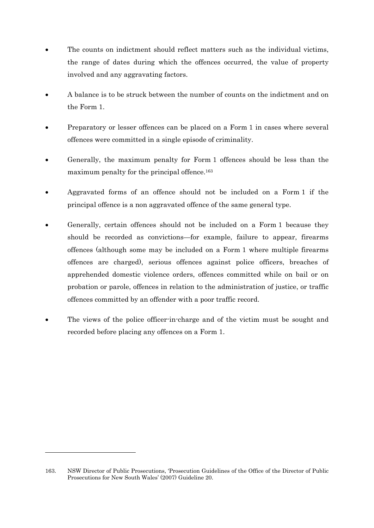- The counts on indictment should reflect matters such as the individual victims, the range of dates during which the offences occurred, the value of property involved and any aggravating factors.
- A balance is to be struck between the number of counts on the indictment and on the Form 1.
- Preparatory or lesser offences can be placed on a Form 1 in cases where several offences were committed in a single episode of criminality.
- Generally, the maximum penalty for Form 1 offences should be less than the maximum penalty for the principal offence.<sup>163</sup>
- Aggravated forms of an offence should not be included on a Form 1 if the principal offence is a non aggravated offence of the same general type.
- Generally, certain offences should not be included on a Form 1 because they should be recorded as convictions—for example, failure to appear, firearms offences (although some may be included on a Form 1 where multiple firearms offences are charged), serious offences against police officers, breaches of apprehended domestic violence orders, offences committed while on bail or on probation or parole, offences in relation to the administration of justice, or traffic offences committed by an offender with a poor traffic record.
- The views of the police officer-in-charge and of the victim must be sought and recorded before placing any offences on a Form 1.

<sup>163.</sup> NSW Director of Public Prosecutions, 'Prosecution Guidelines of the Office of the Director of Public Prosecutions for New South Wales' (2007) Guideline 20.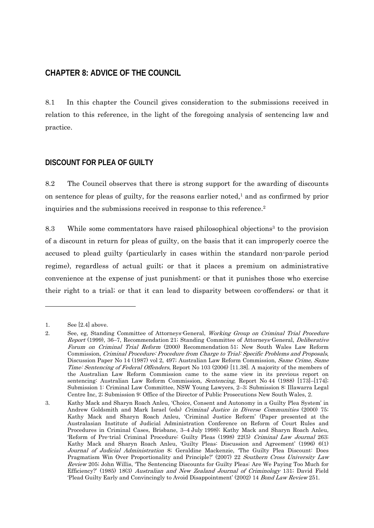# **CHAPTER 8: ADVICE OF THE COUNCIL**

8.1 In this chapter the Council gives consideration to the submissions received in relation to this reference, in the light of the foregoing analysis of sentencing law and practice.

## **DISCOUNT FOR PLEA OF GUILTY**

8.2 The Council observes that there is strong support for the awarding of discounts on sentence for pleas of guilty, for the reasons earlier noted, $<sup>1</sup>$  and as confirmed by prior</sup> inquiries and the submissions received in response to this reference.<sup>2</sup>

8.3 While some commentators have raised philosophical objections<sup>3</sup> to the provision of a discount in return for pleas of guilty, on the basis that it can improperly coerce the accused to plead guilty (particularly in cases within the standard non-parole period regime), regardless of actual guilt; or that it places a premium on administrative convenience at the expense of just punishment; or that it punishes those who exercise their right to a trial; or that it can lead to disparity between co-offenders; or that it

<sup>1.</sup> See [2.4] above.

<sup>2.</sup> See, eg, Standing Committee of Attorneys-General, *Working Group on Criminal Trial Procedure* Report (1999), 36–7, Recommendation 21; Standing Committee of Attorneys-General, Deliberative Forum on Criminal Trial Reform (2000) Recommendation 51; New South Wales Law Reform Commission, Criminal Procedure: Procedure from Charge to Trial: Specific Problems and Proposals, Discussion Paper No 14 (1987) vol 2, 497; Australian Law Reform Commission, Same Crime, Same Time: Sentencing of Federal Offenders, Report No 103 (2006) [11.38]. A majority of the members of the Australian Law Reform Commission came to the same view in its previous report on sentencing: Australian Law Reform Commission, Sentencing, Report No 44 (1988) [173]–[174]; Submission 1: Criminal Law Committee, NSW Young Lawyers, 2–3; Submission 8: Illawarra Legal Centre Inc, 2; Submission 9: Office of the Director of Public Prosecutions New South Wales, 2.

<sup>3.</sup> Kathy Mack and Sharyn Roach Anleu, 'Choice, Consent and Autonomy in a Guilty Plea System' in Andrew Goldsmith and Mark Israel (eds) Criminal Justice in Diverse Communities (2000) 75; Kathy Mack and Sharyn Roach Anleu, 'Criminal Justice Reform' (Paper presented at the Australasian Institute of Judicial Administration Conference on Reform of Court Rules and Procedures in Criminal Cases, Brisbane, 3–4 July 1998); Kathy Mack and Sharyn Roach Anleu, 'Reform of Pre-trial Criminal Procedure: Guilty Pleas (1998) 22(5) Criminal Law Journal 263; Kathy Mack and Sharyn Roach Anleu, 'Guilty Pleas: Discussion and Agreement' (1996) 6(1) Journal of Judicial Administration 8; Geraldine Mackenzie, 'The Guilty Plea Discount: Does Pragmatism Win Over Proportionality and Principle?' (2007) 22 Southern Cross University Law Review 205; John Willis, 'The Sentencing Discounts for Guilty Pleas: Are We Paying Too Much for Efficiency?' (1985) 18(3) Australian and New Zealand Journal of Criminology 131; David Field 'Plead Guilty Early and Convincingly to Avoid Disappointment' (2002) 14 Bond Law Review 251.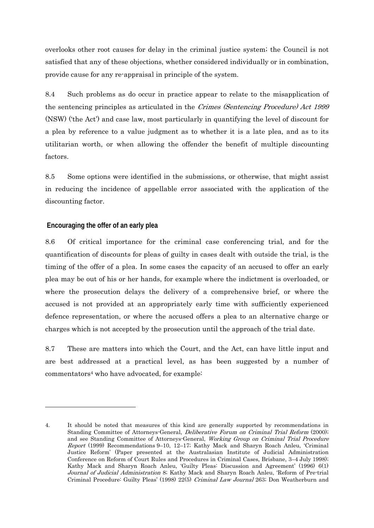overlooks other root causes for delay in the criminal justice system; the Council is not satisfied that any of these objections, whether considered individually or in combination, provide cause for any re-appraisal in principle of the system.

8.4 Such problems as do occur in practice appear to relate to the misapplication of the sentencing principles as articulated in the Crimes (Sentencing Procedure) Act 1999 (NSW) ('the Act') and case law, most particularly in quantifying the level of discount for a plea by reference to a value judgment as to whether it is a late plea, and as to its utilitarian worth, or when allowing the offender the benefit of multiple discounting factors.

8.5 Some options were identified in the submissions, or otherwise, that might assist in reducing the incidence of appellable error associated with the application of the discounting factor.

### **Encouraging the offer of an early plea**

-

8.6 Of critical importance for the criminal case conferencing trial, and for the quantification of discounts for pleas of guilty in cases dealt with outside the trial, is the timing of the offer of a plea. In some cases the capacity of an accused to offer an early plea may be out of his or her hands, for example where the indictment is overloaded, or where the prosecution delays the delivery of a comprehensive brief, or where the accused is not provided at an appropriately early time with sufficiently experienced defence representation, or where the accused offers a plea to an alternative charge or charges which is not accepted by the prosecution until the approach of the trial date.

8.7 These are matters into which the Court, and the Act, can have little input and are best addressed at a practical level, as has been suggested by a number of commentators<sup>4</sup> who have advocated, for example:

<sup>4.</sup> It should be noted that measures of this kind are generally supported by recommendations in Standing Committee of Attorneys-General, *Deliberative Forum on Criminal Trial Reform* (2000); and see Standing Committee of Attorneys-General, Working Group on Criminal Trial Procedure Report (1999) Recommendations 9–10, 12–17; Kathy Mack and Sharyn Roach Anleu, 'Criminal Justice Reform' (Paper presented at the Australasian Institute of Judicial Administration Conference on Reform of Court Rules and Procedures in Criminal Cases, Brisbane, 3–4 July 1998); Kathy Mack and Sharyn Roach Anleu, 'Guilty Pleas: Discussion and Agreement' (1996) 6(1) Journal of Judicial Administration 8; Kathy Mack and Sharyn Roach Anleu, 'Reform of Pre-trial Criminal Procedure: Guilty Pleas' (1998) 22(5) Criminal Law Journal 263; Don Weatherburn and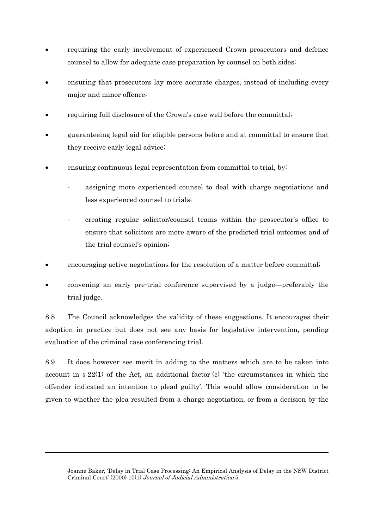- requiring the early involvement of experienced Crown prosecutors and defence counsel to allow for adequate case preparation by counsel on both sides;
- ensuring that prosecutors lay more accurate charges, instead of including every major and minor offence;
- requiring full disclosure of the Crown's case well before the committal;
- guaranteeing legal aid for eligible persons before and at committal to ensure that they receive early legal advice;
- ensuring continuous legal representation from committal to trial, by:
	- assigning more experienced counsel to deal with charge negotiations and less experienced counsel to trials;
	- creating regular solicitor/counsel teams within the prosecutor's office to ensure that solicitors are more aware of the predicted trial outcomes and of the trial counsel's opinion;
- encouraging active negotiations for the resolution of a matter before committal;
- convening an early pre-trial conference supervised by a judge—preferably the trial judge.

8.8 The Council acknowledges the validity of these suggestions. It encourages their adoption in practice but does not see any basis for legislative intervention, pending evaluation of the criminal case conferencing trial.

8.9 It does however see merit in adding to the matters which are to be taken into account in s 22(1) of the Act, an additional factor (c) 'the circumstances in which the offender indicated an intention to plead guilty'. This would allow consideration to be given to whether the plea resulted from a charge negotiation, or from a decision by the

Joanne Baker, 'Delay in Trial Case Processing: An Empirical Analysis of Delay in the NSW District Criminal Court' (2000) 10(1) Journal of Judicial Administration 5.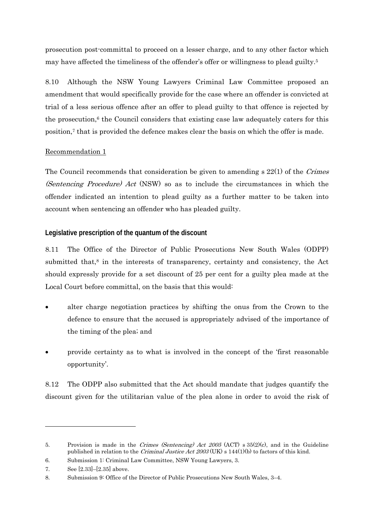prosecution post-committal to proceed on a lesser charge, and to any other factor which may have affected the timeliness of the offender's offer or willingness to plead guilty.5

8.10 Although the NSW Young Lawyers Criminal Law Committee proposed an amendment that would specifically provide for the case where an offender is convicted at trial of a less serious offence after an offer to plead guilty to that offence is rejected by the prosecution, $6$  the Council considers that existing case law adequately caters for this position,7 that is provided the defence makes clear the basis on which the offer is made.

### Recommendation 1

The Council recommends that consideration be given to amending s 22(1) of the Crimes (Sentencing Procedure) Act (NSW) so as to include the circumstances in which the offender indicated an intention to plead guilty as a further matter to be taken into account when sentencing an offender who has pleaded guilty.

### **Legislative prescription of the quantum of the discount**

8.11 The Office of the Director of Public Prosecutions New South Wales (ODPP) submitted that, $8$  in the interests of transparency, certainty and consistency, the Act should expressly provide for a set discount of 25 per cent for a guilty plea made at the Local Court before committal, on the basis that this would:

- alter charge negotiation practices by shifting the onus from the Crown to the defence to ensure that the accused is appropriately advised of the importance of the timing of the plea; and
- provide certainty as to what is involved in the concept of the 'first reasonable opportunity'.

8.12 The ODPP also submitted that the Act should mandate that judges quantify the discount given for the utilitarian value of the plea alone in order to avoid the risk of

1

<sup>5.</sup> Provision is made in the Crimes (Sentencing) Act 2005 (ACT) s  $35(2)(c)$ , and in the Guideline published in relation to the *Criminal Justice Act 2003* (UK) s 144(1)(b) to factors of this kind.

<sup>6.</sup> Submission 1: Criminal Law Committee, NSW Young Lawyers, 3.

<sup>7.</sup> See [2.33]–[2.35] above.

<sup>8.</sup> Submission 9: Office of the Director of Public Prosecutions New South Wales, 3–4.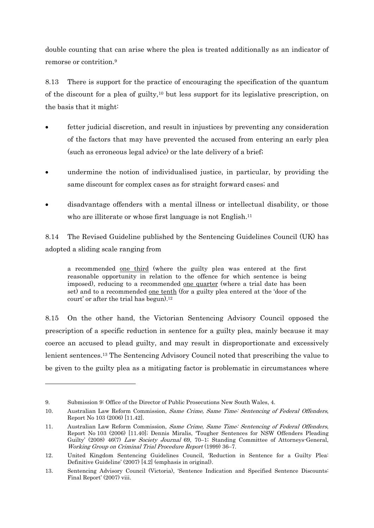double counting that can arise where the plea is treated additionally as an indicator of remorse or contrition<sup>9</sup>

8.13 There is support for the practice of encouraging the specification of the quantum of the discount for a plea of guilty,<sup>10</sup> but less support for its legislative prescription, on the basis that it might:

- fetter judicial discretion, and result in injustices by preventing any consideration of the factors that may have prevented the accused from entering an early plea (such as erroneous legal advice) or the late delivery of a brief;
- undermine the notion of individualised justice, in particular, by providing the same discount for complex cases as for straight forward cases; and
- disadvantage offenders with a mental illness or intellectual disability, or those who are illiterate or whose first language is not English.<sup>11</sup>

8.14 The Revised Guideline published by the Sentencing Guidelines Council (UK) has adopted a sliding scale ranging from

a recommended one third (where the guilty plea was entered at the first reasonable opportunity in relation to the offence for which sentence is being imposed), reducing to a recommended one quarter (where a trial date has been set) and to a recommended <u>one tenth</u> (for a guilty plea entered at the 'door of the court' or after the trial has begun).<sup>12</sup>

8.15 On the other hand, the Victorian Sentencing Advisory Council opposed the prescription of a specific reduction in sentence for a guilty plea, mainly because it may coerce an accused to plead guilty, and may result in disproportionate and excessively lenient sentences.13 The Sentencing Advisory Council noted that prescribing the value to be given to the guilty plea as a mitigating factor is problematic in circumstances where

1

<sup>9.</sup> Submission 9: Office of the Director of Public Prosecutions New South Wales, 4.

<sup>10.</sup> Australian Law Reform Commission, Same Crime, Same Time: Sentencing of Federal Offenders, Report No 103 (2006) [11.42].

<sup>11.</sup> Australian Law Reform Commission, Same Crime, Same Time: Sentencing of Federal Offenders, Report No 103 (2006) [11.40]; Dennis Miralis, 'Tougher Sentences for NSW Offenders Pleading Guilty' (2008) 46(7) Law Society Journal 69, 70–1; Standing Committee of Attorneys-General, Working Group on Criminal Trial Procedure Report (1999) 36–7.

<sup>12.</sup> United Kingdom Sentencing Guidelines Council, 'Reduction in Sentence for a Guilty Plea: Definitive Guideline' (2007) [4.2] (emphasis in original).

<sup>13.</sup> Sentencing Advisory Council (Victoria), 'Sentence Indication and Specified Sentence Discounts: Final Report' (2007) viii.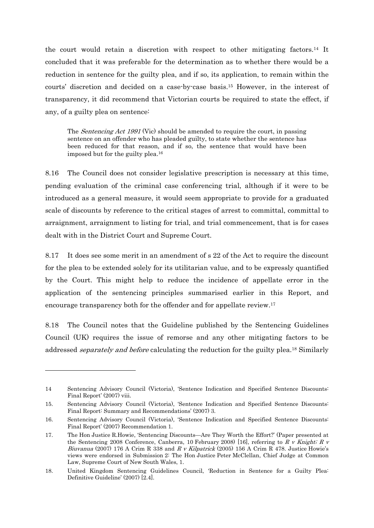the court would retain a discretion with respect to other mitigating factors.14 It concluded that it was preferable for the determination as to whether there would be a reduction in sentence for the guilty plea, and if so, its application, to remain within the courts' discretion and decided on a case-by-case basis.15 However, in the interest of transparency, it did recommend that Victorian courts be required to state the effect, if any, of a guilty plea on sentence:

The *Sentencing Act 1991* (Vic) should be amended to require the court, in passing sentence on an offender who has pleaded guilty, to state whether the sentence has been reduced for that reason, and if so, the sentence that would have been imposed but for the guilty plea.16

8.16 The Council does not consider legislative prescription is necessary at this time, pending evaluation of the criminal case conferencing trial, although if it were to be introduced as a general measure, it would seem appropriate to provide for a graduated scale of discounts by reference to the critical stages of arrest to committal, committal to arraignment, arraignment to listing for trial, and trial commencement, that is for cases dealt with in the District Court and Supreme Court.

8.17 It does see some merit in an amendment of s 22 of the Act to require the discount for the plea to be extended solely for its utilitarian value, and to be expressly quantified by the Court. This might help to reduce the incidence of appellate error in the application of the sentencing principles summarised earlier in this Report, and encourage transparency both for the offender and for appellate review.17

8.18 The Council notes that the Guideline published by the Sentencing Guidelines Council (UK) requires the issue of remorse and any other mitigating factors to be addressed *separately and before* calculating the reduction for the guilty plea.<sup>18</sup> Similarly

<sup>14</sup> Sentencing Advisory Council (Victoria), 'Sentence Indication and Specified Sentence Discounts: Final Report' (2007) viii.

<sup>15.</sup> Sentencing Advisory Council (Victoria), 'Sentence Indication and Specified Sentence Discounts: Final Report: Summary and Recommendations' (2007) 3.

<sup>16.</sup> Sentencing Advisory Council (Victoria), 'Sentence Indication and Specified Sentence Discounts: Final Report' (2007) Recommendation 1.

<sup>17.</sup> The Hon Justice R.Howie, 'Sentencing Discounts—Are They Worth the Effort?' (Paper presented at the Sentencing 2008 Conference, Canberra, 10 February 2008) [16], referring to R v Knight; R v Biuvanua (2007) 176 A Crim R 338 and R v Kilpatrick (2005) 156 A Crim R 478. Justice Howie's views were endorsed in Submission 2: The Hon Justice Peter McClellan, Chief Judge at Common Law, Supreme Court of New South Wales, 1.

<sup>18.</sup> United Kingdom Sentencing Guidelines Council, 'Reduction in Sentence for a Guilty Plea: Definitive Guideline' (2007) [2.4].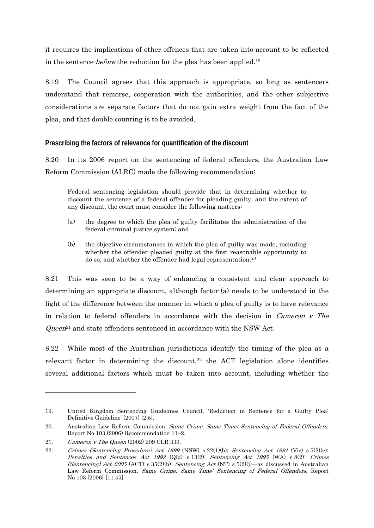it requires the implications of other offences that are taken into account to be reflected in the sentence before the reduction for the plea has been applied.19

8.19 The Council agrees that this approach is appropriate, so long as sentencers understand that remorse, cooperation with the authorities, and the other subjective considerations are separate factors that do not gain extra weight from the fact of the plea, and that double counting is to be avoided.

### **Prescribing the factors of relevance for quantification of the discount**

8.20 In its 2006 report on the sentencing of federal offenders, the Australian Law Reform Commission (ALRC) made the following recommendation:

Federal sentencing legislation should provide that in determining whether to discount the sentence of a federal offender for pleading guilty, and the extent of any discount, the court must consider the following matters:

- (a) the degree to which the plea of guilty facilitates the administration of the federal criminal justice system; and
- (b) the objective circumstances in which the plea of guilty was made, including whether the offender pleaded guilty at the first reasonable opportunity to do so, and whether the offender had legal representation.20

8.21 This was seen to be a way of enhancing a consistent and clear approach to determining an appropriate discount, although factor (a) needs to be understood in the light of the difference between the manner in which a plea of guilty is to have relevance in relation to federal offenders in accordance with the decision in Cameron v The  $\Omega$ ueen<sup>21</sup> and state offenders sentenced in accordance with the NSW Act.

8.22 While most of the Australian jurisdictions identify the timing of the plea as a relevant factor in determining the discount, $22$  the ACT legislation alone identifies several additional factors which must be taken into account, including whether the

<sup>19.</sup> United Kingdom Sentencing Guidelines Council, 'Reduction in Sentence for a Guilty Plea: Definitive Guideline' (2007) [2.5].

<sup>20.</sup> Australian Law Reform Commission, Same Crime, Same Time: Sentencing of Federal Offenders, Report No 103 (2006) Recommendation 11–2.

<sup>21.</sup> Cameron v The Queen (2002) 209 CLR 339.

<sup>22.</sup> Crimes (Sentencing Procedure) Act 1999 (NSW) s 22(1)(b); Sentencing Act 1991 (Vic) s 5(2)(e); Penalties and Sentences Act 1992 (Qld) s 13(2); Sentencing Act 1995 (WA) s 8(2); Crimes (Sentencing) Act 2005 (ACT) s 35(2)(b); Sentencing Act (NT) s 5(2)(j)—as discussed in Australian Law Reform Commission, Same Crime, Same Time: Sentencing of Federal Offenders, Report No 103 (2006) [11.45].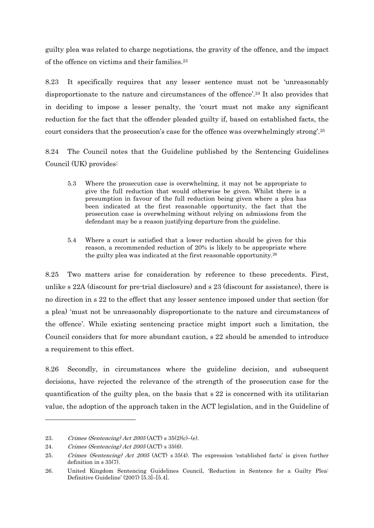guilty plea was related to charge negotiations, the gravity of the offence, and the impact of the offence on victims and their families.23

8.23 It specifically requires that any lesser sentence must not be 'unreasonably disproportionate to the nature and circumstances of the offence'.24 It also provides that in deciding to impose a lesser penalty, the 'court must not make any significant reduction for the fact that the offender pleaded guilty if, based on established facts, the court considers that the prosecution's case for the offence was overwhelmingly strong'.25

8.24 The Council notes that the Guideline published by the Sentencing Guidelines Council (UK) provides:

- 5.3 Where the prosecution case is overwhelming, it may not be appropriate to give the full reduction that would otherwise be given. Whilst there is a presumption in favour of the full reduction being given where a plea has been indicated at the first reasonable opportunity, the fact that the prosecution case is overwhelming without relying on admissions from the defendant may be a reason justifying departure from the guideline.
- 5.4 Where a court is satisfied that a lower reduction should be given for this reason, a recommended reduction of 20% is likely to be appropriate where the guilty plea was indicated at the first reasonable opportunity.26

8.25 Two matters arise for consideration by reference to these precedents. First, unlike s 22A (discount for pre-trial disclosure) and s 23 (discount for assistance), there is no direction in s 22 to the effect that any lesser sentence imposed under that section (for a plea) 'must not be unreasonably disproportionate to the nature and circumstances of the offence'. While existing sentencing practice might import such a limitation, the Council considers that for more abundant caution, s 22 should be amended to introduce a requirement to this effect.

8.26 Secondly, in circumstances where the guideline decision, and subsequent decisions, have rejected the relevance of the strength of the prosecution case for the quantification of the guilty plea, on the basis that s 22 is concerned with its utilitarian value, the adoption of the approach taken in the ACT legislation, and in the Guideline of

 $\overline{a}$ 

<sup>23.</sup> Crimes (Sentencing) Act  $2005$  (ACT) s  $35(2)$ (c)-(e).

<sup>24.</sup> Crimes (Sentencing) Act 2005 (ACT) s 35(6).

<sup>25.</sup> Crimes (Sentencing) Act 2005 (ACT) s 35(4). The expression 'established facts' is given further definition in s 35(7).

<sup>26.</sup> United Kingdom Sentencing Guidelines Council, 'Reduction in Sentence for a Guilty Plea: Definitive Guideline' (2007) [5.3]–[5.4].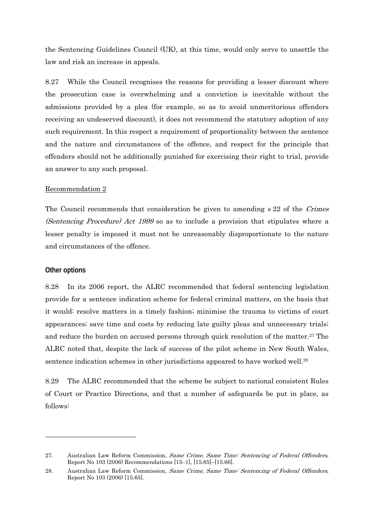the Sentencing Guidelines Council (UK), at this time, would only serve to unsettle the law and risk an increase in appeals.

8.27 While the Council recognises the reasons for providing a lesser discount where the prosecution case is overwhelming and a conviction is inevitable without the admissions provided by a plea (for example, so as to avoid unmeritorious offenders receiving an undeserved discount), it does not recommend the statutory adoption of any such requirement. In this respect a requirement of proportionality between the sentence and the nature and circumstances of the offence, and respect for the principle that offenders should not be additionally punished for exercising their right to trial, provide an answer to any such proposal.

### Recommendation 2

The Council recommends that consideration be given to amending s 22 of the Crimes (Sentencing Procedure) Act 1999 so as to include a provision that stipulates where a lesser penalty is imposed it must not be unreasonably disproportionate to the nature and circumstances of the offence.

#### **Other options**

1

8.28 In its 2006 report, the ALRC recommended that federal sentencing legislation provide for a sentence indication scheme for federal criminal matters, on the basis that it would: resolve matters in a timely fashion; minimise the trauma to victims of court appearances; save time and costs by reducing late guilty pleas and unnecessary trials; and reduce the burden on accused persons through quick resolution of the matter.<sup>27</sup> The ALRC noted that, despite the lack of success of the pilot scheme in New South Wales, sentence indication schemes in other jurisdictions appeared to have worked well.28

8.29 The ALRC recommended that the scheme be subject to national consistent Rules of Court or Practice Directions, and that a number of safeguards be put in place, as follows:

<sup>27.</sup> Australian Law Reform Commission, Same Crime, Same Time: Sentencing of Federal Offenders, Report No 103 (2006) Recommendations [15–1], [15.65]–[15.66].

<sup>28.</sup> Australian Law Reform Commission, Same Crime, Same Time: Sentencing of Federal Offenders, Report No 103 (2006) [15.65].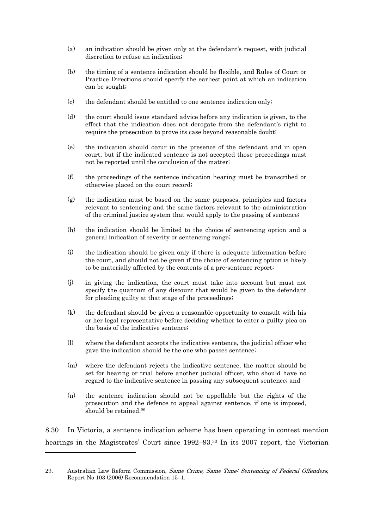- (a) an indication should be given only at the defendant's request, with judicial discretion to refuse an indication;
- (b) the timing of a sentence indication should be flexible, and Rules of Court or Practice Directions should specify the earliest point at which an indication can be sought;
- (c) the defendant should be entitled to one sentence indication only;
- (d) the court should issue standard advice before any indication is given, to the effect that the indication does not derogate from the defendant's right to require the prosecution to prove its case beyond reasonable doubt;
- (e) the indication should occur in the presence of the defendant and in open court, but if the indicated sentence is not accepted those proceedings must not be reported until the conclusion of the matter;
- (f) the proceedings of the sentence indication hearing must be transcribed or otherwise placed on the court record;
- (g) the indication must be based on the same purposes, principles and factors relevant to sentencing and the same factors relevant to the administration of the criminal justice system that would apply to the passing of sentence;
- (h) the indication should be limited to the choice of sentencing option and a general indication of severity or sentencing range;
- (i) the indication should be given only if there is adequate information before the court, and should not be given if the choice of sentencing option is likely to be materially affected by the contents of a pre-sentence report;
- (j) in giving the indication, the court must take into account but must not specify the quantum of any discount that would be given to the defendant for pleading guilty at that stage of the proceedings;
- (k) the defendant should be given a reasonable opportunity to consult with his or her legal representative before deciding whether to enter a guilty plea on the basis of the indicative sentence;
- (l) where the defendant accepts the indicative sentence, the judicial officer who gave the indication should be the one who passes sentence;
- (m) where the defendant rejects the indicative sentence, the matter should be set for hearing or trial before another judicial officer, who should have no regard to the indicative sentence in passing any subsequent sentence; and
- (n) the sentence indication should not be appellable but the rights of the prosecution and the defence to appeal against sentence, if one is imposed, should be retained.29

8.30 In Victoria, a sentence indication scheme has been operating in contest mention hearings in the Magistrates' Court since 1992–93.30 In its 2007 report, the Victorian

-

<sup>29.</sup> Australian Law Reform Commission, Same Crime, Same Time: Sentencing of Federal Offenders, Report No 103 (2006) Recommendation 15–1.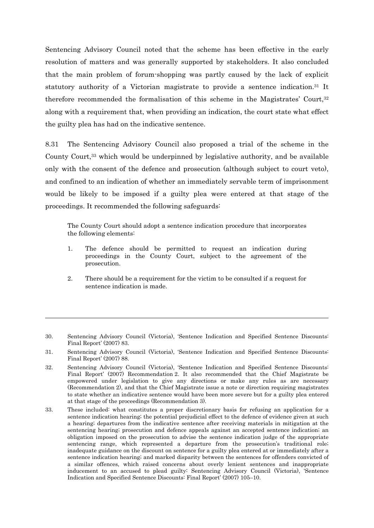Sentencing Advisory Council noted that the scheme has been effective in the early resolution of matters and was generally supported by stakeholders. It also concluded that the main problem of forum-shopping was partly caused by the lack of explicit statutory authority of a Victorian magistrate to provide a sentence indication.31 It therefore recommended the formalisation of this scheme in the Magistrates' Court,32 along with a requirement that, when providing an indication, the court state what effect the guilty plea has had on the indicative sentence.

8.31 The Sentencing Advisory Council also proposed a trial of the scheme in the County Court,<sup>33</sup> which would be underpinned by legislative authority, and be available only with the consent of the defence and prosecution (although subject to court veto), and confined to an indication of whether an immediately servable term of imprisonment would be likely to be imposed if a guilty plea were entered at that stage of the proceedings. It recommended the following safeguards:

The County Court should adopt a sentence indication procedure that incorporates the following elements:

- 1. The defence should be permitted to request an indication during proceedings in the County Court, subject to the agreement of the prosecution.
- 2. There should be a requirement for the victim to be consulted if a request for sentence indication is made.

 $\overline{a}$ 

33. These included: what constitutes a proper discretionary basis for refusing an application for a sentence indication hearing; the potential prejudicial effect to the defence of evidence given at such a hearing; departures from the indicative sentence after receiving materials in mitigation at the sentencing hearing; prosecution and defence appeals against an accepted sentence indication; an obligation imposed on the prosecution to advise the sentence indication judge of the appropriate sentencing range, which represented a departure from the prosecution's traditional role; inadequate guidance on the discount on sentence for a guilty plea entered at or immediately after a sentence indication hearing; and marked disparity between the sentences for offenders convicted of a similar offences, which raised concerns about overly lenient sentences and inappropriate inducement to an accused to plead guilty: Sentencing Advisory Council (Victoria), 'Sentence Indication and Specified Sentence Discounts: Final Report' (2007) 105–10.

<sup>30.</sup> Sentencing Advisory Council (Victoria), 'Sentence Indication and Specified Sentence Discounts: Final Report' (2007) 83.

<sup>31.</sup> Sentencing Advisory Council (Victoria), 'Sentence Indication and Specified Sentence Discounts: Final Report' (2007) 88.

<sup>32.</sup> Sentencing Advisory Council (Victoria), 'Sentence Indication and Specified Sentence Discounts: Final Report' (2007) Recommendation 2. It also recommended that the Chief Magistrate be empowered under legislation to give any directions or make any rules as are necessary (Recommendation 2), and that the Chief Magistrate issue a note or direction requiring magistrates to state whether an indicative sentence would have been more severe but for a guilty plea entered at that stage of the proceedings (Recommendation 3).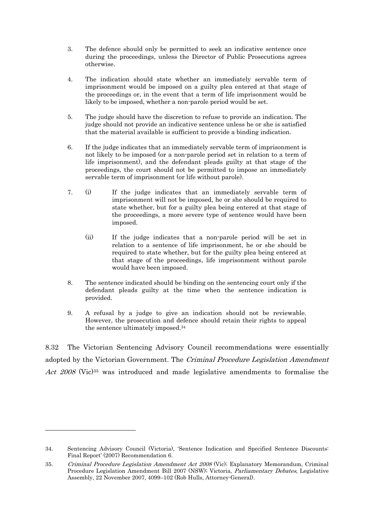- 3. The defence should only be permitted to seek an indicative sentence once during the proceedings, unless the Director of Public Prosecutions agrees otherwise.
- 4. The indication should state whether an immediately servable term of imprisonment would be imposed on a guilty plea entered at that stage of the proceedings or, in the event that a term of life imprisonment would be likely to be imposed, whether a non-parole period would be set.
- 5. The judge should have the discretion to refuse to provide an indication. The judge should not provide an indicative sentence unless he or she is satisfied that the material available is sufficient to provide a binding indication.
- 6. If the judge indicates that an immediately servable term of imprisonment is not likely to be imposed (or a non-parole period set in relation to a term of life imprisonment), and the defendant pleads guilty at that stage of the proceedings, the court should not be permitted to impose an immediately servable term of imprisonment (or life without parole).
- 7. (i) If the judge indicates that an immediately servable term of imprisonment will not be imposed, he or she should be required to state whether, but for a guilty plea being entered at that stage of the proceedings, a more severe type of sentence would have been imposed.
	- (ii) If the judge indicates that a non-parole period will be set in relation to a sentence of life imprisonment, he or she should be required to state whether, but for the guilty plea being entered at that stage of the proceedings, life imprisonment without parole would have been imposed.
- 8. The sentence indicated should be binding on the sentencing court only if the defendant pleads guilty at the time when the sentence indication is provided.
- 9. A refusal by a judge to give an indication should not be reviewable. However, the prosecution and defence should retain their rights to appeal the sentence ultimately imposed.34

8.32 The Victorian Sentencing Advisory Council recommendations were essentially adopted by the Victorian Government. The Criminal Procedure Legislation Amendment Act 2008 (Vic)<sup>35</sup> was introduced and made legislative amendments to formalise the

1

<sup>34.</sup> Sentencing Advisory Council (Victoria), 'Sentence Indication and Specified Sentence Discounts: Final Report' (2007) Recommendation 6.

<sup>35.</sup> Criminal Procedure Legislation Amendment Act 2008 (Vic); Explanatory Memorandum, Criminal Procedure Legislation Amendment Bill 2007 (NSW); Victoria, Parliamentary Debates, Legislative Assembly, 22 November 2007, 4099–102 (Rob Hulls, Attorney-General).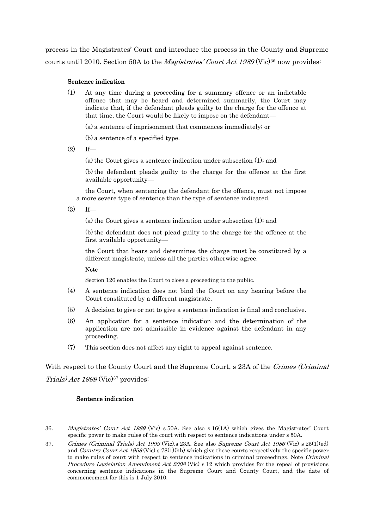process in the Magistrates' Court and introduce the process in the County and Supreme courts until 2010. Section 50A to the *Magistrates' Court Act 1989* (Vic)<sup>36</sup> now provides:

### Sentence indication

(1) At any time during a proceeding for a summary offence or an indictable offence that may be heard and determined summarily, the Court may indicate that, if the defendant pleads guilty to the charge for the offence at that time, the Court would be likely to impose on the defendant—

(a) a sentence of imprisonment that commences immediately; or

(b) a sentence of a specified type.

 $(2)$  If—

(a) the Court gives a sentence indication under subsection (1); and

 (b) the defendant pleads guilty to the charge for the offence at the first available opportunity—

 the Court, when sentencing the defendant for the offence, must not impose a more severe type of sentence than the type of sentence indicated.

 $(3)$  If—

(a) the Court gives a sentence indication under subsection (1); and

 (b) the defendant does not plead guilty to the charge for the offence at the first available opportunity—

the Court that hears and determines the charge must be constituted by a different magistrate, unless all the parties otherwise agree.

#### Note

Section 126 enables the Court to close a proceeding to the public.

- (4) A sentence indication does not bind the Court on any hearing before the Court constituted by a different magistrate.
- (5) A decision to give or not to give a sentence indication is final and conclusive.
- (6) An application for a sentence indication and the determination of the application are not admissible in evidence against the defendant in any proceeding.
- (7) This section does not affect any right to appeal against sentence.

With respect to the County Court and the Supreme Court, s 23A of the Crimes (Criminal Trials) Act  $1999$  (Vic)<sup>37</sup> provides:

## Sentence indication

 $\overline{a}$ 

<sup>36.</sup> Magistrates' Court Act 1989 (Vic) s 50A. See also s 16(1A) which gives the Magistrates' Court specific power to make rules of the court with respect to sentence indications under s 50A.

<sup>37.</sup> Crimes (Criminal Trials) Act 1999 (Vic).s 23A. See also Supreme Court Act 1986 (Vic) s 25(1)(ed) and *Country Court Act 1958* (Vic) s 78(1)(hh) which give these courts respectively the specific power to make rules of court with respect to sentence indications in criminal proceedings. Note Criminal Procedure Legislation Amendment Act 2008 (Vic) s 12 which provides for the repeal of provisions concerning sentence indications in the Supreme Court and County Court, and the date of commencement for this is 1 July 2010.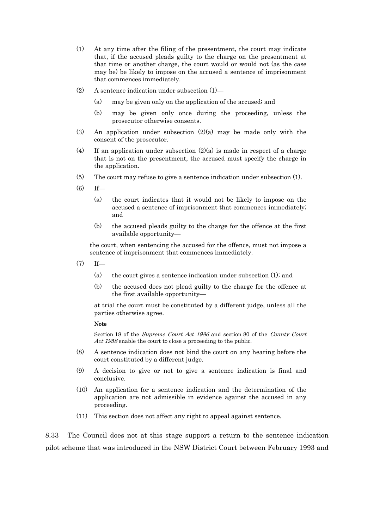- (1) At any time after the filing of the presentment, the court may indicate that, if the accused pleads guilty to the charge on the presentment at that time or another charge, the court would or would not (as the case may be) be likely to impose on the accused a sentence of imprisonment that commences immediately.
- (2) A sentence indication under subsection (1)—
	- (a) may be given only on the application of the accused; and
	- (b) may be given only once during the proceeding, unless the prosecutor otherwise consents.
- (3) An application under subsection (2)(a) may be made only with the consent of the prosecutor.
- (4) If an application under subsection  $(2)(a)$  is made in respect of a charge that is not on the presentment, the accused must specify the charge in the application.
- (5) The court may refuse to give a sentence indication under subsection (1).
- $(6)$  If—
	- (a) the court indicates that it would not be likely to impose on the accused a sentence of imprisonment that commences immediately; and
	- (b) the accused pleads guilty to the charge for the offence at the first available opportunity—

the court, when sentencing the accused for the offence, must not impose a sentence of imprisonment that commences immediately.

- $(7)$  If—
	- (a) the court gives a sentence indication under subsection (1); and
	- (b) the accused does not plead guilty to the charge for the offence at the first available opportunity—

at trial the court must be constituted by a different judge, unless all the parties otherwise agree.

#### Note

Section 18 of the Supreme Court Act 1986 and section 80 of the County Court Act 1958 enable the court to close a proceeding to the public.

- (8) A sentence indication does not bind the court on any hearing before the court constituted by a different judge.
- (9) A decision to give or not to give a sentence indication is final and conclusive.
- (10) An application for a sentence indication and the determination of the application are not admissible in evidence against the accused in any proceeding.
- (11) This section does not affect any right to appeal against sentence.

8.33 The Council does not at this stage support a return to the sentence indication pilot scheme that was introduced in the NSW District Court between February 1993 and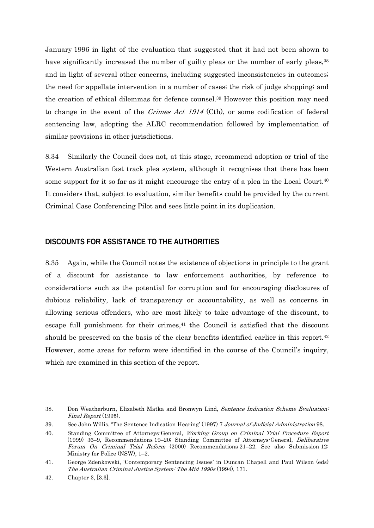January 1996 in light of the evaluation that suggested that it had not been shown to have significantly increased the number of guilty pleas or the number of early pleas,<sup>38</sup> and in light of several other concerns, including suggested inconsistencies in outcomes; the need for appellate intervention in a number of cases; the risk of judge shopping; and the creation of ethical dilemmas for defence counsel.39 However this position may need to change in the event of the Crimes Act 1914 (Cth), or some codification of federal sentencing law, adopting the ALRC recommendation followed by implementation of similar provisions in other jurisdictions.

8.34 Similarly the Council does not, at this stage, recommend adoption or trial of the Western Australian fast track plea system, although it recognises that there has been some support for it so far as it might encourage the entry of a plea in the Local Court.<sup>40</sup> It considers that, subject to evaluation, similar benefits could be provided by the current Criminal Case Conferencing Pilot and sees little point in its duplication.

# **DISCOUNTS FOR ASSISTANCE TO THE AUTHORITIES**

8.35 Again, while the Council notes the existence of objections in principle to the grant of a discount for assistance to law enforcement authorities, by reference to considerations such as the potential for corruption and for encouraging disclosures of dubious reliability, lack of transparency or accountability, as well as concerns in allowing serious offenders, who are most likely to take advantage of the discount, to escape full punishment for their crimes, $41$  the Council is satisfied that the discount should be preserved on the basis of the clear benefits identified earlier in this report.42 However, some areas for reform were identified in the course of the Council's inquiry, which are examined in this section of the report.

-

<sup>38.</sup> Don Weatherburn, Elizabeth Matka and Bronwyn Lind, Sentence Indication Scheme Evaluation: Final Report (1995).

<sup>39.</sup> See John Willis, 'The Sentence Indication Hearing' (1997) 7 Journal of Judicial Administration 98.

<sup>40.</sup> Standing Committee of Attorneys-General, Working Group on Criminal Trial Procedure Report (1999) 36–9, Recommendations 19–20; Standing Committee of Attorneys-General, Deliberative Forum On Criminal Trial Reform (2000) Recommendations 21–22. See also Submission 12: Ministry for Police (NSW), 1–2.

<sup>41.</sup> George Zdenkowski, 'Contemporary Sentencing Issues' in Duncan Chapell and Paul Wilson (eds) The Australian Criminal Justice System: The Mid 1990s (1994), 171.

<sup>42.</sup> Chapter 3, [3.3].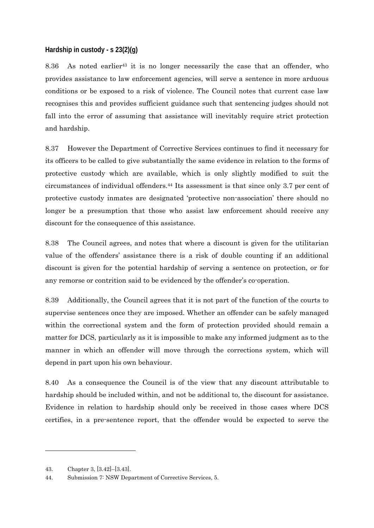# **Hardship in custody - s 23(2)(g)**

8.36 As noted earlier43 it is no longer necessarily the case that an offender, who provides assistance to law enforcement agencies, will serve a sentence in more arduous conditions or be exposed to a risk of violence. The Council notes that current case law recognises this and provides sufficient guidance such that sentencing judges should not fall into the error of assuming that assistance will inevitably require strict protection and hardship.

8.37 However the Department of Corrective Services continues to find it necessary for its officers to be called to give substantially the same evidence in relation to the forms of protective custody which are available, which is only slightly modified to suit the circumstances of individual offenders.44 Its assessment is that since only 3.7 per cent of protective custody inmates are designated 'protective non-association' there should no longer be a presumption that those who assist law enforcement should receive any discount for the consequence of this assistance.

8.38 The Council agrees, and notes that where a discount is given for the utilitarian value of the offenders' assistance there is a risk of double counting if an additional discount is given for the potential hardship of serving a sentence on protection, or for any remorse or contrition said to be evidenced by the offender's co-operation.

8.39 Additionally, the Council agrees that it is not part of the function of the courts to supervise sentences once they are imposed. Whether an offender can be safely managed within the correctional system and the form of protection provided should remain a matter for DCS, particularly as it is impossible to make any informed judgment as to the manner in which an offender will move through the corrections system, which will depend in part upon his own behaviour.

8.40 As a consequence the Council is of the view that any discount attributable to hardship should be included within, and not be additional to, the discount for assistance. Evidence in relation to hardship should only be received in those cases where DCS certifies, in a pre-sentence report, that the offender would be expected to serve the

-

<sup>43.</sup> Chapter 3, [3.42]–[3.43].

<sup>44.</sup> Submission 7: NSW Department of Corrective Services, 5.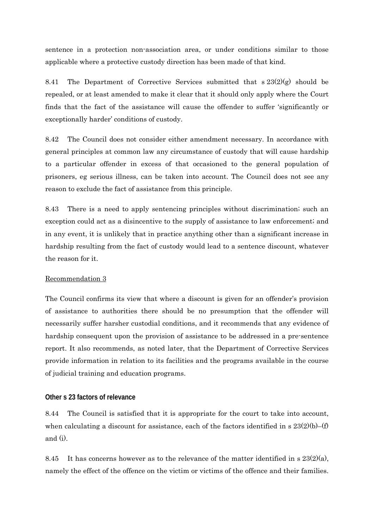sentence in a protection non-association area, or under conditions similar to those applicable where a protective custody direction has been made of that kind.

8.41 The Department of Corrective Services submitted that  $s 23(2)(g)$  should be repealed, or at least amended to make it clear that it should only apply where the Court finds that the fact of the assistance will cause the offender to suffer 'significantly or exceptionally harder' conditions of custody.

8.42 The Council does not consider either amendment necessary. In accordance with general principles at common law any circumstance of custody that will cause hardship to a particular offender in excess of that occasioned to the general population of prisoners, eg serious illness, can be taken into account. The Council does not see any reason to exclude the fact of assistance from this principle.

8.43 There is a need to apply sentencing principles without discrimination; such an exception could act as a disincentive to the supply of assistance to law enforcement; and in any event, it is unlikely that in practice anything other than a significant increase in hardship resulting from the fact of custody would lead to a sentence discount, whatever the reason for it.

# Recommendation 3

The Council confirms its view that where a discount is given for an offender's provision of assistance to authorities there should be no presumption that the offender will necessarily suffer harsher custodial conditions, and it recommends that any evidence of hardship consequent upon the provision of assistance to be addressed in a pre-sentence report. It also recommends, as noted later, that the Department of Corrective Services provide information in relation to its facilities and the programs available in the course of judicial training and education programs.

## **Other s 23 factors of relevance**

8.44 The Council is satisfied that it is appropriate for the court to take into account, when calculating a discount for assistance, each of the factors identified in s  $23(2)(b)$ –(f) and (i).

8.45 It has concerns however as to the relevance of the matter identified in s  $23(2)(a)$ , namely the effect of the offence on the victim or victims of the offence and their families.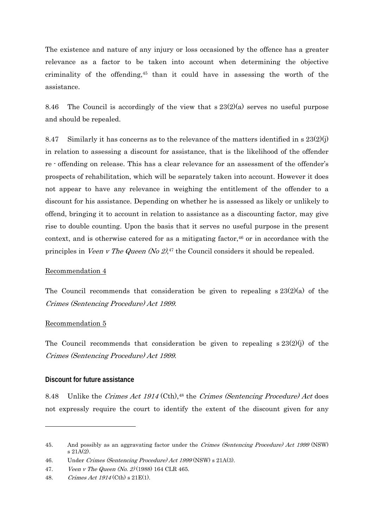The existence and nature of any injury or loss occasioned by the offence has a greater relevance as a factor to be taken into account when determining the objective criminality of the offending,45 than it could have in assessing the worth of the assistance.

8.46 The Council is accordingly of the view that  $\frac{s}{23(2)}$  serves no useful purpose and should be repealed.

8.47 Similarly it has concerns as to the relevance of the matters identified in  $\frac{1}{3}$  23(2)(j) in relation to assessing a discount for assistance, that is the likelihood of the offender re - offending on release. This has a clear relevance for an assessment of the offender's prospects of rehabilitation, which will be separately taken into account. However it does not appear to have any relevance in weighing the entitlement of the offender to a discount for his assistance. Depending on whether he is assessed as likely or unlikely to offend, bringing it to account in relation to assistance as a discounting factor, may give rise to double counting. Upon the basis that it serves no useful purpose in the present context, and is otherwise catered for as a mitigating factor, $46$  or in accordance with the principles in *Veen v The Queen (No 2)*,<sup>47</sup> the Council considers it should be repealed.

## Recommendation 4

The Council recommends that consideration be given to repealing s 23(2)(a) of the Crimes (Sentencing Procedure) Act 1999.

#### Recommendation 5

1

The Council recommends that consideration be given to repealing s 23(2)(j) of the Crimes (Sentencing Procedure) Act 1999.

#### **Discount for future assistance**

8.48 Unlike the Crimes Act 1914 (Cth),<sup>48</sup> the Crimes (Sentencing Procedure) Act does not expressly require the court to identify the extent of the discount given for any

<sup>45.</sup> And possibly as an aggravating factor under the *Crimes (Sentencing Procedure) Act 1999* (NSW) s 21A(2).

<sup>46.</sup> Under Crimes (Sentencing Procedure) Act 1999 (NSW) s 21A(3).

<sup>47.</sup> Veen v The Queen (No. 2) (1988) 164 CLR 465.

<sup>48.</sup> Crimes Act 1914 (Cth) s 21E(1).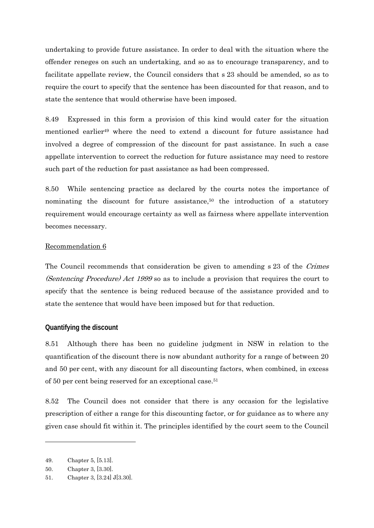undertaking to provide future assistance. In order to deal with the situation where the offender reneges on such an undertaking, and so as to encourage transparency, and to facilitate appellate review, the Council considers that s 23 should be amended, so as to require the court to specify that the sentence has been discounted for that reason, and to state the sentence that would otherwise have been imposed.

8.49 Expressed in this form a provision of this kind would cater for the situation mentioned earlier<sup>49</sup> where the need to extend a discount for future assistance had involved a degree of compression of the discount for past assistance. In such a case appellate intervention to correct the reduction for future assistance may need to restore such part of the reduction for past assistance as had been compressed.

8.50 While sentencing practice as declared by the courts notes the importance of nominating the discount for future assistance, $50$  the introduction of a statutory requirement would encourage certainty as well as fairness where appellate intervention becomes necessary.

# Recommendation 6

The Council recommends that consideration be given to amending s 23 of the Crimes (Sentencing Procedure) Act 1999 so as to include a provision that requires the court to specify that the sentence is being reduced because of the assistance provided and to state the sentence that would have been imposed but for that reduction.

# **Quantifying the discount**

8.51 Although there has been no guideline judgment in NSW in relation to the quantification of the discount there is now abundant authority for a range of between 20 and 50 per cent, with any discount for all discounting factors, when combined, in excess of 50 per cent being reserved for an exceptional case.51

8.52 The Council does not consider that there is any occasion for the legislative prescription of either a range for this discounting factor, or for guidance as to where any given case should fit within it. The principles identified by the court seem to the Council

-

<sup>49.</sup> Chapter 5, [5.13].

<sup>50.</sup> Chapter 3, [3.30].

<sup>51.</sup> Chapter 3, [3.24] J[3.30].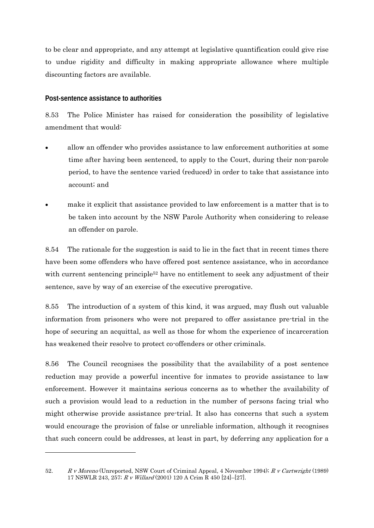to be clear and appropriate, and any attempt at legislative quantification could give rise to undue rigidity and difficulty in making appropriate allowance where multiple discounting factors are available.

# **Post-sentence assistance to authorities**

-

8.53 The Police Minister has raised for consideration the possibility of legislative amendment that would:

- allow an offender who provides assistance to law enforcement authorities at some time after having been sentenced, to apply to the Court, during their non-parole period, to have the sentence varied (reduced) in order to take that assistance into account; and
- make it explicit that assistance provided to law enforcement is a matter that is to be taken into account by the NSW Parole Authority when considering to release an offender on parole.

8.54 The rationale for the suggestion is said to lie in the fact that in recent times there have been some offenders who have offered post sentence assistance, who in accordance with current sentencing principle<sup>52</sup> have no entitlement to seek any adjustment of their sentence, save by way of an exercise of the executive prerogative.

8.55 The introduction of a system of this kind, it was argued, may flush out valuable information from prisoners who were not prepared to offer assistance pre-trial in the hope of securing an acquittal, as well as those for whom the experience of incarceration has weakened their resolve to protect co-offenders or other criminals.

8.56 The Council recognises the possibility that the availability of a post sentence reduction may provide a powerful incentive for inmates to provide assistance to law enforcement. However it maintains serious concerns as to whether the availability of such a provision would lead to a reduction in the number of persons facing trial who might otherwise provide assistance pre-trial. It also has concerns that such a system would encourage the provision of false or unreliable information, although it recognises that such concern could be addresses, at least in part, by deferring any application for a

<sup>52.</sup> R v Moreno (Unreported, NSW Court of Criminal Appeal, 4 November 1994); R v Cartwright (1989) 17 NSWLR 243, 257; R v Willard (2001) 120 A Crim R 450 [24]–[27].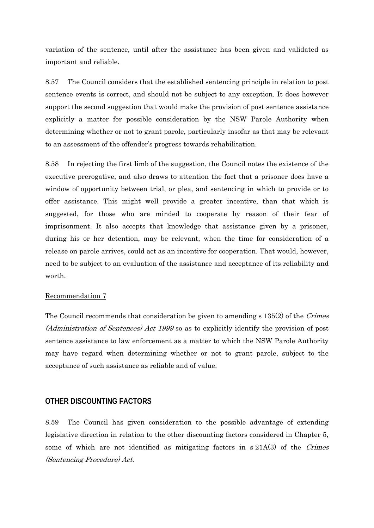variation of the sentence, until after the assistance has been given and validated as important and reliable.

8.57 The Council considers that the established sentencing principle in relation to post sentence events is correct, and should not be subject to any exception. It does however support the second suggestion that would make the provision of post sentence assistance explicitly a matter for possible consideration by the NSW Parole Authority when determining whether or not to grant parole, particularly insofar as that may be relevant to an assessment of the offender's progress towards rehabilitation.

8.58 In rejecting the first limb of the suggestion, the Council notes the existence of the executive prerogative, and also draws to attention the fact that a prisoner does have a window of opportunity between trial, or plea, and sentencing in which to provide or to offer assistance. This might well provide a greater incentive, than that which is suggested, for those who are minded to cooperate by reason of their fear of imprisonment. It also accepts that knowledge that assistance given by a prisoner, during his or her detention, may be relevant, when the time for consideration of a release on parole arrives, could act as an incentive for cooperation. That would, however, need to be subject to an evaluation of the assistance and acceptance of its reliability and worth.

#### Recommendation 7

The Council recommends that consideration be given to amending s 135(2) of the Crimes (Administration of Sentences) Act 1999 so as to explicitly identify the provision of post sentence assistance to law enforcement as a matter to which the NSW Parole Authority may have regard when determining whether or not to grant parole, subject to the acceptance of such assistance as reliable and of value.

# **OTHER DISCOUNTING FACTORS**

8.59 The Council has given consideration to the possible advantage of extending legislative direction in relation to the other discounting factors considered in Chapter 5, some of which are not identified as mitigating factors in  $s\,21A(3)$  of the Crimes (Sentencing Procedure) Act.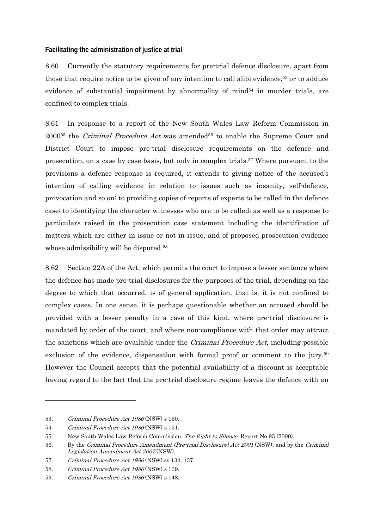# **Facilitating the administration of justice at trial**

8.60 Currently the statutory requirements for pre-trial defence disclosure, apart from those that require notice to be given of any intention to call alibi evidence,<sup>53</sup> or to adduce evidence of substantial impairment by abnormality of mind $54$  in murder trials, are confined to complex trials.

8.61 In response to a report of the New South Wales Law Reform Commission in  $2000^{55}$  the *Criminal Procedure Act* was amended<sup>56</sup> to enable the Supreme Court and District Court to impose pre-trial disclosure requirements on the defence and prosecution, on a case by case basis, but only in complex trials.57 Where pursuant to the provisions a defence response is required, it extends to giving notice of the accused's intention of calling evidence in relation to issues such as insanity, self-defence, provocation and so on; to providing copies of reports of experts to be called in the defence case; to identifying the character witnesses who are to be called; as well as a response to particulars raised in the prosecution case statement including the identification of matters which are either in issue or not in issue, and of proposed prosecution evidence whose admissibility will be disputed.<sup>58</sup>

8.62 Section 22A of the Act, which permits the court to impose a lesser sentence where the defence has made pre-trial disclosures for the purposes of the trial, depending on the degree to which that occurred, is of general application, that is, it is not confined to complex cases. In one sense, it is perhaps questionable whether an accused should be provided with a lesser penalty in a case of this kind, where pre-trial disclosure is mandated by order of the court, and where non-compliance with that order may attract the sanctions which are available under the *Criminal Procedure Act*, including possible exclusion of the evidence, dispensation with formal proof or comment to the jury.59 However the Council accepts that the potential availability of a discount is acceptable having regard to the fact that the pre-trial disclosure regime leaves the defence with an

 $\overline{a}$ 

<sup>53.</sup> Criminal Procedure Act 1986 (NSW) s 150.

<sup>54.</sup> Criminal Procedure Act 1986 (NSW) s 151.

<sup>55.</sup> New South Wales Law Reform Commission, *The Right to Silence*, Report No 95 (2000).

<sup>56.</sup> By the Criminal Procedure Amendment (Pre-trial Disclosure) Act 2001 (NSW), and by the Criminal Legislation Amendment Act 2007 (NSW).

<sup>57.</sup> Criminal Procedure Act 1986 (NSW) ss 134, 137.

<sup>58.</sup> Criminal Procedure Act 1986 (NSW) s 139.

<sup>59.</sup> Criminal Procedure Act 1986 (NSW) s 148.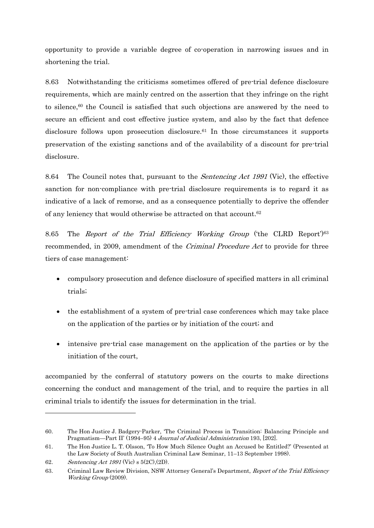opportunity to provide a variable degree of co-operation in narrowing issues and in shortening the trial.

8.63 Notwithstanding the criticisms sometimes offered of pre-trial defence disclosure requirements, which are mainly centred on the assertion that they infringe on the right to silence,<sup>60</sup> the Council is satisfied that such objections are answered by the need to secure an efficient and cost effective justice system, and also by the fact that defence disclosure follows upon prosecution disclosure.61 In those circumstances it supports preservation of the existing sanctions and of the availability of a discount for pre-trial disclosure.

8.64 The Council notes that, pursuant to the Sentencing Act 1991 (Vic), the effective sanction for non-compliance with pre-trial disclosure requirements is to regard it as indicative of a lack of remorse, and as a consequence potentially to deprive the offender of any leniency that would otherwise be attracted on that account.62

8.65 The Report of the Trial Efficiency Working Group ('the CLRD Report')<sup>63</sup> recommended, in 2009, amendment of the *Criminal Procedure Act* to provide for three tiers of case management:

- compulsory prosecution and defence disclosure of specified matters in all criminal trials;
- the establishment of a system of pre-trial case conferences which may take place on the application of the parties or by initiation of the court; and
- intensive pre-trial case management on the application of the parties or by the initiation of the court,

accompanied by the conferral of statutory powers on the courts to make directions concerning the conduct and management of the trial, and to require the parties in all criminal trials to identify the issues for determination in the trial.

 $\overline{a}$ 

<sup>60.</sup> The Hon Justice J. Badgery-Parker, 'The Criminal Process in Transition: Balancing Principle and Pragmatism—Part II' (1994–95) 4 Journal of Judicial Administration 193, [202].

<sup>61.</sup> The Hon Justice L. T. Olsson, 'To How Much Silence Ought an Accused be Entitled?' (Presented at the Law Society of South Australian Criminal Law Seminar, 11–13 September 1998).

<sup>62.</sup> Sentencing Act 1991 (Vic) s 5(2C),(2D).

<sup>63.</sup> Criminal Law Review Division, NSW Attorney General's Department, Report of the Trial Efficiency Working Group (2009).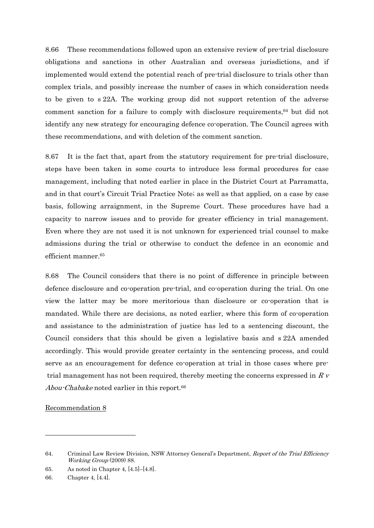8.66 These recommendations followed upon an extensive review of pre-trial disclosure obligations and sanctions in other Australian and overseas jurisdictions, and if implemented would extend the potential reach of pre-trial disclosure to trials other than complex trials, and possibly increase the number of cases in which consideration needs to be given to s 22A. The working group did not support retention of the adverse comment sanction for a failure to comply with disclosure requirements,64 but did not identify any new strategy for encouraging defence co-operation. The Council agrees with these recommendations, and with deletion of the comment sanction.

8.67 It is the fact that, apart from the statutory requirement for pre-trial disclosure, steps have been taken in some courts to introduce less formal procedures for case management, including that noted earlier in place in the District Court at Parramatta, and in that court's Circuit Trial Practice Note; as well as that applied, on a case by case basis, following arraignment, in the Supreme Court. These procedures have had a capacity to narrow issues and to provide for greater efficiency in trial management. Even where they are not used it is not unknown for experienced trial counsel to make admissions during the trial or otherwise to conduct the defence in an economic and efficient manner.65

8.68 The Council considers that there is no point of difference in principle between defence disclosure and co-operation pre-trial, and co-operation during the trial. On one view the latter may be more meritorious than disclosure or co-operation that is mandated. While there are decisions, as noted earlier, where this form of co-operation and assistance to the administration of justice has led to a sentencing discount, the Council considers that this should be given a legislative basis and s 22A amended accordingly. This would provide greater certainty in the sentencing process, and could serve as an encouragement for defence co-operation at trial in those cases where pre trial management has not been required, thereby meeting the concerns expressed in  $R<sub>V</sub>$ Abou-Chabake noted earlier in this report.<sup>66</sup>

Recommendation 8

1

<sup>64.</sup> Criminal Law Review Division, NSW Attorney General's Department, Report of the Trial Efficiency Working Group (2009) 88.

<sup>65.</sup> As noted in Chapter 4, [4.5]–[4.8].

<sup>66.</sup> Chapter 4, [4.4].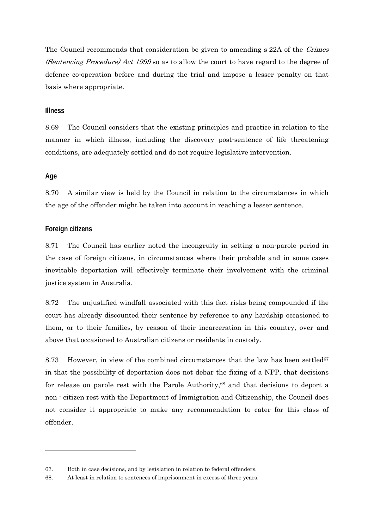The Council recommends that consideration be given to amending s 22A of the Crimes (Sentencing Procedure) Act 1999 so as to allow the court to have regard to the degree of defence co-operation before and during the trial and impose a lesser penalty on that basis where appropriate.

## **Illness**

8.69 The Council considers that the existing principles and practice in relation to the manner in which illness, including the discovery post-sentence of life threatening conditions, are adequately settled and do not require legislative intervention.

## **Age**

-

8.70 A similar view is held by the Council in relation to the circumstances in which the age of the offender might be taken into account in reaching a lesser sentence.

## **Foreign citizens**

8.71 The Council has earlier noted the incongruity in setting a non-parole period in the case of foreign citizens, in circumstances where their probable and in some cases inevitable deportation will effectively terminate their involvement with the criminal justice system in Australia.

8.72 The unjustified windfall associated with this fact risks being compounded if the court has already discounted their sentence by reference to any hardship occasioned to them, or to their families, by reason of their incarceration in this country, over and above that occasioned to Australian citizens or residents in custody.

8.73 However, in view of the combined circumstances that the law has been settled<sup>67</sup> in that the possibility of deportation does not debar the fixing of a NPP, that decisions for release on parole rest with the Parole Authority,<sup>68</sup> and that decisions to deport a non - citizen rest with the Department of Immigration and Citizenship, the Council does not consider it appropriate to make any recommendation to cater for this class of offender.

<sup>67.</sup> Both in case decisions, and by legislation in relation to federal offenders.

<sup>68.</sup> At least in relation to sentences of imprisonment in excess of three years.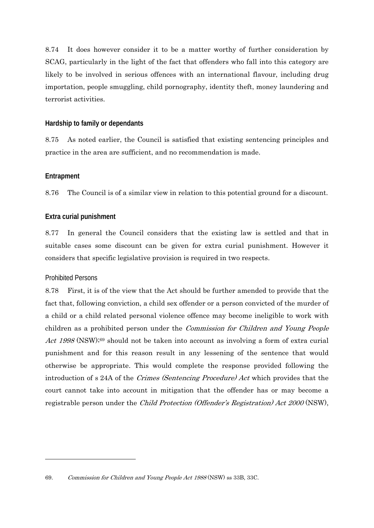8.74 It does however consider it to be a matter worthy of further consideration by SCAG, particularly in the light of the fact that offenders who fall into this category are likely to be involved in serious offences with an international flavour, including drug importation, people smuggling, child pornography, identity theft, money laundering and terrorist activities.

## **Hardship to family or dependants**

8.75 As noted earlier, the Council is satisfied that existing sentencing principles and practice in the area are sufficient, and no recommendation is made.

### **Entrapment**

8.76 The Council is of a similar view in relation to this potential ground for a discount.

## **Extra curial punishment**

8.77 In general the Council considers that the existing law is settled and that in suitable cases some discount can be given for extra curial punishment. However it considers that specific legislative provision is required in two respects.

### Prohibited Persons

-

8.78 First, it is of the view that the Act should be further amended to provide that the fact that, following conviction, a child sex offender or a person convicted of the murder of a child or a child related personal violence offence may become ineligible to work with children as a prohibited person under the Commission for Children and Young People Act 1998 (NSW);<sup>69</sup> should not be taken into account as involving a form of extra curial punishment and for this reason result in any lessening of the sentence that would otherwise be appropriate. This would complete the response provided following the introduction of s 24A of the Crimes (Sentencing Procedure) Act which provides that the court cannot take into account in mitigation that the offender has or may become a registrable person under the Child Protection (Offender's Registration) Act 2000 (NSW),

<sup>69.</sup> Commission for Children and Young People Act 1988 (NSW) ss 33B, 33C.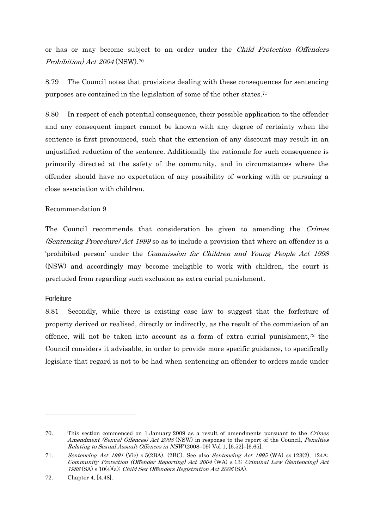or has or may become subject to an order under the Child Protection (Offenders Prohibition) Act 2004 (NSW).70

8.79 The Council notes that provisions dealing with these consequences for sentencing purposes are contained in the legislation of some of the other states.71

8.80 In respect of each potential consequence, their possible application to the offender and any consequent impact cannot be known with any degree of certainty when the sentence is first pronounced, such that the extension of any discount may result in an unjustified reduction of the sentence. Additionally the rationale for such consequence is primarily directed at the safety of the community, and in circumstances where the offender should have no expectation of any possibility of working with or pursuing a close association with children.

# Recommendation 9

The Council recommends that consideration be given to amending the Crimes (Sentencing Procedure) Act 1999 so as to include a provision that where an offender is a 'prohibited person' under the Commission for Children and Young People Act 1998 (NSW) and accordingly may become ineligible to work with children, the court is precluded from regarding such exclusion as extra curial punishment.

# Forfeiture

 $\overline{a}$ 

8.81 Secondly, while there is existing case law to suggest that the forfeiture of property derived or realised, directly or indirectly, as the result of the commission of an offence, will not be taken into account as a form of extra curial punishment,<sup>72</sup> the Council considers it advisable, in order to provide more specific guidance, to specifically legislate that regard is not to be had when sentencing an offender to orders made under

<sup>70.</sup> This section commenced on 1 January 2009 as a result of amendments pursuant to the Crimes Amendment (Sexual Offences) Act 2008 (NSW) in response to the report of the Council, Penalties Relating to Sexual Assault Offences in NSW (2008–09) Vol 1, [6.52]–[6.65].

<sup>71.</sup> Sentencing Act 1991 (Vic) s 5(2BA), (2BC). See also Sentencing Act 1995 (WA) ss 123(2), 124A; Community Protection (Offender Reporting) Act 2004 (WA) s 13; Criminal Law (Sentencing) Act <sup>1988</sup>(SA) s 10(4)(a); Child Sex Offenders Registration Act 2006 (SA).

<sup>72.</sup> Chapter 4, [4.48].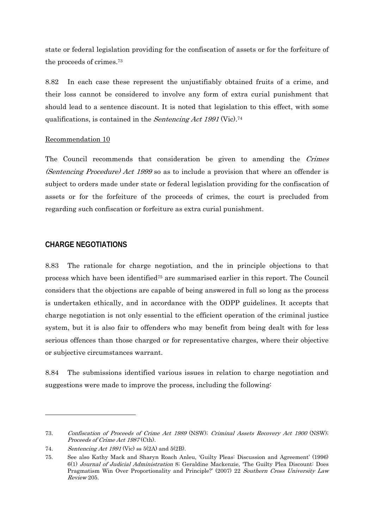state or federal legislation providing for the confiscation of assets or for the forfeiture of the proceeds of crimes.73

8.82 In each case these represent the unjustifiably obtained fruits of a crime, and their loss cannot be considered to involve any form of extra curial punishment that should lead to a sentence discount. It is noted that legislation to this effect, with some qualifications, is contained in the Sentencing Act 1991 (Vic).<sup>74</sup>

### Recommendation 10

The Council recommends that consideration be given to amending the Crimes (Sentencing Procedure) Act 1999 so as to include a provision that where an offender is subject to orders made under state or federal legislation providing for the confiscation of assets or for the forfeiture of the proceeds of crimes, the court is precluded from regarding such confiscation or forfeiture as extra curial punishment.

# **CHARGE NEGOTIATIONS**

 $\overline{a}$ 

8.83 The rationale for charge negotiation, and the in principle objections to that process which have been identified75 are summarised earlier in this report. The Council considers that the objections are capable of being answered in full so long as the process is undertaken ethically, and in accordance with the ODPP guidelines. It accepts that charge negotiation is not only essential to the efficient operation of the criminal justice system, but it is also fair to offenders who may benefit from being dealt with for less serious offences than those charged or for representative charges, where their objective or subjective circumstances warrant.

8.84 The submissions identified various issues in relation to charge negotiation and suggestions were made to improve the process, including the following:

<sup>73.</sup> Confiscation of Proceeds of Crime Act 1989 (NSW); Criminal Assets Recovery Act 1900 (NSW); Proceeds of Crime Act 1987 (Cth).

<sup>74.</sup> Sentencing Act 1991 (Vic) ss  $5(2A)$  and  $5(2B)$ .

<sup>75.</sup> See also Kathy Mack and Sharyn Roach Anleu, 'Guilty Pleas: Discussion and Agreement' (1996) 6(1) Journal of Judicial Administration 8; Geraldine Mackenzie, 'The Guilty Plea Discount: Does Pragmatism Win Over Proportionality and Principle?' (2007) 22 Southern Cross University Law Review 205.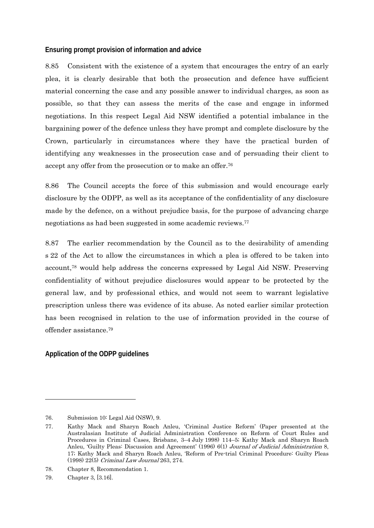## **Ensuring prompt provision of information and advice**

8.85 Consistent with the existence of a system that encourages the entry of an early plea, it is clearly desirable that both the prosecution and defence have sufficient material concerning the case and any possible answer to individual charges, as soon as possible, so that they can assess the merits of the case and engage in informed negotiations. In this respect Legal Aid NSW identified a potential imbalance in the bargaining power of the defence unless they have prompt and complete disclosure by the Crown, particularly in circumstances where they have the practical burden of identifying any weaknesses in the prosecution case and of persuading their client to accept any offer from the prosecution or to make an offer.76

8.86 The Council accepts the force of this submission and would encourage early disclosure by the ODPP, as well as its acceptance of the confidentiality of any disclosure made by the defence, on a without prejudice basis, for the purpose of advancing charge negotiations as had been suggested in some academic reviews.77

8.87 The earlier recommendation by the Council as to the desirability of amending s 22 of the Act to allow the circumstances in which a plea is offered to be taken into account,78 would help address the concerns expressed by Legal Aid NSW. Preserving confidentiality of without prejudice disclosures would appear to be protected by the general law, and by professional ethics, and would not seem to warrant legislative prescription unless there was evidence of its abuse. As noted earlier similar protection has been recognised in relation to the use of information provided in the course of offender assistance.79

# **Application of the ODPP guidelines**

-

<sup>76.</sup> Submission 10: Legal Aid (NSW), 9.

<sup>77.</sup> Kathy Mack and Sharyn Roach Anleu, 'Criminal Justice Reform' (Paper presented at the Australasian Institute of Judicial Administration Conference on Reform of Court Rules and Procedures in Criminal Cases, Brisbane, 3–4 July 1998) 114–5; Kathy Mack and Sharyn Roach Anleu, 'Guilty Pleas: Discussion and Agreement' (1996) 6(1) Journal of Judicial Administration 8, 17; Kathy Mack and Sharyn Roach Anleu, 'Reform of Pre-trial Criminal Procedure: Guilty Pleas (1998) 22(5) Criminal Law Journal 263, 274.

<sup>78.</sup> Chapter 8, Recommendation 1.

<sup>79.</sup> Chapter 3, [3.16].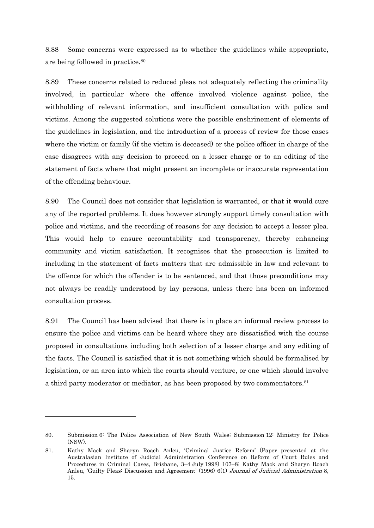8.88 Some concerns were expressed as to whether the guidelines while appropriate, are being followed in practice.80

8.89 These concerns related to reduced pleas not adequately reflecting the criminality involved, in particular where the offence involved violence against police, the withholding of relevant information, and insufficient consultation with police and victims. Among the suggested solutions were the possible enshrinement of elements of the guidelines in legislation, and the introduction of a process of review for those cases where the victim or family (if the victim is deceased) or the police officer in charge of the case disagrees with any decision to proceed on a lesser charge or to an editing of the statement of facts where that might present an incomplete or inaccurate representation of the offending behaviour.

8.90 The Council does not consider that legislation is warranted, or that it would cure any of the reported problems. It does however strongly support timely consultation with police and victims, and the recording of reasons for any decision to accept a lesser plea. This would help to ensure accountability and transparency, thereby enhancing community and victim satisfaction. It recognises that the prosecution is limited to including in the statement of facts matters that are admissible in law and relevant to the offence for which the offender is to be sentenced, and that those preconditions may not always be readily understood by lay persons, unless there has been an informed consultation process.

8.91 The Council has been advised that there is in place an informal review process to ensure the police and victims can be heard where they are dissatisfied with the course proposed in consultations including both selection of a lesser charge and any editing of the facts. The Council is satisfied that it is not something which should be formalised by legislation, or an area into which the courts should venture, or one which should involve a third party moderator or mediator, as has been proposed by two commentators.81

 $\overline{a}$ 

<sup>80.</sup> Submission 6: The Police Association of New South Wales; Submission 12: Ministry for Police (NSW).

<sup>81.</sup> Kathy Mack and Sharyn Roach Anleu, 'Criminal Justice Reform' (Paper presented at the Australasian Institute of Judicial Administration Conference on Reform of Court Rules and Procedures in Criminal Cases, Brisbane, 3–4 July 1998) 107–8; Kathy Mack and Sharyn Roach Anleu, 'Guilty Pleas: Discussion and Agreement' (1996) 6(1) Journal of Judicial Administration 8, 15.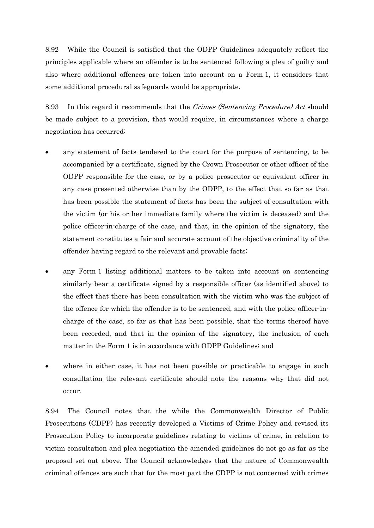8.92 While the Council is satisfied that the ODPP Guidelines adequately reflect the principles applicable where an offender is to be sentenced following a plea of guilty and also where additional offences are taken into account on a Form 1, it considers that some additional procedural safeguards would be appropriate.

8.93 In this regard it recommends that the *Crimes (Sentencing Procedure) Act* should be made subject to a provision, that would require, in circumstances where a charge negotiation has occurred:

- any statement of facts tendered to the court for the purpose of sentencing, to be accompanied by a certificate, signed by the Crown Prosecutor or other officer of the ODPP responsible for the case, or by a police prosecutor or equivalent officer in any case presented otherwise than by the ODPP, to the effect that so far as that has been possible the statement of facts has been the subject of consultation with the victim (or his or her immediate family where the victim is deceased) and the police officer-in-charge of the case, and that, in the opinion of the signatory, the statement constitutes a fair and accurate account of the objective criminality of the offender having regard to the relevant and provable facts;
- any Form 1 listing additional matters to be taken into account on sentencing similarly bear a certificate signed by a responsible officer (as identified above) to the effect that there has been consultation with the victim who was the subject of the offence for which the offender is to be sentenced, and with the police officer-incharge of the case, so far as that has been possible, that the terms thereof have been recorded, and that in the opinion of the signatory, the inclusion of each matter in the Form 1 is in accordance with ODPP Guidelines; and
- where in either case, it has not been possible or practicable to engage in such consultation the relevant certificate should note the reasons why that did not occur.

8.94 The Council notes that the while the Commonwealth Director of Public Prosecutions (CDPP) has recently developed a Victims of Crime Policy and revised its Prosecution Policy to incorporate guidelines relating to victims of crime, in relation to victim consultation and plea negotiation the amended guidelines do not go as far as the proposal set out above. The Council acknowledges that the nature of Commonwealth criminal offences are such that for the most part the CDPP is not concerned with crimes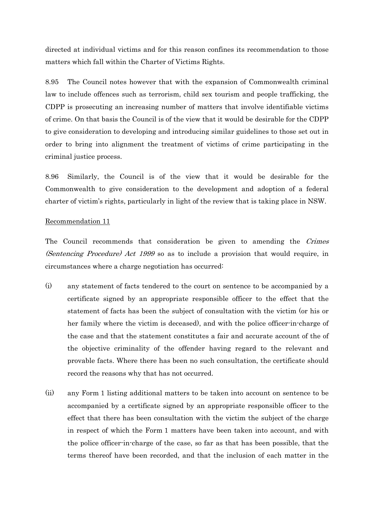directed at individual victims and for this reason confines its recommendation to those matters which fall within the Charter of Victims Rights.

8.95 The Council notes however that with the expansion of Commonwealth criminal law to include offences such as terrorism, child sex tourism and people trafficking, the CDPP is prosecuting an increasing number of matters that involve identifiable victims of crime. On that basis the Council is of the view that it would be desirable for the CDPP to give consideration to developing and introducing similar guidelines to those set out in order to bring into alignment the treatment of victims of crime participating in the criminal justice process.

8.96 Similarly, the Council is of the view that it would be desirable for the Commonwealth to give consideration to the development and adoption of a federal charter of victim's rights, particularly in light of the review that is taking place in NSW.

#### Recommendation 11

The Council recommends that consideration be given to amending the Crimes (Sentencing Procedure) Act 1999 so as to include a provision that would require, in circumstances where a charge negotiation has occurred:

- (i) any statement of facts tendered to the court on sentence to be accompanied by a certificate signed by an appropriate responsible officer to the effect that the statement of facts has been the subject of consultation with the victim (or his or her family where the victim is deceased), and with the police officer-in-charge of the case and that the statement constitutes a fair and accurate account of the of the objective criminality of the offender having regard to the relevant and provable facts. Where there has been no such consultation, the certificate should record the reasons why that has not occurred.
- (ii) any Form 1 listing additional matters to be taken into account on sentence to be accompanied by a certificate signed by an appropriate responsible officer to the effect that there has been consultation with the victim the subject of the charge in respect of which the Form 1 matters have been taken into account, and with the police officer-in-charge of the case, so far as that has been possible, that the terms thereof have been recorded, and that the inclusion of each matter in the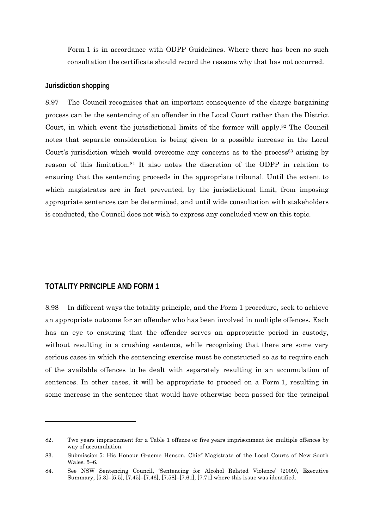Form 1 is in accordance with ODPP Guidelines. Where there has been no such consultation the certificate should record the reasons why that has not occurred.

### **Jurisdiction shopping**

8.97 The Council recognises that an important consequence of the charge bargaining process can be the sentencing of an offender in the Local Court rather than the District Court, in which event the jurisdictional limits of the former will apply.82 The Council notes that separate consideration is being given to a possible increase in the Local Court's jurisdiction which would overcome any concerns as to the process<sup>83</sup> arising by reason of this limitation.84 It also notes the discretion of the ODPP in relation to ensuring that the sentencing proceeds in the appropriate tribunal. Until the extent to which magistrates are in fact prevented, by the jurisdictional limit, from imposing appropriate sentences can be determined, and until wide consultation with stakeholders is conducted, the Council does not wish to express any concluded view on this topic.

# **TOTALITY PRINCIPLE AND FORM 1**

 $\overline{a}$ 

8.98 In different ways the totality principle, and the Form 1 procedure, seek to achieve an appropriate outcome for an offender who has been involved in multiple offences. Each has an eye to ensuring that the offender serves an appropriate period in custody, without resulting in a crushing sentence, while recognising that there are some very serious cases in which the sentencing exercise must be constructed so as to require each of the available offences to be dealt with separately resulting in an accumulation of sentences. In other cases, it will be appropriate to proceed on a Form 1, resulting in some increase in the sentence that would have otherwise been passed for the principal

<sup>82.</sup> Two years imprisonment for a Table 1 offence or five years imprisonment for multiple offences by way of accumulation.

<sup>83.</sup> Submission 5: His Honour Graeme Henson, Chief Magistrate of the Local Courts of New South Wales, 5–6.

<sup>84.</sup> See NSW Sentencing Council, 'Sentencing for Alcohol Related Violence' (2009), Executive Summary, [5.3]–[5.5], [7.45]–[7.46], [7.58]–[7.61], [7.71] where this issue was identified.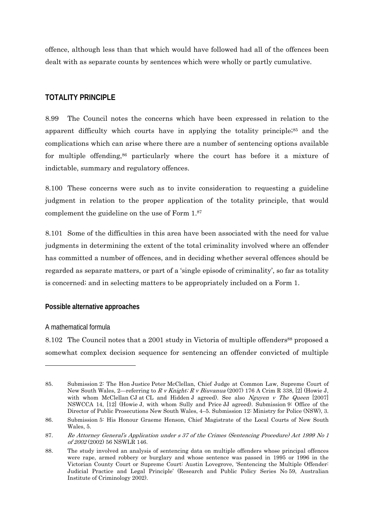offence, although less than that which would have followed had all of the offences been dealt with as separate counts by sentences which were wholly or partly cumulative.

# **TOTALITY PRINCIPLE**

8.99 The Council notes the concerns which have been expressed in relation to the apparent difficulty which courts have in applying the totality principle;<sup>85</sup> and the complications which can arise where there are a number of sentencing options available for multiple offending,86 particularly where the court has before it a mixture of indictable, summary and regulatory offences.

8.100 These concerns were such as to invite consideration to requesting a guideline judgment in relation to the proper application of the totality principle, that would complement the guideline on the use of Form 1.87

8.101 Some of the difficulties in this area have been associated with the need for value judgments in determining the extent of the total criminality involved where an offender has committed a number of offences, and in deciding whether several offences should be regarded as separate matters, or part of a 'single episode of criminality', so far as totality is concerned; and in selecting matters to be appropriately included on a Form 1.

# **Possible alternative approaches**

# A mathematical formula

1

8.102 The Council notes that a 2001 study in Victoria of multiple offenders<sup>88</sup> proposed a somewhat complex decision sequence for sentencing an offender convicted of multiple

<sup>85.</sup> Submission 2: The Hon Justice Peter McClellan, Chief Judge at Common Law, Supreme Court of New South Wales, 2—referring to R v Knight; R v Biuvanua (2007) 176 A Crim R 338, [2] (Howie J, with whom McClellan CJ at CL and Hidden J agreed). See also Nguyen v The Queen  $[2007]$ NSWCCA 14, [12] (Howie J, with whom Sully and Price JJ agreed). Submission 9: Office of the Director of Public Prosecutions New South Wales, 4–5. Submission 12: Ministry for Police (NSW), 3.

<sup>86.</sup> Submission 5: His Honour Graeme Henson, Chief Magistrate of the Local Courts of New South Wales, 5.

<sup>87.</sup> Re Attorney General's Application under s 37 of the Crimes (Sentencing Procedure) Act 1999 No 1 of 2002 (2002) 56 NSWLR 146.

<sup>88.</sup> The study involved an analysis of sentencing data on multiple offenders whose principal offences were rape, armed robbery or burglary and whose sentence was passed in 1995 or 1996 in the Victorian County Court or Supreme Court: Austin Lovegrove, 'Sentencing the Multiple Offender: Judicial Practice and Legal Principle' (Research and Public Policy Series No 59, Australian Institute of Criminology 2002).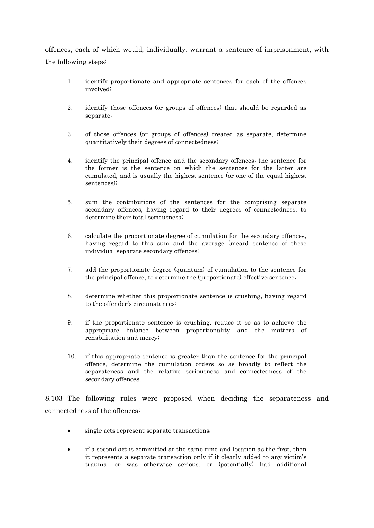offences, each of which would, individually, warrant a sentence of imprisonment, with the following steps:

- 1. identify proportionate and appropriate sentences for each of the offences involved;
- 2. identify those offences (or groups of offences) that should be regarded as separate;
- 3. of those offences (or groups of offences) treated as separate, determine quantitatively their degrees of connectedness;
- 4. identify the principal offence and the secondary offences; the sentence for the former is the sentence on which the sentences for the latter are cumulated, and is usually the highest sentence (or one of the equal highest sentences);
- 5. sum the contributions of the sentences for the comprising separate secondary offences, having regard to their degrees of connectedness, to determine their total seriousness;
- 6. calculate the proportionate degree of cumulation for the secondary offences, having regard to this sum and the average (mean) sentence of these individual separate secondary offences;
- 7. add the proportionate degree (quantum) of cumulation to the sentence for the principal offence, to determine the (proportionate) effective sentence;
- 8. determine whether this proportionate sentence is crushing, having regard to the offender's circumstances;
- 9. if the proportionate sentence is crushing, reduce it so as to achieve the appropriate balance between proportionality and the matters of rehabilitation and mercy;
- 10. if this appropriate sentence is greater than the sentence for the principal offence, determine the cumulation orders so as broadly to reflect the separateness and the relative seriousness and connectedness of the secondary offences.

8.103 The following rules were proposed when deciding the separateness and connectedness of the offences:

- single acts represent separate transactions;
- if a second act is committed at the same time and location as the first, then it represents a separate transaction only if it clearly added to any victim's trauma, or was otherwise serious, or (potentially) had additional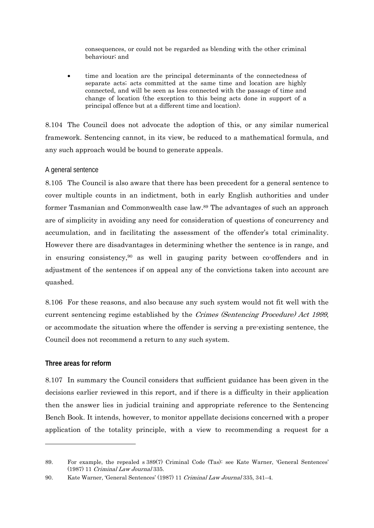consequences, or could not be regarded as blending with the other criminal behaviour; and

 time and location are the principal determinants of the connectedness of separate acts; acts committed at the same time and location are highly connected, and will be seen as less connected with the passage of time and change of location (the exception to this being acts done in support of a principal offence but at a different time and location).

8.104 The Council does not advocate the adoption of this, or any similar numerical framework. Sentencing cannot, in its view, be reduced to a mathematical formula, and any such approach would be bound to generate appeals.

# A general sentence

8.105 The Council is also aware that there has been precedent for a general sentence to cover multiple counts in an indictment, both in early English authorities and under former Tasmanian and Commonwealth case law.89 The advantages of such an approach are of simplicity in avoiding any need for consideration of questions of concurrency and accumulation, and in facilitating the assessment of the offender's total criminality. However there are disadvantages in determining whether the sentence is in range, and in ensuring consistency,90 as well in gauging parity between co-offenders and in adjustment of the sentences if on appeal any of the convictions taken into account are quashed.

8.106 For these reasons, and also because any such system would not fit well with the current sentencing regime established by the Crimes (Sentencing Procedure) Act 1999, or accommodate the situation where the offender is serving a pre-existing sentence, the Council does not recommend a return to any such system.

# **Three areas for reform**

-

8.107 In summary the Council considers that sufficient guidance has been given in the decisions earlier reviewed in this report, and if there is a difficulty in their application then the answer lies in judicial training and appropriate reference to the Sentencing Bench Book. It intends, however, to monitor appellate decisions concerned with a proper application of the totality principle, with a view to recommending a request for a

<sup>89.</sup> For example, the repealed s 389(7) Criminal Code (Tas): see Kate Warner, 'General Sentences' (1987) 11 Criminal Law Journal 335.

<sup>90.</sup> Kate Warner, 'General Sentences' (1987) 11 Criminal Law Journal 335, 341–4.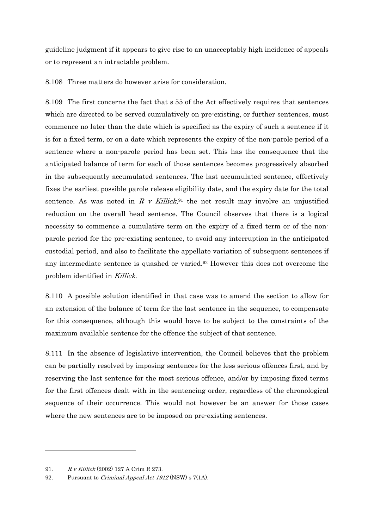guideline judgment if it appears to give rise to an unacceptably high incidence of appeals or to represent an intractable problem.

8.108 Three matters do however arise for consideration.

8.109 The first concerns the fact that s 55 of the Act effectively requires that sentences which are directed to be served cumulatively on pre-existing, or further sentences, must commence no later than the date which is specified as the expiry of such a sentence if it is for a fixed term, or on a date which represents the expiry of the non-parole period of a sentence where a non-parole period has been set. This has the consequence that the anticipated balance of term for each of those sentences becomes progressively absorbed in the subsequently accumulated sentences. The last accumulated sentence, effectively fixes the earliest possible parole release eligibility date, and the expiry date for the total sentence. As was noted in R v Killick,<sup>91</sup> the net result may involve an unjustified reduction on the overall head sentence. The Council observes that there is a logical necessity to commence a cumulative term on the expiry of a fixed term or of the nonparole period for the pre-existing sentence, to avoid any interruption in the anticipated custodial period, and also to facilitate the appellate variation of subsequent sentences if any intermediate sentence is quashed or varied.92 However this does not overcome the problem identified in Killick.

8.110 A possible solution identified in that case was to amend the section to allow for an extension of the balance of term for the last sentence in the sequence, to compensate for this consequence, although this would have to be subject to the constraints of the maximum available sentence for the offence the subject of that sentence.

8.111 In the absence of legislative intervention, the Council believes that the problem can be partially resolved by imposing sentences for the less serious offences first, and by reserving the last sentence for the most serious offence, and/or by imposing fixed terms for the first offences dealt with in the sentencing order, regardless of the chronological sequence of their occurrence. This would not however be an answer for those cases where the new sentences are to be imposed on pre-existing sentences.

-

<sup>91.</sup> R v Killick (2002) 127 A Crim R 273.

<sup>92.</sup> Pursuant to *Criminal Appeal Act 1912* (NSW) s 7(1A).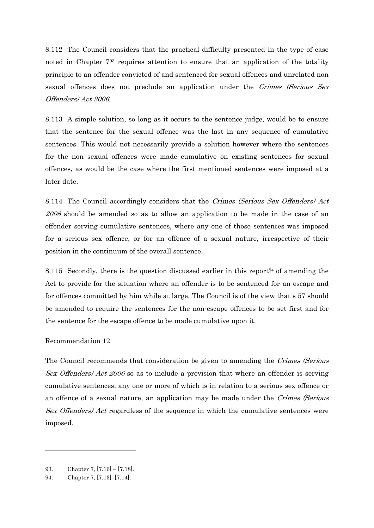8.112 The Council considers that the practical difficulty presented in the type of case noted in Chapter 793 requires attention to ensure that an application of the totality principle to an offender convicted of and sentenced for sexual offences and unrelated non sexual offences does not preclude an application under the Crimes (Serious Sex Offenders) Act 2006.

8.113 A simple solution, so long as it occurs to the sentence judge, would be to ensure that the sentence for the sexual offence was the last in any sequence of cumulative sentences. This would not necessarily provide a solution however where the sentences for the non sexual offences were made cumulative on existing sentences for sexual offences, as would be the case where the first mentioned sentences were imposed at a later date.

8.114 The Council accordingly considers that the Crimes (Serious Sex Offenders) Act 2006 should be amended so as to allow an application to be made in the case of an offender serving cumulative sentences, where any one of those sentences was imposed for a serious sex offence, or for an offence of a sexual nature, irrespective of their position in the continuum of the overall sentence.

8.115 Secondly, there is the question discussed earlier in this report<sup>94</sup> of amending the Act to provide for the situation where an offender is to be sentenced for an escape and for offences committed by him while at large. The Council is of the view that s 57 should be amended to require the sentences for the non-escape offences to be set first and for the sentence for the escape offence to be made cumulative upon it.

#### Recommendation 12

The Council recommends that consideration be given to amending the Crimes (Serious Sex Offenders) Act 2006 so as to include a provision that where an offender is serving cumulative sentences, any one or more of which is in relation to a serious sex offence or an offence of a sexual nature, an application may be made under the Crimes (Serious Sex Offenders) Act regardless of the sequence in which the cumulative sentences were imposed.

-

<sup>93.</sup> Chapter 7, [7.16] – [7.18].

<sup>94.</sup> Chapter 7, [7.13]–[7.14].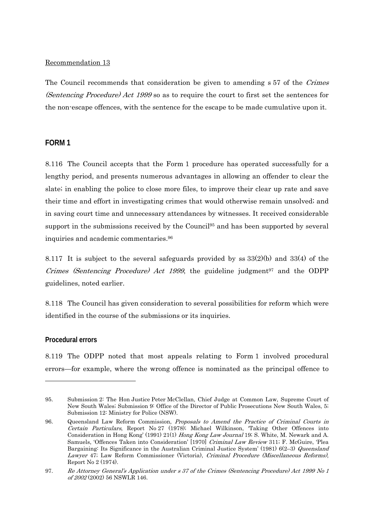## Recommendation 13

The Council recommends that consideration be given to amending s 57 of the Crimes (Sentencing Procedure) Act 1999 so as to require the court to first set the sentences for the non-escape offences, with the sentence for the escape to be made cumulative upon it.

# **FORM 1**

8.116 The Council accepts that the Form 1 procedure has operated successfully for a lengthy period, and presents numerous advantages in allowing an offender to clear the slate; in enabling the police to close more files, to improve their clear up rate and save their time and effort in investigating crimes that would otherwise remain unsolved; and in saving court time and unnecessary attendances by witnesses. It received considerable support in the submissions received by the Council<sup>95</sup> and has been supported by several inquiries and academic commentaries.96

8.117 It is subject to the several safeguards provided by ss 33(2)(b) and 33(4) of the Crimes (Sentencing Procedure) Act 1999, the guideline judgment<sup>97</sup> and the ODPP guidelines, noted earlier.

8.118 The Council has given consideration to several possibilities for reform which were identified in the course of the submissions or its inquiries.

# **Procedural errors**

1

8.119 The ODPP noted that most appeals relating to Form 1 involved procedural errors—for example, where the wrong offence is nominated as the principal offence to

<sup>95.</sup> Submission 2: The Hon Justice Peter McClellan, Chief Judge at Common Law, Supreme Court of New South Wales; Submission 9: Office of the Director of Public Prosecutions New South Wales, 5; Submission 12: Ministry for Police (NSW).

<sup>96.</sup> Queensland Law Reform Commission, Proposals to Amend the Practice of Criminal Courts in Certain Particulars, Report No 27 (1978); Michael Wilkinson, 'Taking Other Offences into Consideration in Hong Kong' (1991) 21(1) Hong Kong Law Journal 19; S. White, M. Newark and A. Samuels, 'Offences Taken into Consideration' [1970] Criminal Law Review 311; F. McGuire, 'Plea Bargaining: Its Significance in the Australian Criminal Justice System' (1981) 6(2–3) Queensland Lawyer 47; Law Reform Commissioner (Victoria), Criminal Procedure (Miscellaneous Reforms), Report No 2 (1974).

<sup>97.</sup> Re Attorney General's Application under s 37 of the Crimes (Sentencing Procedure) Act 1999 No 1 of 2002 (2002) 56 NSWLR 146.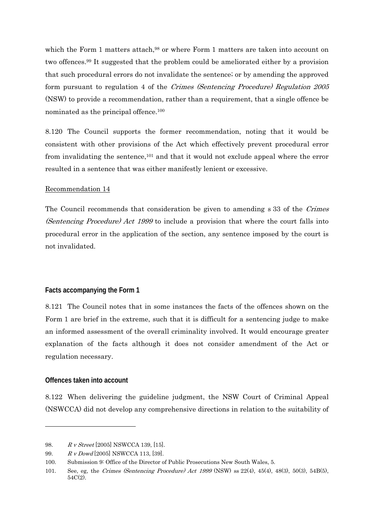which the Form 1 matters attach,<sup>98</sup> or where Form 1 matters are taken into account on two offences.99 It suggested that the problem could be ameliorated either by a provision that such procedural errors do not invalidate the sentence; or by amending the approved form pursuant to regulation 4 of the Crimes (Sentencing Procedure) Regulation 2005 (NSW) to provide a recommendation, rather than a requirement, that a single offence be nominated as the principal offence.100

8.120 The Council supports the former recommendation, noting that it would be consistent with other provisions of the Act which effectively prevent procedural error from invalidating the sentence,<sup>101</sup> and that it would not exclude appeal where the error resulted in a sentence that was either manifestly lenient or excessive.

## Recommendation 14

The Council recommends that consideration be given to amending s 33 of the Crimes (Sentencing Procedure) Act 1999 to include a provision that where the court falls into procedural error in the application of the section, any sentence imposed by the court is not invalidated.

# **Facts accompanying the Form 1**

8.121 The Council notes that in some instances the facts of the offences shown on the Form 1 are brief in the extreme, such that it is difficult for a sentencing judge to make an informed assessment of the overall criminality involved. It would encourage greater explanation of the facts although it does not consider amendment of the Act or regulation necessary.

# **Offences taken into account**

1

8.122 When delivering the guideline judgment, the NSW Court of Criminal Appeal (NSWCCA) did not develop any comprehensive directions in relation to the suitability of

<sup>98.</sup> R v Street [2005] NSWCCA 139, [15].

<sup>99.</sup> R v Dowd [2005] NSWCCA 113, [39].

<sup>100.</sup> Submission 9: Office of the Director of Public Prosecutions New South Wales, 5.

<sup>101.</sup> See, eg, the Crimes (Sentencing Procedure) Act 1999 (NSW) ss 22(4), 45(4), 48(3), 50(3), 54B(5), 54C(2).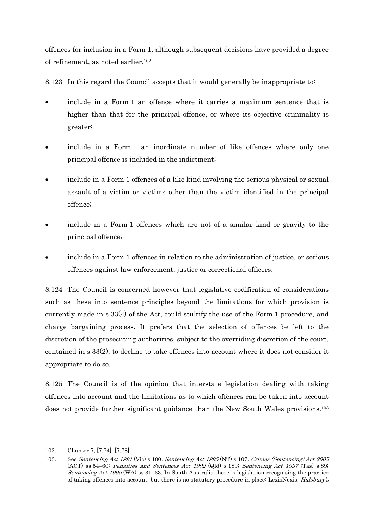offences for inclusion in a Form 1, although subsequent decisions have provided a degree of refinement, as noted earlier.102

8.123 In this regard the Council accepts that it would generally be inappropriate to:

- include in a Form 1 an offence where it carries a maximum sentence that is higher than that for the principal offence, or where its objective criminality is greater;
- include in a Form 1 an inordinate number of like offences where only one principal offence is included in the indictment;
- include in a Form 1 offences of a like kind involving the serious physical or sexual assault of a victim or victims other than the victim identified in the principal offence;
- include in a Form 1 offences which are not of a similar kind or gravity to the principal offence;
- include in a Form 1 offences in relation to the administration of justice, or serious offences against law enforcement, justice or correctional officers.

8.124 The Council is concerned however that legislative codification of considerations such as these into sentence principles beyond the limitations for which provision is currently made in s 33(4) of the Act, could stultify the use of the Form 1 procedure, and charge bargaining process. It prefers that the selection of offences be left to the discretion of the prosecuting authorities, subject to the overriding discretion of the court, contained in s 33(2), to decline to take offences into account where it does not consider it appropriate to do so.

8.125 The Council is of the opinion that interstate legislation dealing with taking offences into account and the limitations as to which offences can be taken into account does not provide further significant guidance than the New South Wales provisions.103

1

<sup>102.</sup> Chapter 7, [7.74]–[7.78].

<sup>103.</sup> See Sentencing Act 1991 (Vic) s 100; Sentencing Act 1995 (NT) s 107; Crimes (Sentencing) Act 2005 (ACT) ss 54–60; Penalties and Sentences Act 1992 (Qld) s 189; Sentencing Act 1997 (Tas) s 89; *Sentencing Act 1995* (WA) ss  $31-33$ . In South Australia there is legislation recognising the practice of taking offences into account, but there is no statutory procedure in place: LexisNexis, Halsbury's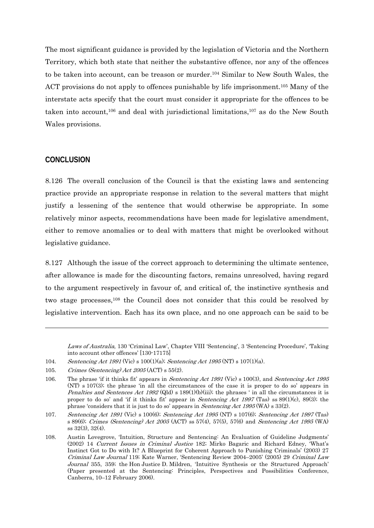The most significant guidance is provided by the legislation of Victoria and the Northern Territory, which both state that neither the substantive offence, nor any of the offences to be taken into account, can be treason or murder.104 Similar to New South Wales, the ACT provisions do not apply to offences punishable by life imprisonment.<sup>105</sup> Many of the interstate acts specify that the court must consider it appropriate for the offences to be taken into account,106 and deal with jurisdictional limitations,107 as do the New South Wales provisions.

## **CONCLUSION**

1

8.126 The overall conclusion of the Council is that the existing laws and sentencing practice provide an appropriate response in relation to the several matters that might justify a lessening of the sentence that would otherwise be appropriate. In some relatively minor aspects, recommendations have been made for legislative amendment, either to remove anomalies or to deal with matters that might be overlooked without legislative guidance.

8.127 Although the issue of the correct approach to determining the ultimate sentence, after allowance is made for the discounting factors, remains unresolved, having regard to the argument respectively in favour of, and critical of, the instinctive synthesis and two stage processes,108 the Council does not consider that this could be resolved by legislative intervention. Each has its own place, and no one approach can be said to be

Laws of Australia, 130 'Criminal Law', Chapter VIII 'Sentencing', 3 'Sentencing Procedure', 'Taking into account other offences' [130-17175]

- 104. Sentencing Act 1991 (Vic) s 100(1)(a); Sentencing Act 1995 (NT) s 107(1)(a).
- 105. Crimes (Sentencing) Act 2005 (ACT) s 55(2).

<sup>106.</sup> The phrase 'if it thinks fit' appears in *Sentencing Act 1991* (Vic) s 100(3), and *Sentencing Act 1995* (NT) s 107(3); the phrase 'in all the circumstances of the case it is proper to do so' appears in *Penalties and Sentences Act 1992* (Qld) s 189(1)(b)(iii); the phrases ' in all the circumstances it is proper to do so' and 'if it thinks fit' appear in *Sentencing Act 1997* (Tas) ss  $89(1)(c)$ ,  $89(3)$ ; the phrase 'considers that it is just to do so' appears in Sentencing Act 1995 (WA) s 33(2).

<sup>107.</sup> Sentencing Act 1991 (Vic) s 100(6); Sentencing Act 1995 (NT) s 107(6); Sentencing Act 1997 (Tas) s 89(6); Crimes (Sentencing) Act 2005 (ACT) ss 57(4), 57(5), 57(6) and Sentencing Act 1995 (WA) ss 32(3), 32(4).

<sup>108.</sup> Austin Lovegrove, 'Intuition, Structure and Sentencing: An Evaluation of Guideline Judgments' (2002) 14 Current Issues in Criminal Justice 182; Mirko Bagaric and Richard Edney, 'What's Instinct Got to Do with It? A Blueprint for Coherent Approach to Punishing Criminals' (2003) 27 Criminal Law Journal 119; Kate Warner, 'Sentencing Review 2004–2005' (2005) 29 Criminal Law Journal 355, 359; the Hon Justice D. Mildren, 'Intuitive Synthesis or the Structured Approach' (Paper presented at the Sentencing: Principles, Perspectives and Possibilities Conference, Canberra, 10–12 February 2006).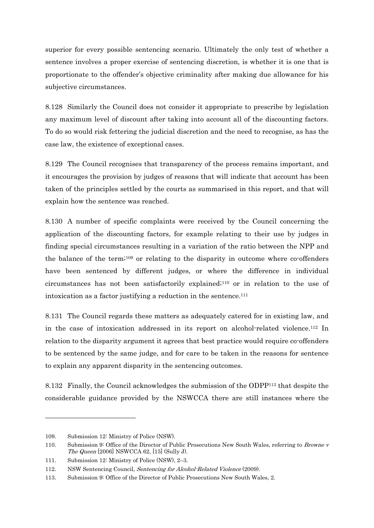superior for every possible sentencing scenario. Ultimately the only test of whether a sentence involves a proper exercise of sentencing discretion, is whether it is one that is proportionate to the offender's objective criminality after making due allowance for his subjective circumstances.

8.128 Similarly the Council does not consider it appropriate to prescribe by legislation any maximum level of discount after taking into account all of the discounting factors. To do so would risk fettering the judicial discretion and the need to recognise, as has the case law, the existence of exceptional cases.

8.129 The Council recognises that transparency of the process remains important, and it encourages the provision by judges of reasons that will indicate that account has been taken of the principles settled by the courts as summarised in this report, and that will explain how the sentence was reached.

8.130 A number of specific complaints were received by the Council concerning the application of the discounting factors, for example relating to their use by judges in finding special circumstances resulting in a variation of the ratio between the NPP and the balance of the term;109 or relating to the disparity in outcome where co-offenders have been sentenced by different judges, or where the difference in individual circumstances has not been satisfactorily explained;110 or in relation to the use of intoxication as a factor justifying a reduction in the sentence.111

8.131 The Council regards these matters as adequately catered for in existing law, and in the case of intoxication addressed in its report on alcohol-related violence.112 In relation to the disparity argument it agrees that best practice would require co-offenders to be sentenced by the same judge, and for care to be taken in the reasons for sentence to explain any apparent disparity in the sentencing outcomes.

8.132 Finally, the Council acknowledges the submission of the ODPP113 that despite the considerable guidance provided by the NSWCCA there are still instances where the

 $\overline{a}$ 

<sup>109.</sup> Submission 12: Ministry of Police (NSW).

<sup>110.</sup> Submission 9: Office of the Director of Public Prosecutions New South Wales, referring to Browne v The Queen [2006] NSWCCA 62, [15] (Sully J).

<sup>111.</sup> Submission 12: Ministry of Police (NSW), 2–3.

<sup>112.</sup> NSW Sentencing Council, Sentencing for Alcohol-Related Violence (2009).

<sup>113.</sup> Submission 9: Office of the Director of Public Prosecutions New South Wales, 2.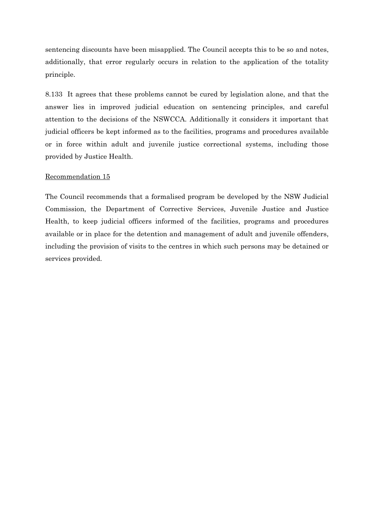sentencing discounts have been misapplied. The Council accepts this to be so and notes, additionally, that error regularly occurs in relation to the application of the totality principle.

8.133 It agrees that these problems cannot be cured by legislation alone, and that the answer lies in improved judicial education on sentencing principles, and careful attention to the decisions of the NSWCCA. Additionally it considers it important that judicial officers be kept informed as to the facilities, programs and procedures available or in force within adult and juvenile justice correctional systems, including those provided by Justice Health.

#### Recommendation 15

The Council recommends that a formalised program be developed by the NSW Judicial Commission, the Department of Corrective Services, Juvenile Justice and Justice Health, to keep judicial officers informed of the facilities, programs and procedures available or in place for the detention and management of adult and juvenile offenders, including the provision of visits to the centres in which such persons may be detained or services provided.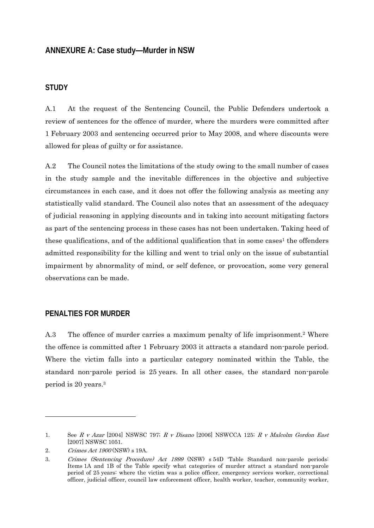## **ANNEXURE A: Case study—Murder in NSW**

#### **STUDY**

A.1 At the request of the Sentencing Council, the Public Defenders undertook a review of sentences for the offence of murder, where the murders were committed after 1 February 2003 and sentencing occurred prior to May 2008, and where discounts were allowed for pleas of guilty or for assistance.

A.2 The Council notes the limitations of the study owing to the small number of cases in the study sample and the inevitable differences in the objective and subjective circumstances in each case, and it does not offer the following analysis as meeting any statistically valid standard. The Council also notes that an assessment of the adequacy of judicial reasoning in applying discounts and in taking into account mitigating factors as part of the sentencing process in these cases has not been undertaken. Taking heed of these qualifications, and of the additional qualification that in some cases<sup>1</sup> the offenders admitted responsibility for the killing and went to trial only on the issue of substantial impairment by abnormality of mind, or self defence, or provocation, some very general observations can be made.

#### **PENALTIES FOR MURDER**

A.3 The offence of murder carries a maximum penalty of life imprisonment.<sup>2</sup> Where the offence is committed after 1 February 2003 it attracts a standard non-parole period. Where the victim falls into a particular category nominated within the Table, the standard non-parole period is 25 years. In all other cases, the standard non-parole period is 20 years.3

 $\overline{a}$ 

<sup>1.</sup> See R v Azar [2004] NSWSC 797; R v Disano [2006] NSWCCA 125; R v Malcolm Gordon East [2007] NSWSC 1051.

<sup>2.</sup> Crimes Act 1900 (NSW) s 19A.

<sup>3.</sup> Crimes (Sentencing Procedure) Act 1999 (NSW) s 54D 'Table Standard non-parole periods: Items 1A and 1B of the Table specify what categories of murder attract a standard non-parole period of 25 years: where the victim was a police officer, emergency services worker, correctional officer, judicial officer, council law enforcement officer, health worker, teacher, community worker,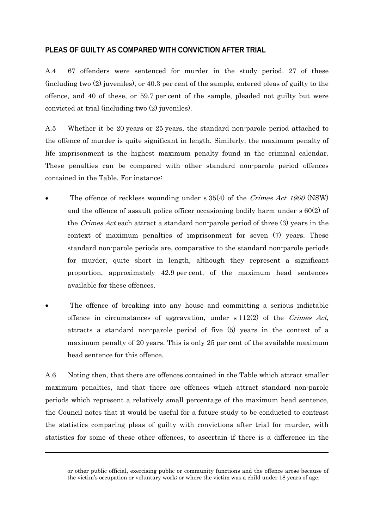# **PLEAS OF GUILTY AS COMPARED WITH CONVICTION AFTER TRIAL**

A.4 67 offenders were sentenced for murder in the study period. 27 of these (including two (2) juveniles), or 40.3 per cent of the sample, entered pleas of guilty to the offence, and 40 of these, or 59.7 per cent of the sample, pleaded not guilty but were convicted at trial (including two (2) juveniles).

A.5 Whether it be 20 years or 25 years, the standard non-parole period attached to the offence of murder is quite significant in length. Similarly, the maximum penalty of life imprisonment is the highest maximum penalty found in the criminal calendar. These penalties can be compared with other standard non-parole period offences contained in the Table. For instance:

- The offence of reckless wounding under s 35(4) of the *Crimes Act 1900* (NSW) and the offence of assault police officer occasioning bodily harm under s 60(2) of the Crimes Act each attract a standard non-parole period of three (3) years in the context of maximum penalties of imprisonment for seven (7) years. These standard non-parole periods are, comparative to the standard non-parole periods for murder, quite short in length, although they represent a significant proportion, approximately 42.9 per cent, of the maximum head sentences available for these offences.
- The offence of breaking into any house and committing a serious indictable offence in circumstances of aggravation, under  $s$  112(2) of the *Crimes Act*, attracts a standard non-parole period of five (5) years in the context of a maximum penalty of 20 years. This is only 25 per cent of the available maximum head sentence for this offence.

A.6 Noting then, that there are offences contained in the Table which attract smaller maximum penalties, and that there are offences which attract standard non-parole periods which represent a relatively small percentage of the maximum head sentence, the Council notes that it would be useful for a future study to be conducted to contrast the statistics comparing pleas of guilty with convictions after trial for murder, with statistics for some of these other offences, to ascertain if there is a difference in the

-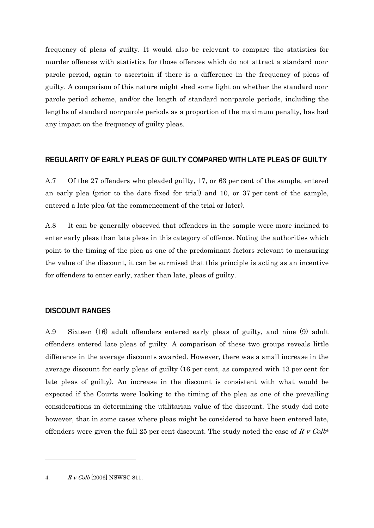frequency of pleas of guilty. It would also be relevant to compare the statistics for murder offences with statistics for those offences which do not attract a standard nonparole period, again to ascertain if there is a difference in the frequency of pleas of guilty. A comparison of this nature might shed some light on whether the standard nonparole period scheme, and/or the length of standard non-parole periods, including the lengths of standard non-parole periods as a proportion of the maximum penalty, has had any impact on the frequency of guilty pleas.

#### **REGULARITY OF EARLY PLEAS OF GUILTY COMPARED WITH LATE PLEAS OF GUILTY**

A.7 Of the 27 offenders who pleaded guilty, 17, or 63 per cent of the sample, entered an early plea (prior to the date fixed for trial) and 10, or 37 per cent of the sample, entered a late plea (at the commencement of the trial or later).

A.8 It can be generally observed that offenders in the sample were more inclined to enter early pleas than late pleas in this category of offence. Noting the authorities which point to the timing of the plea as one of the predominant factors relevant to measuring the value of the discount, it can be surmised that this principle is acting as an incentive for offenders to enter early, rather than late, pleas of guilty.

#### **DISCOUNT RANGES**

A.9 Sixteen (16) adult offenders entered early pleas of guilty, and nine (9) adult offenders entered late pleas of guilty. A comparison of these two groups reveals little difference in the average discounts awarded. However, there was a small increase in the average discount for early pleas of guilty (16 per cent, as compared with 13 per cent for late pleas of guilty). An increase in the discount is consistent with what would be expected if the Courts were looking to the timing of the plea as one of the prevailing considerations in determining the utilitarian value of the discount. The study did note however, that in some cases where pleas might be considered to have been entered late, offenders were given the full 25 per cent discount. The study noted the case of R v Colb<sup>4</sup>

4. R v Colb [2006] NSWSC 811.

-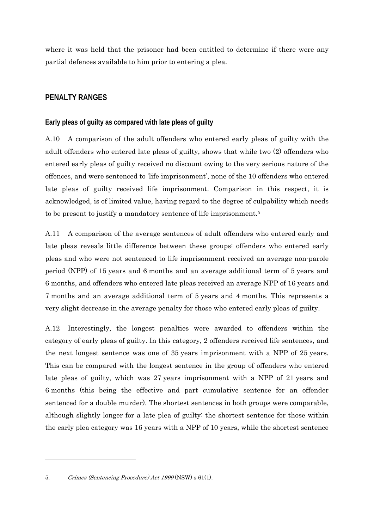where it was held that the prisoner had been entitled to determine if there were any partial defences available to him prior to entering a plea.

# **PENALTY RANGES**

#### **Early pleas of guilty as compared with late pleas of guilty**

A.10 A comparison of the adult offenders who entered early pleas of guilty with the adult offenders who entered late pleas of guilty, shows that while two (2) offenders who entered early pleas of guilty received no discount owing to the very serious nature of the offences, and were sentenced to 'life imprisonment', none of the 10 offenders who entered late pleas of guilty received life imprisonment. Comparison in this respect, it is acknowledged, is of limited value, having regard to the degree of culpability which needs to be present to justify a mandatory sentence of life imprisonment.5

A.11 A comparison of the average sentences of adult offenders who entered early and late pleas reveals little difference between these groups: offenders who entered early pleas and who were not sentenced to life imprisonment received an average non-parole period (NPP) of 15 years and 6 months and an average additional term of 5 years and 6 months, and offenders who entered late pleas received an average NPP of 16 years and 7 months and an average additional term of 5 years and 4 months. This represents a very slight decrease in the average penalty for those who entered early pleas of guilty.

A.12 Interestingly, the longest penalties were awarded to offenders within the category of early pleas of guilty. In this category, 2 offenders received life sentences, and the next longest sentence was one of 35 years imprisonment with a NPP of 25 years. This can be compared with the longest sentence in the group of offenders who entered late pleas of guilty, which was 27 years imprisonment with a NPP of 21 years and 6 months (this being the effective and part cumulative sentence for an offender sentenced for a double murder). The shortest sentences in both groups were comparable, although slightly longer for a late plea of guilty: the shortest sentence for those within the early plea category was 16 years with a NPP of 10 years, while the shortest sentence

-

<sup>5.</sup> Crimes (Sentencing Procedure) Act 1999 (NSW) s 61(1).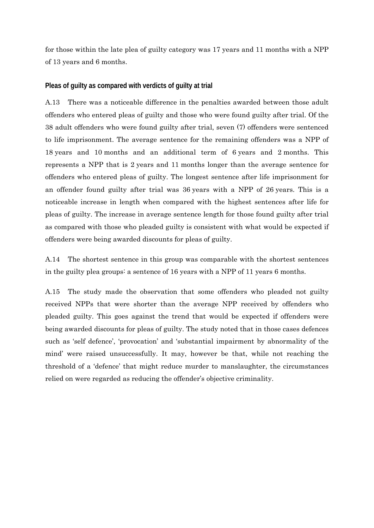for those within the late plea of guilty category was 17 years and 11 months with a NPP of 13 years and 6 months.

#### **Pleas of guilty as compared with verdicts of guilty at trial**

A.13 There was a noticeable difference in the penalties awarded between those adult offenders who entered pleas of guilty and those who were found guilty after trial. Of the 38 adult offenders who were found guilty after trial, seven (7) offenders were sentenced to life imprisonment. The average sentence for the remaining offenders was a NPP of 18 years and 10 months and an additional term of 6 years and 2 months. This represents a NPP that is 2 years and 11 months longer than the average sentence for offenders who entered pleas of guilty. The longest sentence after life imprisonment for an offender found guilty after trial was 36 years with a NPP of 26 years. This is a noticeable increase in length when compared with the highest sentences after life for pleas of guilty. The increase in average sentence length for those found guilty after trial as compared with those who pleaded guilty is consistent with what would be expected if offenders were being awarded discounts for pleas of guilty.

A.14 The shortest sentence in this group was comparable with the shortest sentences in the guilty plea groups: a sentence of 16 years with a NPP of 11 years 6 months.

A.15 The study made the observation that some offenders who pleaded not guilty received NPPs that were shorter than the average NPP received by offenders who pleaded guilty. This goes against the trend that would be expected if offenders were being awarded discounts for pleas of guilty. The study noted that in those cases defences such as 'self defence', 'provocation' and 'substantial impairment by abnormality of the mind' were raised unsuccessfully. It may, however be that, while not reaching the threshold of a 'defence' that might reduce murder to manslaughter, the circumstances relied on were regarded as reducing the offender's objective criminality.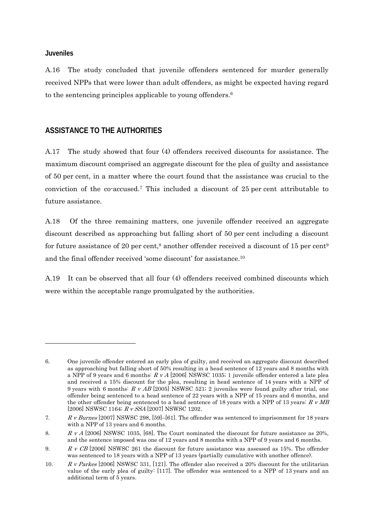#### **Juveniles**

-

A.16 The study concluded that juvenile offenders sentenced for murder generally received NPPs that were lower than adult offenders, as might be expected having regard to the sentencing principles applicable to young offenders.6

## **ASSISTANCE TO THE AUTHORITIES**

A.17 The study showed that four (4) offenders received discounts for assistance. The maximum discount comprised an aggregate discount for the plea of guilty and assistance of 50 per cent, in a matter where the court found that the assistance was crucial to the conviction of the co-accused.7 This included a discount of 25 per cent attributable to future assistance.

A.18 Of the three remaining matters, one juvenile offender received an aggregate discount described as approaching but falling short of 50 per cent including a discount for future assistance of 20 per cent,<sup>8</sup> another offender received a discount of 15 per cent<sup>9</sup> and the final offender received 'some discount' for assistance.10

A.19 It can be observed that all four (4) offenders received combined discounts which were within the acceptable range promulgated by the authorities.

<sup>6.</sup> One juvenile offender entered an early plea of guilty, and received an aggregate discount described as approaching but falling short of 50% resulting in a head sentence of 12 years and 8 months with a NPP of 9 years and 6 months:  $R \, v \, A$  [2006] NSWSC 1035; 1 juvenile offender entered a late plea and received a 15% discount for the plea, resulting in head sentence of 14 years with a NPP of 9 years with 6 months:  $R \, \nu A B$  [2005] NSWSC 521; 2 juveniles were found guilty after trial, one offender being sentenced to a head sentence of 22 years with a NPP of 15 years and 6 months, and the other offender being sentenced to a head sentence of 18 years with a NPP of 13 years:  $R \text{ }\nu \text{ }MB$ [2006] NSWSC 1164; R v SSA [2007] NSWSC 1202.

<sup>7.</sup> R v Burnes [2007] NSWSC 298, [59]–[61]. The offender was sentenced to imprisonment for 18 years with a NPP of 13 years and 6 months.

<sup>8.</sup> R v A [2006] NSWSC 1035, [68]. The Court nominated the discount for future assistance as 20%, and the sentence imposed was one of 12 years and 8 months with a NPP of 9 years and 6 months.

<sup>9.</sup> R v CB [2006] NSWSC 261 the discount for future assistance was assessed as 15%. The offender was sentenced to 18 years with a NPP of 13 years (partially cumulative with another offence).

<sup>10.</sup> R v Parkes [2006] NSWSC 331, [121]. The offender also received a 20% discount for the utilitarian value of the early plea of guilty: [117]. The offender was sentenced to a NPP of 13 years and an additional term of 5 years.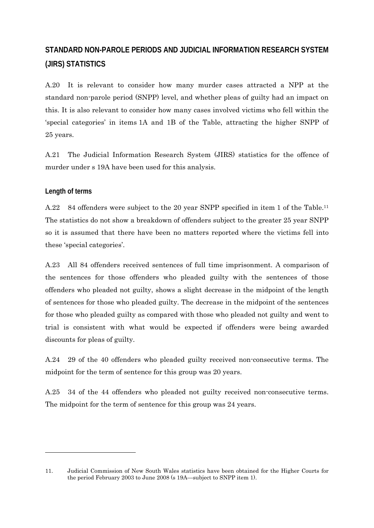# **STANDARD NON-PAROLE PERIODS AND JUDICIAL INFORMATION RESEARCH SYSTEM (JIRS) STATISTICS**

A.20 It is relevant to consider how many murder cases attracted a NPP at the standard non-parole period (SNPP) level, and whether pleas of guilty had an impact on this. It is also relevant to consider how many cases involved victims who fell within the 'special categories' in items 1A and 1B of the Table, attracting the higher SNPP of 25 years.

A.21 The Judicial Information Research System (JIRS) statistics for the offence of murder under s 19A have been used for this analysis.

#### **Length of terms**

-

A.22 84 offenders were subject to the 20 year SNPP specified in item 1 of the Table.<sup>11</sup> The statistics do not show a breakdown of offenders subject to the greater 25 year SNPP so it is assumed that there have been no matters reported where the victims fell into these 'special categories'.

A.23 All 84 offenders received sentences of full time imprisonment. A comparison of the sentences for those offenders who pleaded guilty with the sentences of those offenders who pleaded not guilty, shows a slight decrease in the midpoint of the length of sentences for those who pleaded guilty. The decrease in the midpoint of the sentences for those who pleaded guilty as compared with those who pleaded not guilty and went to trial is consistent with what would be expected if offenders were being awarded discounts for pleas of guilty.

A.24 29 of the 40 offenders who pleaded guilty received non-consecutive terms. The midpoint for the term of sentence for this group was 20 years.

A.25 34 of the 44 offenders who pleaded not guilty received non-consecutive terms. The midpoint for the term of sentence for this group was 24 years.

<sup>11.</sup> Judicial Commission of New South Wales statistics have been obtained for the Higher Courts for the period February 2003 to June 2008 (s 19A—subject to SNPP item 1).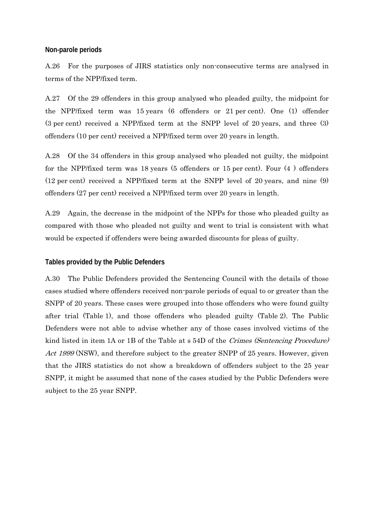#### **Non-parole periods**

A.26 For the purposes of JIRS statistics only non-consecutive terms are analysed in terms of the NPP/fixed term.

A.27 Of the 29 offenders in this group analysed who pleaded guilty, the midpoint for the NPP/fixed term was 15 years (6 offenders or 21 per cent). One (1) offender (3 per cent) received a NPP/fixed term at the SNPP level of 20 years, and three (3) offenders (10 per cent) received a NPP/fixed term over 20 years in length.

A.28 Of the 34 offenders in this group analysed who pleaded not guilty, the midpoint for the NPP/fixed term was 18 years (5 offenders or 15 per cent). Four (4 ) offenders (12 per cent) received a NPP/fixed term at the SNPP level of 20 years, and nine (9) offenders (27 per cent) received a NPP/fixed term over 20 years in length.

A.29 Again, the decrease in the midpoint of the NPPs for those who pleaded guilty as compared with those who pleaded not guilty and went to trial is consistent with what would be expected if offenders were being awarded discounts for pleas of guilty.

#### **Tables provided by the Public Defenders**

A.30 The Public Defenders provided the Sentencing Council with the details of those cases studied where offenders received non-parole periods of equal to or greater than the SNPP of 20 years. These cases were grouped into those offenders who were found guilty after trial (Table 1), and those offenders who pleaded guilty (Table 2). The Public Defenders were not able to advise whether any of those cases involved victims of the kind listed in item 1A or 1B of the Table at s 54D of the Crimes (Sentencing Procedure) Act 1999 (NSW), and therefore subject to the greater SNPP of 25 years. However, given that the JIRS statistics do not show a breakdown of offenders subject to the 25 year SNPP, it might be assumed that none of the cases studied by the Public Defenders were subject to the 25 year SNPP.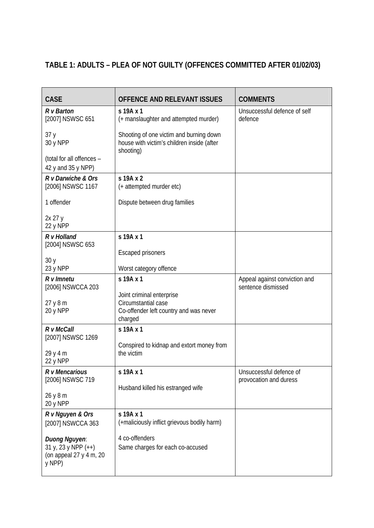# **TABLE 1: ADULTS – PLEA OF NOT GUILTY (OFFENCES COMMITTED AFTER 01/02/03)**

| <b>CASE</b>                                                                 | OFFENCE AND RELEVANT ISSUES                                                                           | <b>COMMENTS</b>                                     |  |
|-----------------------------------------------------------------------------|-------------------------------------------------------------------------------------------------------|-----------------------------------------------------|--|
| $R \vee$ Barton<br>[2007] NSWSC 651                                         | s 19A x 1<br>(+ manslaughter and attempted murder)                                                    | Unsuccessful defence of self<br>defence             |  |
| 37y<br>30 y NPP                                                             | Shooting of one victim and burning down<br>house with victim's children inside (after                 |                                                     |  |
| (total for all offences -<br>42 y and 35 y NPP)                             | shooting)                                                                                             |                                                     |  |
| R v Darwiche & Ors<br>[2006] NSWSC 1167                                     | s 19A x 2<br>(+ attempted murder etc)                                                                 |                                                     |  |
| 1 offender                                                                  | Dispute between drug families                                                                         |                                                     |  |
| 2x 27 y<br>22 y NPP                                                         |                                                                                                       |                                                     |  |
| $R \vee$ Holland<br>[2004] NSWSC 653                                        | s 19A x 1                                                                                             |                                                     |  |
| 30y<br>23 y NPP                                                             | <b>Escaped prisoners</b><br>Worst category offence                                                    |                                                     |  |
| $R$ $v$ Imnetu<br>[2006] NSWCCA 203                                         | s 19A x 1                                                                                             | Appeal against conviction and<br>sentence dismissed |  |
| 27y8m<br>20 y NPP                                                           | Joint criminal enterprise<br>Circumstantial case<br>Co-offender left country and was never<br>charged |                                                     |  |
| R v McCall<br>[2007] NSWSC 1269                                             | s 19A x 1                                                                                             |                                                     |  |
| 29 y 4 m<br>22 y NPP                                                        | Conspired to kidnap and extort money from<br>the victim                                               |                                                     |  |
| R v Mencarious<br>[2006] NSWSC 719                                          | s 19A x 1                                                                                             | Unsuccessful defence of<br>provocation and duress   |  |
| 26 y 8 m<br>20 y NPP                                                        | Husband killed his estranged wife                                                                     |                                                     |  |
| R v Nguyen & Ors<br>[2007] NSWCCA 363                                       | s 19A x 1<br>(+maliciously inflict grievous bodily harm)                                              |                                                     |  |
| Duong Nguyen.<br>31 y, 23 y NPP $(++)$<br>(on appeal 27 y 4 m, 20<br>y NPP) | 4 co-offenders<br>Same charges for each co-accused                                                    |                                                     |  |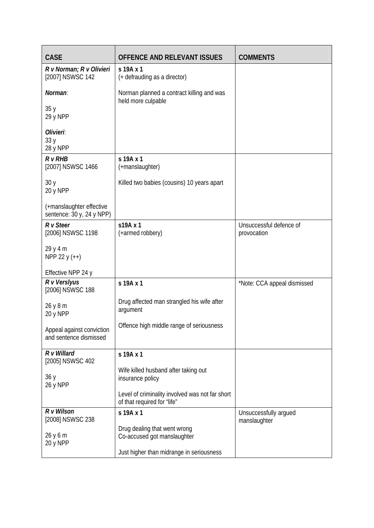| <b>CASE</b>                                           | <b>OFFENCE AND RELEVANT ISSUES</b>                                             | <b>COMMENTS</b>                        |  |
|-------------------------------------------------------|--------------------------------------------------------------------------------|----------------------------------------|--|
| R v Norman; R v Olivieri<br>[2007] NSWSC 142          | s 19A x 1<br>(+ defrauding as a director)                                      |                                        |  |
| Norman.                                               | Norman planned a contract killing and was<br>held more culpable                |                                        |  |
| 35y<br>29 y NPP                                       |                                                                                |                                        |  |
| Olivieri:<br>33y<br>28 y NPP                          |                                                                                |                                        |  |
| $R$ v $RHB$<br>[2007] NSWSC 1466                      | s 19A x 1<br>(+manslaughter)                                                   |                                        |  |
| 30y<br>20 y NPP                                       | Killed two babies (cousins) 10 years apart                                     |                                        |  |
| (+manslaughter effective<br>sentence: 30 y, 24 y NPP) |                                                                                |                                        |  |
| R v Steer<br>[2006] NSWSC 1198                        | s19A x 1<br>(+armed robbery)                                                   | Unsuccessful defence of<br>provocation |  |
| 29 y 4 m<br>NPP 22 y (++)                             |                                                                                |                                        |  |
| Effective NPP 24 y                                    |                                                                                |                                        |  |
| R v Verslyus<br>[2006] NSWSC 188                      | s 19A x 1                                                                      | *Note: CCA appeal dismissed            |  |
| 26 y 8 m<br>20 y NPP                                  | Drug affected man strangled his wife after<br>argument                         |                                        |  |
| Appeal against conviction<br>and sentence dismissed   | Offence high middle range of seriousness                                       |                                        |  |
| $R$ v Willard<br>[2005] NSWSC 402                     | s 19A x 1                                                                      |                                        |  |
| 36y<br>26 y NPP                                       | Wife killed husband after taking out<br>insurance policy                       |                                        |  |
|                                                       | Level of criminality involved was not far short<br>of that required for "life" |                                        |  |
| R v Wilson<br>[2008] NSWSC 238                        | s 19A x 1                                                                      | Unsuccessfully argued<br>manslaughter  |  |
| 26 y 6 m<br>20 y NPP                                  | Drug dealing that went wrong<br>Co-accused got manslaughter                    |                                        |  |
|                                                       | Just higher than midrange in seriousness                                       |                                        |  |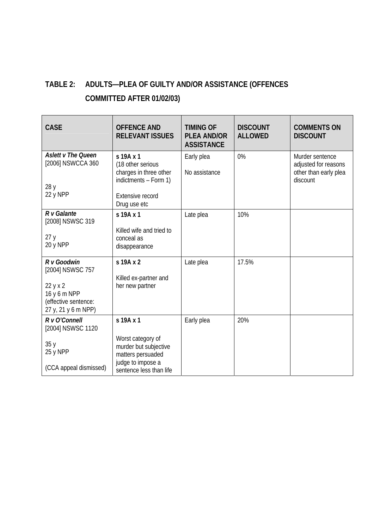# **TABLE 2: ADULTS—PLEA OF GUILTY AND/OR ASSISTANCE (OFFENCES**

# **COMMITTED AFTER 01/02/03)**

| <b>CASE</b>                                                                                                | <b>OFFENCE AND</b><br><b>RELEVANT ISSUES</b>                                                                                 | <b>TIMING OF</b><br><b>PLEA AND/OR</b><br><b>ASSISTANCE</b> | <b>DISCOUNT</b><br><b>ALLOWED</b> | <b>COMMENTS ON</b><br><b>DISCOUNT</b>                                        |
|------------------------------------------------------------------------------------------------------------|------------------------------------------------------------------------------------------------------------------------------|-------------------------------------------------------------|-----------------------------------|------------------------------------------------------------------------------|
| <b>Aslett v The Queen</b><br>[2006] NSWCCA 360<br>28 y<br>22 y NPP                                         | s 19A x 1<br>(18 other serious<br>charges in three other<br>indictments - Form 1)<br><b>Extensive record</b><br>Drug use etc | Early plea<br>No assistance                                 | $0\%$                             | Murder sentence<br>adjusted for reasons<br>other than early plea<br>discount |
| $R \vee$ Galante<br>[2008] NSWSC 319<br>27y<br>20 y NPP                                                    | s 19A x 1<br>Killed wife and tried to<br>conceal as<br>disappearance                                                         | Late plea                                                   | 10%                               |                                                                              |
| R v Goodwin<br>[2004] NSWSC 757<br>22 y x 2<br>16 y 6 m NPP<br>(effective sentence:<br>27 y, 21 y 6 m NPP) | s 19A x 2<br>Killed ex-partner and<br>her new partner                                                                        | Late plea                                                   | 17.5%                             |                                                                              |
| R v O'Connell<br>[2004] NSWSC 1120<br>35y<br>25 y NPP<br>(CCA appeal dismissed)                            | s 19A x 1<br>Worst category of<br>murder but subjective<br>matters persuaded<br>judge to impose a<br>sentence less than life | Early plea                                                  | 20%                               |                                                                              |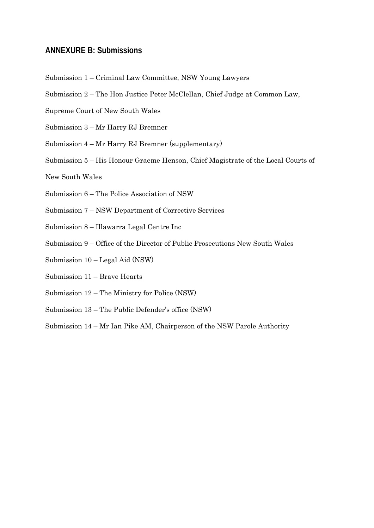## **ANNEXURE B: Submissions**

- Submission 1 Criminal Law Committee, NSW Young Lawyers
- Submission 2 The Hon Justice Peter McClellan, Chief Judge at Common Law,
- Supreme Court of New South Wales
- Submission 3 Mr Harry RJ Bremner
- Submission 4 Mr Harry RJ Bremner (supplementary)
- Submission 5 His Honour Graeme Henson, Chief Magistrate of the Local Courts of
- New South Wales
- Submission 6 The Police Association of NSW
- Submission 7 NSW Department of Corrective Services
- Submission 8 Illawarra Legal Centre Inc
- Submission 9 Office of the Director of Public Prosecutions New South Wales
- Submission 10 Legal Aid (NSW)
- Submission 11 Brave Hearts
- Submission 12 The Ministry for Police (NSW)
- Submission 13 The Public Defender's office (NSW)
- Submission 14 Mr Ian Pike AM, Chairperson of the NSW Parole Authority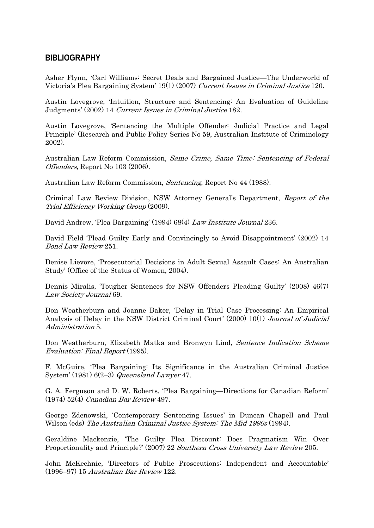# **BIBLIOGRAPHY**

Asher Flynn, 'Carl Williams: Secret Deals and Bargained Justice—The Underworld of Victoria's Plea Bargaining System' 19(1) (2007) Current Issues in Criminal Justice 120.

Austin Lovegrove, 'Intuition, Structure and Sentencing: An Evaluation of Guideline Judgments' (2002) 14 Current Issues in Criminal Justice 182.

Austin Lovegrove, 'Sentencing the Multiple Offender: Judicial Practice and Legal Principle' (Research and Public Policy Series No 59, Australian Institute of Criminology 2002).

Australian Law Reform Commission, Same Crime, Same Time: Sentencing of Federal Offenders, Report No 103 (2006).

Australian Law Reform Commission, Sentencing, Report No 44 (1988).

Criminal Law Review Division, NSW Attorney General's Department, Report of the Trial Efficiency Working Group (2009).

David Andrew, 'Plea Bargaining' (1994) 68(4) Law Institute Journal 236.

David Field 'Plead Guilty Early and Convincingly to Avoid Disappointment' (2002) 14 Bond Law Review 251.

Denise Lievore, 'Prosecutorial Decisions in Adult Sexual Assault Cases: An Australian Study' (Office of the Status of Women, 2004).

Dennis Miralis, 'Tougher Sentences for NSW Offenders Pleading Guilty' (2008) 46(7) Law Society Journal 69.

Don Weatherburn and Joanne Baker, 'Delay in Trial Case Processing: An Empirical Analysis of Delay in the NSW District Criminal Court' (2000) 10(1) Journal of Judicial Administration 5.

Don Weatherburn, Elizabeth Matka and Bronwyn Lind, Sentence Indication Scheme Evaluation: Final Report (1995).

F. McGuire, 'Plea Bargaining: Its Significance in the Australian Criminal Justice System' (1981)  $6(2-3)$  Queensland Lawyer 47.

G. A. Ferguson and D. W. Roberts, 'Plea Bargaining—Directions for Canadian Reform' (1974) 52(4) Canadian Bar Review 497.

George Zdenowski, 'Contemporary Sentencing Issues' in Duncan Chapell and Paul Wilson (eds) The Australian Criminal Justice System: The Mid 1990s (1994).

Geraldine Mackenzie, 'The Guilty Plea Discount: Does Pragmatism Win Over Proportionality and Principle?' (2007) 22 Southern Cross University Law Review 205.

John McKechnie, 'Directors of Public Prosecutions: Independent and Accountable' (1996–97) 15 Australian Bar Review 122.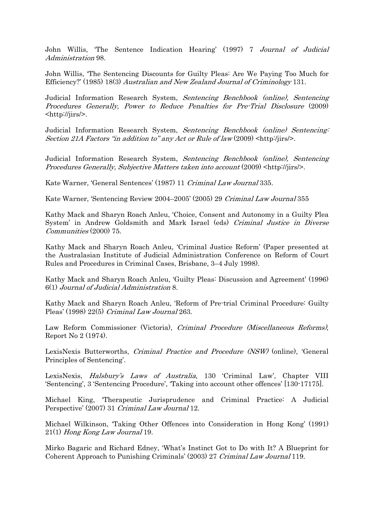John Willis, 'The Sentence Indication Hearing' (1997) 7 Journal of Judicial Administration 98.

John Willis, 'The Sentencing Discounts for Guilty Pleas: Are We Paying Too Much for Efficiency?' (1985) 18(3) Australian and New Zealand Journal of Criminology 131.

Judicial Information Research System, Sentencing Benchbook (online), Sentencing Procedures Generally, Power to Reduce Penalties for Pre-Trial Disclosure (2009) <http://jirs/>.

Judicial Information Research System, Sentencing Benchbook (online) Sentencing: Section 21A Factors "in addition to" any Act or Rule of law  $(2009)$   $\lt$ http:/jirs/>.

Judicial Information Research System, Sentencing Benchbook (online), Sentencing Procedures Generally, Subjective Matters taken into account (2009) <http://jirs/>.

Kate Warner, 'General Sentences' (1987) 11 Criminal Law Journal 335.

Kate Warner, 'Sentencing Review 2004–2005' (2005) 29 Criminal Law Journal 355

Kathy Mack and Sharyn Roach Anleu, 'Choice, Consent and Autonomy in a Guilty Plea System' in Andrew Goldsmith and Mark Israel (eds) Criminal Justice in Diverse Communities (2000) 75.

Kathy Mack and Sharyn Roach Anleu, 'Criminal Justice Reform' (Paper presented at the Australasian Institute of Judicial Administration Conference on Reform of Court Rules and Procedures in Criminal Cases, Brisbane, 3–4 July 1998).

Kathy Mack and Sharyn Roach Anleu, 'Guilty Pleas: Discussion and Agreement' (1996) 6(1) Journal of Judicial Administration 8.

Kathy Mack and Sharyn Roach Anleu, 'Reform of Pre-trial Criminal Procedure: Guilty Pleas' (1998) 22(5) Criminal Law Journal 263.

Law Reform Commissioner (Victoria), Criminal Procedure (Miscellaneous Reforms), Report No 2 (1974).

LexisNexis Butterworths, *Criminal Practice and Procedure (NSW)* (online), 'General Principles of Sentencing'.

LexisNexis, Halsbury's Laws of Australia, 130 'Criminal Law', Chapter VIII 'Sentencing', 3 'Sentencing Procedure', 'Taking into account other offences' [130-17175].

Michael King, 'Therapeutic Jurisprudence and Criminal Practice: A Judicial Perspective' (2007) 31 Criminal Law Journal 12.

Michael Wilkinson, 'Taking Other Offences into Consideration in Hong Kong' (1991) 21(1) Hong Kong Law Journal 19.

Mirko Bagaric and Richard Edney, 'What's Instinct Got to Do with It? A Blueprint for Coherent Approach to Punishing Criminals' (2003) 27 Criminal Law Journal 119.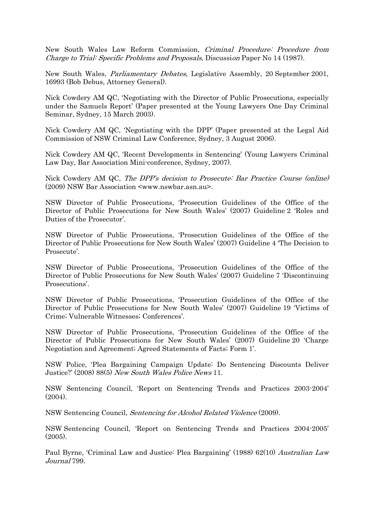New South Wales Law Reform Commission, Criminal Procedure: Procedure from Charge to Trial: Specific Problems and Proposals, Discussion Paper No 14 (1987).

New South Wales, Parliamentary Debates, Legislative Assembly, 20 September 2001, 16993 (Bob Debus, Attorney General).

Nick Cowdery AM QC, 'Negotiating with the Director of Public Prosecutions, especially under the Samuels Report' (Paper presented at the Young Lawyers One Day Criminal Seminar, Sydney, 15 March 2003).

Nick Cowdery AM QC, 'Negotiating with the DPP' (Paper presented at the Legal Aid Commission of NSW Criminal Law Conference, Sydney, 3 August 2006).

Nick Cowdery AM QC, 'Recent Developments in Sentencing' (Young Lawyers Criminal Law Day, Bar Association Mini-conference, Sydney, 2007).

Nick Cowdery AM QC, The DPP's decision to Prosecute: Bar Practice Course (online) (2009) NSW Bar Association <www.nswbar.asn.au>.

NSW Director of Public Prosecutions, 'Prosecution Guidelines of the Office of the Director of Public Prosecutions for New South Wales' (2007) Guideline 2 'Roles and Duties of the Prosecutor'.

NSW Director of Public Prosecutions, 'Prosecution Guidelines of the Office of the Director of Public Prosecutions for New South Wales' (2007) Guideline 4 'The Decision to Prosecute'.

NSW Director of Public Prosecutions, 'Prosecution Guidelines of the Office of the Director of Public Prosecutions for New South Wales' (2007) Guideline 7 'Discontinuing Prosecutions'.

NSW Director of Public Prosecutions, 'Prosecution Guidelines of the Office of the Director of Public Prosecutions for New South Wales' (2007) Guideline 19 'Victims of Crime; Vulnerable Witnesses; Conferences'.

NSW Director of Public Prosecutions, 'Prosecution Guidelines of the Office of the Director of Public Prosecutions for New South Wales' (2007) Guideline 20 'Charge Negotiation and Agreement; Agreed Statements of Facts; Form 1'.

NSW Police, 'Plea Bargaining Campaign Update: Do Sentencing Discounts Deliver Justice?' (2008) 88(5) New South Wales Police News 11.

NSW Sentencing Council, 'Report on Sentencing Trends and Practices 2003-2004' (2004).

NSW Sentencing Council, Sentencing for Alcohol Related Violence (2009).

NSW Sentencing Council, 'Report on Sentencing Trends and Practices 2004-2005' (2005).

Paul Byrne, 'Criminal Law and Justice: Plea Bargaining' (1988) 62(10) Australian Law Journal 799.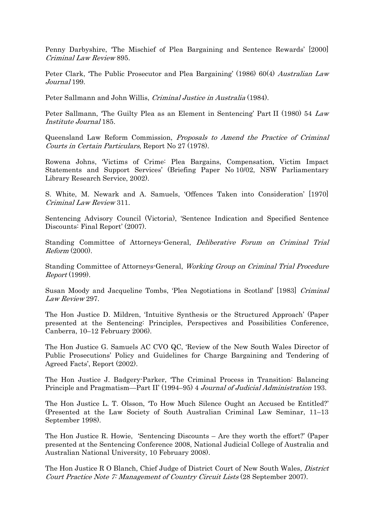Penny Darbyshire, 'The Mischief of Plea Bargaining and Sentence Rewards' [2000] Criminal Law Review 895.

Peter Clark, 'The Public Prosecutor and Plea Bargaining' (1986) 60(4) Australian Law Journal 199.

Peter Sallmann and John Willis, Criminal Justice in Australia (1984).

Peter Sallmann, 'The Guilty Plea as an Element in Sentencing' Part II (1980) 54 Law Institute Journal 185.

Queensland Law Reform Commission, Proposals to Amend the Practice of Criminal Courts in Certain Particulars, Report No 27 (1978).

Rowena Johns, 'Victims of Crime: Plea Bargains, Compensation, Victim Impact Statements and Support Services' (Briefing Paper No 10/02, NSW Parliamentary Library Research Service, 2002).

S. White, M. Newark and A. Samuels, 'Offences Taken into Consideration' [1970] Criminal Law Review 311.

Sentencing Advisory Council (Victoria), 'Sentence Indication and Specified Sentence Discounts: Final Report' (2007).

Standing Committee of Attorneys-General, Deliberative Forum on Criminal Trial Reform (2000).

Standing Committee of Attorneys-General, Working Group on Criminal Trial Procedure Report (1999).

Susan Moody and Jacqueline Tombs, 'Plea Negotiations in Scotland' [1983] Criminal Law Review 297.

The Hon Justice D. Mildren, 'Intuitive Synthesis or the Structured Approach' (Paper presented at the Sentencing: Principles, Perspectives and Possibilities Conference, Canberra, 10–12 February 2006).

The Hon Justice G. Samuels AC CVO QC, 'Review of the New South Wales Director of Public Prosecutions' Policy and Guidelines for Charge Bargaining and Tendering of Agreed Facts', Report (2002).

The Hon Justice J. Badgery-Parker, 'The Criminal Process in Transition: Balancing Principle and Pragmatism—Part II' (1994–95) 4 Journal of Judicial Administration 193.

The Hon Justice L. T. Olsson, 'To How Much Silence Ought an Accused be Entitled?' (Presented at the Law Society of South Australian Criminal Law Seminar, 11–13 September 1998).

The Hon Justice R. Howie, 'Sentencing Discounts – Are they worth the effort?' (Paper presented at the Sentencing Conference 2008, National Judicial College of Australia and Australian National University, 10 February 2008).

The Hon Justice R O Blanch, Chief Judge of District Court of New South Wales, District Court Practice Note 7: Management of Country Circuit Lists (28 September 2007).